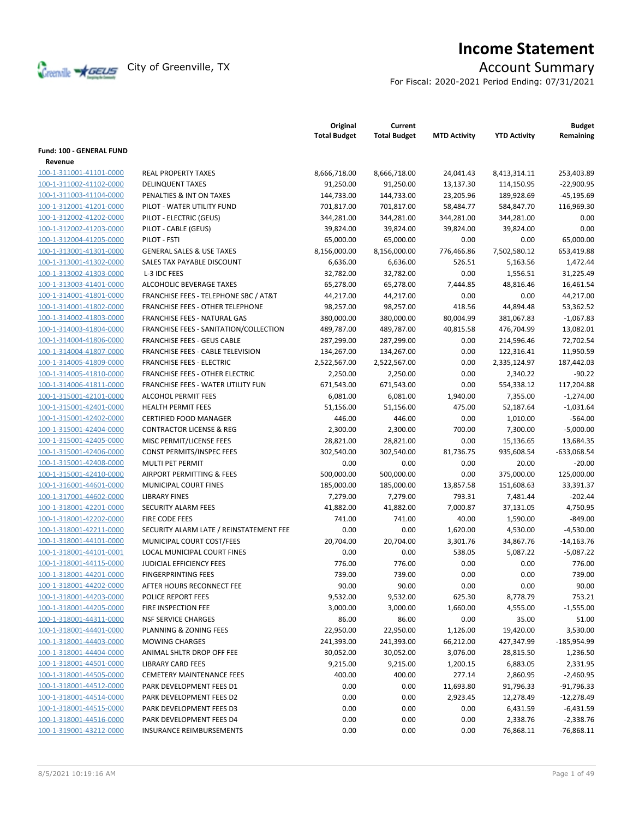

# **Income Statement**

For Fiscal: 2020-2021 Period Ending: 07/31/2021

|                                                    |                                                  | Original<br><b>Total Budget</b> | Current<br><b>Total Budget</b> | <b>MTD Activity</b> | <b>YTD Activity</b> | <b>Budget</b><br>Remaining |
|----------------------------------------------------|--------------------------------------------------|---------------------------------|--------------------------------|---------------------|---------------------|----------------------------|
| Fund: 100 - GENERAL FUND                           |                                                  |                                 |                                |                     |                     |                            |
| Revenue                                            |                                                  |                                 |                                |                     |                     |                            |
| 100-1-311001-41101-0000                            | <b>REAL PROPERTY TAXES</b>                       | 8,666,718.00                    | 8,666,718.00                   | 24,041.43           | 8,413,314.11        | 253,403.89                 |
| 100-1-311002-41102-0000                            | <b>DELINQUENT TAXES</b>                          | 91,250.00                       | 91,250.00                      | 13,137.30           | 114,150.95          | $-22,900.95$               |
| 100-1-311003-41104-0000                            | PENALTIES & INT ON TAXES                         | 144,733.00                      | 144,733.00                     | 23,205.96           | 189,928.69          | $-45,195.69$               |
| 100-1-312001-41201-0000                            | PILOT - WATER UTILITY FUND                       | 701,817.00                      | 701,817.00                     | 58,484.77           | 584,847.70          | 116,969.30                 |
| 100-1-312002-41202-0000                            | PILOT - ELECTRIC (GEUS)                          | 344,281.00                      | 344,281.00                     | 344,281.00          | 344,281.00          | 0.00                       |
| 100-1-312002-41203-0000                            | PILOT - CABLE (GEUS)                             | 39,824.00                       | 39,824.00                      | 39,824.00           | 39,824.00           | 0.00                       |
| 100-1-312004-41205-0000                            | PILOT - FSTI                                     | 65,000.00                       | 65,000.00                      | 0.00                | 0.00                | 65,000.00                  |
|                                                    | <b>GENERAL SALES &amp; USE TAXES</b>             | 8,156,000.00                    |                                | 776,466.86          | 7,502,580.12        | 653,419.88                 |
| 100-1-313001-41301-0000<br>100-1-313001-41302-0000 | SALES TAX PAYABLE DISCOUNT                       |                                 | 8,156,000.00                   |                     |                     |                            |
|                                                    |                                                  | 6,636.00                        | 6,636.00                       | 526.51              | 5,163.56            | 1,472.44                   |
| 100-1-313002-41303-0000                            | L-3 IDC FEES                                     | 32,782.00                       | 32,782.00                      | 0.00                | 1,556.51            | 31,225.49                  |
| 100-1-313003-41401-0000                            | ALCOHOLIC BEVERAGE TAXES                         | 65,278.00                       | 65,278.00                      | 7,444.85            | 48,816.46           | 16,461.54                  |
| 100-1-314001-41801-0000                            | <b>FRANCHISE FEES - TELEPHONE SBC / AT&amp;T</b> | 44,217.00                       | 44,217.00                      | 0.00                | 0.00                | 44,217.00                  |
| 100-1-314001-41802-0000                            | <b>FRANCHISE FEES - OTHER TELEPHONE</b>          | 98,257.00                       | 98,257.00                      | 418.56              | 44,894.48           | 53,362.52                  |
| 100-1-314002-41803-0000                            | FRANCHISE FEES - NATURAL GAS                     | 380,000.00                      | 380,000.00                     | 80,004.99           | 381,067.83          | $-1,067.83$                |
| 100-1-314003-41804-0000                            | FRANCHISE FEES - SANITATION/COLLECTION           | 489,787.00                      | 489,787.00                     | 40,815.58           | 476,704.99          | 13,082.01                  |
| 100-1-314004-41806-0000                            | <b>FRANCHISE FEES - GEUS CABLE</b>               | 287,299.00                      | 287,299.00                     | 0.00                | 214,596.46          | 72,702.54                  |
| 100-1-314004-41807-0000                            | FRANCHISE FEES - CABLE TELEVISION                | 134,267.00                      | 134,267.00                     | 0.00                | 122,316.41          | 11,950.59                  |
| 100-1-314005-41809-0000                            | <b>FRANCHISE FEES - ELECTRIC</b>                 | 2,522,567.00                    | 2,522,567.00                   | 0.00                | 2,335,124.97        | 187,442.03                 |
| 100-1-314005-41810-0000                            | <b>FRANCHISE FEES - OTHER ELECTRIC</b>           | 2,250.00                        | 2,250.00                       | 0.00                | 2,340.22            | $-90.22$                   |
| 100-1-314006-41811-0000                            | <b>FRANCHISE FEES - WATER UTILITY FUN</b>        | 671,543.00                      | 671,543.00                     | 0.00                | 554,338.12          | 117,204.88                 |
| 100-1-315001-42101-0000                            | <b>ALCOHOL PERMIT FEES</b>                       | 6,081.00                        | 6,081.00                       | 1,940.00            | 7,355.00            | $-1,274.00$                |
| 100-1-315001-42401-0000                            | <b>HEALTH PERMIT FEES</b>                        | 51,156.00                       | 51,156.00                      | 475.00              | 52,187.64           | $-1,031.64$                |
| 100-1-315001-42402-0000                            | <b>CERTIFIED FOOD MANAGER</b>                    | 446.00                          | 446.00                         | 0.00                | 1,010.00            | $-564.00$                  |
| 100-1-315001-42404-0000                            | <b>CONTRACTOR LICENSE &amp; REG</b>              | 2,300.00                        | 2,300.00                       | 700.00              | 7,300.00            | $-5,000.00$                |
| 100-1-315001-42405-0000                            | MISC PERMIT/LICENSE FEES                         | 28,821.00                       | 28,821.00                      | 0.00                | 15,136.65           | 13,684.35                  |
| 100-1-315001-42406-0000                            | CONST PERMITS/INSPEC FEES                        | 302,540.00                      | 302,540.00                     | 81,736.75           | 935,608.54          | $-633,068.54$              |
| 100-1-315001-42408-0000                            | MULTI PET PERMIT                                 | 0.00                            | 0.00                           | 0.00                | 20.00               | $-20.00$                   |
| 100-1-315001-42410-0000                            | AIRPORT PERMITTING & FEES                        | 500,000.00                      | 500,000.00                     | 0.00                | 375,000.00          | 125,000.00                 |
| 100-1-316001-44601-0000                            | MUNICIPAL COURT FINES                            | 185,000.00                      | 185,000.00                     | 13,857.58           | 151,608.63          | 33,391.37                  |
| 100-1-317001-44602-0000                            | <b>LIBRARY FINES</b>                             | 7,279.00                        | 7,279.00                       | 793.31              | 7,481.44            | $-202.44$                  |
| 100-1-318001-42201-0000                            | SECURITY ALARM FEES                              | 41,882.00                       | 41,882.00                      | 7,000.87            | 37,131.05           | 4,750.95                   |
| 100-1-318001-42202-0000                            | <b>FIRE CODE FEES</b>                            | 741.00                          | 741.00                         | 40.00               | 1,590.00            | $-849.00$                  |
| 100-1-318001-42211-0000                            | SECURITY ALARM LATE / REINSTATEMENT FEE          | 0.00                            | 0.00                           | 1,620.00            | 4,530.00            | $-4,530.00$                |
| 100-1-318001-44101-0000                            | MUNICIPAL COURT COST/FEES                        | 20,704.00                       | 20,704.00                      | 3,301.76            | 34,867.76           | $-14,163.76$               |
| 100-1-318001-44101-0001                            | LOCAL MUNICIPAL COURT FINES                      | 0.00                            | 0.00                           | 538.05              | 5,087.22            | $-5,087.22$                |
| 100-1-318001-44115-0000                            | JUDICIAL EFFICIENCY FEES                         | 776.00                          | 776.00                         | 0.00                | 0.00                | 776.00                     |
| 100-1-318001-44201-0000                            | <b>FINGERPRINTING FEES</b>                       | 739.00                          | 739.00                         | 0.00                | 0.00                | 739.00                     |
| 100-1-318001-44202-0000                            | AFTER HOURS RECONNECT FEE                        | 90.00                           | 90.00                          | 0.00                | 0.00                | 90.00                      |
| 100-1-318001-44203-0000                            | POLICE REPORT FEES                               | 9,532.00                        | 9,532.00                       | 625.30              | 8,778.79            | 753.21                     |
| 100-1-318001-44205-0000                            | FIRE INSPECTION FEE                              | 3,000.00                        | 3,000.00                       | 1,660.00            | 4,555.00            | $-1,555.00$                |
| 100-1-318001-44311-0000                            | <b>NSF SERVICE CHARGES</b>                       | 86.00                           | 86.00                          | 0.00                | 35.00               | 51.00                      |
| 100-1-318001-44401-0000                            | PLANNING & ZONING FEES                           | 22,950.00                       | 22,950.00                      | 1,126.00            | 19,420.00           | 3,530.00                   |
| 100-1-318001-44403-0000                            | <b>MOWING CHARGES</b>                            | 241,393.00                      | 241,393.00                     | 66,212.00           | 427,347.99          | -185,954.99                |
| 100-1-318001-44404-0000                            | ANIMAL SHLTR DROP OFF FEE                        | 30,052.00                       | 30,052.00                      | 3,076.00            | 28,815.50           | 1,236.50                   |
| 100-1-318001-44501-0000                            | <b>LIBRARY CARD FEES</b>                         | 9,215.00                        | 9,215.00                       | 1,200.15            | 6,883.05            | 2,331.95                   |
| 100-1-318001-44505-0000                            | <b>CEMETERY MAINTENANCE FEES</b>                 | 400.00                          | 400.00                         | 277.14              | 2,860.95            | $-2,460.95$                |
| 100-1-318001-44512-0000                            | PARK DEVELOPMENT FEES D1                         | 0.00                            | 0.00                           | 11,693.80           | 91,796.33           | $-91,796.33$               |
| 100-1-318001-44514-0000                            | PARK DEVELOPMENT FEES D2                         | 0.00                            | 0.00                           | 2,923.45            | 12,278.49           | $-12,278.49$               |
| 100-1-318001-44515-0000                            | PARK DEVELOPMENT FEES D3                         | 0.00                            | 0.00                           | 0.00                | 6,431.59            | $-6,431.59$                |
| 100-1-318001-44516-0000                            | PARK DEVELOPMENT FEES D4                         | 0.00                            | 0.00                           | 0.00                | 2,338.76            | $-2,338.76$                |
| 100-1-319001-43212-0000                            | <b>INSURANCE REIMBURSEMENTS</b>                  | 0.00                            | 0.00                           | 0.00                | 76,868.11           | $-76,868.11$               |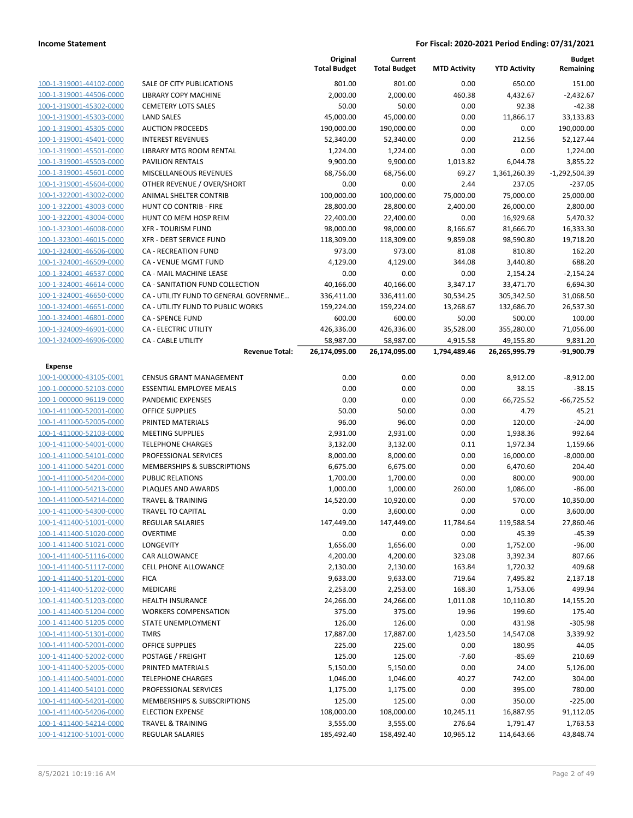|                                                    |                                                     | Original<br><b>Total Budget</b> | Current<br><b>Total Budget</b> | <b>MTD Activity</b> | <b>YTD Activity</b>  | <b>Budget</b><br>Remaining |
|----------------------------------------------------|-----------------------------------------------------|---------------------------------|--------------------------------|---------------------|----------------------|----------------------------|
| 100-1-319001-44102-0000                            | <b>SALE OF CITY PUBLICATIONS</b>                    | 801.00                          | 801.00                         | 0.00                | 650.00               | 151.00                     |
| 100-1-319001-44506-0000                            | LIBRARY COPY MACHINE                                | 2,000.00                        | 2,000.00                       | 460.38              | 4,432.67             | $-2,432.67$                |
| 100-1-319001-45302-0000                            | <b>CEMETERY LOTS SALES</b>                          | 50.00                           | 50.00                          | 0.00                | 92.38                | $-42.38$                   |
| 100-1-319001-45303-0000                            | <b>LAND SALES</b>                                   | 45,000.00                       | 45,000.00                      | 0.00                | 11,866.17            | 33.133.83                  |
| 100-1-319001-45305-0000                            | <b>AUCTION PROCEEDS</b>                             | 190,000.00                      | 190,000.00                     | 0.00                | 0.00                 | 190,000.00                 |
| 100-1-319001-45401-0000                            | <b>INTEREST REVENUES</b>                            | 52,340.00                       | 52,340.00                      | 0.00                | 212.56               | 52,127.44                  |
| 100-1-319001-45501-0000                            | LIBRARY MTG ROOM RENTAL                             | 1,224.00                        | 1,224.00                       | 0.00                | 0.00                 | 1,224.00                   |
| 100-1-319001-45503-0000                            | <b>PAVILION RENTALS</b>                             | 9,900.00                        | 9,900.00                       | 1,013.82            | 6,044.78             | 3,855.22                   |
| 100-1-319001-45601-0000                            | MISCELLANEOUS REVENUES                              | 68,756.00                       | 68,756.00                      | 69.27               | 1,361,260.39         | $-1,292,504.39$            |
| 100-1-319001-45604-0000                            | OTHER REVENUE / OVER/SHORT                          | 0.00                            | 0.00                           | 2.44                | 237.05               | $-237.05$                  |
| 100-1-322001-43002-0000                            | ANIMAL SHELTER CONTRIB                              | 100,000.00                      | 100,000.00                     | 75,000.00           | 75,000.00            | 25,000.00                  |
| 100-1-322001-43003-0000                            | HUNT CO CONTRIB - FIRE                              | 28,800.00                       | 28,800.00                      | 2,400.00            | 26,000.00            | 2,800.00                   |
| 100-1-322001-43004-0000                            | HUNT CO MEM HOSP REIM                               | 22,400.00                       | 22,400.00                      | 0.00                | 16,929.68            | 5,470.32                   |
| 100-1-323001-46008-0000                            | <b>XFR - TOURISM FUND</b>                           | 98,000.00                       | 98,000.00                      | 8,166.67            | 81,666.70            | 16,333.30                  |
| 100-1-323001-46015-0000                            | XFR - DEBT SERVICE FUND                             | 118,309.00                      | 118,309.00                     | 9,859.08            | 98,590.80            | 19,718.20                  |
| 100-1-324001-46506-0000                            | <b>CA - RECREATION FUND</b>                         | 973.00                          | 973.00                         | 81.08               | 810.80               | 162.20                     |
| 100-1-324001-46509-0000                            | <b>CA - VENUE MGMT FUND</b>                         | 4,129.00                        | 4,129.00                       | 344.08              | 3,440.80             | 688.20                     |
| 100-1-324001-46537-0000                            | CA - MAIL MACHINE LEASE                             | 0.00                            | 0.00                           | 0.00                | 2,154.24             | $-2,154.24$                |
| 100-1-324001-46614-0000                            | CA - SANITATION FUND COLLECTION                     | 40,166.00                       | 40,166.00                      | 3,347.17            | 33,471.70            | 6,694.30                   |
| 100-1-324001-46650-0000                            | CA - UTILITY FUND TO GENERAL GOVERNME               | 336,411.00                      | 336,411.00                     | 30,534.25           | 305,342.50           | 31,068.50                  |
| 100-1-324001-46651-0000                            | CA - UTILITY FUND TO PUBLIC WORKS                   | 159,224.00                      | 159,224.00                     | 13,268.67           | 132,686.70           | 26,537.30                  |
| 100-1-324001-46801-0000                            | <b>CA - SPENCE FUND</b>                             | 600.00                          | 600.00                         | 50.00               | 500.00               | 100.00                     |
| 100-1-324009-46901-0000                            | CA - ELECTRIC UTILITY                               | 426,336.00                      | 426,336.00                     | 35,528.00           | 355,280.00           | 71,056.00                  |
| 100-1-324009-46906-0000                            | CA - CABLE UTILITY                                  | 58,987.00                       | 58,987.00                      | 4,915.58            | 49,155.80            | 9,831.20                   |
|                                                    | <b>Revenue Total:</b>                               | 26,174,095.00                   | 26,174,095.00                  | 1,794,489.46        | 26,265,995.79        | -91,900.79                 |
| <b>Expense</b>                                     |                                                     |                                 |                                |                     |                      |                            |
| 100-1-000000-43105-0001                            | <b>CENSUS GRANT MANAGEMENT</b>                      | 0.00                            | 0.00                           | 0.00                | 8,912.00             | $-8,912.00$                |
| 100-1-000000-52103-0000                            | ESSENTIAL EMPLOYEE MEALS                            | 0.00                            | 0.00                           | 0.00                | 38.15                | $-38.15$                   |
| 100-1-000000-96119-0000                            | PANDEMIC EXPENSES                                   | 0.00<br>50.00                   | 0.00<br>50.00                  | 0.00                | 66,725.52            | $-66,725.52$<br>45.21      |
| 100-1-411000-52001-0000                            | <b>OFFICE SUPPLIES</b>                              |                                 |                                | 0.00                | 4.79                 |                            |
| 100-1-411000-52005-0000<br>100-1-411000-52103-0000 | PRINTED MATERIALS                                   | 96.00                           | 96.00                          | 0.00                | 120.00               | $-24.00$                   |
| 100-1-411000-54001-0000                            | <b>MEETING SUPPLIES</b><br><b>TELEPHONE CHARGES</b> | 2,931.00<br>3,132.00            | 2,931.00<br>3,132.00           | 0.00<br>0.11        | 1,938.36<br>1,972.34 | 992.64<br>1,159.66         |
| 100-1-411000-54101-0000                            | PROFESSIONAL SERVICES                               | 8,000.00                        | 8,000.00                       | 0.00                | 16,000.00            | $-8,000.00$                |
| 100-1-411000-54201-0000                            | <b>MEMBERSHIPS &amp; SUBSCRIPTIONS</b>              | 6,675.00                        | 6,675.00                       | 0.00                | 6,470.60             | 204.40                     |
| 100-1-411000-54204-0000                            | <b>PUBLIC RELATIONS</b>                             | 1,700.00                        | 1,700.00                       | 0.00                | 800.00               | 900.00                     |
| 100-1-411000-54213-0000                            | PLAQUES AND AWARDS                                  | 1,000.00                        | 1,000.00                       | 260.00              | 1,086.00             | $-86.00$                   |
| 100-1-411000-54214-0000                            | <b>TRAVEL &amp; TRAINING</b>                        | 14,520.00                       | 10,920.00                      | 0.00                | 570.00               | 10,350.00                  |
| 100-1-411000-54300-0000                            | <b>TRAVEL TO CAPITAL</b>                            | 0.00                            | 3,600.00                       | 0.00                | 0.00                 | 3,600.00                   |
| 100-1-411400-51001-0000                            | REGULAR SALARIES                                    | 147,449.00                      | 147,449.00                     | 11,784.64           | 119,588.54           | 27,860.46                  |
| 100-1-411400-51020-0000                            | <b>OVERTIME</b>                                     | 0.00                            | 0.00                           | 0.00                | 45.39                | $-45.39$                   |
| 100-1-411400-51021-0000                            | LONGEVITY                                           | 1,656.00                        | 1,656.00                       | 0.00                | 1,752.00             | $-96.00$                   |
| 100-1-411400-51116-0000                            | CAR ALLOWANCE                                       | 4,200.00                        | 4,200.00                       | 323.08              | 3,392.34             | 807.66                     |
| 100-1-411400-51117-0000                            | <b>CELL PHONE ALLOWANCE</b>                         | 2,130.00                        | 2,130.00                       | 163.84              | 1,720.32             | 409.68                     |
| 100-1-411400-51201-0000                            | <b>FICA</b>                                         | 9,633.00                        | 9,633.00                       | 719.64              | 7,495.82             | 2,137.18                   |
| 100-1-411400-51202-0000                            | MEDICARE                                            | 2,253.00                        | 2,253.00                       | 168.30              | 1,753.06             | 499.94                     |
| 100-1-411400-51203-0000                            | <b>HEALTH INSURANCE</b>                             | 24,266.00                       | 24,266.00                      | 1,011.08            | 10,110.80            | 14,155.20                  |
| 100-1-411400-51204-0000                            | <b>WORKERS COMPENSATION</b>                         | 375.00                          | 375.00                         | 19.96               | 199.60               | 175.40                     |
| 100-1-411400-51205-0000                            | STATE UNEMPLOYMENT                                  | 126.00                          | 126.00                         | 0.00                | 431.98               | $-305.98$                  |
| 100-1-411400-51301-0000                            | <b>TMRS</b>                                         | 17,887.00                       | 17,887.00                      | 1,423.50            | 14,547.08            | 3,339.92                   |
| 100-1-411400-52001-0000                            | OFFICE SUPPLIES                                     | 225.00                          | 225.00                         | 0.00                | 180.95               | 44.05                      |
| 100-1-411400-52002-0000                            | POSTAGE / FREIGHT                                   | 125.00                          | 125.00                         | $-7.60$             | $-85.69$             | 210.69                     |
| 100-1-411400-52005-0000                            | PRINTED MATERIALS                                   | 5,150.00                        | 5,150.00                       | 0.00                | 24.00                | 5,126.00                   |
| 100-1-411400-54001-0000                            | <b>TELEPHONE CHARGES</b>                            | 1,046.00                        | 1,046.00                       | 40.27               | 742.00               | 304.00                     |
| 100-1-411400-54101-0000                            | PROFESSIONAL SERVICES                               | 1,175.00                        | 1,175.00                       | 0.00                | 395.00               | 780.00                     |
| 100-1-411400-54201-0000                            | MEMBERSHIPS & SUBSCRIPTIONS                         | 125.00                          | 125.00                         | 0.00                | 350.00               | $-225.00$                  |
| 100-1-411400-54206-0000                            | <b>ELECTION EXPENSE</b>                             | 108,000.00                      | 108,000.00                     | 10,245.11           | 16,887.95            | 91,112.05                  |
| 100-1-411400-54214-0000                            | <b>TRAVEL &amp; TRAINING</b>                        | 3,555.00                        | 3,555.00                       | 276.64              | 1,791.47             | 1,763.53                   |
| 100-1-412100-51001-0000                            | REGULAR SALARIES                                    | 185,492.40                      | 158,492.40                     | 10,965.12           | 114,643.66           | 43,848.74                  |
|                                                    |                                                     |                                 |                                |                     |                      |                            |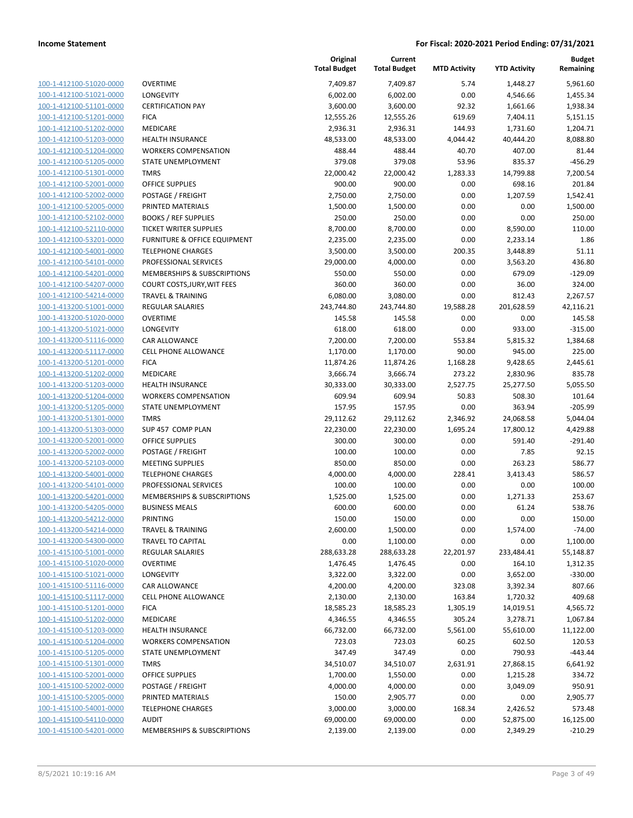| 100-1-412100-51020-0000        |
|--------------------------------|
| 100-1-412100-51021-0000        |
| 100-1-412100-51101-0000        |
| 100-1-412100-51201-0000        |
| 100-1-412100-51202-0000        |
| 100-1-412100-51203-0000        |
| 100-1-412100-51204-0000        |
| 100-1-412100-51205-0000        |
| 100-1-412100-51301-0000        |
| 100-1-412100-52001-0000        |
| 100-1-412100-52002-0000        |
| 100-1-412100-52005-0000        |
| 100-1-412100-52102-0000        |
| 100-1-412100-52110-0000        |
| 100-1-412100-53201-0000        |
| 100-1-412100-54001-0000        |
| 100-1-412100-54101-0000        |
| 100-1-412100-54201-0000        |
| 100-1-412100-54207-0000        |
| 100-1-412100-54214-0000        |
| 100-1-413200-51001-0000        |
| 100-1-413200-51020-0000        |
| 100-1-413200-51021-0000        |
| 100-1-413200-51116-0000        |
|                                |
| 100-1-413200-51117-0000        |
| 100-1-413200-51201-0000        |
| 100-1-413200-51202-0000        |
| 100-1-413200-51203-0000        |
| 100-1-413200-51204-0000        |
| 100-1-413200-51205-0000        |
| 100-1-413200-51301-0000        |
| 100-1-413200-51303-0000        |
| 100-1-413200-52001-0000        |
| 100-1-413200-52002-0000        |
| 100-1-413200-52103-0000        |
| 100-1-413200-54001-0000        |
| 100-1-413200-54101-0000        |
| 100-1-413200-54201-0000        |
| 100-1-413200-54205-0000        |
| 100-1-413200-54212-0000        |
| <u>100-1-413200-54214-0000</u> |
| 100-1-413200-54300-0000        |
| 100-1-415100-51001-0000        |
| 100-1-415100-51020-0000        |
| 100-1-415100-51021-0000        |
| 100-1-415100-51116-0000        |
| 100-1-415100-51117-0000        |
| <u>100-1-415100-51201-0000</u> |
| 100-1-415100-51202-0000        |
| 100-1-415100-51203-0000        |
| 100-1-415100-51204-0000        |
| 100-1-415100-51205-0000        |
| 100-1-415100-51301-0000        |
| 100-1-415100-52001-0000        |
| 100-1-415100-52002-0000        |
| 100-1-415100-52005-0000        |
| 100-1-415100-54001-0000        |
|                                |
| 100-1-415100-54110-0000        |
| 100-1-415100-54201-0000        |

|                                                    |                                        | Original<br><b>Total Budget</b> | Current<br><b>Total Budget</b> | <b>MTD Activity</b> | <b>YTD Activity</b> | <b>Budget</b><br>Remaining |
|----------------------------------------------------|----------------------------------------|---------------------------------|--------------------------------|---------------------|---------------------|----------------------------|
| 100-1-412100-51020-0000                            | <b>OVERTIME</b>                        | 7,409.87                        | 7,409.87                       | 5.74                | 1,448.27            | 5,961.60                   |
| 100-1-412100-51021-0000                            | LONGEVITY                              | 6,002.00                        | 6,002.00                       | 0.00                | 4,546.66            | 1,455.34                   |
| 100-1-412100-51101-0000                            | <b>CERTIFICATION PAY</b>               | 3,600.00                        | 3,600.00                       | 92.32               | 1,661.66            | 1,938.34                   |
| 100-1-412100-51201-0000                            | <b>FICA</b>                            | 12,555.26                       | 12,555.26                      | 619.69              | 7,404.11            | 5,151.15                   |
| 100-1-412100-51202-0000                            | MEDICARE                               | 2,936.31                        | 2,936.31                       | 144.93              | 1,731.60            | 1,204.71                   |
| 100-1-412100-51203-0000                            | HEALTH INSURANCE                       | 48,533.00                       | 48,533.00                      | 4,044.42            | 40,444.20           | 8,088.80                   |
| 100-1-412100-51204-0000                            | <b>WORKERS COMPENSATION</b>            | 488.44                          | 488.44                         | 40.70               | 407.00              | 81.44                      |
| 100-1-412100-51205-0000                            | <b>STATE UNEMPLOYMENT</b>              | 379.08                          | 379.08                         | 53.96               | 835.37              | $-456.29$                  |
| 100-1-412100-51301-0000                            | <b>TMRS</b>                            | 22,000.42                       | 22,000.42                      | 1,283.33            | 14,799.88           | 7,200.54                   |
| 100-1-412100-52001-0000                            | <b>OFFICE SUPPLIES</b>                 | 900.00                          | 900.00                         | 0.00                | 698.16              | 201.84                     |
| 100-1-412100-52002-0000                            | POSTAGE / FREIGHT                      | 2,750.00                        | 2,750.00                       | 0.00                | 1,207.59            | 1,542.41                   |
| 100-1-412100-52005-0000                            | PRINTED MATERIALS                      | 1,500.00                        | 1,500.00                       | 0.00                | 0.00                | 1,500.00                   |
| 100-1-412100-52102-0000                            | <b>BOOKS / REF SUPPLIES</b>            | 250.00                          | 250.00                         | 0.00                | 0.00                | 250.00                     |
| 100-1-412100-52110-0000                            | <b>TICKET WRITER SUPPLIES</b>          | 8,700.00                        | 8,700.00                       | 0.00                | 8,590.00            | 110.00                     |
| 100-1-412100-53201-0000                            | FURNITURE & OFFICE EQUIPMENT           | 2,235.00                        | 2,235.00                       | 0.00                | 2,233.14            | 1.86                       |
| 100-1-412100-54001-0000                            | <b>TELEPHONE CHARGES</b>               | 3,500.00                        | 3,500.00                       | 200.35              | 3,448.89            | 51.11                      |
| 100-1-412100-54101-0000                            | PROFESSIONAL SERVICES                  | 29,000.00                       | 4,000.00                       | 0.00                | 3,563.20            | 436.80                     |
| 100-1-412100-54201-0000                            | MEMBERSHIPS & SUBSCRIPTIONS            | 550.00                          | 550.00                         | 0.00                | 679.09              | $-129.09$                  |
| 100-1-412100-54207-0000                            | <b>COURT COSTS, JURY, WIT FEES</b>     | 360.00                          | 360.00                         | 0.00                | 36.00               | 324.00                     |
| 100-1-412100-54214-0000                            | <b>TRAVEL &amp; TRAINING</b>           | 6,080.00                        | 3,080.00                       | 0.00                | 812.43              | 2,267.57                   |
| 100-1-413200-51001-0000                            | <b>REGULAR SALARIES</b>                | 243,744.80                      | 243,744.80                     | 19,588.28           | 201,628.59          | 42,116.21                  |
| 100-1-413200-51020-0000                            | <b>OVERTIME</b>                        | 145.58                          | 145.58                         | 0.00                | 0.00                | 145.58                     |
| 100-1-413200-51021-0000                            | LONGEVITY                              | 618.00                          | 618.00                         | 0.00                | 933.00              | $-315.00$                  |
| 100-1-413200-51116-0000                            | CAR ALLOWANCE                          | 7,200.00                        | 7,200.00                       | 553.84              | 5,815.32            | 1,384.68                   |
| 100-1-413200-51117-0000                            | <b>CELL PHONE ALLOWANCE</b>            | 1,170.00                        | 1,170.00                       | 90.00               | 945.00              | 225.00                     |
| 100-1-413200-51201-0000                            | <b>FICA</b>                            | 11,874.26                       | 11,874.26                      | 1,168.28            | 9,428.65            | 2,445.61                   |
| 100-1-413200-51202-0000                            | MEDICARE                               | 3,666.74                        | 3,666.74                       | 273.22              | 2,830.96            | 835.78                     |
| 100-1-413200-51203-0000                            | <b>HEALTH INSURANCE</b>                | 30,333.00                       | 30,333.00                      | 2,527.75            | 25,277.50           | 5,055.50                   |
| 100-1-413200-51204-0000                            | <b>WORKERS COMPENSATION</b>            | 609.94                          | 609.94                         | 50.83<br>0.00       | 508.30              | 101.64<br>$-205.99$        |
| 100-1-413200-51205-0000<br>100-1-413200-51301-0000 | STATE UNEMPLOYMENT<br><b>TMRS</b>      | 157.95<br>29,112.62             | 157.95<br>29,112.62            | 2,346.92            | 363.94<br>24,068.58 | 5,044.04                   |
| 100-1-413200-51303-0000                            | SUP 457 COMP PLAN                      | 22,230.00                       | 22,230.00                      | 1,695.24            | 17,800.12           | 4,429.88                   |
| 100-1-413200-52001-0000                            | <b>OFFICE SUPPLIES</b>                 | 300.00                          | 300.00                         | 0.00                | 591.40              | $-291.40$                  |
| 100-1-413200-52002-0000                            | POSTAGE / FREIGHT                      | 100.00                          | 100.00                         | 0.00                | 7.85                | 92.15                      |
| 100-1-413200-52103-0000                            | <b>MEETING SUPPLIES</b>                | 850.00                          | 850.00                         | 0.00                | 263.23              | 586.77                     |
| 100-1-413200-54001-0000                            | <b>TELEPHONE CHARGES</b>               | 4,000.00                        | 4,000.00                       | 228.41              | 3,413.43            | 586.57                     |
| 100-1-413200-54101-0000                            | PROFESSIONAL SERVICES                  | 100.00                          | 100.00                         | 0.00                | 0.00                | 100.00                     |
| 100-1-413200-54201-0000                            | <b>MEMBERSHIPS &amp; SUBSCRIPTIONS</b> | 1,525.00                        | 1,525.00                       | 0.00                | 1,271.33            | 253.67                     |
| 100-1-413200-54205-0000                            | <b>BUSINESS MEALS</b>                  | 600.00                          | 600.00                         | 0.00                | 61.24               | 538.76                     |
| 100-1-413200-54212-0000                            | PRINTING                               | 150.00                          | 150.00                         | 0.00                | 0.00                | 150.00                     |
| 100-1-413200-54214-0000                            | <b>TRAVEL &amp; TRAINING</b>           | 2,600.00                        | 1,500.00                       | 0.00                | 1,574.00            | $-74.00$                   |
| 100-1-413200-54300-0000                            | TRAVEL TO CAPITAL                      | 0.00                            | 1,100.00                       | 0.00                | 0.00                | 1,100.00                   |
| 100-1-415100-51001-0000                            | REGULAR SALARIES                       | 288,633.28                      | 288,633.28                     | 22,201.97           | 233,484.41          | 55,148.87                  |
| 100-1-415100-51020-0000                            | <b>OVERTIME</b>                        | 1,476.45                        | 1,476.45                       | 0.00                | 164.10              | 1,312.35                   |
| 100-1-415100-51021-0000                            | LONGEVITY                              | 3,322.00                        | 3,322.00                       | 0.00                | 3,652.00            | $-330.00$                  |
| 100-1-415100-51116-0000                            | CAR ALLOWANCE                          | 4,200.00                        | 4,200.00                       | 323.08              | 3,392.34            | 807.66                     |
| 100-1-415100-51117-0000                            | CELL PHONE ALLOWANCE                   | 2,130.00                        | 2,130.00                       | 163.84              | 1,720.32            | 409.68                     |
| 100-1-415100-51201-0000                            | <b>FICA</b>                            | 18,585.23                       | 18,585.23                      | 1,305.19            | 14,019.51           | 4,565.72                   |
| 100-1-415100-51202-0000                            | MEDICARE                               | 4,346.55                        | 4,346.55                       | 305.24              | 3,278.71            | 1,067.84                   |
| 100-1-415100-51203-0000                            | <b>HEALTH INSURANCE</b>                | 66,732.00                       | 66,732.00                      | 5,561.00            | 55,610.00           | 11,122.00                  |
| 100-1-415100-51204-0000                            | <b>WORKERS COMPENSATION</b>            | 723.03                          | 723.03                         | 60.25               | 602.50              | 120.53                     |
| 100-1-415100-51205-0000                            | STATE UNEMPLOYMENT                     | 347.49                          | 347.49                         | 0.00                | 790.93              | $-443.44$                  |
| 100-1-415100-51301-0000                            | <b>TMRS</b>                            | 34,510.07                       | 34,510.07                      | 2,631.91            | 27,868.15           | 6,641.92                   |
| 100-1-415100-52001-0000                            | <b>OFFICE SUPPLIES</b>                 | 1,700.00                        | 1,550.00                       | 0.00                | 1,215.28            | 334.72                     |
| 100-1-415100-52002-0000                            | POSTAGE / FREIGHT                      | 4,000.00                        | 4,000.00                       | 0.00                | 3,049.09            | 950.91                     |
| 100-1-415100-52005-0000                            | PRINTED MATERIALS                      | 150.00                          | 2,905.77                       | 0.00                | 0.00                | 2,905.77                   |
| 100-1-415100-54001-0000                            | <b>TELEPHONE CHARGES</b>               | 3,000.00                        | 3,000.00                       | 168.34              | 2,426.52            | 573.48                     |
| 100-1-415100-54110-0000                            | <b>AUDIT</b>                           | 69,000.00                       | 69,000.00                      | 0.00                | 52,875.00           | 16,125.00                  |
| 100-1-415100-54201-0000                            | MEMBERSHIPS & SUBSCRIPTIONS            | 2,139.00                        | 2,139.00                       | 0.00                | 2,349.29            | $-210.29$                  |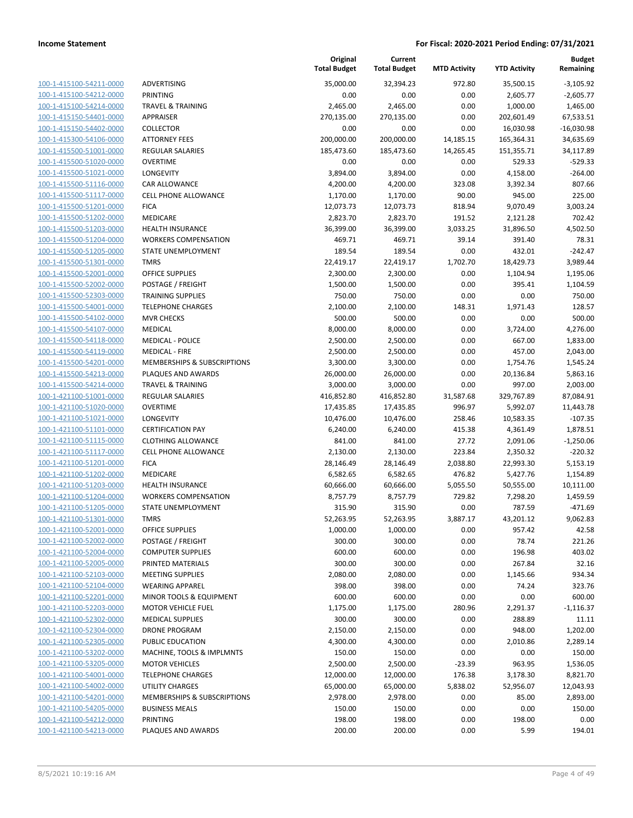| 100-1-415100-54211-0000        |
|--------------------------------|
| 100-1-415100-54212-0000        |
| 100-1-415100-54214-0000        |
| 100-1-415150-54401-0000        |
| 100-1-415150-54402-0000        |
| 100-1-415300-54106-0000        |
| 100-1-415500-51001-0000        |
| 100-1-415500-51020-0000        |
| 100-1-415500-51021-0000        |
| 100-1-415500-51116-0000        |
| 100-1-415500-51117-0000        |
| 100-1-415500-51201-0000        |
| 100-1-415500-51202-0000        |
| 100-1-415500-51203-0000        |
| <u>100-1-415500-51204-0000</u> |
| 100-1-415500-51205-0000        |
| 100-1-415500-51301-0000        |
| 100-1-415500-52001-0000        |
| 100-1-415500-52002-0000        |
| 100-1-415500-52303-0000        |
| 100-1-415500-54001-0000        |
| 100-1-415500-54102-0000        |
| 100-1-415500-54107-0000        |
| 100-1-415500-54118-0000        |
| 100-1-415500-54119-0000        |
| 100-1-415500-54201-0000        |
| 100-1-415500-54213-0000        |
| 100-1-415500-54214-0000        |
| 100-1-421100-51001-0000        |
| 100-1-421100-51020-0000        |
| 100-1-421100-51021-0000        |
| 100-1-421100-51101-0000        |
| 100-1-421100-51115-0000        |
| <u>100-1-421100-51117-0000</u> |
| 100-1-421100-51201-0000        |
| 100-1-421100-51202-0000        |
| 100-1-421100-51203-0000        |
| 100-1-421100-51204-0000        |
| 100-1-421100-51205-0000        |
| 100-1-421100-51301-0000        |
| 100-1-421100-52001-0000        |
| <u>100-1-421100-52002-0000</u> |
| 100-1-421100-52004-0000        |
| 100-1-421100-52005-0000        |
| <u>100-1-421100-52103-0000</u> |
| 100-1-421100-52104-0000        |
| 100-1-421100-52201-0000        |
| 100-1-421100-52203-0000        |
| 100-1-421100-52302-0000        |
| <u>100-1-421100-52304-0000</u> |
| <u>100-1-421100-52305-0000</u> |
| 100-1-421100-53202-0000        |
| 100-1-421100-53205-0000        |
| 100-1-421100-54001-0000        |
| <u>100-1-421100-54002-0000</u> |
| <u>100-1-421100-54201-0000</u> |
| <u>100-1-421100-54205-0000</u> |
| 100-1-421100-54212-0000        |
| <u>100-1-421100-54213-0000</u> |
|                                |

|                         |                                                 | Original<br><b>Total Budget</b> | Current<br><b>Total Budget</b> | <b>MTD Activity</b> | <b>YTD Activity</b> | <b>Budget</b><br>Remaining |
|-------------------------|-------------------------------------------------|---------------------------------|--------------------------------|---------------------|---------------------|----------------------------|
| 100-1-415100-54211-0000 | ADVERTISING                                     | 35,000.00                       | 32,394.23                      | 972.80              | 35,500.15           | $-3,105.92$                |
| 100-1-415100-54212-0000 | PRINTING                                        | 0.00                            | 0.00                           | 0.00                | 2,605.77            | $-2,605.77$                |
| 100-1-415100-54214-0000 | <b>TRAVEL &amp; TRAINING</b>                    | 2,465.00                        | 2,465.00                       | 0.00                | 1,000.00            | 1,465.00                   |
| 100-1-415150-54401-0000 | <b>APPRAISER</b>                                | 270,135.00                      | 270,135.00                     | 0.00                | 202,601.49          | 67,533.51                  |
| 100-1-415150-54402-0000 | <b>COLLECTOR</b>                                | 0.00                            | 0.00                           | 0.00                | 16,030.98           | $-16,030.98$               |
| 100-1-415300-54106-0000 | <b>ATTORNEY FEES</b>                            | 200,000.00                      | 200,000.00                     | 14,185.15           | 165,364.31          | 34,635.69                  |
| 100-1-415500-51001-0000 | REGULAR SALARIES                                | 185,473.60                      | 185,473.60                     | 14,265.45           | 151,355.71          | 34,117.89                  |
| 100-1-415500-51020-0000 | <b>OVERTIME</b>                                 | 0.00                            | 0.00                           | 0.00                | 529.33              | $-529.33$                  |
| 100-1-415500-51021-0000 | LONGEVITY                                       | 3,894.00                        | 3,894.00                       | 0.00                | 4,158.00            | $-264.00$                  |
| 100-1-415500-51116-0000 | CAR ALLOWANCE                                   | 4,200.00                        | 4,200.00                       | 323.08              | 3,392.34            | 807.66                     |
| 100-1-415500-51117-0000 | <b>CELL PHONE ALLOWANCE</b>                     | 1,170.00                        | 1,170.00                       | 90.00               | 945.00              | 225.00                     |
| 100-1-415500-51201-0000 | <b>FICA</b>                                     | 12,073.73                       | 12,073.73                      | 818.94              | 9,070.49            | 3,003.24                   |
| 100-1-415500-51202-0000 | <b>MEDICARE</b>                                 | 2,823.70                        | 2,823.70                       | 191.52              | 2,121.28            | 702.42                     |
| 100-1-415500-51203-0000 | <b>HEALTH INSURANCE</b>                         | 36,399.00                       | 36,399.00                      | 3,033.25            | 31,896.50           | 4,502.50                   |
| 100-1-415500-51204-0000 | <b>WORKERS COMPENSATION</b>                     | 469.71                          | 469.71                         | 39.14               | 391.40              | 78.31                      |
| 100-1-415500-51205-0000 | STATE UNEMPLOYMENT                              | 189.54                          | 189.54                         | 0.00                | 432.01              | $-242.47$                  |
| 100-1-415500-51301-0000 | <b>TMRS</b>                                     | 22,419.17                       | 22,419.17                      | 1,702.70            | 18,429.73           | 3,989.44                   |
| 100-1-415500-52001-0000 | <b>OFFICE SUPPLIES</b>                          | 2,300.00                        | 2,300.00                       | 0.00                | 1,104.94            | 1,195.06                   |
| 100-1-415500-52002-0000 | POSTAGE / FREIGHT                               | 1,500.00                        | 1,500.00                       | 0.00                | 395.41              | 1,104.59                   |
| 100-1-415500-52303-0000 | <b>TRAINING SUPPLIES</b>                        | 750.00                          | 750.00                         | 0.00                | 0.00                | 750.00                     |
| 100-1-415500-54001-0000 | <b>TELEPHONE CHARGES</b>                        | 2,100.00                        | 2,100.00                       | 148.31              | 1,971.43            | 128.57                     |
| 100-1-415500-54102-0000 | <b>MVR CHECKS</b>                               | 500.00                          | 500.00                         | 0.00                | 0.00                | 500.00                     |
| 100-1-415500-54107-0000 | <b>MEDICAL</b>                                  | 8,000.00                        | 8,000.00                       | 0.00                | 3,724.00            | 4,276.00                   |
| 100-1-415500-54118-0000 | <b>MEDICAL - POLICE</b>                         | 2,500.00                        | 2,500.00                       | 0.00                | 667.00              | 1,833.00                   |
| 100-1-415500-54119-0000 | <b>MEDICAL - FIRE</b>                           | 2,500.00                        | 2,500.00                       | 0.00                | 457.00              | 2,043.00                   |
| 100-1-415500-54201-0000 | MEMBERSHIPS & SUBSCRIPTIONS                     | 3,300.00                        | 3,300.00                       | 0.00                | 1,754.76            | 1,545.24                   |
| 100-1-415500-54213-0000 | PLAQUES AND AWARDS                              | 26,000.00                       | 26,000.00                      | 0.00                | 20,136.84           | 5,863.16                   |
| 100-1-415500-54214-0000 | <b>TRAVEL &amp; TRAINING</b>                    | 3,000.00                        | 3,000.00                       | 0.00                | 997.00              | 2,003.00                   |
| 100-1-421100-51001-0000 | <b>REGULAR SALARIES</b>                         | 416,852.80                      | 416,852.80                     | 31,587.68           | 329,767.89          | 87,084.91                  |
| 100-1-421100-51020-0000 | <b>OVERTIME</b>                                 | 17,435.85                       | 17,435.85                      | 996.97              | 5,992.07            | 11,443.78                  |
| 100-1-421100-51021-0000 | LONGEVITY                                       | 10,476.00                       | 10,476.00                      | 258.46              | 10,583.35           | $-107.35$                  |
| 100-1-421100-51101-0000 | <b>CERTIFICATION PAY</b>                        | 6,240.00                        | 6,240.00                       | 415.38              | 4,361.49            | 1,878.51                   |
| 100-1-421100-51115-0000 | <b>CLOTHING ALLOWANCE</b>                       | 841.00                          | 841.00                         | 27.72               | 2,091.06            | $-1,250.06$                |
| 100-1-421100-51117-0000 | CELL PHONE ALLOWANCE                            | 2,130.00                        | 2,130.00                       | 223.84              | 2,350.32            | $-220.32$                  |
| 100-1-421100-51201-0000 | <b>FICA</b>                                     | 28,146.49                       | 28,146.49                      | 2,038.80            | 22,993.30           | 5,153.19                   |
| 100-1-421100-51202-0000 | MEDICARE                                        | 6,582.65                        | 6,582.65                       | 476.82              | 5,427.76            | 1,154.89                   |
| 100-1-421100-51203-0000 | <b>HEALTH INSURANCE</b>                         | 60,666.00                       | 60,666.00                      | 5,055.50            | 50,555.00           | 10,111.00                  |
| 100-1-421100-51204-0000 | <b>WORKERS COMPENSATION</b>                     | 8,757.79                        | 8,757.79                       | 729.82              | 7,298.20            | 1,459.59                   |
| 100-1-421100-51205-0000 | STATE UNEMPLOYMENT                              | 315.90                          | 315.90                         | 0.00                | 787.59              | $-471.69$                  |
| 100-1-421100-51301-0000 | <b>TMRS</b>                                     | 52,263.95                       | 52,263.95                      | 3,887.17            | 43,201.12           | 9,062.83                   |
| 100-1-421100-52001-0000 | OFFICE SUPPLIES                                 | 1,000.00                        | 1,000.00                       | 0.00                | 957.42              | 42.58                      |
| 100-1-421100-52002-0000 | POSTAGE / FREIGHT                               | 300.00                          | 300.00                         | 0.00                | 78.74               | 221.26                     |
| 100-1-421100-52004-0000 | <b>COMPUTER SUPPLIES</b>                        | 600.00                          | 600.00                         | 0.00                | 196.98              | 403.02                     |
| 100-1-421100-52005-0000 | PRINTED MATERIALS                               | 300.00                          | 300.00                         | 0.00                | 267.84              | 32.16                      |
| 100-1-421100-52103-0000 | <b>MEETING SUPPLIES</b>                         | 2,080.00                        | 2,080.00                       | 0.00                | 1,145.66            | 934.34                     |
| 100-1-421100-52104-0000 | <b>WEARING APPAREL</b>                          | 398.00                          | 398.00                         | 0.00                | 74.24               | 323.76                     |
| 100-1-421100-52201-0000 | MINOR TOOLS & EQUIPMENT                         | 600.00                          | 600.00                         | 0.00                | 0.00                | 600.00                     |
| 100-1-421100-52203-0000 | <b>MOTOR VEHICLE FUEL</b>                       | 1,175.00                        | 1,175.00                       | 280.96              | 2,291.37            | $-1,116.37$                |
| 100-1-421100-52302-0000 | <b>MEDICAL SUPPLIES</b><br><b>DRONE PROGRAM</b> | 300.00                          | 300.00                         | 0.00                | 288.89              | 11.11                      |
| 100-1-421100-52304-0000 |                                                 | 2,150.00                        | 2,150.00                       | 0.00                | 948.00              | 1,202.00                   |
| 100-1-421100-52305-0000 | PUBLIC EDUCATION                                | 4,300.00                        | 4,300.00                       | 0.00                | 2,010.86            | 2,289.14                   |
| 100-1-421100-53202-0000 | MACHINE, TOOLS & IMPLMNTS                       | 150.00                          | 150.00                         | 0.00                | 0.00                | 150.00                     |
| 100-1-421100-53205-0000 | <b>MOTOR VEHICLES</b>                           | 2,500.00                        | 2,500.00                       | $-23.39$            | 963.95              | 1,536.05                   |
| 100-1-421100-54001-0000 | <b>TELEPHONE CHARGES</b>                        | 12,000.00                       | 12,000.00                      | 176.38              | 3,178.30            | 8,821.70                   |
| 100-1-421100-54002-0000 | <b>UTILITY CHARGES</b>                          | 65,000.00                       | 65,000.00                      | 5,838.02            | 52,956.07           | 12,043.93                  |
| 100-1-421100-54201-0000 | MEMBERSHIPS & SUBSCRIPTIONS                     | 2,978.00                        | 2,978.00                       | 0.00                | 85.00               | 2,893.00                   |
| 100-1-421100-54205-0000 | <b>BUSINESS MEALS</b>                           | 150.00                          | 150.00                         | 0.00                | 0.00                | 150.00                     |
| 100-1-421100-54212-0000 | PRINTING                                        | 198.00                          | 198.00                         | 0.00                | 198.00              | 0.00                       |
| 100-1-421100-54213-0000 | PLAQUES AND AWARDS                              | 200.00                          | 200.00                         | 0.00                | 5.99                | 194.01                     |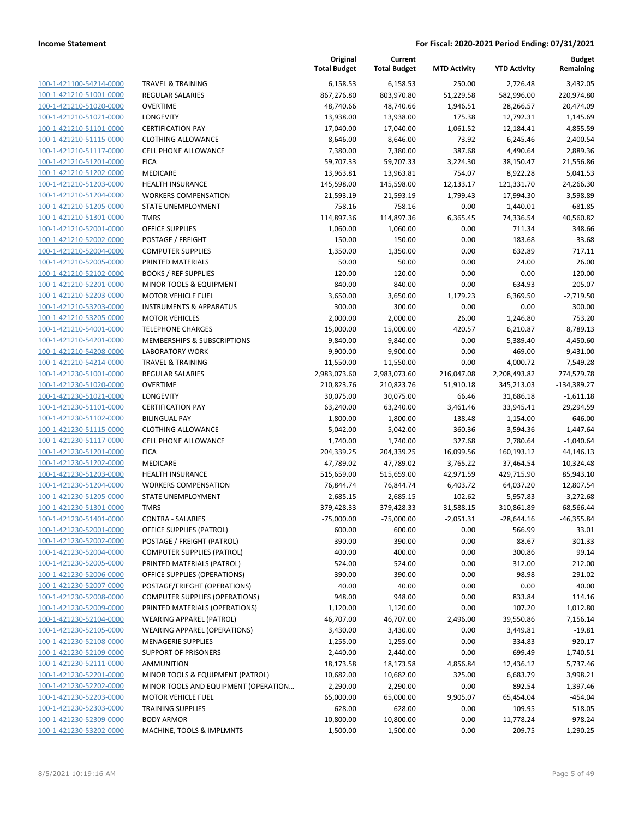| 100-1-421100-54214-0000                                          |
|------------------------------------------------------------------|
| 100-1-421210-51001-0000                                          |
| 100-1-421210-51020-0000                                          |
| <u>100-1-421210-51021-0000</u>                                   |
| 100-1-421210-51101-0000                                          |
|                                                                  |
| 100-1-421210-51115-0000                                          |
| 100-1-421210-51117-0000                                          |
| 100-1-421210-51201-0000                                          |
| <u>100-1-421210-51202-0000</u>                                   |
| 100-1-421210-51203-0000                                          |
| -421210-51204-0000<br>$100 - 1$                                  |
|                                                                  |
| 100-1-421210-51205-0000                                          |
| 100-1-421210-51301-0000                                          |
| <u>100-1-421210-52001-0000</u>                                   |
| 100-1-421210-52002-0000                                          |
| 100-1-421210-52004-0000                                          |
| 100-1-421210-52005-0000                                          |
| 100-1-421210-52102-0000                                          |
|                                                                  |
| <u>100-1-421210-52201-0000</u>                                   |
| 100-1-421210-52203-0000                                          |
| $100 - 1$<br>-421210-53203-0000                                  |
| 100-1-421210-53205-0000                                          |
| <u>100-1-421210-54001-0000</u>                                   |
| <u>100-1-421210-54201-0000</u>                                   |
| 100-1-421210-54208-0000                                          |
| 100-1-421210-54214-0000                                          |
|                                                                  |
| 100-1-421230-51001-0000                                          |
| 100-1-421230-51020-0000                                          |
| <u>100-1-421230-51021-0000</u>                                   |
| 100-1-421230-51101-0000                                          |
| 100-1-421230-51102-0000                                          |
| 100-1-421230-51115-0000                                          |
| <u>100-1-421230-51117-0000</u>                                   |
| <u>100-1-421230-51201-0000</u>                                   |
| 100-1-421230-51202-0000                                          |
|                                                                  |
| 100-1-421230-51203-0000                                          |
| 100-1-421230-51204-0000                                          |
| 100-1-421230-51205-0000                                          |
| 100-1-421230-51301-0000                                          |
| 100-1-421230-51401-0000                                          |
| 100-1-421230-52001-0000                                          |
| 100-1-421230-52002-0000                                          |
|                                                                  |
|                                                                  |
| <u>100-1-421230-52004-0000</u>                                   |
| <u>100-1-421230-52005-0000</u>                                   |
| 100-1-421230-52006-0000                                          |
| 100-1-421230-52007-0000                                          |
| 100-1-421230-52008-0000                                          |
| <u>100-1-421230-52009-0000</u>                                   |
|                                                                  |
| <u>100-1-421230-52104-0000</u>                                   |
| <u>100-1-421230-52105-0000</u>                                   |
| 100-1-421230-52108-0000                                          |
| 100-1-421230-52109-0000                                          |
| <u>100-1-421230-52111-0000</u>                                   |
| <u>100-1-421230-52201-0000</u>                                   |
| <u>100-1-421230-52202-0000</u>                                   |
| <u>100-1-421230-52203-0000</u>                                   |
| 100-1-421230-52303-0000                                          |
|                                                                  |
| <u>100-1-421230-52309-0000</u><br><u>100-1-421230-53202-0000</u> |

|                                                    |                                                        | Original<br><b>Total Budget</b> | Current<br><b>Total Budget</b> | <b>MTD Activity</b>      | <b>YTD Activity</b>    | <b>Budget</b><br>Remaining |
|----------------------------------------------------|--------------------------------------------------------|---------------------------------|--------------------------------|--------------------------|------------------------|----------------------------|
| 100-1-421100-54214-0000                            | <b>TRAVEL &amp; TRAINING</b>                           | 6,158.53                        | 6,158.53                       | 250.00                   | 2,726.48               | 3,432.05                   |
| 100-1-421210-51001-0000                            | <b>REGULAR SALARIES</b>                                | 867,276.80                      | 803,970.80                     | 51,229.58                | 582,996.00             | 220,974.80                 |
| 100-1-421210-51020-0000                            | <b>OVERTIME</b>                                        | 48,740.66                       | 48,740.66                      | 1,946.51                 | 28,266.57              | 20,474.09                  |
| 100-1-421210-51021-0000                            | LONGEVITY                                              | 13,938.00                       | 13,938.00                      | 175.38                   | 12,792.31              | 1,145.69                   |
| 100-1-421210-51101-0000                            | <b>CERTIFICATION PAY</b>                               | 17,040.00                       | 17,040.00                      | 1,061.52                 | 12,184.41              | 4,855.59                   |
| 100-1-421210-51115-0000                            | <b>CLOTHING ALLOWANCE</b>                              | 8,646.00                        | 8,646.00                       | 73.92                    | 6,245.46               | 2,400.54                   |
| 100-1-421210-51117-0000                            | <b>CELL PHONE ALLOWANCE</b>                            | 7,380.00                        | 7,380.00                       | 387.68                   | 4,490.64               | 2,889.36                   |
| 100-1-421210-51201-0000                            | <b>FICA</b>                                            | 59,707.33                       | 59,707.33                      | 3,224.30                 | 38,150.47              | 21,556.86                  |
| 100-1-421210-51202-0000                            | MEDICARE                                               | 13,963.81                       | 13,963.81                      | 754.07                   | 8,922.28               | 5,041.53                   |
| 100-1-421210-51203-0000                            | <b>HEALTH INSURANCE</b>                                | 145,598.00                      | 145,598.00                     | 12,133.17                | 121,331.70             | 24,266.30                  |
| 100-1-421210-51204-0000                            | <b>WORKERS COMPENSATION</b>                            | 21,593.19                       | 21,593.19                      | 1,799.43                 | 17,994.30              | 3,598.89                   |
| 100-1-421210-51205-0000                            | STATE UNEMPLOYMENT                                     | 758.16                          | 758.16                         | 0.00                     | 1,440.01               | $-681.85$                  |
| 100-1-421210-51301-0000                            | <b>TMRS</b>                                            | 114,897.36                      | 114,897.36                     | 6,365.45                 | 74,336.54              | 40,560.82                  |
| 100-1-421210-52001-0000                            | <b>OFFICE SUPPLIES</b>                                 | 1,060.00                        | 1,060.00                       | 0.00                     | 711.34                 | 348.66                     |
| 100-1-421210-52002-0000                            | POSTAGE / FREIGHT                                      | 150.00                          | 150.00                         | 0.00                     | 183.68                 | $-33.68$                   |
| 100-1-421210-52004-0000                            | <b>COMPUTER SUPPLIES</b>                               | 1,350.00                        | 1,350.00                       | 0.00                     | 632.89                 | 717.11                     |
| 100-1-421210-52005-0000                            | PRINTED MATERIALS                                      | 50.00                           | 50.00                          | 0.00                     | 24.00                  | 26.00                      |
| 100-1-421210-52102-0000                            | <b>BOOKS / REF SUPPLIES</b>                            | 120.00                          | 120.00                         | 0.00                     | 0.00                   | 120.00                     |
| 100-1-421210-52201-0000                            | MINOR TOOLS & EQUIPMENT                                | 840.00                          | 840.00                         | 0.00                     | 634.93                 | 205.07                     |
| 100-1-421210-52203-0000                            | <b>MOTOR VEHICLE FUEL</b>                              | 3,650.00                        | 3,650.00                       | 1,179.23                 | 6,369.50               | $-2,719.50$                |
| 100-1-421210-53203-0000                            | <b>INSTRUMENTS &amp; APPARATUS</b>                     | 300.00                          | 300.00                         | 0.00                     | 0.00                   | 300.00                     |
| 100-1-421210-53205-0000                            | <b>MOTOR VEHICLES</b>                                  | 2,000.00                        | 2,000.00                       | 26.00                    | 1,246.80               | 753.20                     |
| 100-1-421210-54001-0000                            | <b>TELEPHONE CHARGES</b>                               | 15,000.00                       | 15,000.00                      | 420.57                   | 6,210.87               | 8,789.13                   |
| 100-1-421210-54201-0000                            | MEMBERSHIPS & SUBSCRIPTIONS                            | 9,840.00                        | 9,840.00                       | 0.00                     | 5,389.40               | 4,450.60                   |
| 100-1-421210-54208-0000                            | <b>LABORATORY WORK</b>                                 | 9,900.00                        | 9,900.00                       | 0.00                     | 469.00                 | 9,431.00                   |
| 100-1-421210-54214-0000                            | <b>TRAVEL &amp; TRAINING</b>                           | 11,550.00                       | 11,550.00                      | 0.00                     | 4,000.72               | 7,549.28                   |
| 100-1-421230-51001-0000                            | REGULAR SALARIES                                       | 2,983,073.60                    | 2,983,073.60                   | 216,047.08               | 2,208,493.82           | 774,579.78                 |
| 100-1-421230-51020-0000                            | <b>OVERTIME</b>                                        | 210,823.76                      | 210,823.76                     | 51,910.18                | 345,213.03             | $-134,389.27$              |
| 100-1-421230-51021-0000                            | LONGEVITY                                              | 30,075.00                       | 30,075.00                      | 66.46                    | 31,686.18              | $-1,611.18$                |
| 100-1-421230-51101-0000                            | <b>CERTIFICATION PAY</b>                               | 63,240.00                       | 63,240.00                      | 3,461.46                 | 33,945.41              | 29,294.59                  |
| 100-1-421230-51102-0000                            | <b>BILINGUAL PAY</b>                                   | 1,800.00                        | 1,800.00                       | 138.48                   | 1,154.00               | 646.00                     |
| 100-1-421230-51115-0000                            | <b>CLOTHING ALLOWANCE</b>                              | 5,042.00                        | 5,042.00                       | 360.36                   | 3,594.36               | 1,447.64                   |
| 100-1-421230-51117-0000                            | CELL PHONE ALLOWANCE                                   | 1,740.00                        | 1,740.00                       | 327.68                   | 2,780.64               | $-1,040.64$                |
| 100-1-421230-51201-0000                            | <b>FICA</b>                                            | 204,339.25                      | 204,339.25                     | 16,099.56                | 160,193.12             | 44,146.13                  |
| 100-1-421230-51202-0000                            | MEDICARE                                               | 47,789.02<br>515,659.00         | 47,789.02                      | 3,765.22                 | 37,464.54              | 10,324.48                  |
| 100-1-421230-51203-0000                            | <b>HEALTH INSURANCE</b><br><b>WORKERS COMPENSATION</b> |                                 | 515,659.00                     | 42,971.59                | 429,715.90             | 85,943.10                  |
| 100-1-421230-51204-0000                            | STATE UNEMPLOYMENT                                     | 76,844.74                       | 76,844.74                      | 6,403.72                 | 64,037.20              | 12,807.54                  |
| 100-1-421230-51205-0000<br>100-1-421230-51301-0000 | <b>TMRS</b>                                            | 2,685.15<br>379,428.33          | 2,685.15<br>379,428.33         | 102.62                   | 5,957.83<br>310,861.89 | $-3,272.68$<br>68,566.44   |
| 100-1-421230-51401-0000                            | <b>CONTRA - SALARIES</b>                               | $-75,000.00$                    | $-75,000.00$                   | 31,588.15<br>$-2,051.31$ | $-28,644.16$           | -46,355.84                 |
| 100-1-421230-52001-0000                            | OFFICE SUPPLIES (PATROL)                               | 600.00                          | 600.00                         | 0.00                     | 566.99                 | 33.01                      |
| 100-1-421230-52002-0000                            | POSTAGE / FREIGHT (PATROL)                             | 390.00                          | 390.00                         | 0.00                     | 88.67                  | 301.33                     |
| 100-1-421230-52004-0000                            | <b>COMPUTER SUPPLIES (PATROL)</b>                      | 400.00                          | 400.00                         | 0.00                     | 300.86                 | 99.14                      |
| 100-1-421230-52005-0000                            | PRINTED MATERIALS (PATROL)                             | 524.00                          | 524.00                         | 0.00                     | 312.00                 | 212.00                     |
| 100-1-421230-52006-0000                            | OFFICE SUPPLIES (OPERATIONS)                           | 390.00                          | 390.00                         | 0.00                     | 98.98                  | 291.02                     |
| 100-1-421230-52007-0000                            | POSTAGE/FRIEGHT (OPERATIONS)                           | 40.00                           | 40.00                          | 0.00                     | 0.00                   | 40.00                      |
| 100-1-421230-52008-0000                            | <b>COMPUTER SUPPLIES (OPERATIONS)</b>                  | 948.00                          | 948.00                         | 0.00                     | 833.84                 | 114.16                     |
| 100-1-421230-52009-0000                            | PRINTED MATERIALS (OPERATIONS)                         | 1,120.00                        | 1,120.00                       | 0.00                     | 107.20                 | 1,012.80                   |
| 100-1-421230-52104-0000                            | <b>WEARING APPAREL (PATROL)</b>                        | 46,707.00                       | 46,707.00                      | 2,496.00                 | 39,550.86              | 7,156.14                   |
| 100-1-421230-52105-0000                            | <b>WEARING APPAREL (OPERATIONS)</b>                    | 3,430.00                        | 3,430.00                       | 0.00                     | 3,449.81               | $-19.81$                   |
| 100-1-421230-52108-0000                            | <b>MENAGERIE SUPPLIES</b>                              | 1,255.00                        | 1,255.00                       | 0.00                     | 334.83                 | 920.17                     |
| 100-1-421230-52109-0000                            | SUPPORT OF PRISONERS                                   | 2,440.00                        | 2,440.00                       | 0.00                     | 699.49                 | 1,740.51                   |
| 100-1-421230-52111-0000                            | <b>AMMUNITION</b>                                      | 18,173.58                       | 18,173.58                      | 4,856.84                 | 12,436.12              | 5,737.46                   |
| 100-1-421230-52201-0000                            | MINOR TOOLS & EQUIPMENT (PATROL)                       | 10,682.00                       | 10,682.00                      | 325.00                   | 6,683.79               | 3,998.21                   |
| 100-1-421230-52202-0000                            | MINOR TOOLS AND EQUIPMENT (OPERATION                   | 2,290.00                        | 2,290.00                       | 0.00                     | 892.54                 | 1,397.46                   |
| 100-1-421230-52203-0000                            | <b>MOTOR VEHICLE FUEL</b>                              | 65,000.00                       | 65,000.00                      | 9,905.07                 | 65,454.04              | $-454.04$                  |
| 100-1-421230-52303-0000                            | <b>TRAINING SUPPLIES</b>                               | 628.00                          | 628.00                         | 0.00                     | 109.95                 | 518.05                     |
| 100-1-421230-52309-0000                            | <b>BODY ARMOR</b>                                      | 10,800.00                       | 10,800.00                      | 0.00                     | 11,778.24              | $-978.24$                  |
| 100-1-421230-53202-0000                            | MACHINE, TOOLS & IMPLMNTS                              | 1,500.00                        | 1,500.00                       | 0.00                     | 209.75                 | 1,290.25                   |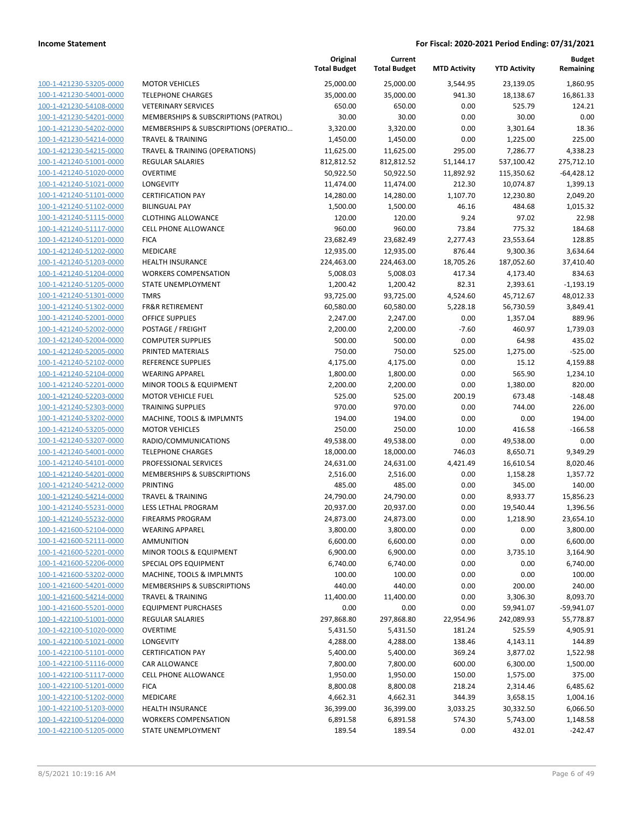|                                                    |                                                   | Original<br><b>Total Budget</b> | Current<br><b>Total Budget</b> | <b>MTD Activity</b> | <b>YTD Activity</b> | <b>Budget</b><br>Remaining |
|----------------------------------------------------|---------------------------------------------------|---------------------------------|--------------------------------|---------------------|---------------------|----------------------------|
| 100-1-421230-53205-0000                            | <b>MOTOR VEHICLES</b>                             | 25,000.00                       | 25,000.00                      | 3,544.95            | 23,139.05           | 1,860.95                   |
| 100-1-421230-54001-0000                            | <b>TELEPHONE CHARGES</b>                          | 35,000.00                       | 35,000.00                      | 941.30              | 18,138.67           | 16,861.33                  |
| 100-1-421230-54108-0000                            | <b>VETERINARY SERVICES</b>                        | 650.00                          | 650.00                         | 0.00                | 525.79              | 124.21                     |
| 100-1-421230-54201-0000                            | MEMBERSHIPS & SUBSCRIPTIONS (PATROL)              | 30.00                           | 30.00                          | 0.00                | 30.00               | 0.00                       |
| 100-1-421230-54202-0000                            | MEMBERSHIPS & SUBSCRIPTIONS (OPERATIO             | 3,320.00                        | 3,320.00                       | 0.00                | 3,301.64            | 18.36                      |
| 100-1-421230-54214-0000                            | <b>TRAVEL &amp; TRAINING</b>                      | 1,450.00                        | 1,450.00                       | 0.00                | 1,225.00            | 225.00                     |
| 100-1-421230-54215-0000                            | TRAVEL & TRAINING (OPERATIONS)                    | 11,625.00                       | 11,625.00                      | 295.00              | 7,286.77            | 4,338.23                   |
| 100-1-421240-51001-0000                            | REGULAR SALARIES                                  | 812,812.52                      | 812,812.52                     | 51,144.17           | 537,100.42          | 275,712.10                 |
| 100-1-421240-51020-0000                            | <b>OVERTIME</b>                                   | 50,922.50                       | 50,922.50                      | 11,892.92           | 115,350.62          | $-64,428.12$               |
| 100-1-421240-51021-0000                            | LONGEVITY                                         | 11,474.00                       | 11,474.00                      | 212.30              | 10,074.87           | 1,399.13                   |
| 100-1-421240-51101-0000                            | <b>CERTIFICATION PAY</b>                          | 14,280.00                       | 14,280.00                      | 1,107.70            | 12,230.80           | 2,049.20                   |
| 100-1-421240-51102-0000                            | <b>BILINGUAL PAY</b>                              | 1,500.00                        | 1,500.00                       | 46.16               | 484.68              | 1,015.32                   |
| 100-1-421240-51115-0000                            | <b>CLOTHING ALLOWANCE</b>                         | 120.00                          | 120.00                         | 9.24                | 97.02               | 22.98                      |
| 100-1-421240-51117-0000                            | <b>CELL PHONE ALLOWANCE</b>                       | 960.00                          | 960.00                         | 73.84               | 775.32              | 184.68                     |
| 100-1-421240-51201-0000                            | <b>FICA</b>                                       | 23,682.49                       | 23,682.49                      | 2,277.43            | 23,553.64           | 128.85                     |
| 100-1-421240-51202-0000                            | MEDICARE                                          | 12,935.00                       | 12,935.00                      | 876.44              | 9,300.36            | 3,634.64                   |
| 100-1-421240-51203-0000                            | <b>HEALTH INSURANCE</b>                           | 224,463.00                      | 224,463.00                     | 18,705.26           | 187,052.60          | 37,410.40                  |
| 100-1-421240-51204-0000                            | <b>WORKERS COMPENSATION</b>                       | 5,008.03                        | 5,008.03                       | 417.34              | 4,173.40            | 834.63                     |
| 100-1-421240-51205-0000                            | STATE UNEMPLOYMENT                                | 1,200.42                        | 1,200.42                       | 82.31               | 2,393.61            | $-1,193.19$                |
| 100-1-421240-51301-0000                            | <b>TMRS</b>                                       | 93,725.00                       | 93,725.00                      | 4,524.60            | 45,712.67           | 48,012.33                  |
| 100-1-421240-51302-0000                            | <b>FR&amp;R RETIREMENT</b>                        | 60,580.00                       | 60,580.00                      | 5,228.18            | 56,730.59           | 3,849.41                   |
| 100-1-421240-52001-0000                            | OFFICE SUPPLIES                                   | 2,247.00                        | 2,247.00                       | 0.00                | 1,357.04            | 889.96                     |
| 100-1-421240-52002-0000                            | POSTAGE / FREIGHT                                 | 2,200.00                        | 2,200.00                       | $-7.60$             | 460.97              | 1,739.03                   |
| 100-1-421240-52004-0000                            | <b>COMPUTER SUPPLIES</b>                          | 500.00                          | 500.00                         | 0.00                | 64.98               | 435.02                     |
| 100-1-421240-52005-0000                            | PRINTED MATERIALS                                 | 750.00                          | 750.00                         | 525.00              | 1,275.00            | $-525.00$                  |
| 100-1-421240-52102-0000                            | REFERENCE SUPPLIES                                | 4,175.00                        | 4,175.00                       | 0.00                | 15.12               | 4,159.88                   |
| 100-1-421240-52104-0000                            | <b>WEARING APPAREL</b>                            | 1,800.00                        | 1,800.00                       | 0.00                | 565.90              | 1,234.10                   |
| 100-1-421240-52201-0000                            | MINOR TOOLS & EQUIPMENT                           | 2,200.00                        | 2,200.00                       | 0.00                | 1,380.00            | 820.00                     |
| 100-1-421240-52203-0000                            | <b>MOTOR VEHICLE FUEL</b>                         | 525.00                          | 525.00                         | 200.19              | 673.48              | $-148.48$                  |
| 100-1-421240-52303-0000                            | <b>TRAINING SUPPLIES</b>                          | 970.00                          | 970.00                         | 0.00                | 744.00              | 226.00                     |
| 100-1-421240-53202-0000                            | MACHINE, TOOLS & IMPLMNTS                         | 194.00                          | 194.00                         | 0.00                | 0.00                | 194.00                     |
| 100-1-421240-53205-0000                            | <b>MOTOR VEHICLES</b>                             | 250.00                          | 250.00                         | 10.00               | 416.58              | $-166.58$                  |
| 100-1-421240-53207-0000<br>100-1-421240-54001-0000 | RADIO/COMMUNICATIONS                              | 49,538.00                       | 49,538.00                      | 0.00                | 49,538.00           | 0.00                       |
|                                                    | <b>TELEPHONE CHARGES</b><br>PROFESSIONAL SERVICES | 18,000.00                       | 18,000.00                      | 746.03              | 8,650.71            | 9,349.29<br>8,020.46       |
| 100-1-421240-54101-0000<br>100-1-421240-54201-0000 | MEMBERSHIPS & SUBSCRIPTIONS                       | 24,631.00<br>2,516.00           | 24,631.00                      | 4,421.49<br>0.00    | 16,610.54           |                            |
| 100-1-421240-54212-0000                            | <b>PRINTING</b>                                   | 485.00                          | 2,516.00<br>485.00             | 0.00                | 1,158.28<br>345.00  | 1,357.72<br>140.00         |
| 100-1-421240-54214-0000                            | <b>TRAVEL &amp; TRAINING</b>                      | 24,790.00                       | 24,790.00                      | 0.00                | 8,933.77            | 15,856.23                  |
| 100-1-421240-55231-0000                            | LESS LETHAL PROGRAM                               | 20,937.00                       | 20,937.00                      | 0.00                | 19,540.44           | 1,396.56                   |
| 100-1-421240-55232-0000                            | <b>FIREARMS PROGRAM</b>                           | 24,873.00                       | 24,873.00                      | 0.00                | 1,218.90            | 23,654.10                  |
| 100-1-421600-52104-0000                            | <b>WEARING APPAREL</b>                            | 3,800.00                        | 3,800.00                       | 0.00                | 0.00                | 3,800.00                   |
| 100-1-421600-52111-0000                            | <b>AMMUNITION</b>                                 | 6,600.00                        | 6,600.00                       | 0.00                | 0.00                | 6,600.00                   |
| 100-1-421600-52201-0000                            | MINOR TOOLS & EQUIPMENT                           | 6,900.00                        | 6,900.00                       | 0.00                | 3,735.10            | 3,164.90                   |
| 100-1-421600-52206-0000                            | SPECIAL OPS EQUIPMENT                             | 6,740.00                        | 6,740.00                       | 0.00                | 0.00                | 6,740.00                   |
| 100-1-421600-53202-0000                            | MACHINE, TOOLS & IMPLMNTS                         | 100.00                          | 100.00                         | 0.00                | 0.00                | 100.00                     |
| 100-1-421600-54201-0000                            | MEMBERSHIPS & SUBSCRIPTIONS                       | 440.00                          | 440.00                         | 0.00                | 200.00              | 240.00                     |
| 100-1-421600-54214-0000                            | <b>TRAVEL &amp; TRAINING</b>                      | 11,400.00                       | 11,400.00                      | 0.00                | 3,306.30            | 8,093.70                   |
| 100-1-421600-55201-0000                            | <b>EQUIPMENT PURCHASES</b>                        | 0.00                            | 0.00                           | 0.00                | 59,941.07           | $-59,941.07$               |
| 100-1-422100-51001-0000                            | <b>REGULAR SALARIES</b>                           | 297,868.80                      | 297,868.80                     | 22,954.96           | 242,089.93          | 55,778.87                  |
| 100-1-422100-51020-0000                            | <b>OVERTIME</b>                                   | 5,431.50                        | 5,431.50                       | 181.24              | 525.59              | 4,905.91                   |
| 100-1-422100-51021-0000                            | LONGEVITY                                         | 4,288.00                        | 4,288.00                       | 138.46              | 4,143.11            | 144.89                     |
| 100-1-422100-51101-0000                            | <b>CERTIFICATION PAY</b>                          | 5,400.00                        | 5,400.00                       | 369.24              | 3,877.02            | 1,522.98                   |
| 100-1-422100-51116-0000                            | CAR ALLOWANCE                                     | 7,800.00                        | 7,800.00                       | 600.00              | 6,300.00            | 1,500.00                   |
| 100-1-422100-51117-0000                            | <b>CELL PHONE ALLOWANCE</b>                       | 1,950.00                        | 1,950.00                       | 150.00              | 1,575.00            | 375.00                     |
| 100-1-422100-51201-0000                            | <b>FICA</b>                                       | 8,800.08                        | 8,800.08                       | 218.24              | 2,314.46            | 6,485.62                   |
| 100-1-422100-51202-0000                            | MEDICARE                                          | 4,662.31                        | 4,662.31                       | 344.39              | 3,658.15            | 1,004.16                   |
| 100-1-422100-51203-0000                            | <b>HEALTH INSURANCE</b>                           | 36,399.00                       | 36,399.00                      | 3,033.25            | 30,332.50           | 6,066.50                   |
| 100-1-422100-51204-0000                            | <b>WORKERS COMPENSATION</b>                       | 6,891.58                        | 6,891.58                       | 574.30              | 5,743.00            | 1,148.58                   |
| 100-1-422100-51205-0000                            | STATE UNEMPLOYMENT                                | 189.54                          | 189.54                         | 0.00                | 432.01              | $-242.47$                  |
|                                                    |                                                   |                                 |                                |                     |                     |                            |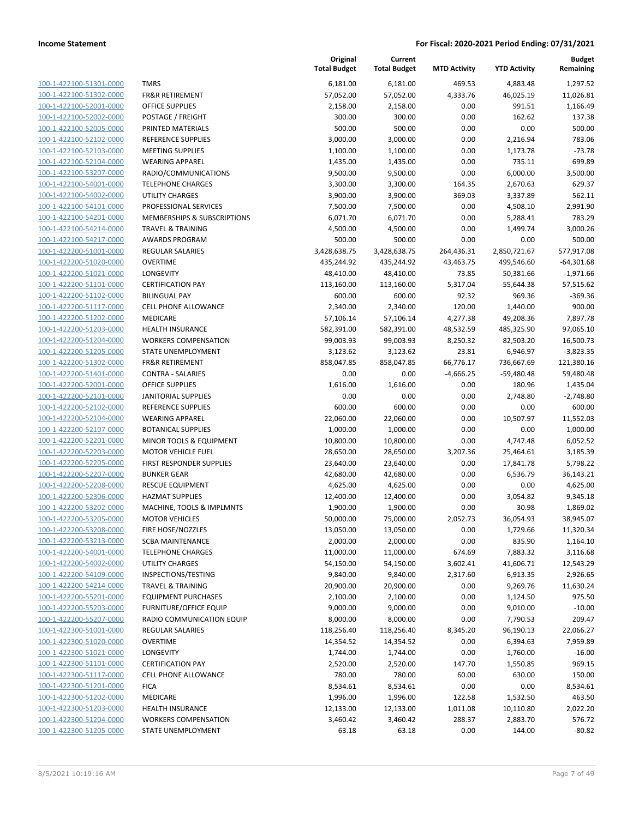100-1-422100-51301-0000 100-1-422100-51302-0000 100-1-422100-52001-0000 100-1-422100-52002-0000 100-1-422100-52005-0000 PRINTED MATERIALS 500.00 500.00 0.00 0.00 500.00 100-1-422100-52102-0000 100-1-422100-52103-0000 100-1-422100-52104-0000 100-1-422100-53207-0000 100-1-422100-54001-0000 100-1-422100-54002-0000 100-1-422100-54101-0000 100-1-422100-54201-0000 100-1-422100-54214-0000 100-1-422100-54217-0000 100-1-422200-51001-0000 100-1-422200-51020-0000 100-1-422200-51021-0000 100-1-422200-51101-0000 100-1-422200-51102-0000 BILINGUAL PAY 600.00 600.00 92.32 969.36 -369.36 100-1-422200-51117-0000 100-1-422200-51202-0000 100-1-422200-51203-0000 100-1-422200-51204-0000 100-1-422200-51205-0000 100-1-422200-51302-0000 100-1-422200-51401-0000 100-1-422200-52001-0000 100-1-422200-52101-0000 100-1-422200-52102-0000 REFERENCE SUPPLIES 600.00 600.00 0.00 0.00 600.00 100-1-422200-52104-0000 100-1-422200-52107-0000 100-1-422200-52201-0000 100-1-422200-52203-0000 100-1-422200-52205-0000 100-1-422200-52207-0000 100-1-422200-52208-0000 100-1-422200-52306-0000 100-1-422200-53202-0000 100-1-422200-53205-0000 100-1-422200-53208-0000 100-1-422200-53213-0000 100-1-422200-54001-0000 100-1-422200-54002-0000 100-1-422200-54109-0000 100-1-422200-54214-0000 100-1-422200-55201-0000 100-1-422200-55203-0000 100-1-422200-55207-0000 100-1-422300-51001-0000 100-1-422300-51020-0000 100-1-422300-51021-0000 100-1-422300-51101-0000 100-1-422300-51117-0000 100-1-422300-51201-0000 100-1-422300-51202-0000 100-1-422300-51203-0000 100-1-422300-51204-0000 100-1-422300-51205-0000

|                               | Original<br><b>Total Budget</b> | Current<br><b>Total Budget</b> | <b>MTD Activity</b> | <b>YTD Activity</b> | <b>Budget</b><br>Remaining |
|-------------------------------|---------------------------------|--------------------------------|---------------------|---------------------|----------------------------|
|                               |                                 |                                |                     |                     |                            |
| <b>TMRS</b>                   | 6,181.00                        | 6,181.00                       | 469.53              | 4,883.48            | 1,297.52                   |
| <b>FR&amp;R RETIREMENT</b>    | 57,052.00                       | 57,052.00                      | 4,333.76            | 46,025.19           | 11,026.81                  |
| OFFICE SUPPLIES               | 2,158.00                        | 2,158.00                       | 0.00                | 991.51              | 1,166.49                   |
| POSTAGE / FREIGHT             | 300.00                          | 300.00                         | 0.00                | 162.62              | 137.38                     |
| PRINTED MATERIALS             | 500.00                          | 500.00                         | 0.00                | 0.00                | 500.00                     |
| <b>REFERENCE SUPPLIES</b>     | 3,000.00                        | 3,000.00                       | 0.00                | 2,216.94            | 783.06                     |
| <b>MEETING SUPPLIES</b>       | 1,100.00                        | 1,100.00                       | 0.00                | 1,173.78            | $-73.78$                   |
| <b>WEARING APPAREL</b>        | 1,435.00                        | 1,435.00                       | 0.00                | 735.11              | 699.89                     |
| RADIO/COMMUNICATIONS          | 9,500.00                        | 9,500.00                       | 0.00                | 6,000.00            | 3,500.00                   |
| <b>TELEPHONE CHARGES</b>      | 3,300.00                        | 3,300.00                       | 164.35              | 2,670.63            | 629.37                     |
| <b>UTILITY CHARGES</b>        | 3,900.00                        | 3,900.00                       | 369.03              | 3,337.89            | 562.11                     |
| PROFESSIONAL SERVICES         | 7,500.00                        | 7,500.00                       | 0.00                | 4,508.10            | 2,991.90                   |
| MEMBERSHIPS & SUBSCRIPTIONS   | 6,071.70                        | 6,071.70                       | 0.00                | 5,288.41            | 783.29                     |
| <b>TRAVEL &amp; TRAINING</b>  | 4,500.00                        | 4,500.00                       | 0.00                | 1,499.74            | 3,000.26                   |
| <b>AWARDS PROGRAM</b>         | 500.00                          | 500.00                         | 0.00                | 0.00                | 500.00                     |
| REGULAR SALARIES              | 3,428,638.75                    | 3,428,638.75                   | 264,436.31          | 2,850,721.67        | 577,917.08                 |
| <b>OVERTIME</b>               | 435,244.92                      | 435,244.92                     | 43,463.75           | 499,546.60          | $-64,301.68$               |
| <b>LONGEVITY</b>              | 48,410.00                       | 48,410.00                      | 73.85               | 50,381.66           | $-1,971.66$                |
| <b>CERTIFICATION PAY</b>      | 113,160.00                      | 113,160.00                     | 5,317.04            | 55,644.38           | 57,515.62                  |
| <b>BILINGUAL PAY</b>          | 600.00                          | 600.00                         | 92.32               | 969.36              | $-369.36$                  |
| CELL PHONE ALLOWANCE          | 2,340.00                        | 2,340.00                       | 120.00              | 1,440.00            | 900.00                     |
| <b>MEDICARE</b>               | 57,106.14                       | 57,106.14                      | 4,277.38            | 49,208.36           | 7,897.78                   |
| <b>HEALTH INSURANCE</b>       | 582,391.00                      | 582,391.00                     | 48,532.59           | 485,325.90          | 97,065.10                  |
| <b>WORKERS COMPENSATION</b>   | 99,003.93                       | 99,003.93                      | 8,250.32            | 82,503.20           | 16,500.73                  |
| STATE UNEMPLOYMENT            | 3,123.62                        | 3,123.62                       | 23.81               | 6,946.97            | $-3,823.35$                |
| <b>FR&amp;R RETIREMENT</b>    | 858,047.85                      | 858,047.85                     | 66,776.17           | 736,667.69          | 121,380.16                 |
| CONTRA - SALARIES             | 0.00                            | 0.00                           | $-4,666.25$         | $-59,480.48$        | 59,480.48                  |
| OFFICE SUPPLIES               | 1,616.00                        | 1,616.00                       | 0.00                | 180.96              | 1,435.04                   |
| <b>JANITORIAL SUPPLIES</b>    | 0.00                            | 0.00                           | 0.00                | 2,748.80            | $-2,748.80$                |
| REFERENCE SUPPLIES            | 600.00                          | 600.00                         | 0.00                | 0.00                | 600.00                     |
| <b>WEARING APPAREL</b>        | 22,060.00                       | 22,060.00                      | 0.00                | 10,507.97           | 11,552.03                  |
| <b>BOTANICAL SUPPLIES</b>     | 1,000.00                        | 1,000.00                       | 0.00                | 0.00                | 1,000.00                   |
| MINOR TOOLS & EQUIPMENT       | 10,800.00                       | 10,800.00                      | 0.00                | 4,747.48            | 6,052.52                   |
| <b>MOTOR VEHICLE FUEL</b>     | 28,650.00                       | 28,650.00                      | 3,207.36            | 25,464.61           | 3,185.39                   |
| FIRST RESPONDER SUPPLIES      | 23,640.00                       | 23,640.00                      | 0.00                | 17,841.78           | 5,798.22                   |
| <b>BUNKER GEAR</b>            | 42,680.00                       | 42,680.00                      | 0.00                | 6,536.79            | 36,143.21                  |
| <b>RESCUE EQUIPMENT</b>       | 4,625.00                        | 4,625.00                       | 0.00                | 0.00                | 4,625.00                   |
| <b>HAZMAT SUPPLIES</b>        | 12,400.00                       | 12,400.00                      | 0.00                | 3,054.82            | 9,345.18                   |
| MACHINE, TOOLS & IMPLMNTS     | 1,900.00                        | 1,900.00                       | 0.00                | 30.98               | 1,869.02                   |
| <b>MOTOR VEHICLES</b>         | 50,000.00                       | 75,000.00                      | 2,052.73            | 36,054.93           | 38,945.07                  |
| FIRE HOSE/NOZZLES             | 13,050.00                       | 13,050.00                      | 0.00                | 1,729.66            | 11,320.34                  |
| <b>SCBA MAINTENANCE</b>       | 2,000.00                        | 2,000.00                       | 0.00                | 835.90              | 1,164.10                   |
| <b>TELEPHONE CHARGES</b>      | 11,000.00                       | 11,000.00                      | 674.69              | 7,883.32            | 3,116.68                   |
| UTILITY CHARGES               | 54,150.00                       | 54,150.00                      | 3,602.41            | 41,606.71           | 12,543.29                  |
| INSPECTIONS/TESTING           | 9,840.00                        | 9,840.00                       | 2,317.60            | 6,913.35            | 2,926.65                   |
| <b>TRAVEL &amp; TRAINING</b>  | 20,900.00                       | 20,900.00                      | 0.00                | 9,269.76            | 11,630.24                  |
| <b>EQUIPMENT PURCHASES</b>    | 2,100.00                        | 2,100.00                       | 0.00                | 1,124.50            | 975.50                     |
| <b>FURNITURE/OFFICE EQUIP</b> | 9,000.00                        | 9,000.00                       | 0.00                | 9,010.00            | $-10.00$                   |
| RADIO COMMUNICATION EQUIP     | 8,000.00                        | 8,000.00                       | 0.00                | 7,790.53            | 209.47                     |
| <b>REGULAR SALARIES</b>       | 118,256.40                      | 118,256.40                     | 8,345.20            | 96,190.13           | 22,066.27                  |
| <b>OVERTIME</b>               | 14,354.52                       | 14,354.52                      | 0.00                | 6,394.63            | 7,959.89                   |
| LONGEVITY                     | 1,744.00                        | 1,744.00                       | 0.00                | 1,760.00            | $-16.00$                   |
| <b>CERTIFICATION PAY</b>      | 2,520.00                        | 2,520.00                       | 147.70              | 1,550.85            | 969.15                     |
| <b>CELL PHONE ALLOWANCE</b>   | 780.00                          | 780.00                         | 60.00               | 630.00              | 150.00                     |
| <b>FICA</b>                   | 8,534.61                        | 8,534.61                       | 0.00                | 0.00                | 8,534.61                   |
| MEDICARE                      | 1,996.00                        | 1,996.00                       | 122.58              | 1,532.50            | 463.50                     |
| <b>HEALTH INSURANCE</b>       | 12,133.00                       | 12,133.00                      | 1,011.08            | 10,110.80           | 2,022.20                   |
| <b>WORKERS COMPENSATION</b>   | 3,460.42                        | 3,460.42                       | 288.37              | 2,883.70            | 576.72                     |
| STATE UNEMPLOYMENT            | 63.18                           | 63.18                          | 0.00                | 144.00              | $-80.82$                   |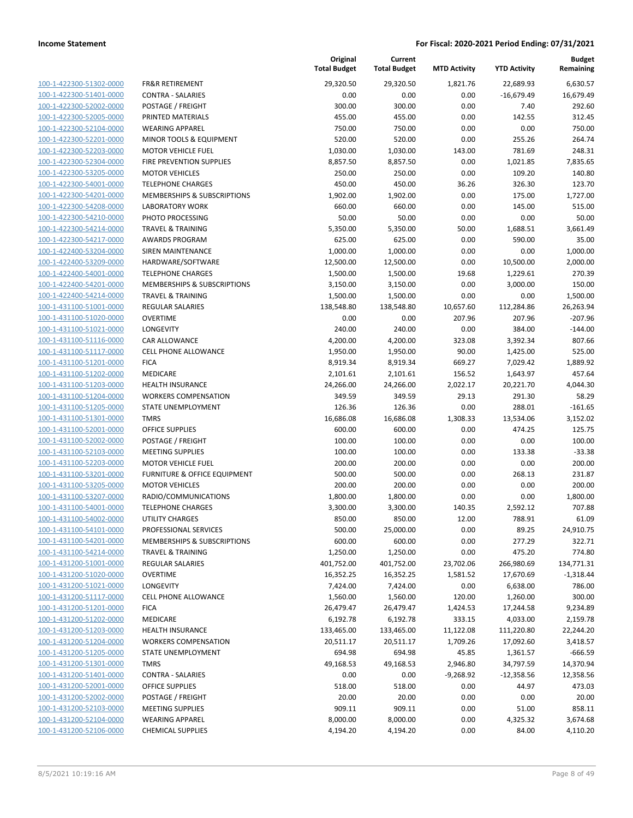| 100-1-422300-51302-0000        |
|--------------------------------|
| 100-1-422300-51401-0000        |
| 100-1-422300-52002-0000        |
| 100-1-422300-52005-0000        |
| 100-1-422300-52104-0000        |
| 100-1-422300-52201-0000        |
| 100-1-422300-52203-0000        |
| 100-1-422300-52304-0000        |
| 100-1-422300-53205-0000        |
| 100-1-422300-54001-0000        |
| 100-1-422300-54201-0000        |
| 100-1-422300-54208-0000        |
| 100-1-422300-54210-0000        |
| 100-1-422300-54214-0000        |
| 100-1-422300-54217-0000        |
| 100-1-422400-53204-0000        |
| 100-1-422400-53209-0000        |
| 100-1-422400-54001-0000        |
| 100-1-422400-54201-0000        |
| 100-1-422400-54214-0000        |
| 100-1-431100-51001-0000        |
| 100-1-431100-51020-0000        |
| 100-1-431100-51021-0000        |
| 100-1-431100-51116-0000        |
| 100-1-431100-51117-0000        |
| 100-1-431100-51201-0000        |
| 100-1-431100-51202-0000        |
| 100-1-431100-51203-0000        |
| 100-1-431100-51204-0000        |
| 100-1-431100-51205-0000        |
| 100-1-431100-51301-0000        |
| 100-1-431100-52001-0000        |
| 100-1-431100-52002-0000        |
| 100-1-431100-52103-0000        |
| 100-1-431100-52203-0000        |
| 100-1-431100-53201-0000        |
| 100-1-431100-53205-0000        |
|                                |
| 100-1-431100-53207-0000        |
| 100-1-431100-54001-0000        |
| 100-1-431100-54002-0000        |
| 100-1-431100-54101-0000        |
| 100-1-431100-54201-0000        |
| <u>100-1-431100-54214-0000</u> |
| <u>100-1-431200-51001-0000</u> |
| 100-1-431200-51020-0000        |
| 100-1-431200-51021-0000        |
| 100-1-431200-51117-0000        |
| 100-1-431200-51201-0000        |
| <u>100-1-431200-51202-0000</u> |
| 100-1-431200-51203-0000        |
| 100-1-431200-51204-0000        |
| <u>100-1-431200-51205-0000</u> |
| 100-1-431200-51301-0000        |
| <u>100-1-431200-51401-0000</u> |
| 100-1-431200-52001-0000        |
| 100-1-431200-52002-0000        |
| 100-1-431200-52103-0000        |
| <u>100-1-431200-52104-0000</u> |
| <u>100-1-431200-52106-0000</u> |
|                                |

|                         |                              | Original<br><b>Total Budget</b> | Current<br><b>Total Budget</b> | <b>MTD Activity</b>   | <b>YTD Activity</b> | <b>Budget</b><br>Remaining |
|-------------------------|------------------------------|---------------------------------|--------------------------------|-----------------------|---------------------|----------------------------|
| 100-1-422300-51302-0000 | <b>FR&amp;R RETIREMENT</b>   | 29,320.50                       | 29,320.50                      | 1,821.76              | 22,689.93           | 6,630.57                   |
| 100-1-422300-51401-0000 | <b>CONTRA - SALARIES</b>     | 0.00                            | 0.00                           | 0.00                  | $-16,679.49$        | 16,679.49                  |
| 100-1-422300-52002-0000 | POSTAGE / FREIGHT            | 300.00                          | 300.00                         | 0.00                  | 7.40                | 292.60                     |
| 100-1-422300-52005-0000 | PRINTED MATERIALS            | 455.00                          | 455.00                         | 0.00                  | 142.55              | 312.45                     |
| 100-1-422300-52104-0000 | <b>WEARING APPAREL</b>       | 750.00                          | 750.00                         | 0.00                  | 0.00                | 750.00                     |
| 100-1-422300-52201-0000 | MINOR TOOLS & EQUIPMENT      | 520.00                          | 520.00                         | 0.00                  | 255.26              | 264.74                     |
| 100-1-422300-52203-0000 | <b>MOTOR VEHICLE FUEL</b>    | 1,030.00                        | 1,030.00                       | 143.00                | 781.69              | 248.31                     |
| 100-1-422300-52304-0000 | FIRE PREVENTION SUPPLIES     | 8,857.50                        | 8,857.50                       | 0.00                  | 1,021.85            | 7,835.65                   |
| 100-1-422300-53205-0000 | <b>MOTOR VEHICLES</b>        | 250.00                          | 250.00                         | 0.00                  | 109.20              | 140.80                     |
| 100-1-422300-54001-0000 | <b>TELEPHONE CHARGES</b>     | 450.00                          | 450.00                         | 36.26                 | 326.30              | 123.70                     |
| 100-1-422300-54201-0000 | MEMBERSHIPS & SUBSCRIPTIONS  | 1,902.00                        | 1,902.00                       | 0.00                  | 175.00              | 1,727.00                   |
| 100-1-422300-54208-0000 | <b>LABORATORY WORK</b>       | 660.00                          | 660.00                         | 0.00                  | 145.00              | 515.00                     |
| 100-1-422300-54210-0000 | PHOTO PROCESSING             | 50.00                           | 50.00                          | 0.00                  | 0.00                | 50.00                      |
| 100-1-422300-54214-0000 | <b>TRAVEL &amp; TRAINING</b> | 5,350.00                        | 5,350.00                       | 50.00                 | 1,688.51            | 3,661.49                   |
| 100-1-422300-54217-0000 | <b>AWARDS PROGRAM</b>        | 625.00                          | 625.00                         | 0.00                  | 590.00              | 35.00                      |
| 100-1-422400-53204-0000 | SIREN MAINTENANCE            | 1,000.00                        | 1,000.00                       | 0.00                  | 0.00                | 1,000.00                   |
| 100-1-422400-53209-0000 | HARDWARE/SOFTWARE            | 12,500.00                       | 12,500.00                      | 0.00                  | 10,500.00           | 2,000.00                   |
| 100-1-422400-54001-0000 | <b>TELEPHONE CHARGES</b>     | 1,500.00                        | 1,500.00                       | 19.68                 | 1,229.61            | 270.39                     |
| 100-1-422400-54201-0000 | MEMBERSHIPS & SUBSCRIPTIONS  | 3,150.00                        | 3,150.00                       | 0.00                  | 3,000.00            | 150.00                     |
| 100-1-422400-54214-0000 | <b>TRAVEL &amp; TRAINING</b> | 1,500.00                        | 1,500.00                       | 0.00                  | 0.00                | 1,500.00                   |
| 100-1-431100-51001-0000 | REGULAR SALARIES             | 138,548.80                      | 138,548.80                     | 10,657.60             | 112,284.86          | 26,263.94                  |
| 100-1-431100-51020-0000 | <b>OVERTIME</b>              | 0.00                            | 0.00                           | 207.96                | 207.96              | $-207.96$                  |
| 100-1-431100-51021-0000 | <b>LONGEVITY</b>             | 240.00                          | 240.00                         | 0.00                  | 384.00              | $-144.00$                  |
| 100-1-431100-51116-0000 | CAR ALLOWANCE                | 4,200.00                        | 4,200.00                       | 323.08                | 3,392.34            | 807.66                     |
| 100-1-431100-51117-0000 | <b>CELL PHONE ALLOWANCE</b>  | 1,950.00                        | 1,950.00                       | 90.00                 | 1,425.00            | 525.00                     |
| 100-1-431100-51201-0000 | <b>FICA</b>                  | 8,919.34                        | 8,919.34                       | 669.27                | 7,029.42            | 1,889.92                   |
| 100-1-431100-51202-0000 | MEDICARE                     | 2,101.61                        | 2,101.61                       | 156.52                | 1,643.97            | 457.64                     |
| 100-1-431100-51203-0000 | <b>HEALTH INSURANCE</b>      | 24,266.00                       | 24,266.00                      | 2,022.17              | 20,221.70           | 4,044.30                   |
| 100-1-431100-51204-0000 | <b>WORKERS COMPENSATION</b>  | 349.59                          | 349.59                         | 29.13                 | 291.30              | 58.29                      |
| 100-1-431100-51205-0000 | STATE UNEMPLOYMENT           | 126.36                          | 126.36                         | 0.00                  | 288.01              | $-161.65$                  |
| 100-1-431100-51301-0000 | <b>TMRS</b>                  | 16,686.08                       | 16,686.08                      | 1,308.33              | 13,534.06           | 3,152.02                   |
| 100-1-431100-52001-0000 | <b>OFFICE SUPPLIES</b>       | 600.00                          | 600.00                         | 0.00                  | 474.25              | 125.75                     |
| 100-1-431100-52002-0000 | POSTAGE / FREIGHT            | 100.00                          | 100.00                         | 0.00                  | 0.00                | 100.00                     |
| 100-1-431100-52103-0000 | <b>MEETING SUPPLIES</b>      | 100.00                          | 100.00                         | 0.00                  | 133.38              | $-33.38$                   |
| 100-1-431100-52203-0000 | <b>MOTOR VEHICLE FUEL</b>    | 200.00                          | 200.00                         | 0.00                  | 0.00                | 200.00                     |
| 100-1-431100-53201-0000 | FURNITURE & OFFICE EQUIPMENT | 500.00                          | 500.00                         | 0.00                  | 268.13              | 231.87                     |
| 100-1-431100-53205-0000 | <b>MOTOR VEHICLES</b>        | 200.00                          | 200.00                         | 0.00                  | 0.00                | 200.00                     |
| 100-1-431100-53207-0000 | RADIO/COMMUNICATIONS         | 1,800.00                        | 1,800.00                       | 0.00                  | 0.00                | 1,800.00                   |
| 100-1-431100-54001-0000 | <b>TELEPHONE CHARGES</b>     | 3,300.00                        | 3,300.00                       | 140.35                | 2,592.12            | 707.88                     |
| 100-1-431100-54002-0000 | UTILITY CHARGES              | 850.00                          | 850.00                         | 12.00                 | 788.91              | 61.09                      |
| 100-1-431100-54101-0000 | PROFESSIONAL SERVICES        | 500.00                          | 25,000.00                      | 0.00                  | 89.25               | 24,910.75                  |
| 100-1-431100-54201-0000 | MEMBERSHIPS & SUBSCRIPTIONS  | 600.00                          | 600.00                         | 0.00                  | 277.29              | 322.71                     |
| 100-1-431100-54214-0000 | <b>TRAVEL &amp; TRAINING</b> | 1,250.00                        | 1,250.00                       | 0.00                  | 475.20              | 774.80                     |
| 100-1-431200-51001-0000 | REGULAR SALARIES             | 401,752.00                      | 401,752.00                     | 23,702.06             | 266,980.69          | 134,771.31                 |
| 100-1-431200-51020-0000 | <b>OVERTIME</b>              | 16,352.25                       | 16,352.25                      | 1,581.52              | 17,670.69           | $-1,318.44$                |
| 100-1-431200-51021-0000 | LONGEVITY                    | 7,424.00                        | 7,424.00                       | 0.00                  | 6,638.00            | 786.00                     |
| 100-1-431200-51117-0000 | <b>CELL PHONE ALLOWANCE</b>  | 1,560.00                        | 1,560.00                       | 120.00                | 1,260.00            | 300.00                     |
| 100-1-431200-51201-0000 | <b>FICA</b>                  | 26,479.47                       | 26,479.47                      | 1,424.53              | 17,244.58           | 9,234.89                   |
| 100-1-431200-51202-0000 | MEDICARE                     | 6,192.78                        | 6,192.78                       | 333.15                | 4,033.00            | 2,159.78                   |
|                         |                              |                                 |                                |                       |                     |                            |
| 100-1-431200-51203-0000 | <b>HEALTH INSURANCE</b>      | 133,465.00                      | 133,465.00                     | 11,122.08<br>1,709.26 | 111,220.80          | 22,244.20                  |
| 100-1-431200-51204-0000 | <b>WORKERS COMPENSATION</b>  | 20,511.17                       | 20,511.17                      |                       | 17,092.60           | 3,418.57                   |
| 100-1-431200-51205-0000 | STATE UNEMPLOYMENT           | 694.98                          | 694.98                         | 45.85                 | 1,361.57            | $-666.59$                  |
| 100-1-431200-51301-0000 | <b>TMRS</b>                  | 49,168.53                       | 49,168.53                      | 2,946.80              | 34,797.59           | 14,370.94                  |
| 100-1-431200-51401-0000 | <b>CONTRA - SALARIES</b>     | 0.00                            | 0.00                           | $-9,268.92$           | $-12,358.56$        | 12,358.56                  |
| 100-1-431200-52001-0000 | OFFICE SUPPLIES              | 518.00                          | 518.00                         | 0.00                  | 44.97               | 473.03                     |
| 100-1-431200-52002-0000 | POSTAGE / FREIGHT            | 20.00                           | 20.00                          | 0.00                  | 0.00                | 20.00                      |
| 100-1-431200-52103-0000 | MEETING SUPPLIES             | 909.11                          | 909.11                         | 0.00                  | 51.00               | 858.11                     |
| 100-1-431200-52104-0000 | <b>WEARING APPAREL</b>       | 8,000.00                        | 8,000.00                       | 0.00                  | 4,325.32            | 3,674.68                   |
| 100-1-431200-52106-0000 | <b>CHEMICAL SUPPLIES</b>     | 4,194.20                        | 4,194.20                       | 0.00                  | 84.00               | 4,110.20                   |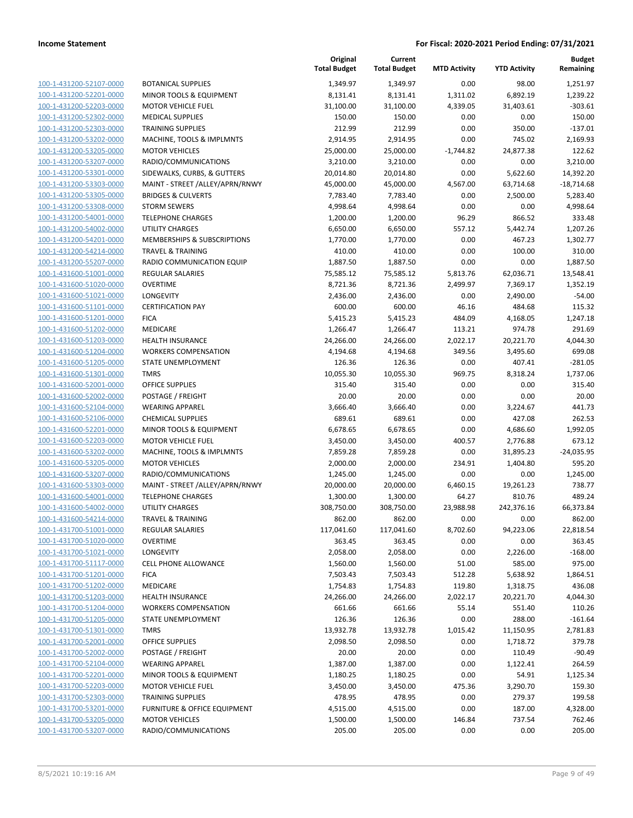|                                                    |                                                    | Original<br><b>Total Budget</b> | Current<br><b>Total Budget</b> | <b>MTD Activity</b> | <b>YTD Activity</b> | <b>Budget</b><br>Remaining |
|----------------------------------------------------|----------------------------------------------------|---------------------------------|--------------------------------|---------------------|---------------------|----------------------------|
| 100-1-431200-52107-0000                            | <b>BOTANICAL SUPPLIES</b>                          | 1,349.97                        | 1,349.97                       | 0.00                | 98.00               | 1,251.97                   |
| 100-1-431200-52201-0000                            | <b>MINOR TOOLS &amp; EQUIPMENT</b>                 | 8,131.41                        | 8,131.41                       | 1,311.02            | 6,892.19            | 1,239.22                   |
| 100-1-431200-52203-0000                            | <b>MOTOR VEHICLE FUEL</b>                          | 31,100.00                       | 31,100.00                      | 4,339.05            | 31,403.61           | $-303.61$                  |
| 100-1-431200-52302-0000                            | <b>MEDICAL SUPPLIES</b>                            | 150.00                          | 150.00                         | 0.00                | 0.00                | 150.00                     |
| 100-1-431200-52303-0000                            | <b>TRAINING SUPPLIES</b>                           | 212.99                          | 212.99                         | 0.00                | 350.00              | $-137.01$                  |
| 100-1-431200-53202-0000                            | MACHINE, TOOLS & IMPLMNTS                          | 2,914.95                        | 2,914.95                       | 0.00                | 745.02              | 2,169.93                   |
| 100-1-431200-53205-0000                            | <b>MOTOR VEHICLES</b>                              | 25,000.00                       | 25,000.00                      | $-1,744.82$         | 24,877.38           | 122.62                     |
| 100-1-431200-53207-0000                            | RADIO/COMMUNICATIONS                               | 3,210.00                        | 3,210.00                       | 0.00                | 0.00                | 3,210.00                   |
| 100-1-431200-53301-0000                            | SIDEWALKS, CURBS, & GUTTERS                        | 20,014.80                       | 20,014.80                      | 0.00                | 5,622.60            | 14,392.20                  |
| 100-1-431200-53303-0000                            | MAINT - STREET /ALLEY/APRN/RNWY                    | 45,000.00                       | 45,000.00                      | 4,567.00            | 63,714.68           | $-18,714.68$               |
| 100-1-431200-53305-0000                            | <b>BRIDGES &amp; CULVERTS</b>                      | 7,783.40                        | 7,783.40                       | 0.00                | 2,500.00            | 5,283.40                   |
| 100-1-431200-53308-0000                            | <b>STORM SEWERS</b>                                | 4,998.64                        | 4,998.64                       | 0.00                | 0.00                | 4,998.64                   |
| 100-1-431200-54001-0000                            | <b>TELEPHONE CHARGES</b>                           | 1,200.00                        | 1,200.00                       | 96.29               | 866.52              | 333.48                     |
| 100-1-431200-54002-0000                            | <b>UTILITY CHARGES</b>                             | 6,650.00                        | 6,650.00                       | 557.12              | 5,442.74            | 1,207.26                   |
| 100-1-431200-54201-0000                            | MEMBERSHIPS & SUBSCRIPTIONS                        | 1,770.00                        | 1,770.00                       | 0.00                | 467.23              | 1,302.77                   |
| 100-1-431200-54214-0000                            | <b>TRAVEL &amp; TRAINING</b>                       | 410.00                          | 410.00                         | 0.00                | 100.00              | 310.00                     |
| 100-1-431200-55207-0000                            | RADIO COMMUNICATION EQUIP                          | 1,887.50                        | 1,887.50                       | 0.00                | 0.00                | 1,887.50                   |
| 100-1-431600-51001-0000                            | <b>REGULAR SALARIES</b>                            | 75,585.12                       | 75,585.12                      | 5,813.76            | 62,036.71           | 13,548.41                  |
| 100-1-431600-51020-0000                            | <b>OVERTIME</b>                                    | 8,721.36                        | 8,721.36                       | 2,499.97            | 7,369.17            | 1,352.19                   |
| 100-1-431600-51021-0000                            | LONGEVITY                                          | 2,436.00                        | 2,436.00                       | 0.00                | 2,490.00            | $-54.00$                   |
| 100-1-431600-51101-0000                            | <b>CERTIFICATION PAY</b>                           | 600.00                          | 600.00                         | 46.16               | 484.68              | 115.32                     |
| 100-1-431600-51201-0000                            | <b>FICA</b>                                        | 5,415.23                        | 5,415.23                       | 484.09              | 4,168.05            | 1,247.18                   |
| 100-1-431600-51202-0000                            | MEDICARE                                           | 1,266.47                        | 1,266.47                       | 113.21              | 974.78              | 291.69                     |
| 100-1-431600-51203-0000                            | <b>HEALTH INSURANCE</b>                            | 24,266.00                       | 24,266.00                      | 2,022.17            | 20,221.70           | 4,044.30                   |
| 100-1-431600-51204-0000                            | <b>WORKERS COMPENSATION</b>                        | 4,194.68                        | 4,194.68                       | 349.56              | 3,495.60            | 699.08                     |
| 100-1-431600-51205-0000                            | STATE UNEMPLOYMENT                                 | 126.36                          | 126.36                         | 0.00                | 407.41              | $-281.05$                  |
| 100-1-431600-51301-0000                            | <b>TMRS</b>                                        | 10,055.30                       | 10,055.30                      | 969.75              | 8,318.24            | 1,737.06                   |
| 100-1-431600-52001-0000                            | <b>OFFICE SUPPLIES</b>                             | 315.40                          | 315.40                         | 0.00                | 0.00                | 315.40                     |
| 100-1-431600-52002-0000<br>100-1-431600-52104-0000 | POSTAGE / FREIGHT                                  | 20.00<br>3,666.40               | 20.00<br>3,666.40              | 0.00<br>0.00        | 0.00                | 20.00<br>441.73            |
| 100-1-431600-52106-0000                            | <b>WEARING APPAREL</b><br><b>CHEMICAL SUPPLIES</b> | 689.61                          | 689.61                         | 0.00                | 3,224.67<br>427.08  | 262.53                     |
| 100-1-431600-52201-0000                            | MINOR TOOLS & EQUIPMENT                            | 6,678.65                        | 6,678.65                       | 0.00                | 4,686.60            | 1,992.05                   |
| 100-1-431600-52203-0000                            | <b>MOTOR VEHICLE FUEL</b>                          | 3,450.00                        | 3,450.00                       | 400.57              | 2,776.88            | 673.12                     |
| 100-1-431600-53202-0000                            | MACHINE, TOOLS & IMPLMNTS                          | 7,859.28                        | 7,859.28                       | 0.00                | 31,895.23           | $-24.035.95$               |
| 100-1-431600-53205-0000                            | <b>MOTOR VEHICLES</b>                              | 2,000.00                        | 2,000.00                       | 234.91              | 1,404.80            | 595.20                     |
| 100-1-431600-53207-0000                            | RADIO/COMMUNICATIONS                               | 1,245.00                        | 1,245.00                       | 0.00                | 0.00                | 1,245.00                   |
| 100-1-431600-53303-0000                            | MAINT - STREET /ALLEY/APRN/RNWY                    | 20,000.00                       | 20,000.00                      | 6,460.15            | 19,261.23           | 738.77                     |
| 100-1-431600-54001-0000                            | <b>TELEPHONE CHARGES</b>                           | 1,300.00                        | 1,300.00                       | 64.27               | 810.76              | 489.24                     |
| 100-1-431600-54002-0000                            | <b>UTILITY CHARGES</b>                             | 308,750.00                      | 308,750.00                     | 23,988.98           | 242,376.16          | 66,373.84                  |
| 100-1-431600-54214-0000                            | <b>TRAVEL &amp; TRAINING</b>                       | 862.00                          | 862.00                         | 0.00                | 0.00                | 862.00                     |
| 100-1-431700-51001-0000                            | REGULAR SALARIES                                   | 117,041.60                      | 117,041.60                     | 8,702.60            | 94,223.06           | 22,818.54                  |
| 100-1-431700-51020-0000                            | <b>OVERTIME</b>                                    | 363.45                          | 363.45                         | 0.00                | 0.00                | 363.45                     |
| 100-1-431700-51021-0000                            | LONGEVITY                                          | 2,058.00                        | 2,058.00                       | 0.00                | 2,226.00            | $-168.00$                  |
| 100-1-431700-51117-0000                            | <b>CELL PHONE ALLOWANCE</b>                        | 1,560.00                        | 1,560.00                       | 51.00               | 585.00              | 975.00                     |
| 100-1-431700-51201-0000                            | <b>FICA</b>                                        | 7,503.43                        | 7,503.43                       | 512.28              | 5,638.92            | 1,864.51                   |
| 100-1-431700-51202-0000                            | MEDICARE                                           | 1,754.83                        | 1,754.83                       | 119.80              | 1,318.75            | 436.08                     |
| 100-1-431700-51203-0000                            | <b>HEALTH INSURANCE</b>                            | 24,266.00                       | 24,266.00                      | 2,022.17            | 20,221.70           | 4,044.30                   |
| 100-1-431700-51204-0000                            | <b>WORKERS COMPENSATION</b>                        | 661.66                          | 661.66                         | 55.14               | 551.40              | 110.26                     |
| 100-1-431700-51205-0000                            | STATE UNEMPLOYMENT                                 | 126.36                          | 126.36                         | 0.00                | 288.00              | $-161.64$                  |
| 100-1-431700-51301-0000                            | <b>TMRS</b>                                        | 13,932.78                       | 13,932.78                      | 1,015.42            | 11,150.95           | 2,781.83                   |
| 100-1-431700-52001-0000                            | <b>OFFICE SUPPLIES</b>                             | 2,098.50                        | 2,098.50                       | 0.00                | 1,718.72            | 379.78                     |
| 100-1-431700-52002-0000                            | POSTAGE / FREIGHT                                  | 20.00                           | 20.00                          | 0.00                | 110.49              | $-90.49$                   |
| 100-1-431700-52104-0000                            | <b>WEARING APPAREL</b>                             | 1,387.00                        | 1,387.00                       | 0.00                | 1,122.41            | 264.59                     |
| 100-1-431700-52201-0000                            | MINOR TOOLS & EQUIPMENT                            | 1,180.25                        | 1,180.25                       | 0.00                | 54.91               | 1,125.34                   |
| 100-1-431700-52203-0000                            | <b>MOTOR VEHICLE FUEL</b>                          | 3,450.00                        | 3,450.00                       | 475.36              | 3,290.70            | 159.30                     |
| 100-1-431700-52303-0000                            | <b>TRAINING SUPPLIES</b>                           | 478.95                          | 478.95                         | 0.00                | 279.37              | 199.58                     |
| 100-1-431700-53201-0000                            | FURNITURE & OFFICE EQUIPMENT                       | 4,515.00                        | 4,515.00                       | 0.00                | 187.00              | 4,328.00                   |
| 100-1-431700-53205-0000                            | <b>MOTOR VEHICLES</b>                              | 1,500.00                        | 1,500.00                       | 146.84              | 737.54              | 762.46                     |
| 100-1-431700-53207-0000                            | RADIO/COMMUNICATIONS                               | 205.00                          | 205.00                         | 0.00                | 0.00                | 205.00                     |
|                                                    |                                                    |                                 |                                |                     |                     |                            |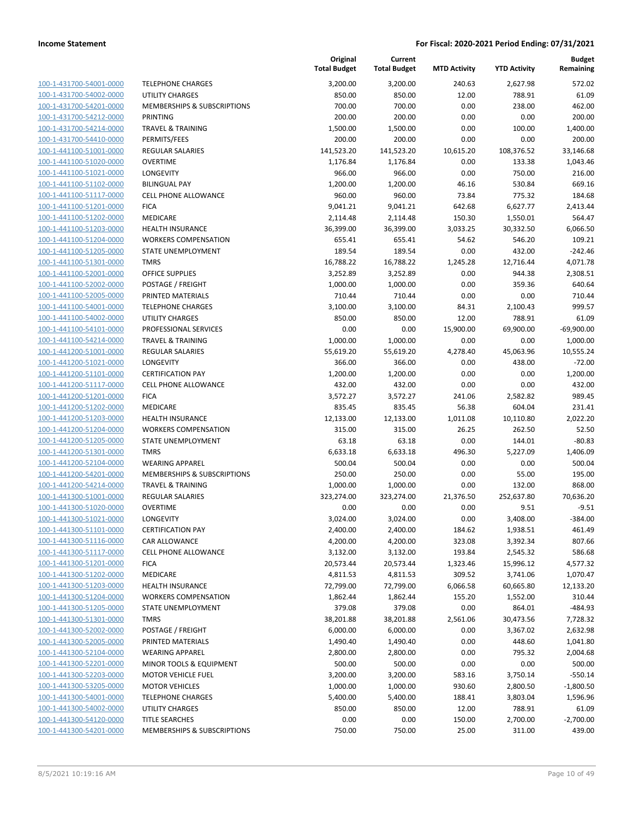| 100-1-431700-54001-0000        |
|--------------------------------|
| 100-1-431700-54002-0000        |
| 100-1-431700-54201-0000        |
| 100-1-431700-54212-0000        |
| 100-1-431700-54214-0000        |
| 100-1-431700-54410-0000        |
| 100-1-441100-51001-0000        |
| 100-1-441100-51020-0000        |
| 100-1-441100-51021-0000        |
|                                |
| 100-1-441100-51102-0000        |
| 100-1-441100-51117-0000        |
| 100-1-441100-51201-0000        |
| 100-1-441100-51202-0000        |
| 100-1-441100-51203-0000        |
| 100-1-441100-51204-0000        |
| 100-1-441100-51205-0000        |
| 100-1-441100-51301-0000        |
| 100-1-441100-52001-0000        |
| 100-1-441100-52002-0000        |
| 100-1-441100-52005-0000        |
|                                |
| 100-1-441100-54001-0000        |
| 100-1-441100-54002-0000        |
| 100-1-441100-54101-0000        |
| 100-1-441100-54214-0000        |
| 100-1-441200-51001-0000        |
| 100-1-441200-51021-0000        |
| 100-1-441200-51101-0000        |
| 100-1-441200-51117-0000        |
| 100-1-441200-51201-0000        |
| 100-1-441200-51202-0000        |
| 100-1-441200-51203-0000        |
| 100-1-441200-51204-0000        |
|                                |
| 100-1-441200-51205-0000        |
| 100-1-441200-51301-0000        |
| 100-1-441200-52104-0000        |
| 100-1-441200-54201-0000        |
| 100-1-441200-54214-0000        |
| 100-1-441300-51001-0000        |
| 100-1-441300-51020-0000        |
| 100-1-441300-51021-0000        |
| 100-1-441300-51101-0000        |
| <u>100-1-441300-51116-0000</u> |
| <u>100-1-441300-51117-0000</u> |
|                                |
| <u>100-1-441300-51201-0000</u> |
| <u>100-1-441300-51202-0000</u> |
| <u>100-1-441300-51203-0000</u> |
| 100-1-441300-51204-0000        |
| 100-1-441300-51205-0000        |
| <u>100-1-441300-51301-0000</u> |
| <u>100-1-441300-52002-0000</u> |
| <u>100-1-441300-52005-0000</u> |
| 100-1-441300-52104-0000        |
| <u>100-1-441300-52201-0000</u> |
| <u>100-1-441300-52203-0000</u> |
| <u>100-1-441300-53205-0000</u> |
| <u>100-1-441300-54001-0000</u> |
| 100-1-441300-54002-0000        |
|                                |
| <u>100-1-441300-54120-0000</u> |
| <u>100-1-441300-54201-0000</u> |

|                         |                                    | Original<br><b>Total Budget</b> | Current<br><b>Total Budget</b> | <b>MTD Activity</b> | <b>YTD Activity</b> | <b>Budget</b><br>Remaining |
|-------------------------|------------------------------------|---------------------------------|--------------------------------|---------------------|---------------------|----------------------------|
| 100-1-431700-54001-0000 | <b>TELEPHONE CHARGES</b>           | 3,200.00                        | 3,200.00                       | 240.63              | 2,627.98            | 572.02                     |
| 100-1-431700-54002-0000 | <b>UTILITY CHARGES</b>             | 850.00                          | 850.00                         | 12.00               | 788.91              | 61.09                      |
| 100-1-431700-54201-0000 | MEMBERSHIPS & SUBSCRIPTIONS        | 700.00                          | 700.00                         | 0.00                | 238.00              | 462.00                     |
| 100-1-431700-54212-0000 | PRINTING                           | 200.00                          | 200.00                         | 0.00                | 0.00                | 200.00                     |
| 100-1-431700-54214-0000 | <b>TRAVEL &amp; TRAINING</b>       | 1,500.00                        | 1,500.00                       | 0.00                | 100.00              | 1,400.00                   |
| 100-1-431700-54410-0000 | PERMITS/FEES                       | 200.00                          | 200.00                         | 0.00                | 0.00                | 200.00                     |
| 100-1-441100-51001-0000 | <b>REGULAR SALARIES</b>            | 141,523.20                      | 141,523.20                     | 10,615.20           | 108,376.52          | 33,146.68                  |
| 100-1-441100-51020-0000 | <b>OVERTIME</b>                    | 1,176.84                        | 1,176.84                       | 0.00                | 133.38              | 1,043.46                   |
| 100-1-441100-51021-0000 | LONGEVITY                          | 966.00                          | 966.00                         | 0.00                | 750.00              | 216.00                     |
| 100-1-441100-51102-0000 | <b>BILINGUAL PAY</b>               | 1,200.00                        | 1,200.00                       | 46.16               | 530.84              | 669.16                     |
| 100-1-441100-51117-0000 | <b>CELL PHONE ALLOWANCE</b>        | 960.00                          | 960.00                         | 73.84               | 775.32              | 184.68                     |
| 100-1-441100-51201-0000 | <b>FICA</b>                        | 9,041.21                        | 9,041.21                       | 642.68              | 6,627.77            | 2,413.44                   |
| 100-1-441100-51202-0000 | <b>MEDICARE</b>                    | 2,114.48                        | 2,114.48                       | 150.30              | 1,550.01            | 564.47                     |
| 100-1-441100-51203-0000 | <b>HEALTH INSURANCE</b>            | 36,399.00                       | 36,399.00                      | 3,033.25            | 30,332.50           | 6,066.50                   |
| 100-1-441100-51204-0000 | <b>WORKERS COMPENSATION</b>        | 655.41                          | 655.41                         | 54.62               | 546.20              | 109.21                     |
| 100-1-441100-51205-0000 | STATE UNEMPLOYMENT                 | 189.54                          | 189.54                         | 0.00                | 432.00              | $-242.46$                  |
| 100-1-441100-51301-0000 | <b>TMRS</b>                        | 16,788.22                       | 16,788.22                      | 1,245.28            | 12,716.44           | 4,071.78                   |
| 100-1-441100-52001-0000 | <b>OFFICE SUPPLIES</b>             | 3,252.89                        | 3,252.89                       | 0.00                | 944.38              | 2,308.51                   |
| 100-1-441100-52002-0000 | POSTAGE / FREIGHT                  | 1,000.00                        | 1,000.00                       | 0.00                | 359.36              | 640.64                     |
| 100-1-441100-52005-0000 | PRINTED MATERIALS                  | 710.44                          | 710.44                         | 0.00                | 0.00                | 710.44                     |
| 100-1-441100-54001-0000 | <b>TELEPHONE CHARGES</b>           | 3,100.00                        | 3,100.00                       | 84.31               | 2,100.43            | 999.57                     |
| 100-1-441100-54002-0000 | <b>UTILITY CHARGES</b>             | 850.00                          | 850.00                         | 12.00               | 788.91              | 61.09                      |
| 100-1-441100-54101-0000 | PROFESSIONAL SERVICES              | 0.00                            | 0.00                           | 15,900.00           | 69,900.00           | $-69,900.00$               |
| 100-1-441100-54214-0000 | <b>TRAVEL &amp; TRAINING</b>       | 1,000.00                        | 1,000.00                       | 0.00                | 0.00                | 1,000.00                   |
| 100-1-441200-51001-0000 | <b>REGULAR SALARIES</b>            | 55,619.20                       | 55,619.20                      | 4,278.40            | 45,063.96           | 10,555.24                  |
| 100-1-441200-51021-0000 | LONGEVITY                          | 366.00                          | 366.00                         | 0.00                | 438.00              | $-72.00$                   |
| 100-1-441200-51101-0000 | <b>CERTIFICATION PAY</b>           | 1,200.00                        | 1,200.00                       | 0.00                | 0.00                | 1,200.00                   |
| 100-1-441200-51117-0000 | <b>CELL PHONE ALLOWANCE</b>        | 432.00                          | 432.00                         | 0.00                | 0.00                | 432.00                     |
| 100-1-441200-51201-0000 | <b>FICA</b>                        | 3,572.27                        | 3,572.27                       | 241.06              | 2,582.82            | 989.45                     |
| 100-1-441200-51202-0000 | MEDICARE                           | 835.45                          | 835.45                         | 56.38               | 604.04              | 231.41                     |
| 100-1-441200-51203-0000 | <b>HEALTH INSURANCE</b>            | 12,133.00                       | 12,133.00                      | 1,011.08            | 10,110.80           | 2,022.20                   |
| 100-1-441200-51204-0000 | <b>WORKERS COMPENSATION</b>        | 315.00                          | 315.00                         | 26.25               | 262.50              | 52.50                      |
| 100-1-441200-51205-0000 | STATE UNEMPLOYMENT                 | 63.18                           | 63.18                          | 0.00                | 144.01              | $-80.83$                   |
| 100-1-441200-51301-0000 | <b>TMRS</b>                        | 6,633.18                        | 6,633.18                       | 496.30              | 5,227.09            | 1,406.09                   |
| 100-1-441200-52104-0000 | <b>WEARING APPAREL</b>             | 500.04                          | 500.04                         | 0.00                | 0.00                | 500.04                     |
| 100-1-441200-54201-0000 | MEMBERSHIPS & SUBSCRIPTIONS        | 250.00                          | 250.00                         | 0.00                | 55.00               | 195.00                     |
| 100-1-441200-54214-0000 | <b>TRAVEL &amp; TRAINING</b>       | 1,000.00                        | 1,000.00                       | 0.00                | 132.00              | 868.00                     |
| 100-1-441300-51001-0000 | REGULAR SALARIES                   | 323,274.00                      | 323,274.00                     | 21,376.50           | 252,637.80          | 70,636.20                  |
| 100-1-441300-51020-0000 | <b>OVERTIME</b>                    | 0.00                            | 0.00                           | 0.00                | 9.51                | $-9.51$                    |
| 100-1-441300-51021-0000 | LONGEVITY                          | 3,024.00                        | 3,024.00                       | 0.00                | 3,408.00            | $-384.00$                  |
| 100-1-441300-51101-0000 | <b>CERTIFICATION PAY</b>           | 2,400.00                        | 2,400.00                       | 184.62              | 1,938.51            | 461.49                     |
| 100-1-441300-51116-0000 | CAR ALLOWANCE                      | 4,200.00                        | 4,200.00                       | 323.08              | 3,392.34            | 807.66                     |
| 100-1-441300-51117-0000 | <b>CELL PHONE ALLOWANCE</b>        | 3,132.00                        | 3,132.00                       | 193.84              | 2,545.32            | 586.68                     |
| 100-1-441300-51201-0000 | <b>FICA</b>                        | 20,573.44                       | 20,573.44                      | 1,323.46            | 15,996.12           | 4,577.32                   |
| 100-1-441300-51202-0000 | MEDICARE                           | 4,811.53                        | 4,811.53                       | 309.52              | 3,741.06            | 1,070.47                   |
| 100-1-441300-51203-0000 | <b>HEALTH INSURANCE</b>            | 72,799.00                       | 72,799.00                      | 6,066.58            | 60,665.80           | 12,133.20                  |
| 100-1-441300-51204-0000 | <b>WORKERS COMPENSATION</b>        | 1,862.44                        | 1,862.44                       | 155.20              | 1,552.00            | 310.44                     |
| 100-1-441300-51205-0000 | STATE UNEMPLOYMENT                 | 379.08                          | 379.08                         | 0.00                | 864.01              | -484.93                    |
| 100-1-441300-51301-0000 | <b>TMRS</b>                        | 38,201.88                       | 38,201.88                      | 2,561.06            | 30,473.56           | 7,728.32                   |
| 100-1-441300-52002-0000 | POSTAGE / FREIGHT                  | 6,000.00                        | 6,000.00                       | 0.00                | 3,367.02            | 2,632.98                   |
| 100-1-441300-52005-0000 | PRINTED MATERIALS                  | 1,490.40                        | 1,490.40                       | 0.00                | 448.60              | 1,041.80                   |
| 100-1-441300-52104-0000 | <b>WEARING APPAREL</b>             | 2,800.00                        | 2,800.00                       | 0.00                | 795.32              | 2,004.68                   |
| 100-1-441300-52201-0000 | <b>MINOR TOOLS &amp; EQUIPMENT</b> | 500.00                          | 500.00                         | 0.00                | 0.00                | 500.00                     |
| 100-1-441300-52203-0000 | <b>MOTOR VEHICLE FUEL</b>          | 3,200.00                        | 3,200.00                       | 583.16              | 3,750.14            | $-550.14$                  |
| 100-1-441300-53205-0000 | <b>MOTOR VEHICLES</b>              | 1,000.00                        | 1,000.00                       | 930.60              | 2,800.50            | $-1,800.50$                |
| 100-1-441300-54001-0000 | <b>TELEPHONE CHARGES</b>           | 5,400.00                        | 5,400.00                       | 188.41              | 3,803.04            | 1,596.96                   |
| 100-1-441300-54002-0000 | <b>UTILITY CHARGES</b>             | 850.00                          | 850.00                         | 12.00               | 788.91              | 61.09                      |
| 100-1-441300-54120-0000 | <b>TITLE SEARCHES</b>              | 0.00                            | 0.00                           | 150.00              | 2,700.00            | $-2,700.00$                |
| 100-1-441300-54201-0000 | MEMBERSHIPS & SUBSCRIPTIONS        | 750.00                          | 750.00                         | 25.00               | 311.00              | 439.00                     |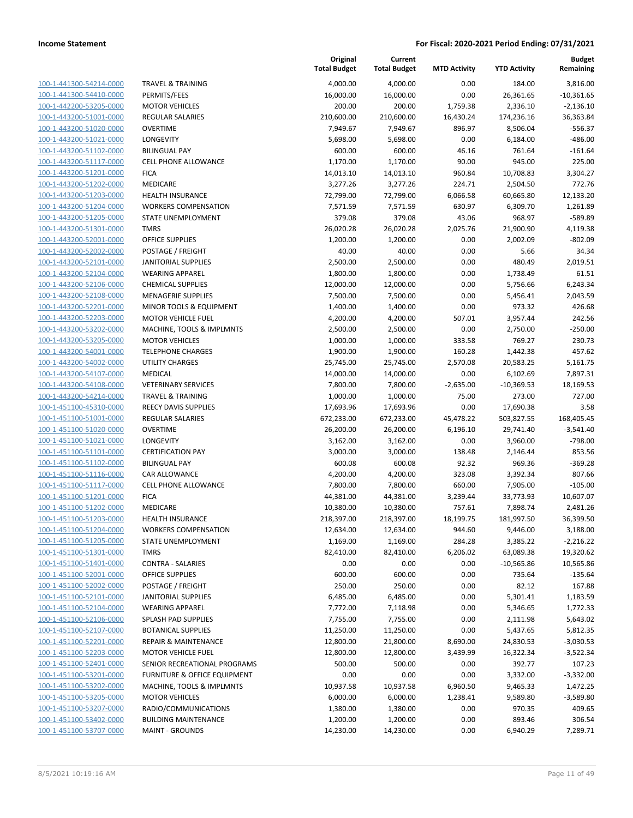| 100-1-441300-54214-0000             |
|-------------------------------------|
| 100-1-441300-54410-0000             |
| 100-1-442200-53205-0000             |
| 100-1-443200-51001-0000             |
| <u>100-1-443200-51020-0000</u>      |
| 100-1-443200-51021-0000             |
| 100-1-443200-51102-0000             |
| 100-1-443200-51117-0000             |
| 100-1-443200-51201-0000             |
| <u>100-1-443200-51202-0000</u>      |
| 100-1-443200-51203-0000             |
| 100-1-443200-51204-0000             |
| 100-1-443200-51205-0000             |
| 100-1-443200-51301-0000             |
| <u>100-1-443200-52001-0000</u>      |
| 100-1-443200-52002-0000             |
| 100-1-443200-52101-0000             |
|                                     |
| 100-1-443200-52104-0000             |
| 100-1-443200-52106-0000             |
| 100-1-443200-52108-0000             |
| 100-1-443200-52201-0000             |
| 100-1-443200-52203-0000             |
| 100-1-443200-53202-0000             |
| 100-1-443200-53205-0000             |
| <u>100-1-443200-54001-0000</u>      |
| 100-1-443200-54002-0000             |
| 100-1-443200-54107-0000             |
| 100-1-443200-54108-0000             |
| 100-1-443200-54214-0000             |
| 100-1-451100-45310-0000             |
| 100-1-451100-51001-0000             |
| 100-1-451100-51020-0000             |
| 100-1-451100-51021-0000             |
| 100-1-451100-51101-0000             |
| <u>100-1-451100-51102-0000</u>      |
| 100-1-451100-51116-0000             |
| 100-1-451100-51117-0000             |
| 100-1-451100-51201-0000             |
|                                     |
| 100-1-451100-51202-0000             |
| 100-1-451100-51203-0000             |
| 100-1-451100-51204-0000             |
| 100-1-451100-51205-0000             |
| 100-1-451100-51301-0000             |
| 100-1-451100-51401-0000             |
| <u>100-1-451100-52001-0000</u>      |
| <u>100-1-451100-52002-0000</u>      |
| 100-1-451100-52101-0000             |
| <u>100-1-451100-52104-0000</u>      |
| 100-1-451100-52106-0000             |
| <u>100-1-451100-52107-0000</u>      |
| <u>100-1-451100-52201-0000</u>      |
| 100-1-451100-52203-0000             |
| <u>100-1-451100-52401-0000</u>      |
| <u>100-1-451100-53201-0000</u>      |
| <u>100-1-451100-53202-0000</u>      |
| <u>100-1-451100-53205-0000</u>      |
| 1-451100-53207-0000<br><u> 100-</u> |
| 100-1-451100-53402-0000             |
|                                     |
| <u>100-1-451100-53707-0000</u>      |

|                         |                                         | Original<br><b>Total Budget</b> | Current<br><b>Total Budget</b> | <b>MTD Activity</b> | <b>YTD Activity</b> | <b>Budget</b><br>Remaining |
|-------------------------|-----------------------------------------|---------------------------------|--------------------------------|---------------------|---------------------|----------------------------|
| 100-1-441300-54214-0000 | <b>TRAVEL &amp; TRAINING</b>            | 4,000.00                        | 4,000.00                       | 0.00                | 184.00              | 3,816.00                   |
| 100-1-441300-54410-0000 | PERMITS/FEES                            | 16,000.00                       | 16,000.00                      | 0.00                | 26,361.65           | $-10,361.65$               |
| 100-1-442200-53205-0000 | <b>MOTOR VEHICLES</b>                   | 200.00                          | 200.00                         | 1,759.38            | 2,336.10            | $-2,136.10$                |
| 100-1-443200-51001-0000 | <b>REGULAR SALARIES</b>                 | 210,600.00                      | 210,600.00                     | 16,430.24           | 174,236.16          | 36,363.84                  |
| 100-1-443200-51020-0000 | <b>OVERTIME</b>                         | 7,949.67                        | 7,949.67                       | 896.97              | 8,506.04            | $-556.37$                  |
| 100-1-443200-51021-0000 | LONGEVITY                               | 5,698.00                        | 5,698.00                       | 0.00                | 6,184.00            | $-486.00$                  |
| 100-1-443200-51102-0000 | <b>BILINGUAL PAY</b>                    | 600.00                          | 600.00                         | 46.16               | 761.64              | $-161.64$                  |
| 100-1-443200-51117-0000 | <b>CELL PHONE ALLOWANCE</b>             | 1,170.00                        | 1,170.00                       | 90.00               | 945.00              | 225.00                     |
| 100-1-443200-51201-0000 | <b>FICA</b>                             | 14,013.10                       | 14,013.10                      | 960.84              | 10,708.83           | 3,304.27                   |
| 100-1-443200-51202-0000 | MEDICARE                                | 3,277.26                        | 3,277.26                       | 224.71              | 2,504.50            | 772.76                     |
| 100-1-443200-51203-0000 | <b>HEALTH INSURANCE</b>                 | 72,799.00                       | 72,799.00                      | 6,066.58            | 60,665.80           | 12,133.20                  |
| 100-1-443200-51204-0000 | <b>WORKERS COMPENSATION</b>             | 7,571.59                        | 7,571.59                       | 630.97              | 6,309.70            | 1,261.89                   |
| 100-1-443200-51205-0000 | STATE UNEMPLOYMENT                      | 379.08                          | 379.08                         | 43.06               | 968.97              | $-589.89$                  |
| 100-1-443200-51301-0000 | <b>TMRS</b>                             | 26,020.28                       | 26,020.28                      | 2,025.76            | 21,900.90           | 4,119.38                   |
| 100-1-443200-52001-0000 | <b>OFFICE SUPPLIES</b>                  | 1,200.00                        | 1,200.00                       | 0.00                | 2,002.09            | $-802.09$                  |
| 100-1-443200-52002-0000 | POSTAGE / FREIGHT                       | 40.00                           | 40.00                          | 0.00                | 5.66                | 34.34                      |
| 100-1-443200-52101-0000 | <b>JANITORIAL SUPPLIES</b>              | 2,500.00                        | 2,500.00                       | 0.00                | 480.49              | 2,019.51                   |
| 100-1-443200-52104-0000 | <b>WEARING APPAREL</b>                  | 1,800.00                        | 1,800.00                       | 0.00                | 1,738.49            | 61.51                      |
| 100-1-443200-52106-0000 | <b>CHEMICAL SUPPLIES</b>                | 12,000.00                       | 12,000.00                      | 0.00                | 5,756.66            | 6,243.34                   |
| 100-1-443200-52108-0000 | <b>MENAGERIE SUPPLIES</b>               | 7,500.00                        | 7,500.00                       | 0.00                | 5,456.41            | 2,043.59                   |
| 100-1-443200-52201-0000 | MINOR TOOLS & EQUIPMENT                 | 1,400.00                        | 1,400.00                       | 0.00                | 973.32              | 426.68                     |
| 100-1-443200-52203-0000 | <b>MOTOR VEHICLE FUEL</b>               | 4,200.00                        | 4,200.00                       | 507.01              | 3,957.44            | 242.56                     |
| 100-1-443200-53202-0000 | MACHINE, TOOLS & IMPLMNTS               | 2,500.00                        | 2,500.00                       | 0.00                | 2,750.00            | $-250.00$                  |
| 100-1-443200-53205-0000 | <b>MOTOR VEHICLES</b>                   | 1,000.00                        | 1,000.00                       | 333.58              | 769.27              | 230.73                     |
| 100-1-443200-54001-0000 | <b>TELEPHONE CHARGES</b>                | 1,900.00                        | 1,900.00                       | 160.28              | 1,442.38            | 457.62                     |
| 100-1-443200-54002-0000 | UTILITY CHARGES                         | 25,745.00                       | 25,745.00                      | 2,570.08            | 20,583.25           | 5,161.75                   |
| 100-1-443200-54107-0000 | <b>MEDICAL</b>                          | 14,000.00                       | 14,000.00                      | 0.00                | 6,102.69            | 7,897.31                   |
| 100-1-443200-54108-0000 | <b>VETERINARY SERVICES</b>              | 7,800.00                        | 7,800.00                       | $-2,635.00$         | $-10,369.53$        | 18,169.53                  |
| 100-1-443200-54214-0000 | <b>TRAVEL &amp; TRAINING</b>            | 1,000.00                        | 1,000.00                       | 75.00               | 273.00              | 727.00                     |
| 100-1-451100-45310-0000 | REECY DAVIS SUPPLIES                    | 17,693.96                       | 17,693.96                      | 0.00                | 17,690.38           | 3.58                       |
| 100-1-451100-51001-0000 | REGULAR SALARIES                        | 672,233.00                      | 672,233.00                     | 45,478.22           | 503,827.55          | 168,405.45                 |
| 100-1-451100-51020-0000 | <b>OVERTIME</b>                         | 26,200.00                       | 26,200.00                      | 6,196.10            | 29,741.40           | $-3,541.40$                |
| 100-1-451100-51021-0000 | <b>LONGEVITY</b>                        | 3,162.00                        | 3,162.00                       | 0.00                | 3,960.00            | $-798.00$                  |
| 100-1-451100-51101-0000 | <b>CERTIFICATION PAY</b>                | 3,000.00                        | 3,000.00                       | 138.48              | 2,146.44            | 853.56                     |
| 100-1-451100-51102-0000 | <b>BILINGUAL PAY</b>                    | 600.08                          | 600.08                         | 92.32               | 969.36              | $-369.28$                  |
| 100-1-451100-51116-0000 | CAR ALLOWANCE                           | 4,200.00                        | 4,200.00                       | 323.08              | 3,392.34            | 807.66                     |
| 100-1-451100-51117-0000 | CELL PHONE ALLOWANCE                    | 7,800.00                        | 7,800.00                       | 660.00              | 7,905.00            | $-105.00$                  |
| 100-1-451100-51201-0000 | <b>FICA</b>                             | 44,381.00                       | 44,381.00                      | 3,239.44            | 33,773.93           | 10,607.07                  |
| 100-1-451100-51202-0000 | MEDICARE                                | 10,380.00                       | 10,380.00                      | 757.61              | 7,898.74            | 2,481.26                   |
| 100-1-451100-51203-0000 | HEALTH INSURANCE                        | 218,397.00                      | 218,397.00                     | 18,199.75           | 181,997.50          | 36,399.50                  |
| 100-1-451100-51204-0000 | <b>WORKERS COMPENSATION</b>             | 12,634.00                       | 12,634.00                      | 944.60              | 9,446.00            | 3,188.00                   |
| 100-1-451100-51205-0000 | STATE UNEMPLOYMENT                      | 1,169.00                        | 1,169.00                       | 284.28              | 3,385.22            | $-2,216.22$                |
| 100-1-451100-51301-0000 | <b>TMRS</b>                             | 82,410.00                       | 82,410.00                      | 6,206.02            | 63,089.38           | 19,320.62                  |
| 100-1-451100-51401-0000 | <b>CONTRA - SALARIES</b>                | 0.00                            | 0.00                           | 0.00                | $-10,565.86$        | 10,565.86                  |
| 100-1-451100-52001-0000 | <b>OFFICE SUPPLIES</b>                  | 600.00                          | 600.00                         | 0.00                | 735.64              | $-135.64$                  |
| 100-1-451100-52002-0000 | POSTAGE / FREIGHT                       | 250.00                          | 250.00                         | 0.00                | 82.12               | 167.88                     |
| 100-1-451100-52101-0000 | <b>JANITORIAL SUPPLIES</b>              | 6,485.00                        | 6,485.00                       | 0.00                | 5,301.41            | 1,183.59                   |
| 100-1-451100-52104-0000 | <b>WEARING APPAREL</b>                  | 7,772.00                        | 7,118.98                       | 0.00                | 5,346.65            | 1,772.33                   |
| 100-1-451100-52106-0000 | SPLASH PAD SUPPLIES                     | 7,755.00                        | 7,755.00                       | 0.00                | 2,111.98            | 5,643.02                   |
| 100-1-451100-52107-0000 | <b>BOTANICAL SUPPLIES</b>               | 11,250.00                       | 11,250.00                      | 0.00                | 5,437.65            | 5,812.35                   |
| 100-1-451100-52201-0000 | <b>REPAIR &amp; MAINTENANCE</b>         | 12,800.00                       | 21,800.00                      | 8,690.00            | 24,830.53           | $-3,030.53$                |
| 100-1-451100-52203-0000 | <b>MOTOR VEHICLE FUEL</b>               | 12,800.00                       | 12,800.00                      | 3,439.99            | 16,322.34           | $-3,522.34$                |
| 100-1-451100-52401-0000 | SENIOR RECREATIONAL PROGRAMS            | 500.00                          | 500.00                         | 0.00                | 392.77              | 107.23                     |
| 100-1-451100-53201-0000 | <b>FURNITURE &amp; OFFICE EQUIPMENT</b> | 0.00                            | 0.00                           | 0.00                | 3,332.00            | $-3,332.00$                |
| 100-1-451100-53202-0000 | MACHINE, TOOLS & IMPLMNTS               | 10,937.58                       | 10,937.58                      | 6,960.50            | 9,465.33            | 1,472.25                   |
| 100-1-451100-53205-0000 | <b>MOTOR VEHICLES</b>                   | 6,000.00                        | 6,000.00                       | 1,238.41            | 9,589.80            | $-3,589.80$                |
| 100-1-451100-53207-0000 | RADIO/COMMUNICATIONS                    | 1,380.00                        | 1,380.00                       | 0.00                | 970.35              | 409.65                     |
| 100-1-451100-53402-0000 | <b>BUILDING MAINTENANCE</b>             | 1,200.00                        | 1,200.00                       | 0.00                | 893.46              | 306.54                     |
| 100-1-451100-53707-0000 | <b>MAINT - GROUNDS</b>                  | 14,230.00                       | 14,230.00                      | 0.00                | 6,940.29            | 7,289.71                   |
|                         |                                         |                                 |                                |                     |                     |                            |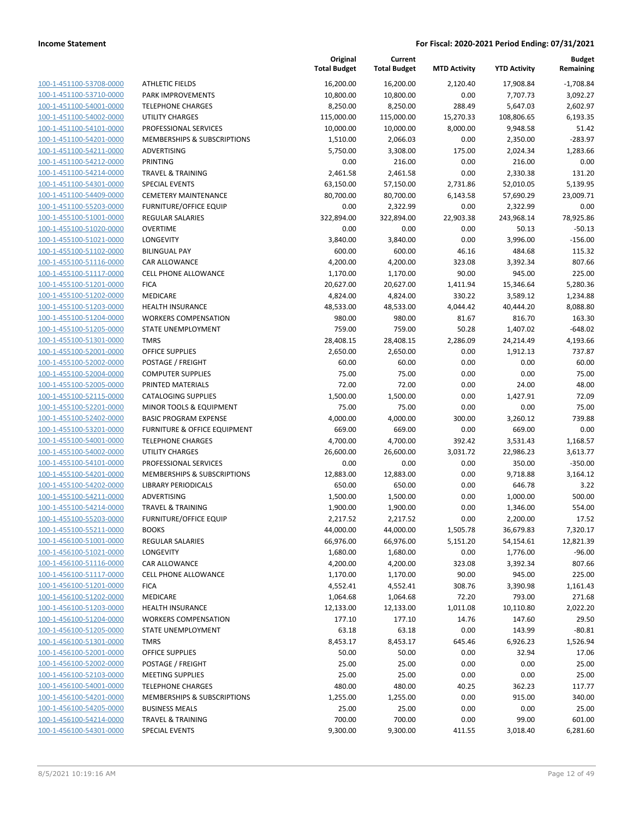**Current**

**Original**

**Budget Remaining**

|                                                    |                                                               | <b>Total Budget</b>   | <b>Total Budget</b>  | <b>MTD Activity</b> | <b>YTD Activity</b> | Remaining             |
|----------------------------------------------------|---------------------------------------------------------------|-----------------------|----------------------|---------------------|---------------------|-----------------------|
| 100-1-451100-53708-0000                            | <b>ATHLETIC FIELDS</b>                                        | 16,200.00             | 16,200.00            | 2,120.40            | 17,908.84           | $-1,708.84$           |
| 100-1-451100-53710-0000                            | <b>PARK IMPROVEMENTS</b>                                      | 10,800.00             | 10,800.00            | 0.00                | 7,707.73            | 3,092.27              |
| 100-1-451100-54001-0000                            | <b>TELEPHONE CHARGES</b>                                      | 8,250.00              | 8,250.00             | 288.49              | 5,647.03            | 2,602.97              |
| 100-1-451100-54002-0000                            | <b>UTILITY CHARGES</b>                                        | 115,000.00            | 115,000.00           | 15,270.33           | 108,806.65          | 6,193.35              |
| 100-1-451100-54101-0000                            | PROFESSIONAL SERVICES                                         | 10,000.00             | 10,000.00            | 8,000.00            | 9,948.58            | 51.42                 |
| 100-1-451100-54201-0000                            | MEMBERSHIPS & SUBSCRIPTIONS                                   | 1,510.00              | 2,066.03             | 0.00                | 2,350.00            | $-283.97$             |
| 100-1-451100-54211-0000                            | ADVERTISING                                                   | 5,750.00              | 3,308.00             | 175.00              | 2,024.34            | 1,283.66              |
| 100-1-451100-54212-0000                            | PRINTING                                                      | 0.00                  | 216.00               | 0.00                | 216.00              | 0.00                  |
| 100-1-451100-54214-0000                            | <b>TRAVEL &amp; TRAINING</b>                                  | 2,461.58              | 2,461.58             | 0.00                | 2,330.38            | 131.20                |
| 100-1-451100-54301-0000                            | <b>SPECIAL EVENTS</b>                                         | 63,150.00             | 57,150.00            | 2,731.86            | 52,010.05           | 5,139.95              |
| 100-1-451100-54409-0000                            | <b>CEMETERY MAINTENANCE</b>                                   | 80,700.00             | 80,700.00            | 6,143.58            | 57,690.29           | 23,009.71             |
| 100-1-451100-55203-0000                            | <b>FURNITURE/OFFICE EQUIP</b>                                 | 0.00                  | 2,322.99             | 0.00                | 2,322.99            | 0.00                  |
| 100-1-455100-51001-0000                            | <b>REGULAR SALARIES</b>                                       | 322,894.00            | 322,894.00           | 22,903.38           | 243,968.14          | 78,925.86             |
| 100-1-455100-51020-0000                            | <b>OVERTIME</b>                                               | 0.00                  | 0.00                 | 0.00                | 50.13               | $-50.13$              |
| 100-1-455100-51021-0000                            | LONGEVITY                                                     | 3,840.00              | 3,840.00             | 0.00                | 3,996.00            | $-156.00$             |
| 100-1-455100-51102-0000                            | <b>BILINGUAL PAY</b>                                          | 600.00                | 600.00               | 46.16               | 484.68              | 115.32                |
| 100-1-455100-51116-0000                            | CAR ALLOWANCE                                                 | 4,200.00              | 4,200.00             | 323.08              | 3,392.34            | 807.66                |
| 100-1-455100-51117-0000                            | <b>CELL PHONE ALLOWANCE</b>                                   | 1,170.00              | 1,170.00             | 90.00               | 945.00              | 225.00                |
| 100-1-455100-51201-0000                            | <b>FICA</b>                                                   | 20,627.00             | 20,627.00            | 1,411.94            | 15,346.64           | 5,280.36              |
| 100-1-455100-51202-0000                            | MEDICARE                                                      | 4,824.00              | 4,824.00             | 330.22              | 3,589.12            | 1,234.88              |
| 100-1-455100-51203-0000                            | <b>HEALTH INSURANCE</b>                                       | 48,533.00             | 48,533.00            | 4,044.42            | 40,444.20           | 8,088.80              |
| 100-1-455100-51204-0000                            | <b>WORKERS COMPENSATION</b>                                   | 980.00                | 980.00               | 81.67               | 816.70              | 163.30                |
| 100-1-455100-51205-0000                            | STATE UNEMPLOYMENT                                            | 759.00                | 759.00               | 50.28               | 1,407.02            | $-648.02$             |
| 100-1-455100-51301-0000                            | <b>TMRS</b>                                                   | 28,408.15             | 28,408.15            | 2,286.09            | 24,214.49           | 4,193.66              |
| 100-1-455100-52001-0000                            | <b>OFFICE SUPPLIES</b>                                        | 2,650.00              | 2,650.00             | 0.00                | 1,912.13            | 737.87                |
| 100-1-455100-52002-0000                            | POSTAGE / FREIGHT                                             | 60.00                 | 60.00                | 0.00                | 0.00                | 60.00                 |
| 100-1-455100-52004-0000                            | <b>COMPUTER SUPPLIES</b>                                      | 75.00                 | 75.00                | 0.00                | 0.00                | 75.00                 |
| 100-1-455100-52005-0000                            | PRINTED MATERIALS                                             | 72.00                 | 72.00                | 0.00                | 24.00               | 48.00                 |
| 100-1-455100-52115-0000                            | <b>CATALOGING SUPPLIES</b>                                    | 1,500.00              | 1,500.00             | 0.00                | 1,427.91            | 72.09                 |
| 100-1-455100-52201-0000                            | MINOR TOOLS & EQUIPMENT                                       | 75.00                 | 75.00                | 0.00                | 0.00                | 75.00                 |
| 100-1-455100-52402-0000                            | <b>BASIC PROGRAM EXPENSE</b>                                  | 4,000.00              | 4,000.00             | 300.00              | 3,260.12            | 739.88                |
| 100-1-455100-53201-0000                            | <b>FURNITURE &amp; OFFICE EQUIPMENT</b>                       | 669.00                | 669.00               | 0.00                | 669.00              | 0.00                  |
| 100-1-455100-54001-0000                            | <b>TELEPHONE CHARGES</b>                                      | 4,700.00              | 4,700.00             | 392.42              | 3,531.43            | 1,168.57              |
| 100-1-455100-54002-0000                            | <b>UTILITY CHARGES</b>                                        | 26,600.00             | 26,600.00            | 3,031.72            | 22,986.23           | 3,613.77              |
| 100-1-455100-54101-0000                            | PROFESSIONAL SERVICES                                         | 0.00                  | 0.00                 | 0.00                | 350.00              | $-350.00$             |
| 100-1-455100-54201-0000                            | MEMBERSHIPS & SUBSCRIPTIONS                                   | 12,883.00             | 12,883.00            | 0.00                | 9,718.88            | 3,164.12              |
| 100-1-455100-54202-0000                            | <b>LIBRARY PERIODICALS</b>                                    | 650.00                | 650.00               | 0.00                | 646.78              | 3.22                  |
| 100-1-455100-54211-0000                            | ADVERTISING                                                   | 1,500.00              | 1,500.00             | 0.00                | 1,000.00            | 500.00                |
| 100-1-455100-54214-0000                            | <b>TRAVEL &amp; TRAINING</b><br><b>FURNITURE/OFFICE EQUIP</b> | 1,900.00              | 1,900.00             | 0.00                | 1,346.00            | 554.00                |
| 100-1-455100-55203-0000                            |                                                               | 2,217.52              | 2,217.52             | 0.00                | 2,200.00            | 17.52                 |
| 100-1-455100-55211-0000<br>100-1-456100-51001-0000 | <b>BOOKS</b><br><b>REGULAR SALARIES</b>                       | 44,000.00             | 44,000.00            | 1,505.78            | 36,679.83           | 7,320.17<br>12,821.39 |
| 100-1-456100-51021-0000                            | LONGEVITY                                                     | 66,976.00<br>1,680.00 | 66,976.00            | 5,151.20<br>0.00    | 54,154.61           | $-96.00$              |
| 100-1-456100-51116-0000                            | <b>CAR ALLOWANCE</b>                                          | 4,200.00              | 1,680.00             | 323.08              | 1,776.00            | 807.66                |
| 100-1-456100-51117-0000                            | <b>CELL PHONE ALLOWANCE</b>                                   | 1,170.00              | 4,200.00<br>1,170.00 | 90.00               | 3,392.34<br>945.00  | 225.00                |
| 100-1-456100-51201-0000                            | <b>FICA</b>                                                   | 4,552.41              | 4,552.41             | 308.76              | 3,390.98            | 1,161.43              |
| 100-1-456100-51202-0000                            | MEDICARE                                                      | 1,064.68              | 1,064.68             | 72.20               | 793.00              | 271.68                |
| 100-1-456100-51203-0000                            | <b>HEALTH INSURANCE</b>                                       | 12,133.00             | 12,133.00            | 1,011.08            | 10,110.80           | 2,022.20              |
| 100-1-456100-51204-0000                            | <b>WORKERS COMPENSATION</b>                                   | 177.10                | 177.10               | 14.76               | 147.60              | 29.50                 |
| 100-1-456100-51205-0000                            | <b>STATE UNEMPLOYMENT</b>                                     | 63.18                 | 63.18                | 0.00                | 143.99              | $-80.81$              |
| 100-1-456100-51301-0000                            | <b>TMRS</b>                                                   | 8,453.17              | 8,453.17             | 645.46              | 6,926.23            | 1,526.94              |
| 100-1-456100-52001-0000                            | OFFICE SUPPLIES                                               | 50.00                 | 50.00                | 0.00                | 32.94               | 17.06                 |
| 100-1-456100-52002-0000                            | POSTAGE / FREIGHT                                             | 25.00                 | 25.00                | 0.00                | 0.00                | 25.00                 |
| 100-1-456100-52103-0000                            | <b>MEETING SUPPLIES</b>                                       | 25.00                 | 25.00                | 0.00                | 0.00                | 25.00                 |
| 100-1-456100-54001-0000                            | <b>TELEPHONE CHARGES</b>                                      | 480.00                | 480.00               | 40.25               | 362.23              | 117.77                |
| 100-1-456100-54201-0000                            | MEMBERSHIPS & SUBSCRIPTIONS                                   | 1,255.00              | 1,255.00             | 0.00                | 915.00              | 340.00                |
| 100-1-456100-54205-0000                            | <b>BUSINESS MEALS</b>                                         | 25.00                 | 25.00                | 0.00                | 0.00                | 25.00                 |
| 100-1-456100-54214-0000                            | <b>TRAVEL &amp; TRAINING</b>                                  | 700.00                | 700.00               | 0.00                | 99.00               | 601.00                |
| 100-1-456100-54301-0000                            | <b>SPECIAL EVENTS</b>                                         | 9,300.00              | 9,300.00             | 411.55              | 3,018.40            | 6,281.60              |
|                                                    |                                                               |                       |                      |                     |                     |                       |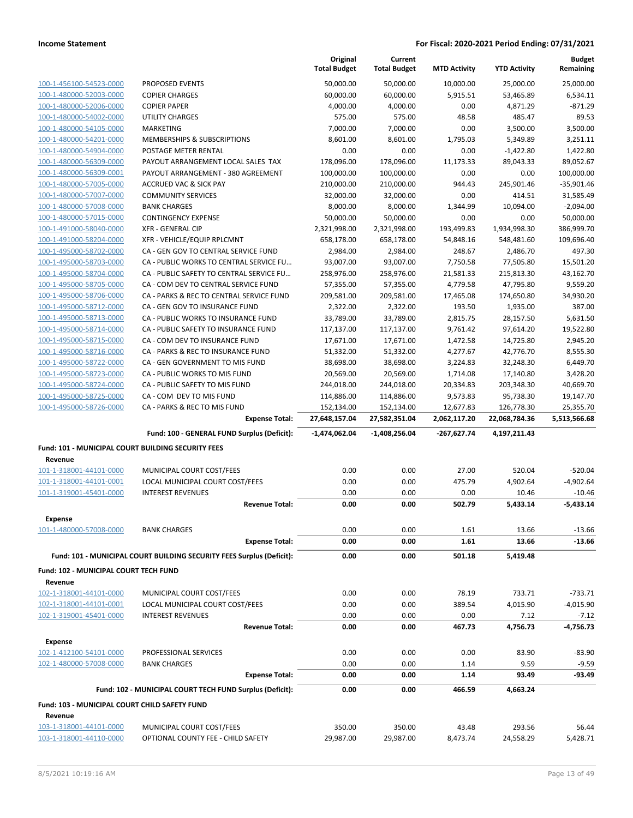|                                                    |                                                                       | Original<br><b>Total Budget</b> | Current<br><b>Total Budget</b> | <b>MTD Activity</b> | <b>YTD Activity</b> | <b>Budget</b><br>Remaining |
|----------------------------------------------------|-----------------------------------------------------------------------|---------------------------------|--------------------------------|---------------------|---------------------|----------------------------|
| 100-1-456100-54523-0000                            | PROPOSED EVENTS                                                       | 50,000.00                       | 50,000.00                      | 10,000.00           | 25,000.00           | 25,000.00                  |
| 100-1-480000-52003-0000                            | <b>COPIER CHARGES</b>                                                 | 60,000.00                       | 60,000.00                      | 5,915.51            | 53,465.89           | 6,534.11                   |
| 100-1-480000-52006-0000                            | <b>COPIER PAPER</b>                                                   | 4,000.00                        | 4,000.00                       | 0.00                | 4,871.29            | $-871.29$                  |
| 100-1-480000-54002-0000                            | <b>UTILITY CHARGES</b>                                                | 575.00                          | 575.00                         | 48.58               | 485.47              | 89.53                      |
| 100-1-480000-54105-0000                            | MARKETING                                                             | 7,000.00                        | 7,000.00                       | 0.00                | 3,500.00            | 3,500.00                   |
| 100-1-480000-54201-0000                            | <b>MEMBERSHIPS &amp; SUBSCRIPTIONS</b>                                | 8,601.00                        | 8,601.00                       | 1,795.03            | 5,349.89            | 3,251.11                   |
| 100-1-480000-54904-0000                            | POSTAGE METER RENTAL                                                  | 0.00                            | 0.00                           | 0.00                | $-1,422.80$         | 1,422.80                   |
| 100-1-480000-56309-0000                            | PAYOUT ARRANGEMENT LOCAL SALES TAX                                    | 178,096.00                      | 178,096.00                     | 11,173.33           | 89,043.33           | 89,052.67                  |
| 100-1-480000-56309-0001                            | PAYOUT ARRANGEMENT - 380 AGREEMENT                                    | 100,000.00                      | 100,000.00                     | 0.00                | 0.00                | 100,000.00                 |
| 100-1-480000-57005-0000                            | <b>ACCRUED VAC &amp; SICK PAY</b>                                     | 210,000.00                      | 210,000.00                     | 944.43              | 245,901.46          | $-35,901.46$               |
| 100-1-480000-57007-0000                            | <b>COMMUNITY SERVICES</b>                                             | 32,000.00                       | 32,000.00                      | 0.00                | 414.51              | 31,585.49                  |
| 100-1-480000-57008-0000                            | <b>BANK CHARGES</b>                                                   | 8,000.00                        | 8,000.00                       | 1,344.99            | 10,094.00           | $-2,094.00$                |
| 100-1-480000-57015-0000                            | <b>CONTINGENCY EXPENSE</b>                                            | 50,000.00                       | 50,000.00                      | 0.00                | 0.00                | 50,000.00                  |
| 100-1-491000-58040-0000                            | <b>XFR - GENERAL CIP</b>                                              | 2,321,998.00                    | 2,321,998.00                   | 193,499.83          | 1,934,998.30        | 386,999.70                 |
| 100-1-491000-58204-0000                            | XFR - VEHICLE/EQUIP RPLCMNT                                           | 658,178.00                      | 658,178.00                     | 54,848.16           | 548,481.60          | 109,696.40                 |
| 100-1-495000-58702-0000                            | CA - GEN GOV TO CENTRAL SERVICE FUND                                  | 2,984.00                        | 2,984.00                       | 248.67              | 2,486.70            | 497.30                     |
| 100-1-495000-58703-0000                            | CA - PUBLIC WORKS TO CENTRAL SERVICE FU                               | 93,007.00                       | 93,007.00                      | 7,750.58            | 77,505.80           | 15,501.20                  |
| 100-1-495000-58704-0000                            | CA - PUBLIC SAFETY TO CENTRAL SERVICE FU                              | 258,976.00                      | 258,976.00                     | 21,581.33           | 215,813.30          | 43,162.70                  |
| 100-1-495000-58705-0000                            | CA - COM DEV TO CENTRAL SERVICE FUND                                  | 57,355.00                       | 57,355.00                      | 4,779.58            | 47,795.80           | 9,559.20                   |
| 100-1-495000-58706-0000                            | CA - PARKS & REC TO CENTRAL SERVICE FUND                              | 209,581.00                      | 209,581.00                     | 17,465.08           | 174,650.80          | 34,930.20                  |
| 100-1-495000-58712-0000                            | CA - GEN GOV TO INSURANCE FUND                                        | 2,322.00                        | 2,322.00                       | 193.50              | 1,935.00            | 387.00                     |
| 100-1-495000-58713-0000                            | CA - PUBLIC WORKS TO INSURANCE FUND                                   | 33,789.00                       | 33,789.00                      | 2,815.75            | 28,157.50           | 5.631.50                   |
| 100-1-495000-58714-0000                            | CA - PUBLIC SAFETY TO INSURANCE FUND                                  | 117,137.00                      | 117,137.00                     | 9,761.42            | 97,614.20           | 19,522.80                  |
| 100-1-495000-58715-0000                            | CA - COM DEV TO INSURANCE FUND                                        | 17,671.00                       | 17,671.00                      | 1,472.58            | 14,725.80           | 2,945.20                   |
| 100-1-495000-58716-0000                            | CA - PARKS & REC TO INSURANCE FUND                                    | 51,332.00                       | 51,332.00                      | 4,277.67            | 42,776.70           | 8,555.30                   |
| 100-1-495000-58722-0000                            | CA - GEN GOVERNMENT TO MIS FUND                                       | 38,698.00                       | 38,698.00                      | 3,224.83            | 32,248.30           | 6,449.70                   |
| 100-1-495000-58723-0000                            | CA - PUBLIC WORKS TO MIS FUND                                         | 20,569.00                       | 20,569.00                      | 1,714.08            | 17,140.80           | 3,428.20                   |
| 100-1-495000-58724-0000                            | CA - PUBLIC SAFETY TO MIS FUND                                        | 244,018.00                      | 244,018.00                     | 20,334.83           | 203,348.30          | 40,669.70                  |
| 100-1-495000-58725-0000                            | CA - COM DEV TO MIS FUND                                              | 114,886.00                      | 114,886.00                     | 9,573.83            | 95,738.30           | 19,147.70                  |
|                                                    |                                                                       |                                 |                                |                     |                     |                            |
| 100-1-495000-58726-0000                            | CA - PARKS & REC TO MIS FUND                                          | 152,134.00                      | 152,134.00                     | 12,677.83           | 126,778.30          | 25,355.70                  |
|                                                    | <b>Expense Total:</b>                                                 | 27,648,157.04                   | 27,582,351.04                  | 2,062,117.20        | 22,068,784.36       | 5,513,566.68               |
|                                                    | Fund: 100 - GENERAL FUND Surplus (Deficit):                           | $-1,474,062.04$                 | $-1,408,256.04$                | $-267,627.74$       | 4,197,211.43        |                            |
| Fund: 101 - MUNICIPAL COURT BUILDING SECURITY FEES |                                                                       |                                 |                                |                     |                     |                            |
| Revenue                                            |                                                                       |                                 |                                |                     |                     |                            |
| 101-1-318001-44101-0000                            | MUNICIPAL COURT COST/FEES                                             | 0.00                            | 0.00                           | 27.00               | 520.04              | $-520.04$                  |
| 101-1-318001-44101-0001                            | LOCAL MUNICIPAL COURT COST/FEES                                       | 0.00                            | 0.00                           | 475.79              | 4,902.64            | $-4,902.64$                |
| 101-1-319001-45401-0000                            | <b>INTEREST REVENUES</b>                                              | 0.00                            | 0.00                           | 0.00                | 10.46               | $-10.46$                   |
|                                                    | <b>Revenue Total:</b>                                                 | 0.00                            | 0.00                           | 502.79              | 5,433.14            | $-5,433.14$                |
| <b>Expense</b>                                     |                                                                       |                                 |                                |                     |                     |                            |
| 101-1-480000-57008-0000                            | <b>BANK CHARGES</b><br><b>Expense Total:</b>                          | 0.00<br>0.00                    | 0.00<br>0.00                   | 1.61<br>1.61        | 13.66<br>13.66      | $-13.66$<br>$-13.66$       |
|                                                    | Fund: 101 - MUNICIPAL COURT BUILDING SECURITY FEES Surplus (Deficit): | 0.00                            | 0.00                           | 501.18              | 5,419.48            |                            |
|                                                    |                                                                       |                                 |                                |                     |                     |                            |
| Fund: 102 - MUNICIPAL COURT TECH FUND              |                                                                       |                                 |                                |                     |                     |                            |
| Revenue                                            |                                                                       |                                 |                                |                     |                     |                            |
| 102-1-318001-44101-0000<br>102-1-318001-44101-0001 | MUNICIPAL COURT COST/FEES                                             | 0.00<br>0.00                    | 0.00                           | 78.19               | 733.71              | $-733.71$                  |
|                                                    | LOCAL MUNICIPAL COURT COST/FEES<br><b>INTEREST REVENUES</b>           | 0.00                            | 0.00<br>0.00                   | 389.54              | 4,015.90            | $-4,015.90$                |
| 102-1-319001-45401-0000                            | <b>Revenue Total:</b>                                                 | 0.00                            | 0.00                           | 0.00<br>467.73      | 7.12<br>4,756.73    | $-7.12$<br>-4,756.73       |
|                                                    |                                                                       |                                 |                                |                     |                     |                            |
| <b>Expense</b><br>102-1-412100-54101-0000          | PROFESSIONAL SERVICES                                                 | 0.00                            | 0.00                           | 0.00                | 83.90               | $-83.90$                   |
| 102-1-480000-57008-0000                            | <b>BANK CHARGES</b>                                                   | 0.00                            | 0.00                           | 1.14                | 9.59                | $-9.59$                    |
|                                                    | <b>Expense Total:</b>                                                 | 0.00                            | 0.00                           | 1.14                | 93.49               | $-93.49$                   |
|                                                    | Fund: 102 - MUNICIPAL COURT TECH FUND Surplus (Deficit):              | 0.00                            | 0.00                           | 466.59              | 4,663.24            |                            |
| Fund: 103 - MUNICIPAL COURT CHILD SAFETY FUND      |                                                                       |                                 |                                |                     |                     |                            |
| Revenue                                            |                                                                       |                                 |                                |                     |                     |                            |
| 103-1-318001-44101-0000                            | MUNICIPAL COURT COST/FEES                                             | 350.00                          | 350.00                         | 43.48               | 293.56              | 56.44                      |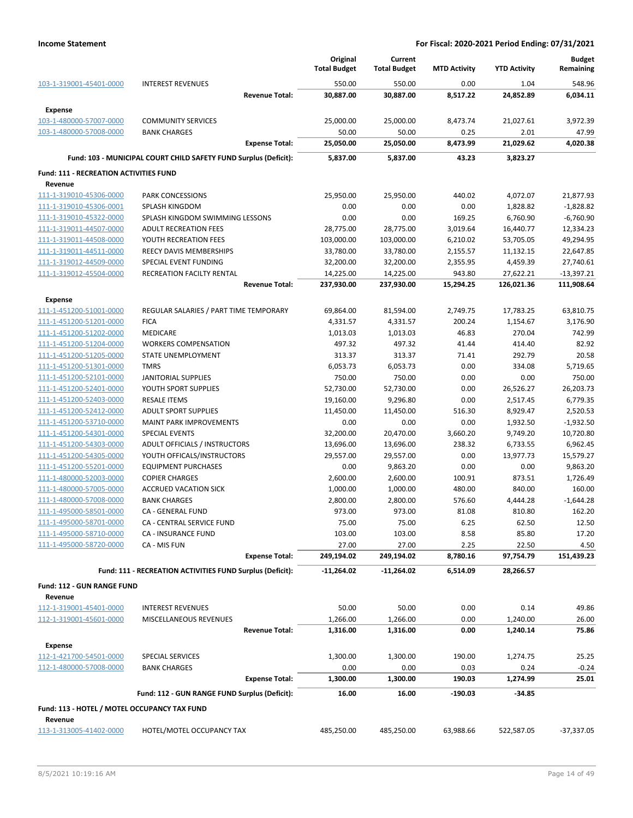|                                                    |                                                                  | Original                | Current                 |                      |                        | <b>Budget</b>          |
|----------------------------------------------------|------------------------------------------------------------------|-------------------------|-------------------------|----------------------|------------------------|------------------------|
|                                                    |                                                                  | <b>Total Budget</b>     | <b>Total Budget</b>     | <b>MTD Activity</b>  | <b>YTD Activity</b>    | Remaining              |
| 103-1-319001-45401-0000                            | <b>INTEREST REVENUES</b>                                         | 550.00                  | 550.00                  | 0.00                 | 1.04                   | 548.96                 |
|                                                    | <b>Revenue Total:</b>                                            | 30,887.00               | 30,887.00               | 8,517.22             | 24,852.89              | 6,034.11               |
| <b>Expense</b>                                     |                                                                  |                         |                         |                      |                        |                        |
| 103-1-480000-57007-0000                            | <b>COMMUNITY SERVICES</b>                                        | 25,000.00               | 25,000.00               | 8,473.74             | 21,027.61              | 3,972.39               |
| 103-1-480000-57008-0000                            | <b>BANK CHARGES</b>                                              | 50.00                   | 50.00                   | 0.25                 | 2.01                   | 47.99                  |
|                                                    | <b>Expense Total:</b>                                            | 25,050.00               | 25,050.00               | 8,473.99             | 21,029.62              | 4,020.38               |
|                                                    | Fund: 103 - MUNICIPAL COURT CHILD SAFETY FUND Surplus (Deficit): | 5,837.00                | 5.837.00                | 43.23                | 3,823.27               |                        |
|                                                    |                                                                  |                         |                         |                      |                        |                        |
| <b>Fund: 111 - RECREATION ACTIVITIES FUND</b>      |                                                                  |                         |                         |                      |                        |                        |
| Revenue                                            |                                                                  |                         |                         |                      |                        |                        |
| 111-1-319010-45306-0000                            | <b>PARK CONCESSIONS</b>                                          | 25,950.00               | 25,950.00               | 440.02               | 4,072.07               | 21,877.93              |
| 111-1-319010-45306-0001                            | SPLASH KINGDOM                                                   | 0.00                    | 0.00                    | 0.00                 | 1,828.82               | $-1,828.82$            |
| 111-1-319010-45322-0000                            | SPLASH KINGDOM SWIMMING LESSONS                                  | 0.00                    | 0.00                    | 169.25               | 6,760.90               | $-6,760.90$            |
| 111-1-319011-44507-0000                            | <b>ADULT RECREATION FEES</b>                                     | 28,775.00               | 28,775.00               | 3,019.64             | 16,440.77              | 12,334.23              |
| 111-1-319011-44508-0000<br>111-1-319011-44511-0000 | YOUTH RECREATION FEES<br>REECY DAVIS MEMBERSHIPS                 | 103,000.00<br>33,780.00 | 103,000.00<br>33,780.00 | 6,210.02<br>2,155.57 | 53,705.05<br>11,132.15 | 49,294.95<br>22,647.85 |
| 111-1-319012-44509-0000                            | SPECIAL EVENT FUNDING                                            | 32,200.00               | 32,200.00               | 2,355.95             | 4,459.39               | 27,740.61              |
| 111-1-319012-45504-0000                            | <b>RECREATION FACILTY RENTAL</b>                                 | 14,225.00               | 14,225.00               | 943.80               | 27,622.21              | $-13,397.21$           |
|                                                    | <b>Revenue Total:</b>                                            | 237,930.00              | 237,930.00              | 15,294.25            | 126,021.36             | 111,908.64             |
|                                                    |                                                                  |                         |                         |                      |                        |                        |
| <b>Expense</b>                                     |                                                                  |                         |                         |                      |                        |                        |
| 111-1-451200-51001-0000                            | REGULAR SALARIES / PART TIME TEMPORARY                           | 69,864.00               | 81,594.00               | 2,749.75             | 17,783.25              | 63,810.75              |
| 111-1-451200-51201-0000                            | <b>FICA</b>                                                      | 4,331.57                | 4,331.57                | 200.24               | 1,154.67               | 3,176.90               |
| 111-1-451200-51202-0000                            | <b>MEDICARE</b>                                                  | 1,013.03                | 1,013.03                | 46.83                | 270.04                 | 742.99                 |
| 111-1-451200-51204-0000                            | <b>WORKERS COMPENSATION</b>                                      | 497.32                  | 497.32                  | 41.44                | 414.40                 | 82.92                  |
| 111-1-451200-51205-0000                            | STATE UNEMPLOYMENT<br><b>TMRS</b>                                | 313.37<br>6,053.73      | 313.37                  | 71.41<br>0.00        | 292.79                 | 20.58                  |
| 111-1-451200-51301-0000<br>111-1-451200-52101-0000 | <b>JANITORIAL SUPPLIES</b>                                       | 750.00                  | 6,053.73<br>750.00      | 0.00                 | 334.08<br>0.00         | 5,719.65<br>750.00     |
| 111-1-451200-52401-0000                            | YOUTH SPORT SUPPLIES                                             | 52,730.00               | 52,730.00               | 0.00                 | 26,526.27              | 26,203.73              |
| 111-1-451200-52403-0000                            | <b>RESALE ITEMS</b>                                              | 19,160.00               | 9,296.80                | 0.00                 | 2,517.45               | 6,779.35               |
| 111-1-451200-52412-0000                            | <b>ADULT SPORT SUPPLIES</b>                                      | 11,450.00               | 11,450.00               | 516.30               | 8,929.47               | 2,520.53               |
| 111-1-451200-53710-0000                            | <b>MAINT PARK IMPROVEMENTS</b>                                   | 0.00                    | 0.00                    | 0.00                 | 1,932.50               | $-1,932.50$            |
| 111-1-451200-54301-0000                            | <b>SPECIAL EVENTS</b>                                            | 32,200.00               | 20,470.00               | 3,660.20             | 9,749.20               | 10,720.80              |
| 111-1-451200-54303-0000                            | ADULT OFFICIALS / INSTRUCTORS                                    | 13,696.00               | 13,696.00               | 238.32               | 6,733.55               | 6,962.45               |
| 111-1-451200-54305-0000                            | YOUTH OFFICALS/INSTRUCTORS                                       | 29,557.00               | 29,557.00               | 0.00                 | 13,977.73              | 15,579.27              |
| 111-1-451200-55201-0000                            | <b>EQUIPMENT PURCHASES</b>                                       | 0.00                    | 9,863.20                | 0.00                 | 0.00                   | 9,863.20               |
| 111-1-480000-52003-0000                            | <b>COPIER CHARGES</b>                                            | 2,600.00                | 2,600.00                | 100.91               | 873.51                 | 1,726.49               |
| 111-1-480000-57005-0000                            | <b>ACCRUED VACATION SICK</b>                                     | 1,000.00                | 1,000.00                | 480.00               | 840.00                 | 160.00                 |
| 111-1-480000-57008-0000                            | <b>BANK CHARGES</b>                                              | 2,800.00                | 2,800.00                | 576.60               | 4,444.28               | $-1,644.28$            |
| 111-1-495000-58501-0000                            | CA - GENERAL FUND                                                | 973.00                  | 973.00                  | 81.08                | 810.80                 | 162.20                 |
| 111-1-495000-58701-0000                            | CA - CENTRAL SERVICE FUND                                        | 75.00                   | 75.00                   | 6.25                 | 62.50                  | 12.50                  |
| 111-1-495000-58710-0000                            | CA - INSURANCE FUND                                              | 103.00                  | 103.00                  | 8.58                 | 85.80                  | 17.20                  |
| 111-1-495000-58720-0000                            | CA - MIS FUN                                                     | 27.00                   | 27.00                   | 2.25                 | 22.50                  | 4.50                   |
|                                                    | <b>Expense Total:</b>                                            | 249,194.02              | 249,194.02              | 8,780.16             | 97,754.79              | 151,439.23             |
|                                                    | Fund: 111 - RECREATION ACTIVITIES FUND Surplus (Deficit):        | $-11,264.02$            | $-11,264.02$            | 6,514.09             | 28,266.57              |                        |
|                                                    |                                                                  |                         |                         |                      |                        |                        |
| Fund: 112 - GUN RANGE FUND                         |                                                                  |                         |                         |                      |                        |                        |
| Revenue                                            |                                                                  |                         |                         |                      |                        |                        |
| 112-1-319001-45401-0000                            | <b>INTEREST REVENUES</b>                                         | 50.00                   | 50.00                   | 0.00                 | 0.14                   | 49.86                  |
| 112-1-319001-45601-0000                            | MISCELLANEOUS REVENUES                                           | 1,266.00                | 1,266.00                | 0.00                 | 1,240.00               | 26.00                  |
|                                                    | <b>Revenue Total:</b>                                            | 1,316.00                | 1,316.00                | 0.00                 | 1,240.14               | 75.86                  |
| <b>Expense</b>                                     |                                                                  |                         |                         |                      |                        |                        |
| 112-1-421700-54501-0000                            | SPECIAL SERVICES                                                 | 1,300.00                | 1,300.00                | 190.00               | 1,274.75               | 25.25                  |
| 112-1-480000-57008-0000                            | <b>BANK CHARGES</b>                                              | 0.00                    | 0.00                    | 0.03                 | 0.24                   | $-0.24$                |
|                                                    | <b>Expense Total:</b>                                            | 1,300.00                | 1,300.00                | 190.03               | 1,274.99               | 25.01                  |
|                                                    | Fund: 112 - GUN RANGE FUND Surplus (Deficit):                    | 16.00                   | 16.00                   | -190.03              | $-34.85$               |                        |
| Fund: 113 - HOTEL / MOTEL OCCUPANCY TAX FUND       |                                                                  |                         |                         |                      |                        |                        |
| Revenue                                            |                                                                  |                         |                         |                      |                        |                        |
| 113-1-313005-41402-0000                            | HOTEL/MOTEL OCCUPANCY TAX                                        | 485,250.00              | 485,250.00              | 63,988.66            | 522,587.05             | $-37,337.05$           |
|                                                    |                                                                  |                         |                         |                      |                        |                        |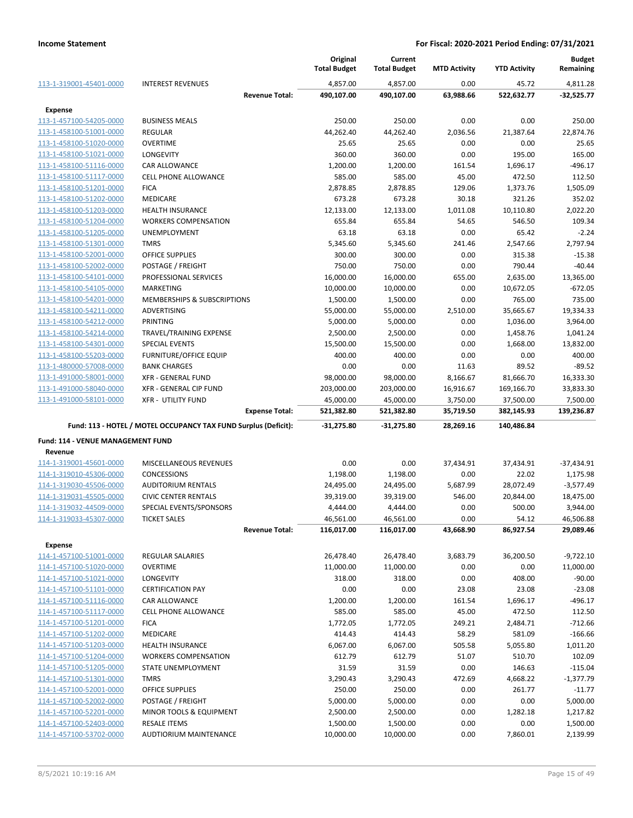|                                                    |                                                                 |                       | Original<br><b>Total Budget</b> | Current<br><b>Total Budget</b> | <b>MTD Activity</b> | <b>YTD Activity</b> | <b>Budget</b><br>Remaining |
|----------------------------------------------------|-----------------------------------------------------------------|-----------------------|---------------------------------|--------------------------------|---------------------|---------------------|----------------------------|
| 113-1-319001-45401-0000                            | <b>INTEREST REVENUES</b>                                        |                       | 4,857.00                        | 4,857.00                       | 0.00                | 45.72               | 4,811.28                   |
|                                                    |                                                                 | <b>Revenue Total:</b> | 490,107.00                      | 490,107.00                     | 63,988.66           | 522,632.77          | $-32,525.77$               |
| Expense                                            |                                                                 |                       |                                 |                                |                     |                     |                            |
| 113-1-457100-54205-0000                            | <b>BUSINESS MEALS</b>                                           |                       | 250.00                          | 250.00                         | 0.00                | 0.00                | 250.00                     |
| 113-1-458100-51001-0000                            | <b>REGULAR</b>                                                  |                       | 44,262.40                       | 44,262.40                      | 2,036.56            | 21,387.64           | 22,874.76                  |
| 113-1-458100-51020-0000                            | OVERTIME                                                        |                       | 25.65                           | 25.65                          | 0.00                | 0.00                | 25.65                      |
| 113-1-458100-51021-0000                            | <b>LONGEVITY</b>                                                |                       | 360.00                          | 360.00                         | 0.00                | 195.00              | 165.00                     |
| 113-1-458100-51116-0000                            | CAR ALLOWANCE                                                   |                       | 1,200.00                        | 1,200.00                       | 161.54              | 1,696.17            | -496.17                    |
| 113-1-458100-51117-0000                            | <b>CELL PHONE ALLOWANCE</b>                                     |                       | 585.00                          | 585.00                         | 45.00               | 472.50              | 112.50                     |
| 113-1-458100-51201-0000                            | <b>FICA</b>                                                     |                       | 2,878.85                        | 2,878.85                       | 129.06              | 1,373.76            | 1,505.09                   |
| 113-1-458100-51202-0000                            | <b>MEDICARE</b>                                                 |                       | 673.28                          | 673.28                         | 30.18               | 321.26              | 352.02                     |
| 113-1-458100-51203-0000                            | <b>HEALTH INSURANCE</b>                                         |                       | 12,133.00                       | 12,133.00                      | 1,011.08            | 10,110.80           | 2,022.20                   |
| 113-1-458100-51204-0000                            | <b>WORKERS COMPENSATION</b>                                     |                       | 655.84                          | 655.84                         | 54.65               | 546.50              | 109.34                     |
| 113-1-458100-51205-0000                            | UNEMPLOYMENT                                                    |                       | 63.18                           | 63.18                          | 0.00                | 65.42               | $-2.24$                    |
| 113-1-458100-51301-0000                            | <b>TMRS</b>                                                     |                       | 5,345.60                        | 5,345.60                       | 241.46              | 2,547.66            | 2,797.94                   |
| 113-1-458100-52001-0000                            | <b>OFFICE SUPPLIES</b>                                          |                       | 300.00                          | 300.00                         | 0.00                | 315.38              | $-15.38$                   |
| 113-1-458100-52002-0000                            | POSTAGE / FREIGHT                                               |                       | 750.00                          | 750.00                         | 0.00                | 790.44              | $-40.44$                   |
| 113-1-458100-54101-0000<br>113-1-458100-54105-0000 | PROFESSIONAL SERVICES<br><b>MARKETING</b>                       |                       | 16,000.00<br>10,000.00          | 16,000.00                      | 655.00<br>0.00      | 2,635.00            | 13,365.00<br>-672.05       |
| 113-1-458100-54201-0000                            | <b>MEMBERSHIPS &amp; SUBSCRIPTIONS</b>                          |                       | 1,500.00                        | 10,000.00<br>1,500.00          | 0.00                | 10,672.05<br>765.00 | 735.00                     |
| 113-1-458100-54211-0000                            | ADVERTISING                                                     |                       | 55,000.00                       | 55,000.00                      | 2,510.00            | 35,665.67           | 19,334.33                  |
| 113-1-458100-54212-0000                            | PRINTING                                                        |                       | 5,000.00                        | 5,000.00                       | 0.00                | 1,036.00            | 3,964.00                   |
| 113-1-458100-54214-0000                            | TRAVEL/TRAINING EXPENSE                                         |                       | 2,500.00                        | 2,500.00                       | 0.00                | 1,458.76            | 1,041.24                   |
| 113-1-458100-54301-0000                            | <b>SPECIAL EVENTS</b>                                           |                       | 15,500.00                       | 15,500.00                      | 0.00                | 1,668.00            | 13,832.00                  |
| 113-1-458100-55203-0000                            | <b>FURNITURE/OFFICE EQUIP</b>                                   |                       | 400.00                          | 400.00                         | 0.00                | 0.00                | 400.00                     |
| 113-1-480000-57008-0000                            | <b>BANK CHARGES</b>                                             |                       | 0.00                            | 0.00                           | 11.63               | 89.52               | $-89.52$                   |
| 113-1-491000-58001-0000                            | <b>XFR - GENERAL FUND</b>                                       |                       | 98,000.00                       | 98,000.00                      | 8,166.67            | 81,666.70           | 16,333.30                  |
| 113-1-491000-58040-0000                            | XFR - GENERAL CIP FUND                                          |                       | 203,000.00                      | 203,000.00                     | 16,916.67           | 169,166.70          | 33,833.30                  |
| 113-1-491000-58101-0000                            | <b>XFR - UTILITY FUND</b>                                       |                       | 45,000.00                       | 45,000.00                      | 3,750.00            | 37,500.00           | 7,500.00                   |
|                                                    |                                                                 | <b>Expense Total:</b> | 521,382.80                      | 521,382.80                     | 35,719.50           | 382,145.93          | 139,236.87                 |
|                                                    | Fund: 113 - HOTEL / MOTEL OCCUPANCY TAX FUND Surplus (Deficit): |                       | $-31,275.80$                    | $-31,275.80$                   | 28,269.16           | 140,486.84          |                            |
| Fund: 114 - VENUE MANAGEMENT FUND                  |                                                                 |                       |                                 |                                |                     |                     |                            |
| Revenue                                            |                                                                 |                       |                                 |                                |                     |                     |                            |
| 114-1-319001-45601-0000                            | MISCELLANEOUS REVENUES                                          |                       | 0.00                            | 0.00                           | 37,434.91           | 37,434.91           | $-37,434.91$               |
| 114-1-319010-45306-0000<br>114-1-319030-45506-0000 | CONCESSIONS<br><b>AUDITORIUM RENTALS</b>                        |                       | 1,198.00<br>24,495.00           | 1,198.00<br>24,495.00          | 0.00<br>5,687.99    | 22.02<br>28,072.49  | 1,175.98<br>$-3,577.49$    |
| 114-1-319031-45505-0000                            | <b>CIVIC CENTER RENTALS</b>                                     |                       | 39,319.00                       | 39,319.00                      | 546.00              | 20,844.00           | 18,475.00                  |
| 114-1-319032-44509-0000                            | SPECIAL EVENTS/SPONSORS                                         |                       | 4,444.00                        | 4,444.00                       | 0.00                | 500.00              | 3,944.00                   |
| 114-1-319033-45307-0000                            | <b>TICKET SALES</b>                                             |                       | 46,561.00                       | 46,561.00                      | 0.00                | 54.12               | 46,506.88                  |
|                                                    |                                                                 | <b>Revenue Total:</b> | 116,017.00                      | 116,017.00                     | 43,668.90           | 86,927.54           | 29,089.46                  |
| <b>Expense</b>                                     |                                                                 |                       |                                 |                                |                     |                     |                            |
| 114-1-457100-51001-0000                            | <b>REGULAR SALARIES</b>                                         |                       | 26,478.40                       | 26,478.40                      | 3,683.79            | 36,200.50           | $-9,722.10$                |
| 114-1-457100-51020-0000                            | OVERTIME                                                        |                       | 11,000.00                       | 11,000.00                      | 0.00                | 0.00                | 11,000.00                  |
| 114-1-457100-51021-0000                            | <b>LONGEVITY</b>                                                |                       | 318.00                          | 318.00                         | 0.00                | 408.00              | $-90.00$                   |
| 114-1-457100-51101-0000                            | <b>CERTIFICATION PAY</b>                                        |                       | 0.00                            | 0.00                           | 23.08               | 23.08               | $-23.08$                   |
| 114-1-457100-51116-0000                            | CAR ALLOWANCE                                                   |                       | 1,200.00                        | 1,200.00                       | 161.54              | 1,696.17            | -496.17                    |
| 114-1-457100-51117-0000                            | CELL PHONE ALLOWANCE                                            |                       | 585.00                          | 585.00                         | 45.00               | 472.50              | 112.50                     |
| 114-1-457100-51201-0000                            | <b>FICA</b>                                                     |                       | 1,772.05                        | 1,772.05                       | 249.21              | 2,484.71            | $-712.66$                  |
| 114-1-457100-51202-0000                            | <b>MEDICARE</b>                                                 |                       | 414.43                          | 414.43                         | 58.29               | 581.09              | $-166.66$                  |
| 114-1-457100-51203-0000                            | <b>HEALTH INSURANCE</b>                                         |                       | 6,067.00                        | 6,067.00                       | 505.58              | 5,055.80            | 1,011.20                   |
| 114-1-457100-51204-0000                            | <b>WORKERS COMPENSATION</b>                                     |                       | 612.79                          | 612.79                         | 51.07               | 510.70              | 102.09                     |
| 114-1-457100-51205-0000                            | STATE UNEMPLOYMENT                                              |                       | 31.59                           | 31.59                          | 0.00                | 146.63              | $-115.04$                  |
| 114-1-457100-51301-0000                            | <b>TMRS</b>                                                     |                       | 3,290.43                        | 3,290.43                       | 472.69              | 4,668.22            | $-1,377.79$                |
| 114-1-457100-52001-0000                            | OFFICE SUPPLIES                                                 |                       | 250.00                          | 250.00                         | 0.00                | 261.77              | $-11.77$                   |
| 114-1-457100-52002-0000                            | POSTAGE / FREIGHT                                               |                       | 5,000.00                        | 5,000.00                       | 0.00                | 0.00                | 5,000.00                   |
| 114-1-457100-52201-0000                            | MINOR TOOLS & EQUIPMENT                                         |                       | 2,500.00                        | 2,500.00                       | 0.00                | 1,282.18            | 1,217.82                   |
| 114-1-457100-52403-0000                            | <b>RESALE ITEMS</b>                                             |                       | 1,500.00                        | 1,500.00                       | 0.00                | 0.00                | 1,500.00                   |
| 114-1-457100-53702-0000                            | AUDTIORIUM MAINTENANCE                                          |                       | 10,000.00                       | 10,000.00                      | 0.00                | 7,860.01            | 2,139.99                   |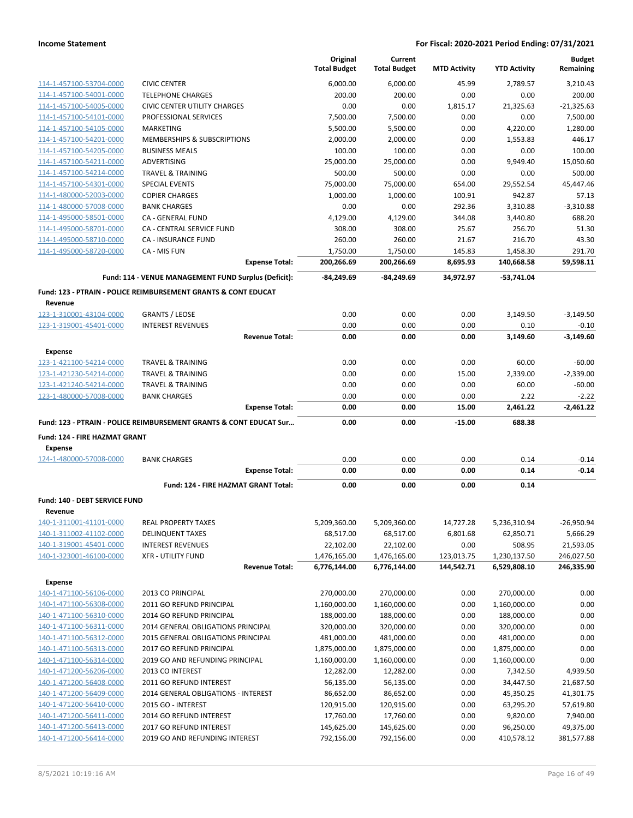|                                                 |                                                                               | Original<br><b>Total Budget</b> | Current<br><b>Total Budget</b> | <b>MTD Activity</b> | <b>YTD Activity</b> | <b>Budget</b><br>Remaining |
|-------------------------------------------------|-------------------------------------------------------------------------------|---------------------------------|--------------------------------|---------------------|---------------------|----------------------------|
| 114-1-457100-53704-0000                         | <b>CIVIC CENTER</b>                                                           | 6,000.00                        | 6,000.00                       | 45.99               | 2,789.57            | 3,210.43                   |
| 114-1-457100-54001-0000                         | <b>TELEPHONE CHARGES</b>                                                      | 200.00                          | 200.00                         | 0.00                | 0.00                | 200.00                     |
| 114-1-457100-54005-0000                         | <b>CIVIC CENTER UTILITY CHARGES</b>                                           | 0.00                            | 0.00                           | 1,815.17            | 21,325.63           | $-21,325.63$               |
| 114-1-457100-54101-0000                         | PROFESSIONAL SERVICES                                                         | 7,500.00                        | 7,500.00                       | 0.00                | 0.00                | 7,500.00                   |
| 114-1-457100-54105-0000                         | <b>MARKETING</b>                                                              | 5,500.00                        | 5,500.00                       | 0.00                | 4,220.00            | 1,280.00                   |
| 114-1-457100-54201-0000                         | MEMBERSHIPS & SUBSCRIPTIONS                                                   | 2,000.00                        | 2,000.00                       | 0.00                | 1,553.83            | 446.17                     |
| 114-1-457100-54205-0000                         | <b>BUSINESS MEALS</b>                                                         | 100.00                          | 100.00                         | 0.00                | 0.00                | 100.00                     |
| 114-1-457100-54211-0000                         | <b>ADVERTISING</b>                                                            | 25,000.00                       | 25,000.00                      | 0.00                | 9.949.40            | 15,050.60                  |
| 114-1-457100-54214-0000                         | <b>TRAVEL &amp; TRAINING</b>                                                  | 500.00                          | 500.00                         | 0.00                | 0.00                | 500.00                     |
| 114-1-457100-54301-0000                         | <b>SPECIAL EVENTS</b>                                                         | 75,000.00                       | 75,000.00                      | 654.00              | 29,552.54           | 45,447.46                  |
| 114-1-480000-52003-0000                         | <b>COPIER CHARGES</b>                                                         | 1.000.00                        | 1,000.00                       | 100.91              | 942.87              | 57.13                      |
| 114-1-480000-57008-0000                         | <b>BANK CHARGES</b>                                                           | 0.00                            | 0.00                           | 292.36              | 3,310.88            | $-3,310.88$                |
| 114-1-495000-58501-0000                         | <b>CA - GENERAL FUND</b>                                                      | 4,129.00                        | 4,129.00                       | 344.08              | 3,440.80            | 688.20                     |
| 114-1-495000-58701-0000                         | CA - CENTRAL SERVICE FUND                                                     | 308.00                          | 308.00                         | 25.67               | 256.70              | 51.30                      |
| 114-1-495000-58710-0000                         | <b>CA - INSURANCE FUND</b>                                                    | 260.00                          | 260.00                         | 21.67               | 216.70              | 43.30                      |
| 114-1-495000-58720-0000                         | CA - MIS FUN                                                                  | 1,750.00                        | 1,750.00                       | 145.83              | 1,458.30            | 291.70                     |
|                                                 | <b>Expense Total:</b>                                                         | 200,266.69                      | 200,266.69                     | 8,695.93            | 140,668.58          | 59,598.11                  |
|                                                 | Fund: 114 - VENUE MANAGEMENT FUND Surplus (Deficit):                          | $-84,249.69$                    | $-84.249.69$                   | 34,972.97           | $-53,741.04$        |                            |
|                                                 | <b>Fund: 123 - PTRAIN - POLICE REIMBURSEMENT GRANTS &amp; CONT EDUCAT</b>     |                                 |                                |                     |                     |                            |
| Revenue                                         |                                                                               |                                 |                                |                     |                     |                            |
| 123-1-310001-43104-0000                         | <b>GRANTS / LEOSE</b>                                                         | 0.00                            | 0.00                           | 0.00                | 3,149.50            | $-3,149.50$                |
| 123-1-319001-45401-0000                         | <b>INTEREST REVENUES</b>                                                      | 0.00<br>0.00                    | 0.00<br>0.00                   | 0.00<br>0.00        | 0.10                | $-0.10$<br>$-3.149.60$     |
|                                                 | <b>Revenue Total:</b>                                                         |                                 |                                |                     | 3,149.60            |                            |
| <b>Expense</b>                                  |                                                                               |                                 |                                |                     |                     |                            |
| 123-1-421100-54214-0000                         | <b>TRAVEL &amp; TRAINING</b>                                                  | 0.00                            | 0.00                           | 0.00                | 60.00               | $-60.00$                   |
| 123-1-421230-54214-0000                         | <b>TRAVEL &amp; TRAINING</b>                                                  | 0.00                            | 0.00                           | 15.00               | 2,339.00            | $-2,339.00$                |
| 123-1-421240-54214-0000                         | <b>TRAVEL &amp; TRAINING</b>                                                  | 0.00                            | 0.00                           | 0.00                | 60.00               | $-60.00$                   |
| 123-1-480000-57008-0000                         | <b>BANK CHARGES</b>                                                           | 0.00                            | 0.00                           | 0.00                | 2.22                | $-2.22$                    |
|                                                 | <b>Expense Total:</b>                                                         | 0.00                            | 0.00                           | 15.00               | 2,461.22            | $-2,461.22$                |
|                                                 | <b>Fund: 123 - PTRAIN - POLICE REIMBURSEMENT GRANTS &amp; CONT EDUCAT Sur</b> | 0.00                            | 0.00                           | $-15.00$            | 688.38              |                            |
| Fund: 124 - FIRE HAZMAT GRANT                   |                                                                               |                                 |                                |                     |                     |                            |
| <b>Expense</b>                                  |                                                                               | 0.00                            | 0.00                           | 0.00                | 0.14                |                            |
| 124-1-480000-57008-0000                         | <b>BANK CHARGES</b><br><b>Expense Total:</b>                                  | 0.00                            | 0.00                           | 0.00                | 0.14                | $-0.14$<br>$-0.14$         |
|                                                 |                                                                               |                                 |                                |                     |                     |                            |
|                                                 | Fund: 124 - FIRE HAZMAT GRANT Total:                                          | 0.00                            | 0.00                           | 0.00                | 0.14                |                            |
| <b>Fund: 140 - DEBT SERVICE FUND</b><br>Revenue |                                                                               |                                 |                                |                     |                     |                            |
| 140-1-311001-41101-0000                         | <b>REAL PROPERTY TAXES</b>                                                    | 5,209,360.00                    | 5,209,360.00                   | 14,727.28           | 5,236,310.94        | $-26,950.94$               |
| 140-1-311002-41102-0000                         | <b>DELINQUENT TAXES</b>                                                       | 68,517.00                       | 68,517.00                      | 6,801.68            | 62,850.71           | 5,666.29                   |
| 140-1-319001-45401-0000                         | <b>INTEREST REVENUES</b>                                                      | 22,102.00                       | 22,102.00                      | 0.00                | 508.95              | 21,593.05                  |
| 140-1-323001-46100-0000                         | <b>XFR - UTILITY FUND</b>                                                     | 1,476,165.00                    | 1,476,165.00                   | 123,013.75          | 1,230,137.50        | 246,027.50                 |
|                                                 | <b>Revenue Total:</b>                                                         | 6,776,144.00                    | 6,776,144.00                   | 144,542.71          | 6,529,808.10        | 246,335.90                 |
| <b>Expense</b>                                  |                                                                               |                                 |                                |                     |                     |                            |
| 140-1-471100-56106-0000                         | 2013 CO PRINCIPAL                                                             | 270,000.00                      | 270,000.00                     | 0.00                | 270,000.00          | 0.00                       |
| 140-1-471100-56308-0000                         | 2011 GO REFUND PRINCIPAL                                                      | 1,160,000.00                    | 1,160,000.00                   | 0.00                | 1,160,000.00        | 0.00                       |
| 140-1-471100-56310-0000                         | 2014 GO REFUND PRINCIPAL                                                      | 188,000.00                      | 188,000.00                     | 0.00                | 188,000.00          | 0.00                       |
| 140-1-471100-56311-0000                         | 2014 GENERAL OBLIGATIONS PRINCIPAL                                            | 320,000.00                      | 320,000.00                     | 0.00                | 320,000.00          | 0.00                       |
| 140-1-471100-56312-0000                         | 2015 GENERAL OBLIGATIONS PRINCIPAL                                            | 481,000.00                      | 481,000.00                     | 0.00                | 481,000.00          | 0.00                       |
| 140-1-471100-56313-0000                         | 2017 GO REFUND PRINCIPAL                                                      | 1,875,000.00                    | 1,875,000.00                   | 0.00                | 1,875,000.00        | 0.00                       |
| 140-1-471100-56314-0000                         | 2019 GO AND REFUNDING PRINCIPAL                                               | 1,160,000.00                    | 1,160,000.00                   | 0.00                | 1,160,000.00        | 0.00                       |
| 140-1-471200-56206-0000                         | 2013 CO INTEREST                                                              | 12,282.00                       | 12,282.00                      | 0.00                | 7,342.50            | 4,939.50                   |
| 140-1-471200-56408-0000                         | 2011 GO REFUND INTEREST                                                       | 56,135.00                       | 56,135.00                      | 0.00                | 34,447.50           | 21,687.50                  |
| 140-1-471200-56409-0000                         | 2014 GENERAL OBLIGATIONS - INTEREST                                           | 86,652.00                       | 86,652.00                      | 0.00                | 45,350.25           | 41,301.75                  |
| 140-1-471200-56410-0000                         | 2015 GO - INTEREST                                                            | 120,915.00                      | 120,915.00                     | 0.00                | 63,295.20           | 57,619.80                  |
| 140-1-471200-56411-0000                         | 2014 GO REFUND INTEREST                                                       | 17,760.00                       | 17,760.00                      | 0.00                | 9,820.00            | 7,940.00                   |
| 140-1-471200-56413-0000                         | 2017 GO REFUND INTEREST                                                       | 145,625.00                      | 145,625.00                     | 0.00                | 96,250.00           | 49,375.00                  |
| 140-1-471200-56414-0000                         | 2019 GO AND REFUNDING INTEREST                                                | 792,156.00                      | 792,156.00                     | 0.00                | 410,578.12          | 381,577.88                 |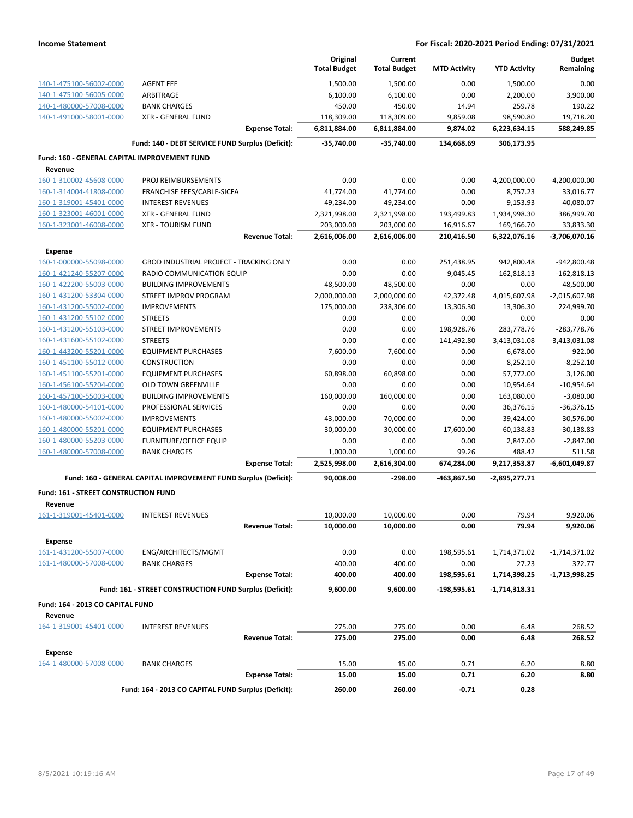|                                                    |                                                                 |                       | Original<br><b>Total Budget</b> | Current<br><b>Total Budget</b> | <b>MTD Activity</b> | <b>YTD Activity</b>    | <b>Budget</b><br>Remaining |
|----------------------------------------------------|-----------------------------------------------------------------|-----------------------|---------------------------------|--------------------------------|---------------------|------------------------|----------------------------|
|                                                    | <b>AGENT FEE</b>                                                |                       |                                 |                                | 0.00                |                        | 0.00                       |
| 140-1-475100-56002-0000<br>140-1-475100-56005-0000 | ARBITRAGE                                                       |                       | 1,500.00<br>6,100.00            | 1,500.00<br>6,100.00           | 0.00                | 1,500.00<br>2,200.00   | 3,900.00                   |
| 140-1-480000-57008-0000                            | <b>BANK CHARGES</b>                                             |                       | 450.00                          | 450.00                         | 14.94               | 259.78                 | 190.22                     |
| 140-1-491000-58001-0000                            | <b>XFR - GENERAL FUND</b>                                       |                       | 118,309.00                      | 118,309.00                     | 9,859.08            | 98,590.80              | 19,718.20                  |
|                                                    |                                                                 | <b>Expense Total:</b> | 6,811,884.00                    | 6,811,884.00                   | 9,874.02            | 6,223,634.15           | 588,249.85                 |
|                                                    | Fund: 140 - DEBT SERVICE FUND Surplus (Deficit):                |                       | -35,740.00                      | $-35,740.00$                   | 134,668.69          | 306,173.95             |                            |
| Fund: 160 - GENERAL CAPITAL IMPROVEMENT FUND       |                                                                 |                       |                                 |                                |                     |                        |                            |
| Revenue                                            |                                                                 |                       |                                 |                                |                     |                        |                            |
| 160-1-310002-45608-0000                            | PROJ REIMBURSEMENTS                                             |                       | 0.00                            | 0.00                           | 0.00                | 4,200,000.00           | $-4,200,000.00$            |
| 160-1-314004-41808-0000                            | FRANCHISE FEES/CABLE-SICFA                                      |                       | 41,774.00                       | 41,774.00                      | 0.00                | 8,757.23               | 33,016.77                  |
| 160-1-319001-45401-0000                            | <b>INTEREST REVENUES</b>                                        |                       | 49,234.00                       | 49,234.00                      | 0.00                | 9,153.93               | 40,080.07                  |
| 160-1-323001-46001-0000                            | <b>XFR - GENERAL FUND</b>                                       |                       | 2,321,998.00                    | 2,321,998.00                   | 193,499.83          | 1,934,998.30           | 386,999.70                 |
| 160-1-323001-46008-0000                            | <b>XFR - TOURISM FUND</b>                                       |                       | 203,000.00                      | 203,000.00                     | 16,916.67           | 169,166.70             | 33,833.30                  |
|                                                    |                                                                 | <b>Revenue Total:</b> | 2,616,006.00                    | 2,616,006.00                   | 210,416.50          | 6,322,076.16           | $-3,706,070.16$            |
| Expense                                            |                                                                 |                       |                                 |                                |                     |                        |                            |
| 160-1-000000-55098-0000                            | <b>GBOD INDUSTRIAL PROJECT - TRACKING ONLY</b>                  |                       | 0.00                            | 0.00                           | 251,438.95          | 942,800.48             | -942,800.48                |
| 160-1-421240-55207-0000                            | RADIO COMMUNICATION EQUIP                                       |                       | 0.00                            | 0.00                           | 9,045.45            | 162,818.13             | $-162,818.13$              |
| 160-1-422200-55003-0000                            | <b>BUILDING IMPROVEMENTS</b>                                    |                       | 48,500.00                       | 48,500.00                      | 0.00                | 0.00                   | 48,500.00                  |
| 160-1-431200-53304-0000                            | STREET IMPROV PROGRAM                                           |                       | 2,000,000.00                    | 2,000,000.00                   | 42,372.48           | 4,015,607.98           | $-2,015,607.98$            |
| 160-1-431200-55002-0000                            | <b>IMPROVEMENTS</b>                                             |                       | 175,000.00                      | 238,306.00                     | 13,306.30           | 13,306.30              | 224,999.70                 |
| 160-1-431200-55102-0000                            | <b>STREETS</b>                                                  |                       | 0.00                            | 0.00                           | 0.00                | 0.00                   | 0.00                       |
| 160-1-431200-55103-0000                            | <b>STREET IMPROVEMENTS</b>                                      |                       | 0.00                            | 0.00                           | 198,928.76          | 283,778.76             | $-283,778.76$              |
| 160-1-431600-55102-0000                            | <b>STREETS</b>                                                  |                       | 0.00                            | 0.00                           | 141,492.80          | 3,413,031.08           | $-3,413,031.08$            |
| 160-1-443200-55201-0000                            | <b>EQUIPMENT PURCHASES</b>                                      |                       | 7,600.00                        | 7,600.00                       | 0.00                | 6,678.00               | 922.00                     |
| 160-1-451100-55012-0000                            | <b>CONSTRUCTION</b>                                             |                       | 0.00                            | 0.00                           | 0.00                | 8,252.10               | $-8,252.10$                |
| 160-1-451100-55201-0000                            | <b>EQUIPMENT PURCHASES</b>                                      |                       | 60,898.00                       | 60,898.00                      | 0.00                | 57,772.00              | 3,126.00                   |
| 160-1-456100-55204-0000                            | OLD TOWN GREENVILLE                                             |                       | 0.00                            | 0.00                           | 0.00                | 10,954.64              | $-10,954.64$               |
| 160-1-457100-55003-0000                            | <b>BUILDING IMPROVEMENTS</b>                                    |                       | 160,000.00                      | 160,000.00                     | 0.00                | 163,080.00             | $-3,080.00$                |
| 160-1-480000-54101-0000                            | PROFESSIONAL SERVICES                                           |                       | 0.00                            | 0.00                           | 0.00                | 36,376.15              | $-36,376.15$               |
| 160-1-480000-55002-0000                            | <b>IMPROVEMENTS</b>                                             |                       | 43,000.00                       | 70,000.00                      | 0.00                | 39,424.00              | 30,576.00                  |
| 160-1-480000-55201-0000                            | <b>EQUIPMENT PURCHASES</b>                                      |                       | 30,000.00                       | 30,000.00                      | 17,600.00           | 60,138.83              | $-30,138.83$               |
| 160-1-480000-55203-0000                            | <b>FURNITURE/OFFICE EQUIP</b>                                   |                       | 0.00                            | 0.00                           | 0.00                | 2,847.00               | $-2,847.00$                |
| 160-1-480000-57008-0000                            | <b>BANK CHARGES</b>                                             | <b>Expense Total:</b> | 1,000.00<br>2,525,998.00        | 1,000.00<br>2,616,304.00       | 99.26<br>674,284.00 | 488.42<br>9,217,353.87 | 511.58<br>$-6,601,049.87$  |
|                                                    |                                                                 |                       |                                 |                                |                     |                        |                            |
|                                                    | Fund: 160 - GENERAL CAPITAL IMPROVEMENT FUND Surplus (Deficit): |                       | 90,008.00                       | $-298.00$                      | -463,867.50         | $-2,895,277.71$        |                            |
| Fund: 161 - STREET CONSTRUCTION FUND<br>Revenue    |                                                                 |                       |                                 |                                |                     |                        |                            |
| <u>161-1-319001-45401-0</u> 000                    | <b>INTEREST REVENUES</b>                                        |                       | 10,000.00                       | 10,000.00                      | 0.00                | 79.94                  | 9,920.06                   |
|                                                    |                                                                 | <b>Revenue Total:</b> | 10,000.00                       | 10,000.00                      | 0.00                | 79.94                  | 9,920.06                   |
| Expense                                            |                                                                 |                       |                                 |                                |                     |                        |                            |
| 161-1-431200-55007-0000                            | ENG/ARCHITECTS/MGMT                                             |                       | 0.00                            | 0.00                           | 198,595.61          | 1,714,371.02           | -1,714,371.02              |
| 161-1-480000-57008-0000                            | <b>BANK CHARGES</b>                                             |                       | 400.00                          | 400.00                         | 0.00                | 27.23                  | 372.77                     |
|                                                    |                                                                 | <b>Expense Total:</b> | 400.00                          | 400.00                         | 198,595.61          | 1,714,398.25           | $-1,713,998.25$            |
|                                                    | Fund: 161 - STREET CONSTRUCTION FUND Surplus (Deficit):         |                       | 9,600.00                        | 9,600.00                       | -198,595.61         | -1,714,318.31          |                            |
| Fund: 164 - 2013 CO CAPITAL FUND                   |                                                                 |                       |                                 |                                |                     |                        |                            |
| Revenue                                            |                                                                 |                       |                                 |                                |                     |                        |                            |
| 164-1-319001-45401-0000                            | <b>INTEREST REVENUES</b>                                        |                       | 275.00                          | 275.00                         | 0.00                | 6.48                   | 268.52                     |
|                                                    |                                                                 | <b>Revenue Total:</b> | 275.00                          | 275.00                         | 0.00                | 6.48                   | 268.52                     |
| Expense                                            |                                                                 |                       |                                 |                                |                     |                        |                            |
| 164-1-480000-57008-0000                            | <b>BANK CHARGES</b>                                             |                       | 15.00                           | 15.00                          | 0.71                | 6.20                   | 8.80                       |
|                                                    |                                                                 | <b>Expense Total:</b> | 15.00                           | 15.00                          | 0.71                | 6.20                   | 8.80                       |
|                                                    | Fund: 164 - 2013 CO CAPITAL FUND Surplus (Deficit):             |                       | 260.00                          | 260.00                         | $-0.71$             | 0.28                   |                            |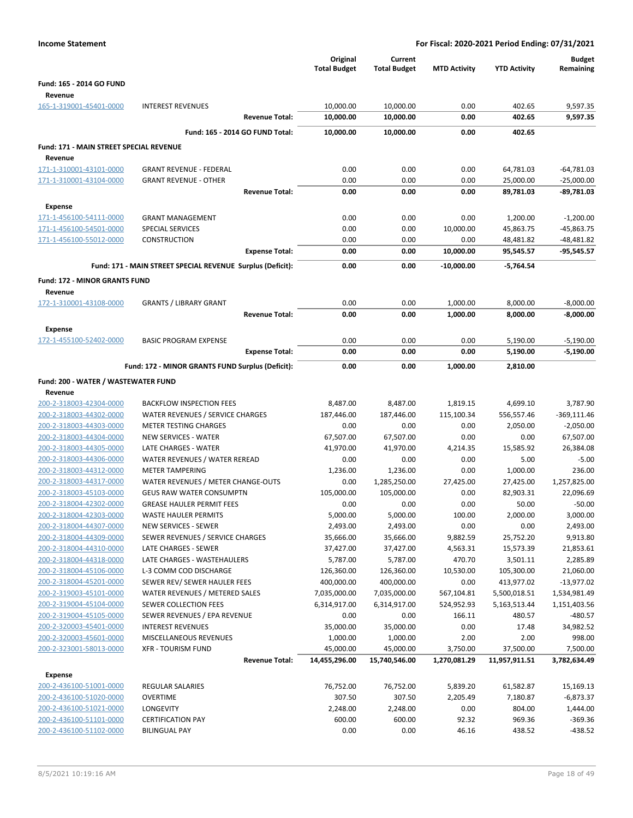|                                                                                                                                                                                                                                | For Fiscal: 2020-2021 Period Ending: 07/31/2021 |
|--------------------------------------------------------------------------------------------------------------------------------------------------------------------------------------------------------------------------------|-------------------------------------------------|
| Original<br>Current<br><b>Total Budget</b><br><b>Total Budget</b><br><b>MTD Activity</b><br><b>YTD Activity</b>                                                                                                                | <b>Budget</b><br>Remaining                      |
| Fund: 165 - 2014 GO FUND                                                                                                                                                                                                       |                                                 |
| Revenue                                                                                                                                                                                                                        |                                                 |
| 10,000.00<br>0.00<br>402.65<br>165-1-319001-45401-0000<br><b>INTEREST REVENUES</b><br>10,000.00<br>10,000.00<br>0.00<br>402.65<br><b>Revenue Total:</b><br>10,000.00                                                           | 9,597.35<br>9,597.35                            |
|                                                                                                                                                                                                                                |                                                 |
| Fund: 165 - 2014 GO FUND Total:<br>10,000.00<br>10,000.00<br>0.00<br>402.65                                                                                                                                                    |                                                 |
| Fund: 171 - MAIN STREET SPECIAL REVENUE<br>Revenue                                                                                                                                                                             |                                                 |
| 0.00<br><b>GRANT REVENUE - FEDERAL</b><br>0.00<br>0.00<br>64,781.03<br>171-1-310001-43101-0000                                                                                                                                 | $-64,781.03$                                    |
| 0.00<br>171-1-310001-43104-0000<br><b>GRANT REVENUE - OTHER</b><br>0.00<br>0.00<br>25,000.00                                                                                                                                   | $-25,000.00$                                    |
| 0.00<br>0.00<br>0.00<br>89,781.03<br><b>Revenue Total:</b>                                                                                                                                                                     | -89,781.03                                      |
| Expense                                                                                                                                                                                                                        |                                                 |
| 0.00<br>0.00<br>171-1-456100-54111-0000<br><b>GRANT MANAGEMENT</b><br>0.00<br>1,200.00                                                                                                                                         | $-1,200.00$                                     |
| 171-1-456100-54501-0000<br>SPECIAL SERVICES<br>0.00<br>0.00<br>10,000.00<br>45,863.75                                                                                                                                          | -45,863.75                                      |
| 171-1-456100-55012-0000<br>0.00<br>0.00<br>0.00<br><b>CONSTRUCTION</b><br>48,481.82                                                                                                                                            | $-48,481.82$                                    |
| 0.00<br>0.00<br>10,000.00<br><b>Expense Total:</b><br>95,545.57                                                                                                                                                                | $-95,545.57$                                    |
| Fund: 171 - MAIN STREET SPECIAL REVENUE Surplus (Deficit):<br>0.00<br>0.00<br>$-10,000.00$<br>$-5,764.54$                                                                                                                      |                                                 |
| <b>Fund: 172 - MINOR GRANTS FUND</b>                                                                                                                                                                                           |                                                 |
| Revenue                                                                                                                                                                                                                        |                                                 |
| 172-1-310001-43108-0000<br><b>GRANTS / LIBRARY GRANT</b><br>0.00<br>0.00<br>1,000.00<br>8,000.00                                                                                                                               | $-8,000.00$                                     |
| 0.00<br>0.00<br>1,000.00<br>8,000.00<br><b>Revenue Total:</b>                                                                                                                                                                  | $-8,000.00$                                     |
| <b>Expense</b>                                                                                                                                                                                                                 |                                                 |
| 172-1-455100-52402-0000<br><b>BASIC PROGRAM EXPENSE</b><br>0.00<br>0.00<br>0.00<br>5,190.00<br>0.00<br>0.00<br>0.00<br><b>Expense Total:</b><br>5,190.00                                                                       | $-5,190.00$<br>-5,190.00                        |
|                                                                                                                                                                                                                                |                                                 |
| Fund: 172 - MINOR GRANTS FUND Surplus (Deficit):<br>0.00<br>0.00<br>1,000.00<br>2,810.00                                                                                                                                       |                                                 |
| Fund: 200 - WATER / WASTEWATER FUND                                                                                                                                                                                            |                                                 |
| Revenue<br>8,487.00<br>4,699.10<br>200-2-318003-42304-0000<br><b>BACKFLOW INSPECTION FEES</b><br>8,487.00<br>1,819.15                                                                                                          | 3,787.90                                        |
| 200-2-318003-44302-0000<br>WATER REVENUES / SERVICE CHARGES<br>187,446.00<br>187,446.00<br>115,100.34<br>556,557.46                                                                                                            | $-369,111.46$                                   |
| 0.00<br>0.00<br>0.00<br>2,050.00<br>200-2-318003-44303-0000<br><b>METER TESTING CHARGES</b>                                                                                                                                    | $-2,050.00$                                     |
| 200-2-318003-44304-0000<br><b>NEW SERVICES - WATER</b><br>67,507.00<br>0.00<br>67,507.00<br>0.00                                                                                                                               | 67,507.00                                       |
| LATE CHARGES - WATER<br>41,970.00<br>41,970.00<br>15,585.92<br>200-2-318003-44305-0000<br>4,214.35                                                                                                                             | 26,384.08                                       |
| WATER REVENUES / WATER REREAD<br>200-2-318003-44306-0000<br>0.00<br>0.00<br>0.00<br>5.00                                                                                                                                       | $-5.00$                                         |
| 200-2-318003-44312-0000<br><b>METER TAMPERING</b><br>1,236.00<br>0.00<br>1,000.00<br>1,236.00                                                                                                                                  | 236.00                                          |
| WATER REVENUES / METER CHANGE-OUTS<br>27,425.00<br>200-2-318003-44317-0000<br>0.00<br>1,285,250.00<br>27,425.00<br>200-2-318003-45103-0000<br><b>GEUS RAW WATER CONSUMPTN</b><br>105,000.00<br>105,000.00<br>0.00<br>82,903.31 | 1,257,825.00<br>22,096.69                       |
| 200-2-318004-42302-0000<br><b>GREASE HAULER PERMIT FEES</b><br>0.00<br>0.00<br>0.00<br>50.00                                                                                                                                   | $-50.00$                                        |
| 5,000.00<br>5,000.00<br>100.00<br>2,000.00<br>200-2-318004-42303-0000<br><b>WASTE HAULER PERMITS</b>                                                                                                                           | 3,000.00                                        |
| 200-2-318004-44307-0000<br>NEW SERVICES - SEWER<br>2,493.00<br>2,493.00<br>0.00<br>0.00                                                                                                                                        | 2,493.00                                        |
| 200-2-318004-44309-0000<br>9,882.59<br>SEWER REVENUES / SERVICE CHARGES<br>35,666.00<br>35,666.00<br>25,752.20                                                                                                                 | 9,913.80                                        |
| 200-2-318004-44310-0000<br>37,427.00<br>37,427.00<br>LATE CHARGES - SEWER<br>4,563.31<br>15,573.39                                                                                                                             | 21,853.61                                       |
| 200-2-318004-44318-0000<br>LATE CHARGES - WASTEHAULERS<br>5,787.00<br>5,787.00<br>470.70<br>3,501.11                                                                                                                           | 2,285.89                                        |
| L-3 COMM COD DISCHARGE<br>126,360.00<br>10,530.00<br>105,300.00<br>200-2-318004-45106-0000<br>126,360.00<br>200-2-318004-45201-0000                                                                                            | 21,060.00                                       |
| SEWER REV/ SEWER HAULER FEES<br>400,000.00<br>400,000.00<br>0.00<br>413,977.02<br>200-2-319003-45101-0000<br>WATER REVENUES / METERED SALES<br>567,104.81<br>7,035,000.00<br>7,035,000.00<br>5,500,018.51                      | $-13,977.02$<br>1,534,981.49                    |
| 200-2-319004-45104-0000<br><b>SEWER COLLECTION FEES</b><br>6,314,917.00<br>6,314,917.00<br>524,952.93<br>5,163,513.44                                                                                                          | 1,151,403.56                                    |
| 200-2-319004-45105-0000<br>SEWER REVENUES / EPA REVENUE<br>0.00<br>0.00<br>166.11<br>480.57                                                                                                                                    | $-480.57$                                       |
| <b>INTEREST REVENUES</b><br>35,000.00<br>35,000.00<br>0.00<br>17.48<br>200-2-320003-45401-0000                                                                                                                                 | 34,982.52                                       |
| 200-2-320003-45601-0000<br>MISCELLANEOUS REVENUES<br>1,000.00<br>1,000.00<br>2.00<br>2.00                                                                                                                                      | 998.00                                          |
| <b>XFR - TOURISM FUND</b><br>45,000.00<br>45,000.00<br>3,750.00<br>37,500.00<br>200-2-323001-58013-0000                                                                                                                        | 7,500.00                                        |
| 14,455,296.00<br>15,740,546.00<br>1,270,081.29<br>11,957,911.51<br><b>Revenue Total:</b>                                                                                                                                       | 3,782,634.49                                    |
| <b>Expense</b>                                                                                                                                                                                                                 |                                                 |
| 200-2-436100-51001-0000<br>REGULAR SALARIES<br>76,752.00<br>76,752.00<br>5,839.20<br>61,582.87                                                                                                                                 | 15,169.13                                       |
| 307.50<br>307.50<br>200-2-436100-51020-0000<br><b>OVERTIME</b><br>2,205.49<br>7,180.87<br>LONGEVITY                                                                                                                            | $-6,873.37$                                     |
| 200-2-436100-51021-0000<br>2,248.00<br>2,248.00<br>0.00<br>804.00<br>92.32<br>200-2-436100-51101-0000<br><b>CERTIFICATION PAY</b><br>600.00<br>600.00<br>969.36                                                                | 1,444.00<br>$-369.36$                           |
|                                                                                                                                                                                                                                |                                                 |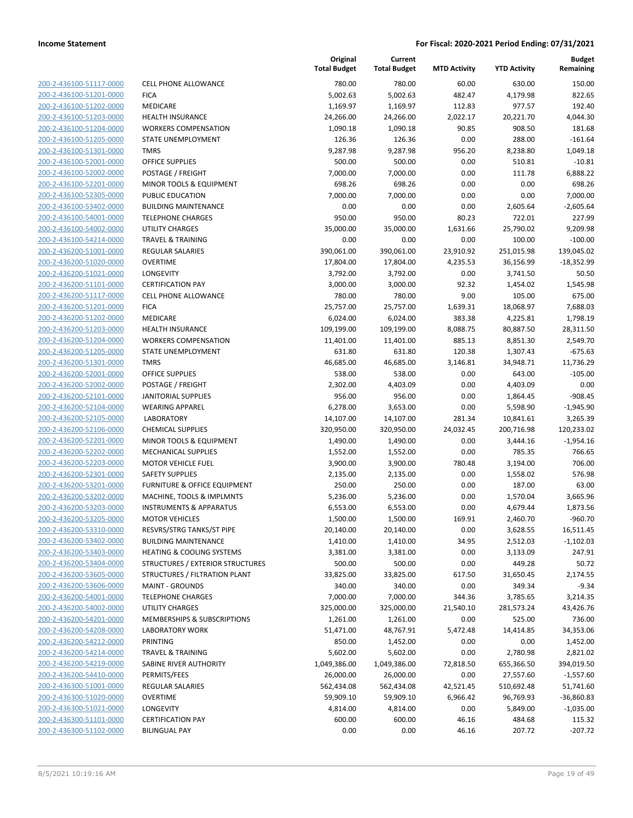**Current**

**Original**

**Budget Remaining**

| 200-2-436100-51117-0000        |
|--------------------------------|
| 200-2-436100-51201-0000        |
| 200-2-436100-51202-0000        |
| 200-2-436100-51203-0000        |
| 200-2-436100-51204-0000        |
| 200-2-436100-51205-0000        |
| 200-2-436100-51301-0000        |
| 200-2-436100-52001-0000        |
| 200-2-436100-52002-0000        |
| 200-2-436100-52201-0000        |
| 200-2-436100-52305-0000        |
| 2-436100-53402-0000<br>200-    |
| 200-2-436100-54001-0000        |
| 200-2-436100-54002-0000        |
| 200-2-436100-54214-0000        |
| 200-2-436200-51001-0000        |
| 2-436200-51020-0000<br>200-    |
| 200-2-436200-51021-0000        |
| 200-2-436200-51101-0000        |
| 200-2-436200-51117-0000        |
| 200-2-436200-51201-0000        |
| 2-436200-51202-0000<br>200-    |
| 200-2-436200-51203-0000        |
| 200-2-436200-51204-0000        |
| 200-2-436200-51205-0000        |
| 200-2-436200-51301-0000        |
| 2-436200-52001-0000<br>200-    |
| 200-2-436200-52002-0000        |
| 200-2-436200-52101-0000        |
| <u>200-2-436200-52104-0000</u> |
| 200-2-436200-52105-0000        |
| 2-436200-52106-0000<br>200-    |
| 200-2-436200-52201-0000        |
| 200-2-436200-52202-0000        |
| <u>200-2-436200-52203-0000</u> |
| 200-2-436200-52301-0000        |
| 200-2-436200-53201-0000        |
| 200-2-436200-53202-0000        |
| 200-2-436200-53203-0000        |
| 200-2-436200-53205-0000        |
| 200-2-436200-53310-0000        |
| <u>200-2-436200-53402-0000</u> |
| 200-2-436200-53403-0000        |
| 200-2-436200-53404-0000        |
| <u>200-2-436200-53605-0000</u> |
| <u>200-2-436200-53606-0000</u> |
| 200-2-436200-54001-0000        |
| <u>200-2-436200-54002-0000</u> |
| <u>200-2-436200-54201-0000</u> |
| <u>200-2-436200-54208-0000</u> |
| <u>200-2-436200-54212-0000</u> |
| 200-2-436200-54214-0000        |
| 200-2-436200-54219-0000        |
| <u>200-2-436200-54410-0000</u> |
| <u>200-2-436300-51001-0000</u> |
| <u>200-2-436300-51020-0000</u> |
| 200-2-436300-51021-0000        |
| <u>200-2-436300-51101-0000</u> |
| 200-2-436300-51102-0000        |

|                                                    |                                                       | <b>Total Budget</b> | <b>Total Budget</b>  | <b>MTD Activity</b> | <b>YTD Activity</b>     | Remaining            |
|----------------------------------------------------|-------------------------------------------------------|---------------------|----------------------|---------------------|-------------------------|----------------------|
| 200-2-436100-51117-0000                            | <b>CELL PHONE ALLOWANCE</b>                           | 780.00              | 780.00               | 60.00               | 630.00                  | 150.00               |
| 200-2-436100-51201-0000                            | <b>FICA</b>                                           | 5,002.63            | 5,002.63             | 482.47              | 4,179.98                | 822.65               |
| 200-2-436100-51202-0000                            | MEDICARE                                              | 1,169.97            | 1,169.97             | 112.83              | 977.57                  | 192.40               |
| 200-2-436100-51203-0000                            | <b>HEALTH INSURANCE</b>                               | 24,266.00           | 24,266.00            | 2,022.17            | 20,221.70               | 4,044.30             |
| 200-2-436100-51204-0000                            | <b>WORKERS COMPENSATION</b>                           | 1,090.18            | 1,090.18             | 90.85               | 908.50                  | 181.68               |
| 200-2-436100-51205-0000                            | STATE UNEMPLOYMENT                                    | 126.36              | 126.36               | 0.00                | 288.00                  | $-161.64$            |
| 200-2-436100-51301-0000                            | <b>TMRS</b>                                           | 9,287.98            | 9,287.98             | 956.20              | 8,238.80                | 1,049.18             |
| 200-2-436100-52001-0000                            | <b>OFFICE SUPPLIES</b>                                | 500.00              | 500.00               | 0.00                | 510.81                  | $-10.81$             |
| 200-2-436100-52002-0000                            | POSTAGE / FREIGHT                                     | 7,000.00            | 7,000.00             | 0.00                | 111.78                  | 6,888.22             |
| 200-2-436100-52201-0000                            | MINOR TOOLS & EQUIPMENT                               | 698.26              | 698.26               | 0.00                | 0.00                    | 698.26               |
| 200-2-436100-52305-0000                            | PUBLIC EDUCATION                                      | 7,000.00            | 7,000.00             | 0.00                | 0.00                    | 7,000.00             |
| 200-2-436100-53402-0000                            | <b>BUILDING MAINTENANCE</b>                           | 0.00                | 0.00                 | 0.00                | 2,605.64                | $-2,605.64$          |
| 200-2-436100-54001-0000                            | <b>TELEPHONE CHARGES</b>                              | 950.00              | 950.00               | 80.23               | 722.01                  | 227.99               |
| 200-2-436100-54002-0000                            | <b>UTILITY CHARGES</b>                                | 35,000.00           | 35,000.00            | 1,631.66            | 25,790.02               | 9,209.98             |
| 200-2-436100-54214-0000                            | <b>TRAVEL &amp; TRAINING</b>                          | 0.00                | 0.00                 | 0.00                | 100.00                  | $-100.00$            |
| 200-2-436200-51001-0000                            | <b>REGULAR SALARIES</b>                               | 390,061.00          | 390,061.00           | 23,910.92           | 251,015.98              | 139,045.02           |
| 200-2-436200-51020-0000                            | <b>OVERTIME</b>                                       | 17,804.00           | 17,804.00            | 4,235.53            | 36,156.99               | $-18,352.99$         |
| 200-2-436200-51021-0000                            | <b>LONGEVITY</b>                                      | 3,792.00            | 3,792.00             | 0.00                | 3,741.50                | 50.50                |
| 200-2-436200-51101-0000                            | <b>CERTIFICATION PAY</b>                              | 3,000.00            | 3,000.00             | 92.32               | 1,454.02                | 1,545.98             |
| 200-2-436200-51117-0000                            | CELL PHONE ALLOWANCE                                  | 780.00              | 780.00               | 9.00                | 105.00                  | 675.00               |
| 200-2-436200-51201-0000                            | <b>FICA</b>                                           | 25,757.00           | 25,757.00            | 1,639.31            | 18,068.97               | 7,688.03             |
| 200-2-436200-51202-0000                            | MEDICARE                                              | 6,024.00            | 6,024.00             | 383.38              | 4,225.81                | 1,798.19             |
| 200-2-436200-51203-0000                            | <b>HEALTH INSURANCE</b>                               | 109,199.00          | 109,199.00           | 8,088.75            | 80,887.50               | 28,311.50            |
| 200-2-436200-51204-0000                            | <b>WORKERS COMPENSATION</b>                           | 11,401.00           | 11,401.00            | 885.13              | 8,851.30                | 2,549.70             |
| 200-2-436200-51205-0000                            | STATE UNEMPLOYMENT                                    | 631.80              | 631.80               | 120.38              | 1,307.43                | $-675.63$            |
| 200-2-436200-51301-0000                            | <b>TMRS</b>                                           | 46,685.00           | 46,685.00            | 3,146.81            | 34,948.71               | 11,736.29            |
| 200-2-436200-52001-0000                            | OFFICE SUPPLIES                                       | 538.00              | 538.00               | 0.00                | 643.00                  | $-105.00$            |
| 200-2-436200-52002-0000                            | POSTAGE / FREIGHT                                     | 2,302.00            | 4,403.09             | 0.00                | 4,403.09                | 0.00                 |
| 200-2-436200-52101-0000                            | <b>JANITORIAL SUPPLIES</b>                            | 956.00              | 956.00               | 0.00                | 1,864.45                | $-908.45$            |
| 200-2-436200-52104-0000                            | <b>WEARING APPAREL</b>                                | 6,278.00            | 3,653.00             | 0.00                | 5,598.90                | $-1,945.90$          |
| 200-2-436200-52105-0000                            | <b>LABORATORY</b>                                     | 14,107.00           | 14,107.00            | 281.34              | 10,841.61               | 3,265.39             |
| 200-2-436200-52106-0000                            | <b>CHEMICAL SUPPLIES</b>                              | 320,950.00          | 320,950.00           | 24,032.45           | 200,716.98              | 120,233.02           |
| 200-2-436200-52201-0000                            | MINOR TOOLS & EQUIPMENT                               | 1,490.00            | 1,490.00             | 0.00                | 3,444.16                | $-1,954.16$          |
| 200-2-436200-52202-0000                            | <b>MECHANICAL SUPPLIES</b>                            | 1,552.00            | 1,552.00             | 0.00                | 785.35                  | 766.65               |
| 200-2-436200-52203-0000                            | <b>MOTOR VEHICLE FUEL</b>                             | 3,900.00            | 3,900.00             | 780.48              | 3,194.00                | 706.00               |
| 200-2-436200-52301-0000                            | SAFETY SUPPLIES                                       | 2,135.00            | 2,135.00             | 0.00                | 1,558.02                | 576.98               |
| 200-2-436200-53201-0000                            | FURNITURE & OFFICE EQUIPMENT                          | 250.00              | 250.00               | 0.00                | 187.00                  | 63.00                |
| 200-2-436200-53202-0000                            | MACHINE, TOOLS & IMPLMNTS                             | 5,236.00            | 5,236.00             | 0.00                | 1,570.04                | 3,665.96             |
| 200-2-436200-53203-0000                            | <b>INSTRUMENTS &amp; APPARATUS</b>                    | 6,553.00            | 6,553.00             | 0.00                | 4,679.44                | 1,873.56             |
| 200-2-436200-53205-0000                            | <b>MOTOR VEHICLES</b>                                 | 1,500.00            | 1,500.00             | 169.91              | 2,460.70                | $-960.70$            |
| <u>200-2-436200-53310-0000</u>                     | RESVRS/STRG TANKS/ST PIPE                             | 20,140.00           | 20,140.00            | 0.00                | 3,628.55                | 16,511.45            |
| 200-2-436200-53402-0000                            | <b>BUILDING MAINTENANCE</b>                           | 1,410.00            | 1,410.00             | 34.95               | 2,512.03                | $-1,102.03$          |
| 200-2-436200-53403-0000                            | <b>HEATING &amp; COOLING SYSTEMS</b>                  | 3,381.00            | 3,381.00             | 0.00                | 3,133.09                | 247.91               |
| 200-2-436200-53404-0000                            | STRUCTURES / EXTERIOR STRUCTURES                      | 500.00              | 500.00               | 0.00                | 449.28                  | 50.72                |
| 200-2-436200-53605-0000                            | STRUCTURES / FILTRATION PLANT                         | 33,825.00           | 33,825.00            | 617.50              | 31,650.45               | 2,174.55             |
| 200-2-436200-53606-0000                            | <b>MAINT - GROUNDS</b>                                | 340.00              | 340.00               | 0.00                | 349.34<br>3,785.65      | $-9.34$              |
| 200-2-436200-54001-0000                            | <b>TELEPHONE CHARGES</b>                              | 7,000.00            | 7,000.00             | 344.36              |                         | 3,214.35             |
| 200-2-436200-54002-0000                            | <b>UTILITY CHARGES</b>                                | 325,000.00          | 325,000.00           | 21,540.10           | 281,573.24              | 43,426.76<br>736.00  |
| 200-2-436200-54201-0000<br>200-2-436200-54208-0000 | MEMBERSHIPS & SUBSCRIPTIONS<br><b>LABORATORY WORK</b> | 1,261.00            | 1,261.00             | 0.00                | 525.00                  |                      |
|                                                    |                                                       | 51,471.00           | 48,767.91            | 5,472.48            | 14,414.85               | 34,353.06            |
| 200-2-436200-54212-0000<br>200-2-436200-54214-0000 | PRINTING<br><b>TRAVEL &amp; TRAINING</b>              | 850.00<br>5,602.00  | 1,452.00<br>5,602.00 | 0.00<br>0.00        | 0.00<br>2,780.98        | 1,452.00<br>2,821.02 |
| 200-2-436200-54219-0000                            | SABINE RIVER AUTHORITY                                | 1,049,386.00        | 1,049,386.00         | 72,818.50           | 655,366.50              | 394,019.50           |
| 200-2-436200-54410-0000                            | PERMITS/FEES                                          | 26,000.00           | 26,000.00            | 0.00                |                         | $-1,557.60$          |
| 200-2-436300-51001-0000                            | <b>REGULAR SALARIES</b>                               | 562,434.08          | 562,434.08           | 42,521.45           | 27,557.60<br>510,692.48 | 51,741.60            |
| 200-2-436300-51020-0000                            | <b>OVERTIME</b>                                       | 59,909.10           | 59,909.10            | 6,966.42            | 96,769.93               | $-36,860.83$         |
| 200-2-436300-51021-0000                            | LONGEVITY                                             | 4,814.00            | 4,814.00             | 0.00                | 5,849.00                | $-1,035.00$          |
| 200-2-436300-51101-0000                            | <b>CERTIFICATION PAY</b>                              | 600.00              | 600.00               | 46.16               | 484.68                  | 115.32               |
| 200-2-436300-51102-0000                            |                                                       |                     |                      | 46.16               |                         |                      |
|                                                    | <b>BILINGUAL PAY</b>                                  | 0.00                | 0.00                 |                     | 207.72                  | $-207.72$            |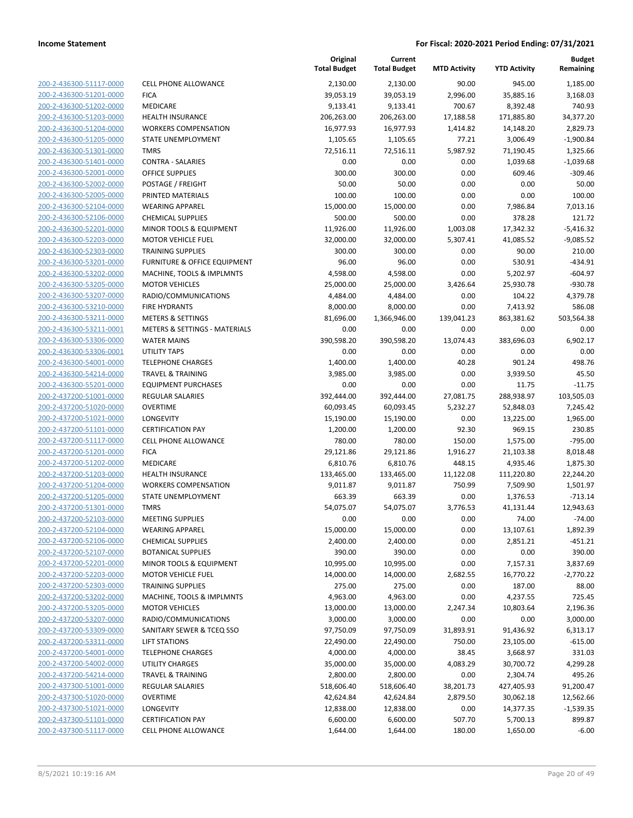| 200-2-436300-51117-0000                            | <b>CELL PI</b>               |
|----------------------------------------------------|------------------------------|
| 200-2-436300-51201-0000                            | FICA                         |
| 200-2-436300-51202-0000                            | MEDIC.                       |
| 200-2-436300-51203-0000                            | <b>HEALTI</b>                |
| 200-2-436300-51204-0000                            | WORKI                        |
| 200-2-436300-51205-0000                            | STATE                        |
| 200-2-436300-51301-0000                            | TMRS                         |
| 200-2-436300-51401-0000                            | <b>CONTR</b>                 |
| 200-2-436300-52001-0000                            | OFFICE                       |
| 200-2-436300-52002-0000                            | <b>POSTA</b>                 |
| 200-2-436300-52005-0000                            | <b>PRINTE</b>                |
| 200-2-436300-52104-0000                            | WEARI                        |
| 200-2-436300-52106-0000                            | <b>CHEMI</b>                 |
| 200-2-436300-52201-0000                            | MINOR                        |
| 200-2-436300-52203-0000                            | MOTOI                        |
| 200-2-436300-52303-0000                            | TRAINI                       |
| 200-2-436300-53201-0000                            | <b>FURNIT</b>                |
| 200-2-436300-53202-0000                            | <b>MACHI</b>                 |
| 200-2-436300-53205-0000                            | MOTOI                        |
| 200-2-436300-53207-0000                            | RADIO,                       |
| 200-2-436300-53210-0000                            | FIRE HY                      |
| 200-2-436300-53211-0000                            | METER                        |
| 200-2-436300-53211-0001                            | <b>METER</b>                 |
| 200-2-436300-53306-0000                            | WATEF                        |
| 200-2-436300-53306-0001                            | UTILITY                      |
| 200-2-436300-54001-0000                            | <b>TELEPH</b>                |
| 200-2-436300-54214-0000                            | <b>TRAVEI</b>                |
| 200-2-436300-55201-0000                            | <b>EQUIPI</b>                |
| 200-2-437200-51001-0000                            | <b>REGUL</b>                 |
| 200-2-437200-51020-0000                            | OVERT                        |
| 200-2-437200-51021-0000                            | LONGE                        |
| 200-2-437200-51101-0000                            | <b>CERTIF</b>                |
| 200-2-437200-51117-0000                            | <b>CELL PI</b>               |
| 200-2-437200-51201-0000                            | <b>FICA</b>                  |
| 200-2-437200-51202-0000                            | MEDIC.                       |
| 200-2-437200-51203-0000                            | HEALTI                       |
| 200-2-437200-51204-0000                            | WORKI                        |
| 200-2-437200-51205-0000                            | <b>STATE</b>                 |
| 200-2-437200-51301-0000                            | <b>TMRS</b>                  |
| 200-2-437200-52103-0000                            | MEETII                       |
| 200-2-437200-52104-0000                            | WEARI                        |
| 200-2-437200-52106-0000                            | <b>CHEMI</b><br><b>BOTAN</b> |
| 200-2-437200-52107-0000                            | <b>MINOR</b>                 |
| 200-2-437200-52201-0000<br>200-2-437200-52203-0000 | MOTOI                        |
| 200-2-437200-52303-0000                            | <b>TRAINI</b>                |
| 200-2-437200-53202-0000                            | MACHI                        |
| 200-2-437200-53205-0000                            | MOTOI                        |
| 200-2-437200-53207-0000                            | RADIO,                       |
| 200-2-437200-53309-0000                            | SANITA                       |
| 200-2-437200-53311-0000                            | LIFT ST                      |
| 200-2-437200-54001-0000                            | <b>TELEPH</b>                |
| 200-2-437200-54002-0000                            | UTILITY                      |
| 200-2-437200-54214-0000                            | <b>TRAVEI</b>                |
| 200-2-437300-51001-0000                            | REGUL                        |
| 200-2-437300-51020-0000                            | OVERT                        |
| 200-2-437300-51021-0000                            | LONGE                        |
| 200-2-437300-51101-0000                            | <b>CERTIF</b>                |
| 200-2-437300-51117-0000                            | CELL PI                      |
|                                                    |                              |

|                                                    |                                          | Original<br><b>Total Budget</b> | Current<br><b>Total Budget</b> | <b>MTD Activity</b> | <b>YTD Activity</b> | <b>Budget</b><br>Remaining |
|----------------------------------------------------|------------------------------------------|---------------------------------|--------------------------------|---------------------|---------------------|----------------------------|
| 200-2-436300-51117-0000                            | <b>CELL PHONE ALLOWANCE</b>              | 2,130.00                        | 2,130.00                       | 90.00               | 945.00              | 1,185.00                   |
| 200-2-436300-51201-0000                            | <b>FICA</b>                              | 39,053.19                       | 39,053.19                      | 2,996.00            | 35,885.16           | 3,168.03                   |
| 200-2-436300-51202-0000                            | MEDICARE                                 | 9,133.41                        | 9,133.41                       | 700.67              | 8,392.48            | 740.93                     |
| 200-2-436300-51203-0000                            | HEALTH INSURANCE                         | 206,263.00                      | 206,263.00                     | 17,188.58           | 171,885.80          | 34,377.20                  |
| 200-2-436300-51204-0000                            | <b>WORKERS COMPENSATION</b>              | 16,977.93                       | 16,977.93                      | 1,414.82            | 14,148.20           | 2,829.73                   |
| 200-2-436300-51205-0000                            | STATE UNEMPLOYMENT                       | 1,105.65                        | 1,105.65                       | 77.21               | 3,006.49            | $-1,900.84$                |
| 200-2-436300-51301-0000                            | <b>TMRS</b>                              | 72,516.11                       | 72,516.11                      | 5,987.92            | 71,190.45           | 1,325.66                   |
| 200-2-436300-51401-0000                            | <b>CONTRA - SALARIES</b>                 | 0.00                            | 0.00                           | 0.00                | 1,039.68            | $-1,039.68$                |
| 200-2-436300-52001-0000                            | <b>OFFICE SUPPLIES</b>                   | 300.00                          | 300.00                         | 0.00                | 609.46              | $-309.46$                  |
| 200-2-436300-52002-0000                            | POSTAGE / FREIGHT                        | 50.00                           | 50.00                          | 0.00                | 0.00                | 50.00                      |
| 200-2-436300-52005-0000                            | PRINTED MATERIALS                        | 100.00                          | 100.00                         | 0.00                | 0.00                | 100.00                     |
| 200-2-436300-52104-0000                            | <b>WEARING APPAREL</b>                   | 15,000.00                       | 15,000.00                      | 0.00                | 7,986.84            | 7,013.16                   |
| 200-2-436300-52106-0000                            | <b>CHEMICAL SUPPLIES</b>                 | 500.00                          | 500.00                         | 0.00                | 378.28              | 121.72                     |
| 200-2-436300-52201-0000                            | MINOR TOOLS & EQUIPMENT                  | 11,926.00                       | 11,926.00                      | 1,003.08            | 17,342.32           | $-5,416.32$                |
| 200-2-436300-52203-0000                            | <b>MOTOR VEHICLE FUEL</b>                | 32,000.00                       | 32,000.00                      | 5,307.41            | 41,085.52           | $-9,085.52$                |
| 200-2-436300-52303-0000                            | <b>TRAINING SUPPLIES</b>                 | 300.00                          | 300.00                         | 0.00                | 90.00               | 210.00                     |
| 200-2-436300-53201-0000                            | <b>FURNITURE &amp; OFFICE EQUIPMENT</b>  | 96.00                           | 96.00                          | 0.00                | 530.91              | $-434.91$                  |
| 200-2-436300-53202-0000                            | MACHINE, TOOLS & IMPLMNTS                | 4,598.00                        | 4,598.00                       | 0.00                | 5,202.97            | $-604.97$                  |
| 200-2-436300-53205-0000                            | <b>MOTOR VEHICLES</b>                    | 25,000.00                       | 25,000.00                      | 3,426.64            | 25,930.78           | $-930.78$                  |
| 200-2-436300-53207-0000                            | RADIO/COMMUNICATIONS                     | 4,484.00                        | 4,484.00                       | 0.00                | 104.22              | 4,379.78                   |
| 200-2-436300-53210-0000                            | <b>FIRE HYDRANTS</b>                     | 8,000.00                        | 8,000.00                       | 0.00                | 7,413.92            | 586.08                     |
| 200-2-436300-53211-0000                            | <b>METERS &amp; SETTINGS</b>             | 81,696.00                       | 1,366,946.00                   | 139,041.23          | 863,381.62          | 503,564.38                 |
| 200-2-436300-53211-0001                            | <b>METERS &amp; SETTINGS - MATERIALS</b> | 0.00                            | 0.00                           | 0.00                | 0.00                | 0.00                       |
| 200-2-436300-53306-0000<br>200-2-436300-53306-0001 | <b>WATER MAINS</b><br>UTILITY TAPS       | 390,598.20<br>0.00              | 390,598.20                     | 13,074.43           | 383,696.03          | 6,902.17<br>0.00           |
| 200-2-436300-54001-0000                            | <b>TELEPHONE CHARGES</b>                 | 1,400.00                        | 0.00<br>1,400.00               | 0.00<br>40.28       | 0.00<br>901.24      | 498.76                     |
| 200-2-436300-54214-0000                            | <b>TRAVEL &amp; TRAINING</b>             | 3,985.00                        | 3,985.00                       | 0.00                | 3,939.50            | 45.50                      |
| 200-2-436300-55201-0000                            | <b>EQUIPMENT PURCHASES</b>               | 0.00                            | 0.00                           | 0.00                | 11.75               | $-11.75$                   |
| 200-2-437200-51001-0000                            | REGULAR SALARIES                         | 392,444.00                      | 392,444.00                     | 27,081.75           | 288,938.97          | 103,505.03                 |
| 200-2-437200-51020-0000                            | <b>OVERTIME</b>                          | 60,093.45                       | 60,093.45                      | 5,232.27            | 52,848.03           | 7,245.42                   |
| 200-2-437200-51021-0000                            | LONGEVITY                                | 15,190.00                       | 15,190.00                      | 0.00                | 13,225.00           | 1,965.00                   |
| 200-2-437200-51101-0000                            | <b>CERTIFICATION PAY</b>                 | 1,200.00                        | 1,200.00                       | 92.30               | 969.15              | 230.85                     |
| 200-2-437200-51117-0000                            | <b>CELL PHONE ALLOWANCE</b>              | 780.00                          | 780.00                         | 150.00              | 1,575.00            | $-795.00$                  |
| 200-2-437200-51201-0000                            | <b>FICA</b>                              | 29,121.86                       | 29,121.86                      | 1,916.27            | 21,103.38           | 8,018.48                   |
| 200-2-437200-51202-0000                            | MEDICARE                                 | 6,810.76                        | 6,810.76                       | 448.15              | 4,935.46            | 1,875.30                   |
| 200-2-437200-51203-0000                            | <b>HEALTH INSURANCE</b>                  | 133,465.00                      | 133,465.00                     | 11,122.08           | 111,220.80          | 22,244.20                  |
| 200-2-437200-51204-0000                            | <b>WORKERS COMPENSATION</b>              | 9,011.87                        | 9,011.87                       | 750.99              | 7,509.90            | 1,501.97                   |
| 200-2-437200-51205-0000                            | STATE UNEMPLOYMENT                       | 663.39                          | 663.39                         | 0.00                | 1,376.53            | $-713.14$                  |
| 200-2-437200-51301-0000                            | TMRS                                     | 54,075.07                       | 54,075.07                      | 3,776.53            | 41,131.44           | 12,943.63                  |
| 200-2-437200-52103-0000                            | <b>MEETING SUPPLIES</b>                  | 0.00                            | 0.00                           | 0.00                | 74.00               | $-74.00$                   |
| 200-2-437200-52104-0000                            | <b>WEARING APPAREL</b>                   | 15,000.00                       | 15,000.00                      | 0.00                | 13,107.61           | 1,892.39                   |
| 200-2-437200-52106-0000                            | <b>CHEMICAL SUPPLIES</b>                 | 2,400.00                        | 2,400.00                       | 0.00                | 2,851.21            | $-451.21$                  |
| 200-2-437200-52107-0000                            | <b>BOTANICAL SUPPLIES</b>                | 390.00                          | 390.00                         | 0.00                | 0.00                | 390.00                     |
| 200-2-437200-52201-0000                            | MINOR TOOLS & EQUIPMENT                  | 10,995.00                       | 10,995.00                      | 0.00                | 7,157.31            | 3,837.69                   |
| 200-2-437200-52203-0000                            | <b>MOTOR VEHICLE FUEL</b>                | 14,000.00                       | 14,000.00                      | 2,682.55            | 16,770.22           | $-2,770.22$                |
| 200-2-437200-52303-0000                            | <b>TRAINING SUPPLIES</b>                 | 275.00                          | 275.00                         | 0.00                | 187.00              | 88.00                      |
| 200-2-437200-53202-0000                            | MACHINE, TOOLS & IMPLMNTS                | 4,963.00                        | 4,963.00                       | 0.00                | 4,237.55            | 725.45                     |
| 200-2-437200-53205-0000                            | <b>MOTOR VEHICLES</b>                    | 13,000.00                       | 13,000.00                      | 2,247.34            | 10,803.64           | 2,196.36                   |
| 200-2-437200-53207-0000                            | RADIO/COMMUNICATIONS                     | 3,000.00                        | 3,000.00                       | 0.00                | 0.00                | 3,000.00                   |
| 200-2-437200-53309-0000                            | SANITARY SEWER & TCEQ SSO                | 97,750.09                       | 97,750.09                      | 31,893.91           | 91,436.92           | 6,313.17                   |
| 200-2-437200-53311-0000                            | <b>LIFT STATIONS</b>                     | 22,490.00                       | 22,490.00                      | 750.00              | 23,105.00           | $-615.00$                  |
| 200-2-437200-54001-0000                            | <b>TELEPHONE CHARGES</b>                 | 4,000.00                        | 4,000.00                       | 38.45               | 3,668.97            | 331.03                     |
| 200-2-437200-54002-0000                            | <b>UTILITY CHARGES</b>                   | 35,000.00                       | 35,000.00                      | 4,083.29            | 30,700.72           | 4,299.28                   |
| 200-2-437200-54214-0000                            | <b>TRAVEL &amp; TRAINING</b>             | 2,800.00                        | 2,800.00                       | 0.00                | 2,304.74            | 495.26                     |
| 200-2-437300-51001-0000                            | REGULAR SALARIES                         | 518,606.40                      | 518,606.40                     | 38,201.73           | 427,405.93          | 91,200.47                  |
| 200-2-437300-51020-0000                            | <b>OVERTIME</b>                          | 42,624.84                       | 42,624.84                      | 2,879.50            | 30,062.18           | 12,562.66                  |
| 200-2-437300-51021-0000                            | LONGEVITY                                | 12,838.00                       | 12,838.00                      | 0.00                | 14,377.35           | $-1,539.35$                |
| 200-2-437300-51101-0000                            | <b>CERTIFICATION PAY</b>                 | 6,600.00                        | 6,600.00                       | 507.70              | 5,700.13            | 899.87                     |
| 200-2-437300-51117-0000                            | CELL PHONE ALLOWANCE                     | 1,644.00                        | 1,644.00                       | 180.00              | 1,650.00            | $-6.00$                    |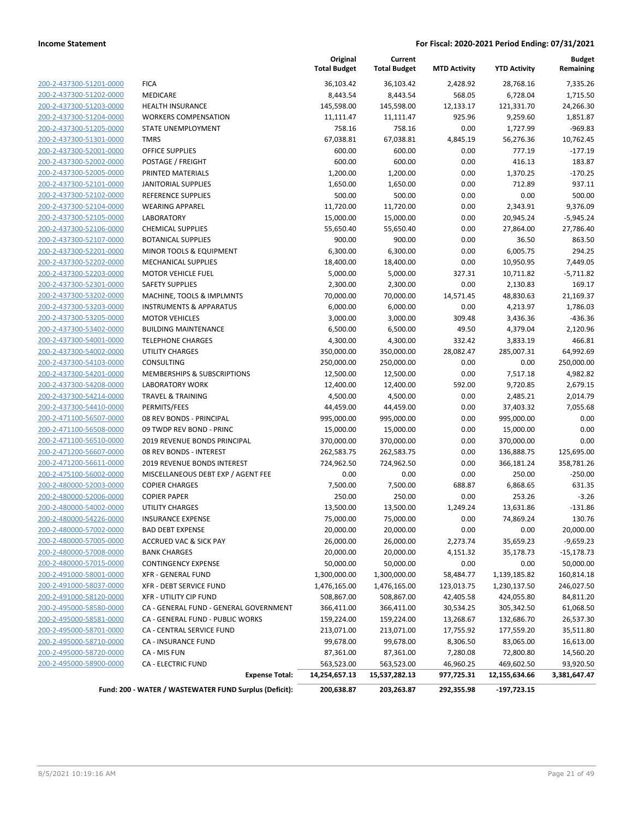**Current**

**Original**

**Budget**

|                                |                                                        | <b>Total Budget</b> | <b>Total Budget</b> | <b>MTD Activity</b> | <b>YTD Activity</b> | Remaining    |
|--------------------------------|--------------------------------------------------------|---------------------|---------------------|---------------------|---------------------|--------------|
| 200-2-437300-51201-0000        | <b>FICA</b>                                            | 36,103.42           | 36,103.42           | 2,428.92            | 28,768.16           | 7,335.26     |
| 200-2-437300-51202-0000        | MEDICARE                                               | 8,443.54            | 8,443.54            | 568.05              | 6,728.04            | 1,715.50     |
| 200-2-437300-51203-0000        | <b>HEALTH INSURANCE</b>                                | 145,598.00          | 145,598.00          | 12,133.17           | 121,331.70          | 24,266.30    |
| 200-2-437300-51204-0000        | <b>WORKERS COMPENSATION</b>                            | 11,111.47           | 11,111.47           | 925.96              | 9,259.60            | 1,851.87     |
| 200-2-437300-51205-0000        | STATE UNEMPLOYMENT                                     | 758.16              | 758.16              | 0.00                | 1,727.99            | $-969.83$    |
| 200-2-437300-51301-0000        | <b>TMRS</b>                                            | 67,038.81           | 67,038.81           | 4,845.19            | 56,276.36           | 10,762.45    |
| 200-2-437300-52001-0000        | OFFICE SUPPLIES                                        | 600.00              | 600.00              | 0.00                | 777.19              | $-177.19$    |
| 200-2-437300-52002-0000        | POSTAGE / FREIGHT                                      | 600.00              | 600.00              | 0.00                | 416.13              | 183.87       |
| 200-2-437300-52005-0000        | PRINTED MATERIALS                                      | 1,200.00            | 1,200.00            | 0.00                | 1,370.25            | $-170.25$    |
| 200-2-437300-52101-0000        | <b>JANITORIAL SUPPLIES</b>                             | 1,650.00            | 1,650.00            | 0.00                | 712.89              | 937.11       |
| 200-2-437300-52102-0000        | <b>REFERENCE SUPPLIES</b>                              | 500.00              | 500.00              | 0.00                | 0.00                | 500.00       |
| 200-2-437300-52104-0000        | <b>WEARING APPAREL</b>                                 | 11,720.00           | 11,720.00           | 0.00                | 2,343.91            | 9,376.09     |
| 200-2-437300-52105-0000        | <b>LABORATORY</b>                                      | 15,000.00           | 15,000.00           | 0.00                | 20,945.24           | $-5,945.24$  |
| 200-2-437300-52106-0000        | <b>CHEMICAL SUPPLIES</b>                               | 55,650.40           | 55,650.40           | 0.00                | 27,864.00           | 27,786.40    |
| 200-2-437300-52107-0000        | <b>BOTANICAL SUPPLIES</b>                              | 900.00              | 900.00              | 0.00                | 36.50               | 863.50       |
| 200-2-437300-52201-0000        | MINOR TOOLS & EQUIPMENT                                | 6,300.00            | 6,300.00            | 0.00                | 6,005.75            | 294.25       |
| 200-2-437300-52202-0000        | MECHANICAL SUPPLIES                                    | 18,400.00           | 18,400.00           | 0.00                | 10,950.95           | 7,449.05     |
| 200-2-437300-52203-0000        | <b>MOTOR VEHICLE FUEL</b>                              | 5,000.00            | 5,000.00            | 327.31              | 10,711.82           | $-5,711.82$  |
| 200-2-437300-52301-0000        | <b>SAFETY SUPPLIES</b>                                 | 2,300.00            | 2,300.00            | 0.00                | 2,130.83            | 169.17       |
| 200-2-437300-53202-0000        | MACHINE, TOOLS & IMPLMNTS                              | 70,000.00           | 70,000.00           | 14,571.45           | 48,830.63           | 21,169.37    |
| 200-2-437300-53203-0000        | <b>INSTRUMENTS &amp; APPARATUS</b>                     | 6,000.00            | 6,000.00            | 0.00                | 4,213.97            | 1,786.03     |
| 200-2-437300-53205-0000        | <b>MOTOR VEHICLES</b>                                  | 3,000.00            | 3,000.00            | 309.48              | 3,436.36            | $-436.36$    |
| 200-2-437300-53402-0000        | <b>BUILDING MAINTENANCE</b>                            | 6,500.00            | 6,500.00            | 49.50               | 4,379.04            | 2,120.96     |
| 200-2-437300-54001-0000        | <b>TELEPHONE CHARGES</b>                               | 4,300.00            | 4,300.00            | 332.42              | 3,833.19            | 466.81       |
| 200-2-437300-54002-0000        | <b>UTILITY CHARGES</b>                                 | 350,000.00          | 350,000.00          | 28,082.47           | 285,007.31          | 64,992.69    |
| 200-2-437300-54103-0000        | CONSULTING                                             | 250,000.00          | 250,000.00          | 0.00                | 0.00                | 250,000.00   |
| 200-2-437300-54201-0000        | MEMBERSHIPS & SUBSCRIPTIONS                            | 12,500.00           | 12,500.00           | 0.00                | 7,517.18            | 4,982.82     |
| 200-2-437300-54208-0000        | <b>LABORATORY WORK</b>                                 | 12,400.00           | 12,400.00           | 592.00              | 9,720.85            | 2,679.15     |
| 200-2-437300-54214-0000        | <b>TRAVEL &amp; TRAINING</b>                           | 4,500.00            | 4,500.00            | 0.00                | 2,485.21            | 2,014.79     |
| 200-2-437300-54410-0000        | PERMITS/FEES                                           | 44,459.00           | 44,459.00           | 0.00                | 37,403.32           | 7,055.68     |
| 200-2-471100-56507-0000        | 08 REV BONDS - PRINCIPAL                               | 995,000.00          | 995,000.00          | 0.00                | 995,000.00          | 0.00         |
| 200-2-471100-56508-0000        | 09 TWDP REV BOND - PRINC                               | 15,000.00           | 15,000.00           | 0.00                | 15,000.00           | 0.00         |
| 200-2-471100-56510-0000        | 2019 REVENUE BONDS PRINCIPAL                           | 370,000.00          | 370,000.00          | 0.00                | 370,000.00          | 0.00         |
| 200-2-471200-56607-0000        | 08 REV BONDS - INTEREST                                | 262,583.75          | 262,583.75          | 0.00                | 136,888.75          | 125,695.00   |
| 200-2-471200-56611-0000        | 2019 REVENUE BONDS INTEREST                            | 724,962.50          | 724,962.50          | 0.00                | 366,181.24          | 358,781.26   |
| 200-2-475100-56002-0000        | MISCELLANEOUS DEBT EXP / AGENT FEE                     | 0.00                | 0.00                | 0.00                | 250.00              | $-250.00$    |
| 200-2-480000-52003-0000        | <b>COPIER CHARGES</b>                                  | 7,500.00            | 7,500.00            | 688.87              | 6,868.65            | 631.35       |
| 200-2-480000-52006-0000        | <b>COPIER PAPER</b>                                    | 250.00              | 250.00              | 0.00                | 253.26              | $-3.26$      |
| 200-2-480000-54002-0000        | <b>UTILITY CHARGES</b>                                 | 13,500.00           | 13,500.00           | 1,249.24            | 13,631.86           | $-131.86$    |
| 200-2-480000-54226-0000        | <b>INSURANCE EXPENSE</b>                               | 75,000.00           | 75,000.00           | 0.00                | 74,869.24           | 130.76       |
| <u>200-2-480000-57002-0000</u> | <b>BAD DEBT EXPENSE</b>                                | 20,000.00           | 20,000.00           | 0.00                | 0.00                | 20,000.00    |
| 200-2-480000-57005-0000        | ACCRUED VAC & SICK PAY                                 | 26,000.00           | 26,000.00           | 2,273.74            | 35,659.23           | $-9,659.23$  |
| 200-2-480000-57008-0000        | <b>BANK CHARGES</b>                                    | 20,000.00           | 20,000.00           | 4,151.32            | 35,178.73           | $-15,178.73$ |
| 200-2-480000-57015-0000        | <b>CONTINGENCY EXPENSE</b>                             | 50,000.00           | 50,000.00           | 0.00                | 0.00                | 50,000.00    |
| 200-2-491000-58001-0000        | XFR - GENERAL FUND                                     | 1,300,000.00        | 1,300,000.00        | 58,484.77           | 1,139,185.82        | 160,814.18   |
| 200-2-491000-58037-0000        | XFR - DEBT SERVICE FUND                                | 1,476,165.00        | 1,476,165.00        | 123,013.75          | 1,230,137.50        | 246,027.50   |
| 200-2-491000-58120-0000        | <b>XFR - UTILITY CIP FUND</b>                          | 508,867.00          | 508,867.00          | 42,405.58           | 424,055.80          | 84,811.20    |
| 200-2-495000-58580-0000        | CA - GENERAL FUND - GENERAL GOVERNMENT                 | 366,411.00          | 366,411.00          | 30,534.25           | 305,342.50          | 61,068.50    |
| 200-2-495000-58581-0000        | CA - GENERAL FUND - PUBLIC WORKS                       | 159,224.00          | 159,224.00          | 13,268.67           | 132,686.70          | 26,537.30    |
| 200-2-495000-58701-0000        | CA - CENTRAL SERVICE FUND                              | 213,071.00          | 213,071.00          | 17,755.92           | 177,559.20          | 35,511.80    |
| 200-2-495000-58710-0000        | CA - INSURANCE FUND                                    | 99,678.00           | 99,678.00           | 8,306.50            | 83,065.00           | 16,613.00    |
| 200-2-495000-58720-0000        | CA - MIS FUN                                           | 87,361.00           | 87,361.00           | 7,280.08            | 72,800.80           | 14,560.20    |
| 200-2-495000-58900-0000        | CA - ELECTRIC FUND                                     | 563,523.00          | 563,523.00          | 46,960.25           | 469,602.50          | 93,920.50    |
|                                | <b>Expense Total:</b>                                  | 14,254,657.13       | 15,537,282.13       | 977,725.31          | 12,155,634.66       | 3,381,647.47 |
|                                |                                                        |                     |                     |                     |                     |              |
|                                | Fund: 200 - WATER / WASTEWATER FUND Surplus (Deficit): | 200,638.87          | 203,263.87          | 292,355.98          | $-197,723.15$       |              |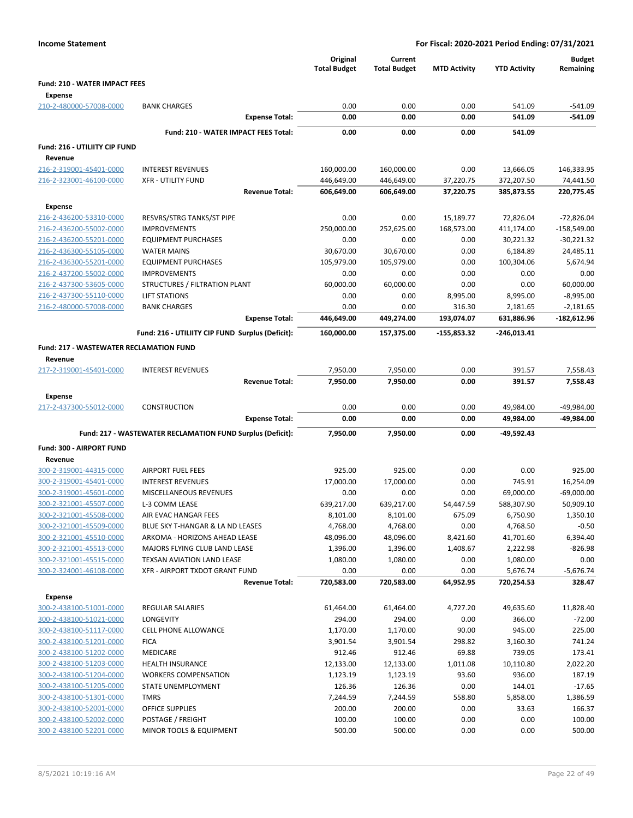| <b>Income Statement</b>                            |                                                             | For Fiscal: 2020-2021 Period Ending: 07/31/2021 |                                |                     |                        |                            |  |
|----------------------------------------------------|-------------------------------------------------------------|-------------------------------------------------|--------------------------------|---------------------|------------------------|----------------------------|--|
|                                                    |                                                             | Original<br><b>Total Budget</b>                 | Current<br><b>Total Budget</b> | <b>MTD Activity</b> | <b>YTD Activity</b>    | <b>Budget</b><br>Remaining |  |
| <b>Fund: 210 - WATER IMPACT FEES</b>               |                                                             |                                                 |                                |                     |                        |                            |  |
| <b>Expense</b>                                     |                                                             |                                                 |                                |                     |                        |                            |  |
| 210-2-480000-57008-0000                            | <b>BANK CHARGES</b>                                         | 0.00                                            | 0.00                           | 0.00                | 541.09                 | $-541.09$                  |  |
|                                                    | <b>Expense Total:</b>                                       | 0.00                                            | 0.00                           | 0.00                | 541.09                 | -541.09                    |  |
|                                                    | Fund: 210 - WATER IMPACT FEES Total:                        | 0.00                                            | 0.00                           | 0.00                | 541.09                 |                            |  |
| Fund: 216 - UTILIITY CIP FUND                      |                                                             |                                                 |                                |                     |                        |                            |  |
| Revenue                                            |                                                             |                                                 |                                |                     |                        |                            |  |
| 216-2-319001-45401-0000                            | <b>INTEREST REVENUES</b>                                    | 160,000.00                                      | 160,000.00                     | 0.00                | 13,666.05              | 146,333.95                 |  |
| 216-2-323001-46100-0000                            | <b>XFR - UTILITY FUND</b>                                   | 446,649.00                                      | 446,649.00                     | 37,220.75           | 372,207.50             | 74,441.50                  |  |
|                                                    | <b>Revenue Total:</b>                                       | 606,649.00                                      | 606,649.00                     | 37,220.75           | 385,873.55             | 220,775.45                 |  |
| <b>Expense</b>                                     |                                                             |                                                 |                                |                     |                        |                            |  |
| 216-2-436200-53310-0000                            | RESVRS/STRG TANKS/ST PIPE                                   | 0.00                                            | 0.00                           | 15,189.77           | 72,826.04              | $-72,826.04$               |  |
| 216-2-436200-55002-0000                            | <b>IMPROVEMENTS</b>                                         | 250,000.00                                      | 252,625.00                     | 168,573.00          | 411,174.00             | $-158,549.00$              |  |
| 216-2-436200-55201-0000                            | <b>EQUIPMENT PURCHASES</b>                                  | 0.00                                            | 0.00                           | 0.00<br>0.00        | 30,221.32              | $-30,221.32$               |  |
| 216-2-436300-55105-0000<br>216-2-436300-55201-0000 | <b>WATER MAINS</b><br><b>EQUIPMENT PURCHASES</b>            | 30,670.00<br>105,979.00                         | 30,670.00<br>105,979.00        | 0.00                | 6,184.89<br>100,304.06 | 24,485.11<br>5,674.94      |  |
| 216-2-437200-55002-0000                            | <b>IMPROVEMENTS</b>                                         | 0.00                                            | 0.00                           | 0.00                | 0.00                   | 0.00                       |  |
| 216-2-437300-53605-0000                            | STRUCTURES / FILTRATION PLANT                               | 60,000.00                                       | 60,000.00                      | 0.00                | 0.00                   | 60,000.00                  |  |
| 216-2-437300-55110-0000                            | <b>LIFT STATIONS</b>                                        | 0.00                                            | 0.00                           | 8,995.00            | 8,995.00               | $-8,995.00$                |  |
| 216-2-480000-57008-0000                            | <b>BANK CHARGES</b>                                         | 0.00                                            | 0.00                           | 316.30              | 2,181.65               | $-2,181.65$                |  |
|                                                    | <b>Expense Total:</b>                                       | 446,649.00                                      | 449,274.00                     | 193,074.07          | 631,886.96             | $-182,612.96$              |  |
|                                                    | Fund: 216 - UTILIITY CIP FUND Surplus (Deficit):            | 160,000.00                                      | 157,375.00                     | $-155,853.32$       | $-246,013.41$          |                            |  |
| <b>Fund: 217 - WASTEWATER RECLAMATION FUND</b>     |                                                             |                                                 |                                |                     |                        |                            |  |
| Revenue<br>217-2-319001-45401-0000                 | <b>INTEREST REVENUES</b>                                    | 7,950.00                                        | 7,950.00                       | 0.00                | 391.57                 | 7,558.43                   |  |
|                                                    | <b>Revenue Total:</b>                                       | 7,950.00                                        | 7,950.00                       | 0.00                | 391.57                 | 7,558.43                   |  |
| <b>Expense</b>                                     |                                                             |                                                 |                                |                     |                        |                            |  |
| 217-2-437300-55012-0000                            | <b>CONSTRUCTION</b>                                         | 0.00                                            | 0.00                           | 0.00                | 49,984.00              | -49,984.00                 |  |
|                                                    | <b>Expense Total:</b>                                       | 0.00                                            | 0.00                           | 0.00                | 49,984.00              | -49,984.00                 |  |
|                                                    | Fund: 217 - WASTEWATER RECLAMATION FUND Surplus (Deficit):  | 7,950.00                                        | 7,950.00                       | 0.00                | -49,592.43             |                            |  |
| Fund: 300 - AIRPORT FUND                           |                                                             |                                                 |                                |                     |                        |                            |  |
| Revenue                                            |                                                             |                                                 |                                |                     |                        |                            |  |
| 300-2-319001-44315-0000                            | AIRPORT FUEL FEES                                           | 925.00                                          | 925.00                         | 0.00                | 0.00                   | 925.00                     |  |
| 300-2-319001-45401-0000                            | <b>INTEREST REVENUES</b>                                    | 17,000.00                                       | 17,000.00                      | 0.00                | 745.91                 | 16,254.09                  |  |
| 300-2-319001-45601-0000                            | MISCELLANEOUS REVENUES                                      | 0.00                                            | 0.00                           | 0.00                | 69,000.00              | $-69,000.00$               |  |
| 300-2-321001-45507-0000                            | L-3 COMM LEASE                                              | 639,217.00                                      | 639,217.00                     | 54,447.59           | 588,307.90             | 50,909.10                  |  |
| 300-2-321001-45508-0000                            | AIR EVAC HANGAR FEES                                        | 8,101.00                                        | 8,101.00                       | 675.09              | 6,750.90               | 1,350.10                   |  |
| 300-2-321001-45509-0000                            | BLUE SKY T-HANGAR & LA ND LEASES                            | 4,768.00                                        | 4,768.00                       | 0.00                | 4,768.50               | $-0.50$                    |  |
| 300-2-321001-45510-0000                            | ARKOMA - HORIZONS AHEAD LEASE                               | 48,096.00                                       | 48,096.00                      | 8,421.60            | 41,701.60              | 6,394.40                   |  |
| 300-2-321001-45513-0000<br>300-2-321001-45515-0000 | MAJORS FLYING CLUB LAND LEASE<br>TEXSAN AVIATION LAND LEASE | 1,396.00<br>1,080.00                            | 1,396.00<br>1,080.00           | 1,408.67<br>0.00    | 2,222.98<br>1,080.00   | $-826.98$<br>0.00          |  |
| 300-2-324001-46108-0000                            | XFR - AIRPORT TXDOT GRANT FUND                              | 0.00                                            | 0.00                           | 0.00                | 5,676.74               | $-5,676.74$                |  |
|                                                    | <b>Revenue Total:</b>                                       | 720,583.00                                      | 720,583.00                     | 64,952.95           | 720,254.53             | 328.47                     |  |
| <b>Expense</b>                                     |                                                             |                                                 |                                |                     |                        |                            |  |
| 300-2-438100-51001-0000                            | REGULAR SALARIES                                            | 61,464.00                                       | 61,464.00                      | 4,727.20            | 49,635.60              | 11,828.40                  |  |
| 300-2-438100-51021-0000                            | <b>LONGEVITY</b>                                            | 294.00                                          | 294.00                         | 0.00                | 366.00                 | $-72.00$                   |  |
| 300-2-438100-51117-0000                            | <b>CELL PHONE ALLOWANCE</b>                                 | 1,170.00                                        | 1,170.00                       | 90.00               | 945.00                 | 225.00                     |  |
| 300-2-438100-51201-0000                            | <b>FICA</b>                                                 | 3,901.54                                        | 3,901.54                       | 298.82              | 3,160.30               | 741.24                     |  |
| 300-2-438100-51202-0000                            | MEDICARE                                                    | 912.46                                          | 912.46                         | 69.88               | 739.05                 | 173.41                     |  |
| 300-2-438100-51203-0000                            | <b>HEALTH INSURANCE</b>                                     | 12,133.00                                       | 12,133.00                      | 1,011.08            | 10,110.80              | 2,022.20                   |  |
| 300-2-438100-51204-0000                            | <b>WORKERS COMPENSATION</b>                                 | 1,123.19                                        | 1,123.19                       | 93.60               | 936.00                 | 187.19                     |  |
| 300-2-438100-51205-0000                            | STATE UNEMPLOYMENT                                          | 126.36                                          | 126.36                         | 0.00                | 144.01                 | $-17.65$                   |  |
| 300-2-438100-51301-0000                            | <b>TMRS</b>                                                 | 7,244.59                                        | 7,244.59                       | 558.80              | 5,858.00               | 1,386.59                   |  |
| 300-2-438100-52001-0000                            | OFFICE SUPPLIES                                             | 200.00                                          | 200.00                         | 0.00                | 33.63                  | 166.37                     |  |
| 300-2-438100-52002-0000                            | POSTAGE / FREIGHT                                           | 100.00                                          | 100.00                         | 0.00                | 0.00                   | 100.00                     |  |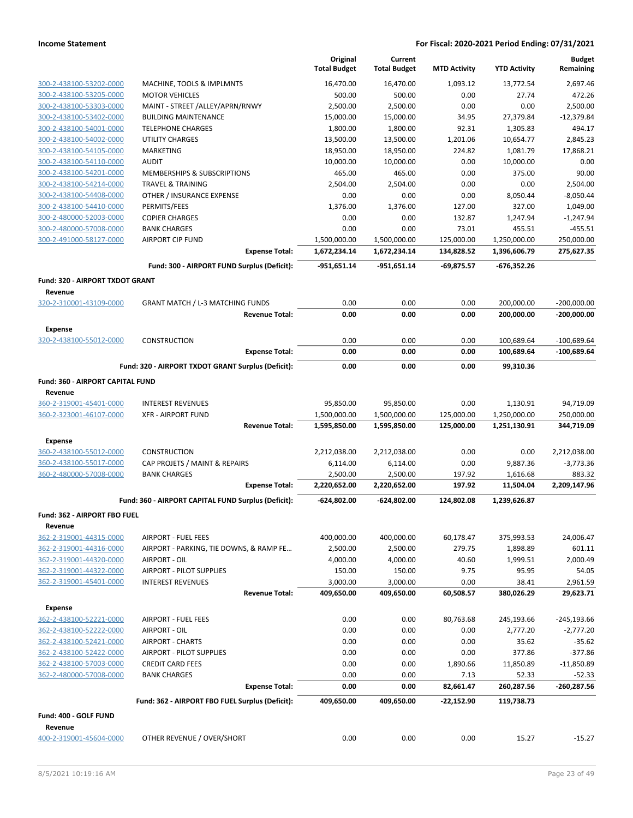|                                                    |                                                        | Original<br><b>Total Budget</b> | Current<br><b>Total Budget</b> | <b>MTD Activity</b> | <b>YTD Activity</b>   | <b>Budget</b><br>Remaining |
|----------------------------------------------------|--------------------------------------------------------|---------------------------------|--------------------------------|---------------------|-----------------------|----------------------------|
| 300-2-438100-53202-0000                            | MACHINE, TOOLS & IMPLMNTS                              | 16,470.00                       | 16,470.00                      | 1,093.12            | 13,772.54             | 2,697.46                   |
| 300-2-438100-53205-0000                            | <b>MOTOR VEHICLES</b>                                  | 500.00                          | 500.00                         | 0.00                | 27.74                 | 472.26                     |
| 300-2-438100-53303-0000                            | MAINT - STREET /ALLEY/APRN/RNWY                        | 2,500.00                        | 2,500.00                       | 0.00                | 0.00                  | 2,500.00                   |
| 300-2-438100-53402-0000                            | <b>BUILDING MAINTENANCE</b>                            | 15,000.00                       | 15,000.00                      | 34.95               | 27,379.84             | $-12,379.84$               |
| 300-2-438100-54001-0000                            | <b>TELEPHONE CHARGES</b>                               | 1,800.00                        | 1,800.00                       | 92.31               | 1,305.83              | 494.17                     |
| 300-2-438100-54002-0000                            | <b>UTILITY CHARGES</b>                                 | 13,500.00                       | 13,500.00                      | 1,201.06            | 10,654.77             | 2,845.23                   |
| 300-2-438100-54105-0000                            | MARKETING                                              | 18,950.00                       | 18,950.00                      | 224.82              | 1,081.79              | 17,868.21                  |
| 300-2-438100-54110-0000                            | <b>AUDIT</b><br><b>MEMBERSHIPS &amp; SUBSCRIPTIONS</b> | 10,000.00                       | 10,000.00                      | 0.00                | 10,000.00             | 0.00                       |
| 300-2-438100-54201-0000<br>300-2-438100-54214-0000 | <b>TRAVEL &amp; TRAINING</b>                           | 465.00<br>2,504.00              | 465.00<br>2,504.00             | 0.00<br>0.00        | 375.00<br>0.00        | 90.00<br>2,504.00          |
| 300-2-438100-54408-0000                            | OTHER / INSURANCE EXPENSE                              | 0.00                            | 0.00                           | 0.00                | 8,050.44              | $-8,050.44$                |
| 300-2-438100-54410-0000                            | PERMITS/FEES                                           | 1,376.00                        | 1,376.00                       | 127.00              | 327.00                | 1,049.00                   |
| 300-2-480000-52003-0000                            | <b>COPIER CHARGES</b>                                  | 0.00                            | 0.00                           | 132.87              | 1,247.94              | $-1,247.94$                |
| 300-2-480000-57008-0000                            | <b>BANK CHARGES</b>                                    | 0.00                            | 0.00                           | 73.01               | 455.51                | $-455.51$                  |
| 300-2-491000-58127-0000                            | <b>AIRPORT CIP FUND</b>                                | 1,500,000.00                    | 1,500,000.00                   | 125,000.00          | 1,250,000.00          | 250,000.00                 |
|                                                    | <b>Expense Total:</b>                                  | 1,672,234.14                    | 1,672,234.14                   | 134,828.52          | 1,396,606.79          | 275,627.35                 |
|                                                    | Fund: 300 - AIRPORT FUND Surplus (Deficit):            | -951,651.14                     | -951,651.14                    | -69,875.57          | $-676,352.26$         |                            |
| Fund: 320 - AIRPORT TXDOT GRANT<br>Revenue         |                                                        |                                 |                                |                     |                       |                            |
| 320-2-310001-43109-0000                            | <b>GRANT MATCH / L-3 MATCHING FUNDS</b>                | 0.00                            | 0.00                           | 0.00                | 200,000.00            | $-200,000.00$              |
|                                                    | <b>Revenue Total:</b>                                  | 0.00                            | 0.00                           | 0.00                | 200,000.00            | $-200,000.00$              |
| <b>Expense</b><br>320-2-438100-55012-0000          | <b>CONSTRUCTION</b>                                    | 0.00                            | 0.00                           | 0.00                | 100,689.64            | $-100,689.64$              |
|                                                    | <b>Expense Total:</b>                                  | 0.00                            | 0.00                           | 0.00                | 100,689.64            | $-100,689.64$              |
|                                                    | Fund: 320 - AIRPORT TXDOT GRANT Surplus (Deficit):     | 0.00                            | 0.00                           | 0.00                | 99,310.36             |                            |
| Fund: 360 - AIRPORT CAPITAL FUND                   |                                                        |                                 |                                |                     |                       |                            |
| Revenue                                            |                                                        |                                 |                                |                     |                       |                            |
| 360-2-319001-45401-0000                            | <b>INTEREST REVENUES</b>                               | 95,850.00                       | 95,850.00                      | 0.00                | 1,130.91              | 94,719.09                  |
| 360-2-323001-46107-0000                            | <b>XFR - AIRPORT FUND</b>                              | 1,500,000.00                    | 1,500,000.00                   | 125,000.00          | 1,250,000.00          | 250,000.00                 |
|                                                    | <b>Revenue Total:</b>                                  | 1,595,850.00                    | 1,595,850.00                   | 125,000.00          | 1,251,130.91          | 344,719.09                 |
| <b>Expense</b>                                     |                                                        |                                 |                                |                     |                       |                            |
| 360-2-438100-55012-0000                            | <b>CONSTRUCTION</b>                                    | 2,212,038.00                    | 2,212,038.00                   | 0.00                | 0.00                  | 2,212,038.00               |
| 360-2-438100-55017-0000                            | CAP PROJETS / MAINT & REPAIRS                          | 6,114.00                        | 6,114.00                       | 0.00                | 9,887.36              | $-3,773.36$                |
| 360-2-480000-57008-0000                            | <b>BANK CHARGES</b><br><b>Expense Total:</b>           | 2,500.00<br>2,220,652.00        | 2,500.00<br>2,220,652.00       | 197.92<br>197.92    | 1,616.68<br>11,504.04 | 883.32<br>2,209,147.96     |
|                                                    | Fund: 360 - AIRPORT CAPITAL FUND Surplus (Deficit):    | -624,802.00                     | -624,802.00                    | 124,802.08          | 1,239,626.87          |                            |
| Fund: 362 - AIRPORT FBO FUEL                       |                                                        |                                 |                                |                     |                       |                            |
| Revenue                                            |                                                        |                                 |                                |                     |                       |                            |
| 362-2-319001-44315-0000                            | <b>AIRPORT - FUEL FEES</b>                             | 400,000.00                      | 400,000.00                     | 60,178.47           | 375,993.53            | 24,006.47                  |
| 362-2-319001-44316-0000                            | AIRPORT - PARKING, TIE DOWNS, & RAMP FE                | 2,500.00                        | 2,500.00                       | 279.75              | 1,898.89              | 601.11                     |
| 362-2-319001-44320-0000                            | AIRPORT - OIL                                          | 4,000.00                        | 4,000.00                       | 40.60               | 1,999.51              | 2,000.49                   |
| 362-2-319001-44322-0000                            | AIRPORT - PILOT SUPPLIES                               | 150.00                          | 150.00                         | 9.75                | 95.95                 | 54.05                      |
| 362-2-319001-45401-0000                            | <b>INTEREST REVENUES</b>                               | 3,000.00                        | 3,000.00                       | 0.00                | 38.41                 | 2,961.59                   |
|                                                    | <b>Revenue Total:</b>                                  | 409,650.00                      | 409,650.00                     | 60,508.57           | 380,026.29            | 29,623.71                  |
| <b>Expense</b>                                     |                                                        |                                 |                                |                     |                       |                            |
| 362-2-438100-52221-0000                            | AIRPORT - FUEL FEES                                    | 0.00                            | 0.00                           | 80,763.68           | 245,193.66            | $-245, 193.66$             |
| 362-2-438100-52222-0000                            | AIRPORT - OIL                                          | 0.00                            | 0.00                           | 0.00                | 2,777.20              | $-2,777.20$                |
| 362-2-438100-52421-0000                            | <b>AIRPORT - CHARTS</b>                                | 0.00                            | 0.00                           | 0.00                | 35.62                 | $-35.62$                   |
| 362-2-438100-52422-0000                            | AIRPORT - PILOT SUPPLIES                               | 0.00                            | 0.00                           | 0.00                | 377.86                | $-377.86$                  |
| 362-2-438100-57003-0000                            | <b>CREDIT CARD FEES</b>                                | 0.00                            | 0.00                           | 1,890.66            | 11,850.89             | $-11,850.89$               |
| 362-2-480000-57008-0000                            | <b>BANK CHARGES</b><br><b>Expense Total:</b>           | 0.00<br>0.00                    | 0.00<br>0.00                   | 7.13<br>82,661.47   | 52.33<br>260,287.56   | $-52.33$<br>-260,287.56    |
|                                                    | Fund: 362 - AIRPORT FBO FUEL Surplus (Deficit):        | 409,650.00                      | 409,650.00                     | -22,152.90          | 119,738.73            |                            |
| Fund: 400 - GOLF FUND                              |                                                        |                                 |                                |                     |                       |                            |
| Revenue                                            |                                                        |                                 |                                |                     |                       |                            |
| 400-2-319001-45604-0000                            | OTHER REVENUE / OVER/SHORT                             | 0.00                            | 0.00                           | 0.00                | 15.27                 | $-15.27$                   |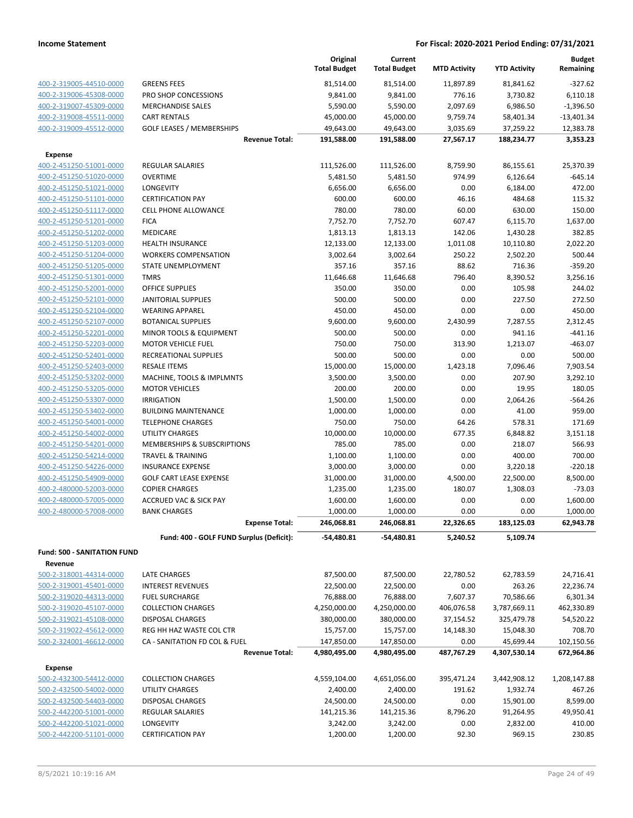|                                                    |                                                        | Original<br><b>Total Budget</b> | Current<br><b>Total Budget</b> | <b>MTD Activity</b> | <b>YTD Activity</b>   | <b>Budget</b><br>Remaining |
|----------------------------------------------------|--------------------------------------------------------|---------------------------------|--------------------------------|---------------------|-----------------------|----------------------------|
| 400-2-319005-44510-0000                            | <b>GREENS FEES</b>                                     | 81,514.00                       | 81,514.00                      | 11,897.89           | 81,841.62             | $-327.62$                  |
| 400-2-319006-45308-0000                            | PRO SHOP CONCESSIONS                                   | 9,841.00                        | 9,841.00                       | 776.16              | 3,730.82              | 6,110.18                   |
| 400-2-319007-45309-0000                            | <b>MERCHANDISE SALES</b>                               | 5,590.00                        | 5,590.00                       | 2,097.69            | 6,986.50              | $-1,396.50$                |
| 400-2-319008-45511-0000                            | <b>CART RENTALS</b>                                    | 45,000.00                       | 45,000.00                      | 9,759.74            | 58,401.34             | $-13,401.34$               |
| 400-2-319009-45512-0000                            | <b>GOLF LEASES / MEMBERSHIPS</b>                       | 49,643.00                       | 49,643.00                      | 3,035.69            | 37,259.22             | 12,383.78                  |
|                                                    | <b>Revenue Total:</b>                                  | 191,588.00                      | 191,588.00                     | 27,567.17           | 188,234.77            | 3,353.23                   |
| <b>Expense</b>                                     |                                                        |                                 |                                |                     |                       |                            |
| 400-2-451250-51001-0000                            | <b>REGULAR SALARIES</b>                                | 111,526.00                      | 111,526.00                     | 8,759.90            | 86,155.61             | 25,370.39                  |
| 400-2-451250-51020-0000                            | <b>OVERTIME</b>                                        | 5,481.50                        | 5,481.50                       | 974.99              | 6,126.64              | $-645.14$                  |
| 400-2-451250-51021-0000<br>400-2-451250-51101-0000 | <b>LONGEVITY</b>                                       | 6,656.00                        | 6,656.00                       | 0.00                | 6,184.00              | 472.00                     |
| 400-2-451250-51117-0000                            | <b>CERTIFICATION PAY</b><br>CELL PHONE ALLOWANCE       | 600.00<br>780.00                | 600.00<br>780.00               | 46.16<br>60.00      | 484.68<br>630.00      | 115.32<br>150.00           |
| 400-2-451250-51201-0000                            | <b>FICA</b>                                            | 7,752.70                        | 7,752.70                       | 607.47              | 6,115.70              | 1,637.00                   |
| 400-2-451250-51202-0000                            | MEDICARE                                               | 1,813.13                        | 1,813.13                       | 142.06              | 1,430.28              | 382.85                     |
| 400-2-451250-51203-0000                            | <b>HEALTH INSURANCE</b>                                | 12,133.00                       | 12,133.00                      | 1,011.08            | 10,110.80             | 2,022.20                   |
| 400-2-451250-51204-0000                            | <b>WORKERS COMPENSATION</b>                            | 3,002.64                        | 3,002.64                       | 250.22              | 2,502.20              | 500.44                     |
| 400-2-451250-51205-0000                            | STATE UNEMPLOYMENT                                     | 357.16                          | 357.16                         | 88.62               | 716.36                | $-359.20$                  |
| 400-2-451250-51301-0000                            | <b>TMRS</b>                                            | 11,646.68                       | 11,646.68                      | 796.40              | 8,390.52              | 3,256.16                   |
| 400-2-451250-52001-0000                            | <b>OFFICE SUPPLIES</b>                                 | 350.00                          | 350.00                         | 0.00                | 105.98                | 244.02                     |
| 400-2-451250-52101-0000                            | <b>JANITORIAL SUPPLIES</b>                             | 500.00                          | 500.00                         | 0.00                | 227.50                | 272.50                     |
| 400-2-451250-52104-0000                            | <b>WEARING APPAREL</b>                                 | 450.00                          | 450.00                         | 0.00                | 0.00                  | 450.00                     |
| 400-2-451250-52107-0000                            | <b>BOTANICAL SUPPLIES</b>                              | 9,600.00                        | 9,600.00                       | 2,430.99            | 7,287.55              | 2,312.45                   |
| 400-2-451250-52201-0000                            | MINOR TOOLS & EQUIPMENT                                | 500.00                          | 500.00                         | 0.00                | 941.16                | -441.16                    |
| 400-2-451250-52203-0000                            | <b>MOTOR VEHICLE FUEL</b>                              | 750.00                          | 750.00                         | 313.90              | 1,213.07              | $-463.07$                  |
| 400-2-451250-52401-0000                            | RECREATIONAL SUPPLIES                                  | 500.00                          | 500.00                         | 0.00                | 0.00                  | 500.00                     |
| 400-2-451250-52403-0000                            | <b>RESALE ITEMS</b>                                    | 15,000.00                       | 15,000.00                      | 1,423.18            | 7,096.46              | 7,903.54                   |
| 400-2-451250-53202-0000                            | MACHINE, TOOLS & IMPLMNTS                              | 3,500.00                        | 3,500.00                       | 0.00                | 207.90                | 3,292.10                   |
| 400-2-451250-53205-0000                            | <b>MOTOR VEHICLES</b>                                  | 200.00                          | 200.00                         | 0.00                | 19.95                 | 180.05                     |
| 400-2-451250-53307-0000                            | <b>IRRIGATION</b>                                      | 1,500.00                        | 1,500.00                       | 0.00                | 2,064.26              | $-564.26$                  |
| 400-2-451250-53402-0000                            | <b>BUILDING MAINTENANCE</b>                            | 1,000.00                        | 1,000.00                       | 0.00                | 41.00                 | 959.00                     |
| 400-2-451250-54001-0000                            | <b>TELEPHONE CHARGES</b>                               | 750.00                          | 750.00                         | 64.26               | 578.31                | 171.69                     |
| 400-2-451250-54002-0000                            | <b>UTILITY CHARGES</b>                                 | 10,000.00                       | 10,000.00                      | 677.35              | 6,848.82              | 3,151.18                   |
| 400-2-451250-54201-0000                            | MEMBERSHIPS & SUBSCRIPTIONS                            | 785.00                          | 785.00                         | 0.00                | 218.07                | 566.93                     |
| 400-2-451250-54214-0000                            | <b>TRAVEL &amp; TRAINING</b>                           | 1,100.00                        | 1,100.00                       | 0.00                | 400.00                | 700.00                     |
| 400-2-451250-54226-0000                            | <b>INSURANCE EXPENSE</b>                               | 3,000.00                        | 3,000.00                       | 0.00                | 3,220.18              | $-220.18$                  |
| 400-2-451250-54909-0000                            | <b>GOLF CART LEASE EXPENSE</b>                         | 31,000.00                       | 31,000.00                      | 4,500.00            | 22,500.00             | 8,500.00                   |
| 400-2-480000-52003-0000                            | <b>COPIER CHARGES</b>                                  | 1,235.00                        | 1,235.00                       | 180.07              | 1,308.03              | $-73.03$                   |
| 400-2-480000-57005-0000                            | ACCRUED VAC & SICK PAY<br><b>BANK CHARGES</b>          | 1,600.00                        | 1,600.00                       | 0.00                | 0.00                  | 1,600.00                   |
| 400-2-480000-57008-0000                            | <b>Expense Total:</b>                                  | 1,000.00<br>246,068.81          | 1,000.00<br>246,068.81         | 0.00<br>22,326.65   | 0.00<br>183,125.03    | 1,000.00<br>62,943.78      |
|                                                    | Fund: 400 - GOLF FUND Surplus (Deficit):               | -54,480.81                      | -54,480.81                     | 5,240.52            | 5,109.74              |                            |
| <b>Fund: 500 - SANITATION FUND</b>                 |                                                        |                                 |                                |                     |                       |                            |
| Revenue                                            |                                                        |                                 |                                |                     |                       |                            |
| 500-2-318001-44314-0000                            | LATE CHARGES                                           | 87,500.00                       | 87,500.00                      | 22,780.52           | 62,783.59             | 24,716.41                  |
| 500-2-319001-45401-0000                            | <b>INTEREST REVENUES</b>                               | 22,500.00                       | 22,500.00                      | 0.00                | 263.26                | 22,236.74                  |
| 500-2-319020-44313-0000                            | <b>FUEL SURCHARGE</b>                                  | 76,888.00                       | 76,888.00                      | 7,607.37            | 70,586.66             | 6,301.34                   |
| 500-2-319020-45107-0000                            | <b>COLLECTION CHARGES</b>                              | 4,250,000.00                    | 4,250,000.00                   | 406,076.58          | 3,787,669.11          | 462,330.89                 |
| 500-2-319021-45108-0000                            | <b>DISPOSAL CHARGES</b>                                | 380,000.00                      | 380,000.00                     | 37,154.52           | 325,479.78            | 54,520.22                  |
| 500-2-319022-45612-0000                            | REG HH HAZ WASTE COL CTR                               | 15,757.00                       | 15,757.00                      | 14,148.30           | 15,048.30             | 708.70                     |
| 500-2-324001-46612-0000                            | CA - SANITATION FD COL & FUEL<br><b>Revenue Total:</b> | 147,850.00<br>4,980,495.00      | 147,850.00                     | 0.00<br>487,767.29  | 45,699.44             | 102,150.56<br>672,964.86   |
|                                                    |                                                        |                                 | 4,980,495.00                   |                     | 4,307,530.14          |                            |
| Expense                                            |                                                        |                                 |                                |                     |                       |                            |
| 500-2-432300-54412-0000                            | <b>COLLECTION CHARGES</b>                              | 4,559,104.00                    | 4,651,056.00                   | 395,471.24          | 3,442,908.12          | 1,208,147.88               |
| 500-2-432500-54002-0000                            | UTILITY CHARGES                                        | 2,400.00                        | 2,400.00                       | 191.62              | 1,932.74              | 467.26                     |
| 500-2-432500-54403-0000<br>500-2-442200-51001-0000 | <b>DISPOSAL CHARGES</b>                                | 24,500.00                       | 24,500.00                      | 0.00                | 15,901.00             | 8,599.00                   |
| 500-2-442200-51021-0000                            | REGULAR SALARIES<br>LONGEVITY                          | 141,215.36<br>3,242.00          | 141,215.36                     | 8,796.20<br>0.00    | 91,264.95<br>2,832.00 | 49,950.41<br>410.00        |
| 500-2-442200-51101-0000                            | <b>CERTIFICATION PAY</b>                               |                                 | 3,242.00                       | 92.30               | 969.15                | 230.85                     |
|                                                    |                                                        | 1,200.00                        | 1,200.00                       |                     |                       |                            |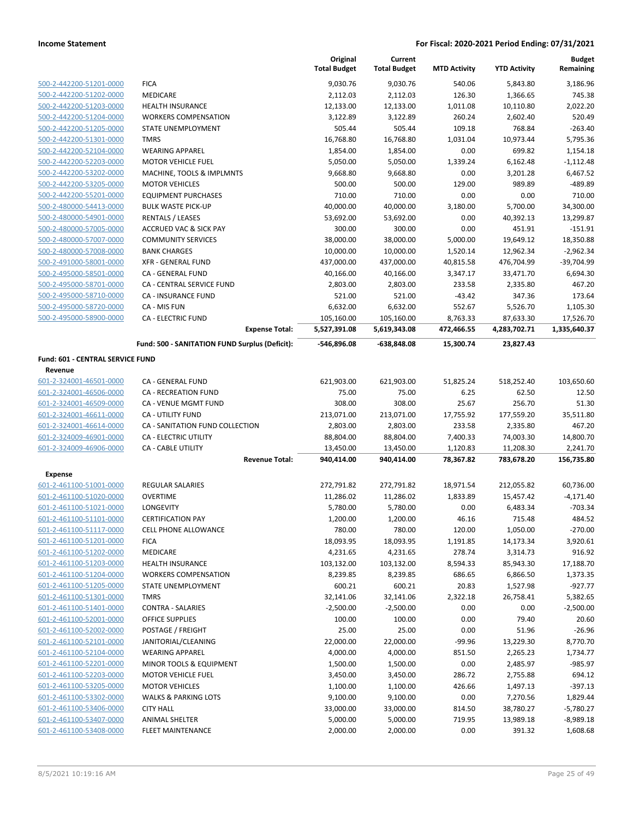|                                                    |                                                | Original<br><b>Total Budget</b> | Current<br><b>Total Budget</b> | <b>MTD Activity</b> | <b>YTD Activity</b> | <b>Budget</b><br>Remaining |
|----------------------------------------------------|------------------------------------------------|---------------------------------|--------------------------------|---------------------|---------------------|----------------------------|
| 500-2-442200-51201-0000                            | <b>FICA</b>                                    | 9,030.76                        | 9,030.76                       | 540.06              | 5,843.80            | 3,186.96                   |
| 500-2-442200-51202-0000                            | MEDICARE                                       | 2,112.03                        | 2,112.03                       | 126.30              | 1,366.65            | 745.38                     |
| 500-2-442200-51203-0000                            | <b>HEALTH INSURANCE</b>                        | 12,133.00                       | 12,133.00                      | 1,011.08            | 10,110.80           | 2,022.20                   |
| 500-2-442200-51204-0000                            | <b>WORKERS COMPENSATION</b>                    | 3,122.89                        | 3,122.89                       | 260.24              | 2,602.40            | 520.49                     |
| 500-2-442200-51205-0000                            | STATE UNEMPLOYMENT                             | 505.44                          | 505.44                         | 109.18              | 768.84              | $-263.40$                  |
| 500-2-442200-51301-0000                            | <b>TMRS</b>                                    | 16,768.80                       | 16,768.80                      | 1,031.04            | 10,973.44           | 5,795.36                   |
| 500-2-442200-52104-0000                            | <b>WEARING APPAREL</b>                         | 1,854.00                        | 1,854.00                       | 0.00                | 699.82              | 1,154.18                   |
| 500-2-442200-52203-0000                            | <b>MOTOR VEHICLE FUEL</b>                      | 5,050.00                        | 5,050.00                       | 1,339.24            | 6,162.48            | $-1,112.48$                |
| 500-2-442200-53202-0000                            | MACHINE, TOOLS & IMPLMNTS                      | 9,668.80                        | 9,668.80                       | 0.00                | 3,201.28            | 6,467.52                   |
| 500-2-442200-53205-0000                            | <b>MOTOR VEHICLES</b>                          | 500.00                          | 500.00                         | 129.00              | 989.89              | -489.89                    |
| 500-2-442200-55201-0000                            | <b>EQUIPMENT PURCHASES</b>                     | 710.00                          | 710.00                         | 0.00                | 0.00                | 710.00                     |
| 500-2-480000-54413-0000                            | <b>BULK WASTE PICK-UP</b>                      | 40,000.00                       | 40,000.00                      | 3,180.00            | 5,700.00            | 34,300.00                  |
| 500-2-480000-54901-0000                            | <b>RENTALS / LEASES</b>                        | 53,692.00                       | 53,692.00                      | 0.00                | 40,392.13           | 13,299.87                  |
| 500-2-480000-57005-0000                            | ACCRUED VAC & SICK PAY                         | 300.00                          | 300.00                         | 0.00                | 451.91              | $-151.91$                  |
| 500-2-480000-57007-0000                            | <b>COMMUNITY SERVICES</b>                      | 38,000.00                       | 38,000.00                      | 5,000.00            | 19,649.12           | 18,350.88                  |
| 500-2-480000-57008-0000                            | <b>BANK CHARGES</b>                            | 10,000.00                       | 10,000.00                      | 1,520.14            | 12,962.34           | $-2,962.34$                |
| 500-2-491000-58001-0000                            | <b>XFR - GENERAL FUND</b>                      | 437,000.00                      | 437,000.00                     | 40,815.58           | 476,704.99          | $-39,704.99$               |
| 500-2-495000-58501-0000                            | CA - GENERAL FUND                              | 40,166.00                       | 40,166.00                      | 3,347.17            | 33,471.70           | 6,694.30                   |
| 500-2-495000-58701-0000                            | CA - CENTRAL SERVICE FUND                      | 2,803.00                        | 2,803.00                       | 233.58              | 2,335.80            | 467.20                     |
| 500-2-495000-58710-0000<br>500-2-495000-58720-0000 | CA - INSURANCE FUND<br>CA - MIS FUN            | 521.00<br>6,632.00              | 521.00<br>6,632.00             | $-43.42$<br>552.67  | 347.36<br>5,526.70  | 173.64<br>1,105.30         |
| 500-2-495000-58900-0000                            | <b>CA - ELECTRIC FUND</b>                      | 105,160.00                      | 105,160.00                     | 8,763.33            | 87,633.30           | 17,526.70                  |
|                                                    | <b>Expense Total:</b>                          | 5,527,391.08                    | 5,619,343.08                   | 472,466.55          | 4,283,702.71        | 1,335,640.37               |
|                                                    | Fund: 500 - SANITATION FUND Surplus (Deficit): | -546,896.08                     | -638,848.08                    | 15,300.74           | 23,827.43           |                            |
| Fund: 601 - CENTRAL SERVICE FUND                   |                                                |                                 |                                |                     |                     |                            |
| Revenue                                            |                                                |                                 |                                |                     |                     |                            |
| 601-2-324001-46501-0000                            | CA - GENERAL FUND                              | 621,903.00                      | 621,903.00                     | 51,825.24           | 518,252.40          | 103,650.60                 |
| 601-2-324001-46506-0000                            | <b>CA - RECREATION FUND</b>                    | 75.00                           | 75.00                          | 6.25                | 62.50               | 12.50                      |
| 601-2-324001-46509-0000                            | CA - VENUE MGMT FUND                           | 308.00                          | 308.00                         | 25.67               | 256.70              | 51.30                      |
| 601-2-324001-46611-0000                            | CA - UTILITY FUND                              | 213,071.00                      | 213,071.00                     | 17,755.92           | 177,559.20          | 35,511.80                  |
| 601-2-324001-46614-0000                            | CA - SANITATION FUND COLLECTION                | 2,803.00                        | 2,803.00                       | 233.58              | 2,335.80            | 467.20                     |
| 601-2-324009-46901-0000                            | <b>CA - ELECTRIC UTILITY</b>                   | 88,804.00                       | 88,804.00                      | 7,400.33            | 74,003.30           | 14,800.70                  |
| 601-2-324009-46906-0000                            | <b>CA - CABLE UTILITY</b>                      | 13,450.00                       | 13,450.00                      | 1,120.83            | 11,208.30           | 2,241.70                   |
|                                                    | <b>Revenue Total:</b>                          | 940,414.00                      | 940,414.00                     | 78,367.82           | 783,678.20          | 156,735.80                 |
| Expense                                            |                                                |                                 |                                |                     |                     |                            |
| 601-2-461100-51001-0000                            | <b>REGULAR SALARIES</b>                        | 272,791.82                      | 272,791.82                     | 18,971.54           | 212,055.82          | 60,736.00                  |
| 601-2-461100-51020-0000                            | <b>OVERTIME</b>                                | 11,286.02                       | 11,286.02                      | 1,833.89            | 15,457.42           | $-4,171.40$                |
| 601-2-461100-51021-0000                            | LONGEVITY                                      | 5,780.00                        | 5,780.00                       | 0.00                | 6,483.34            | $-703.34$                  |
| 601-2-461100-51101-0000                            | <b>CERTIFICATION PAY</b>                       | 1,200.00                        | 1,200.00                       | 46.16               | 715.48              | 484.52                     |
| 601-2-461100-51117-0000                            | <b>CELL PHONE ALLOWANCE</b>                    | 780.00                          | 780.00                         | 120.00              | 1,050.00            | $-270.00$                  |
| 601-2-461100-51201-0000                            | <b>FICA</b>                                    | 18,093.95                       | 18,093.95                      | 1,191.85            | 14,173.34           | 3,920.61                   |
| 601-2-461100-51202-0000                            | MEDICARE                                       | 4,231.65                        | 4,231.65                       | 278.74              | 3,314.73            | 916.92                     |
| 601-2-461100-51203-0000                            | <b>HEALTH INSURANCE</b>                        | 103,132.00                      | 103,132.00                     | 8,594.33            | 85,943.30           | 17,188.70                  |
| 601-2-461100-51204-0000                            | <b>WORKERS COMPENSATION</b>                    | 8,239.85                        | 8,239.85                       | 686.65              | 6,866.50            | 1,373.35                   |
| 601-2-461100-51205-0000                            | STATE UNEMPLOYMENT                             | 600.21                          | 600.21                         | 20.83               | 1,527.98            | $-927.77$                  |
| 601-2-461100-51301-0000                            | <b>TMRS</b>                                    | 32,141.06                       | 32,141.06                      | 2,322.18            | 26,758.41           | 5,382.65                   |
| 601-2-461100-51401-0000                            | <b>CONTRA - SALARIES</b>                       | $-2,500.00$                     | $-2,500.00$                    | 0.00                | 0.00                | $-2,500.00$                |
| 601-2-461100-52001-0000                            | OFFICE SUPPLIES                                | 100.00                          | 100.00                         | 0.00                | 79.40               | 20.60                      |
| 601-2-461100-52002-0000                            | POSTAGE / FREIGHT                              | 25.00                           | 25.00                          | 0.00                | 51.96               | $-26.96$                   |
| 601-2-461100-52101-0000                            | JANITORIAL/CLEANING                            | 22,000.00                       | 22,000.00                      | $-99.96$            | 13,229.30           | 8,770.70                   |
| 601-2-461100-52104-0000                            | <b>WEARING APPAREL</b>                         | 4,000.00                        | 4,000.00                       | 851.50              | 2,265.23            | 1,734.77                   |
| 601-2-461100-52201-0000                            | MINOR TOOLS & EQUIPMENT                        | 1,500.00                        | 1,500.00                       | 0.00                | 2,485.97            | $-985.97$                  |
| 601-2-461100-52203-0000                            | <b>MOTOR VEHICLE FUEL</b>                      | 3,450.00                        | 3,450.00                       | 286.72              | 2,755.88            | 694.12                     |
| 601-2-461100-53205-0000                            | <b>MOTOR VEHICLES</b>                          | 1,100.00                        | 1,100.00                       | 426.66              | 1,497.13            | $-397.13$                  |
| 601-2-461100-53302-0000                            | <b>WALKS &amp; PARKING LOTS</b>                | 9,100.00                        | 9,100.00                       | 0.00                | 7,270.56            | 1,829.44                   |
| 601-2-461100-53406-0000                            | <b>CITY HALL</b>                               | 33,000.00                       | 33,000.00                      | 814.50              | 38,780.27           | $-5,780.27$                |
| 601-2-461100-53407-0000                            | ANIMAL SHELTER                                 | 5,000.00                        | 5,000.00                       | 719.95              | 13,989.18           | $-8,989.18$                |
| 601-2-461100-53408-0000                            | FLEET MAINTENANCE                              | 2,000.00                        | 2,000.00                       | 0.00                | 391.32              | 1,608.68                   |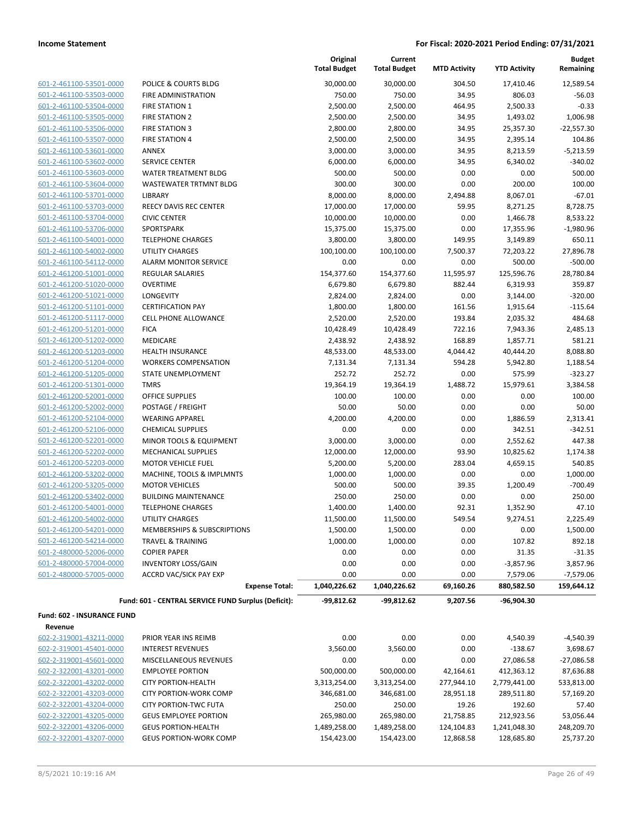| 601-2-461100-53501-0000         |
|---------------------------------|
| 601-2-461100-53503-0000         |
| 601-2-461100-53504-0000         |
| 601-2-461100-53505-0000         |
| 601-2-461100-53506-0000         |
| 601-2-461100-53507-0000         |
| 601-2-461100-53601-0000         |
| 601-2-461100-53602-0000         |
| 601-2-461100-53603-0000         |
| -2-461100-53604-0000<br>$601 -$ |
| 601-2-461100-53701-0000         |
| 601-2-461100-53703-0000         |
| 601-2-461100-53704-0000         |
| 601-2-461100-53706-0000         |
| 601-2-461100-54001-0000         |
| 601-2-461100-54002-0000         |
| 601-2-461100-54112-0000         |
| 601-2-461200-51001-0000         |
| 601-2-461200-51020-0000         |
| 601-2-461200-51021-0000         |
| 601-2-461200-51101-0000         |
| 601-2-461200-51117-0000         |
| 601-2-461200-51201-0000         |
| 2-461200-51202-0000<br>$601 -$  |
| 601-2-461200-51203-0000         |
| 601-2-461200-51204-0000         |
| $601 -$<br>-2-461200-51205-0000 |
| 601-2-461200-51301-0000         |
| 601-2-461200-52001-0000         |
| 601-2-461200-52002-0000         |
| 601-2-461200-52104-0000         |
| 601-2-461200-52106-0000         |
| 601-2-461200-52201-0000         |
| 601-2-461200-52202-0000         |
| 601-2-461200-52203-0000         |
| 601-2-461200-53202-0000         |
| 601-2-461200-53205-0000         |
| 601-2-461200-53402-0000         |
| 601-2-461200-54001-0000         |
| 601-2-461200-54002-0000         |
| 601-2-461200-54201-0000         |
| 601-2-461200-54214-0000         |
| 601-2-480000-52006-0000         |
| -2-480000-57004-0000<br>$601 -$ |
| 601-2-480000-57005-0000         |

|                                   |                                                     | Original<br><b>Total Budget</b> | Current<br><b>Total Budget</b> | <b>MTD Activity</b> | <b>YTD Activity</b> | <b>Budget</b><br>Remaining |
|-----------------------------------|-----------------------------------------------------|---------------------------------|--------------------------------|---------------------|---------------------|----------------------------|
| 601-2-461100-53501-0000           | POLICE & COURTS BLDG                                | 30,000.00                       | 30,000.00                      | 304.50              | 17,410.46           | 12,589.54                  |
| 601-2-461100-53503-0000           | <b>FIRE ADMINISTRATION</b>                          | 750.00                          | 750.00                         | 34.95               | 806.03              | $-56.03$                   |
| 601-2-461100-53504-0000           | <b>FIRE STATION 1</b>                               | 2,500.00                        | 2,500.00                       | 464.95              | 2,500.33            | $-0.33$                    |
| 601-2-461100-53505-0000           | <b>FIRE STATION 2</b>                               | 2,500.00                        | 2,500.00                       | 34.95               | 1,493.02            | 1,006.98                   |
| 601-2-461100-53506-0000           | <b>FIRE STATION 3</b>                               | 2,800.00                        | 2,800.00                       | 34.95               | 25,357.30           | $-22,557.30$               |
| 601-2-461100-53507-0000           | <b>FIRE STATION 4</b>                               | 2,500.00                        | 2,500.00                       | 34.95               | 2,395.14            | 104.86                     |
| 601-2-461100-53601-0000           | ANNEX                                               | 3,000.00                        | 3,000.00                       | 34.95               | 8,213.59            | $-5,213.59$                |
| 601-2-461100-53602-0000           | SERVICE CENTER                                      | 6,000.00                        | 6,000.00                       | 34.95               | 6,340.02            | -340.02                    |
| 601-2-461100-53603-0000           | <b>WATER TREATMENT BLDG</b>                         | 500.00                          | 500.00                         | 0.00                | 0.00                | 500.00                     |
| 601-2-461100-53604-0000           | WASTEWATER TRTMNT BLDG                              | 300.00                          | 300.00                         | 0.00                | 200.00              | 100.00                     |
| 601-2-461100-53701-0000           | LIBRARY                                             | 8,000.00                        | 8,000.00                       | 2,494.88            | 8,067.01            | $-67.01$                   |
| 601-2-461100-53703-0000           | REECY DAVIS REC CENTER                              | 17,000.00                       | 17,000.00                      | 59.95               | 8,271.25            | 8,728.75                   |
| 601-2-461100-53704-0000           | <b>CIVIC CENTER</b>                                 | 10,000.00                       | 10,000.00                      | 0.00                | 1,466.78            | 8,533.22                   |
| 601-2-461100-53706-0000           | SPORTSPARK                                          | 15,375.00                       | 15,375.00                      | 0.00                | 17,355.96           | $-1,980.96$                |
| 601-2-461100-54001-0000           | <b>TELEPHONE CHARGES</b>                            | 3,800.00                        | 3,800.00                       | 149.95              | 3,149.89            | 650.11                     |
| 601-2-461100-54002-0000           | <b>UTILITY CHARGES</b>                              | 100,100.00                      | 100,100.00                     | 7,500.37            | 72,203.22           | 27,896.78                  |
| 601-2-461100-54112-0000           | <b>ALARM MONITOR SERVICE</b>                        | 0.00                            | 0.00                           | 0.00                | 500.00              | $-500.00$                  |
| 601-2-461200-51001-0000           | <b>REGULAR SALARIES</b>                             | 154,377.60                      | 154,377.60                     | 11,595.97           | 125,596.76          | 28,780.84                  |
| 601-2-461200-51020-0000           | <b>OVERTIME</b>                                     | 6,679.80                        | 6,679.80                       | 882.44              | 6,319.93            | 359.87                     |
| 601-2-461200-51021-0000           | <b>LONGEVITY</b>                                    | 2,824.00                        | 2,824.00                       | 0.00                | 3,144.00            | $-320.00$                  |
| 601-2-461200-51101-0000           | <b>CERTIFICATION PAY</b>                            | 1,800.00                        | 1,800.00                       | 161.56              | 1,915.64            | $-115.64$                  |
| 601-2-461200-51117-0000           | <b>CELL PHONE ALLOWANCE</b>                         | 2,520.00                        | 2,520.00                       | 193.84              | 2,035.32            | 484.68                     |
| 601-2-461200-51201-0000           | <b>FICA</b>                                         | 10,428.49                       | 10,428.49                      | 722.16              | 7,943.36            | 2,485.13                   |
| 601-2-461200-51202-0000           | MEDICARE                                            | 2,438.92                        | 2,438.92                       | 168.89              | 1,857.71            | 581.21                     |
| 601-2-461200-51203-0000           | <b>HEALTH INSURANCE</b>                             | 48,533.00                       | 48,533.00                      | 4,044.42            | 40,444.20           | 8,088.80                   |
| 601-2-461200-51204-0000           | <b>WORKERS COMPENSATION</b>                         | 7,131.34                        | 7,131.34                       | 594.28              | 5,942.80            | 1,188.54                   |
| 601-2-461200-51205-0000           | STATE UNEMPLOYMENT                                  | 252.72                          | 252.72                         | 0.00                | 575.99              | $-323.27$                  |
| 601-2-461200-51301-0000           | <b>TMRS</b>                                         | 19,364.19                       | 19,364.19                      | 1,488.72            | 15,979.61           | 3,384.58                   |
| 601-2-461200-52001-0000           | OFFICE SUPPLIES                                     | 100.00                          | 100.00                         | 0.00                | 0.00                | 100.00                     |
| 601-2-461200-52002-0000           | POSTAGE / FREIGHT                                   | 50.00                           | 50.00                          | 0.00                | 0.00                | 50.00                      |
| 601-2-461200-52104-0000           | <b>WEARING APPAREL</b>                              | 4,200.00                        | 4,200.00                       | 0.00                | 1,886.59            | 2,313.41                   |
| 601-2-461200-52106-0000           | <b>CHEMICAL SUPPLIES</b>                            | 0.00                            | 0.00                           | 0.00                | 342.51              | $-342.51$                  |
| 601-2-461200-52201-0000           | MINOR TOOLS & EQUIPMENT                             | 3,000.00                        | 3,000.00                       | 0.00                | 2,552.62            | 447.38                     |
| 601-2-461200-52202-0000           | <b>MECHANICAL SUPPLIES</b>                          | 12,000.00                       | 12,000.00                      | 93.90               | 10,825.62           | 1,174.38                   |
| 601-2-461200-52203-0000           | <b>MOTOR VEHICLE FUEL</b>                           | 5,200.00                        | 5,200.00                       | 283.04              | 4,659.15            | 540.85                     |
| 601-2-461200-53202-0000           | MACHINE, TOOLS & IMPLMNTS                           | 1,000.00                        | 1,000.00                       | 0.00                | 0.00                | 1,000.00                   |
| 601-2-461200-53205-0000           | <b>MOTOR VEHICLES</b>                               | 500.00                          | 500.00                         | 39.35               | 1,200.49            | $-700.49$                  |
| 601-2-461200-53402-0000           | <b>BUILDING MAINTENANCE</b>                         | 250.00                          | 250.00                         | 0.00                | 0.00                | 250.00                     |
| 601-2-461200-54001-0000           | <b>TELEPHONE CHARGES</b>                            | 1,400.00                        | 1,400.00                       | 92.31               | 1,352.90            | 47.10                      |
| 601-2-461200-54002-0000           | UTILITY CHARGES                                     | 11,500.00                       | 11,500.00                      | 549.54              | 9,274.51            | 2,225.49                   |
| 601-2-461200-54201-0000           | <b>MEMBERSHIPS &amp; SUBSCRIPTIONS</b>              | 1,500.00                        | 1,500.00                       | 0.00                | 0.00                | 1,500.00                   |
| 601-2-461200-54214-0000           | <b>TRAVEL &amp; TRAINING</b>                        | 1,000.00                        | 1,000.00                       | 0.00                | 107.82              | 892.18                     |
| 601-2-480000-52006-0000           | <b>COPIER PAPER</b>                                 | 0.00                            | 0.00                           | 0.00                | 31.35               | $-31.35$                   |
| 601-2-480000-57004-0000           | <b>INVENTORY LOSS/GAIN</b>                          | 0.00                            | 0.00                           | 0.00                | $-3,857.96$         | 3,857.96                   |
| 601-2-480000-57005-0000           | <b>ACCRD VAC/SICK PAY EXP</b>                       | 0.00                            | 0.00                           | 0.00                | 7,579.06            | $-7,579.06$                |
|                                   | <b>Expense Total:</b>                               | 1,040,226.62                    | 1,040,226.62                   | 69,160.26           | 880,582.50          | 159,644.12                 |
|                                   | Fund: 601 - CENTRAL SERVICE FUND Surplus (Deficit): | -99,812.62                      | -99,812.62                     | 9,207.56            | -96,904.30          |                            |
| <b>Fund: 602 - INSURANCE FUND</b> |                                                     |                                 |                                |                     |                     |                            |
| Revenue                           |                                                     |                                 |                                |                     |                     |                            |
| 602-2-319001-43211-0000           | PRIOR YEAR INS REIMB                                | 0.00                            | 0.00                           | 0.00                | 4,540.39            | $-4,540.39$                |
| 602-2-319001-45401-0000           | INTEREST REVENUES                                   | 3,560.00                        | 3,560.00                       | 0.00                | $-138.67$           | 3,698.67                   |
| 602-2-319001-45601-0000           | MISCELLANEOUS REVENUES                              | 0.00                            | 0.00                           | 0.00                | 27,086.58           | $-27,086.58$               |
| 602-2-322001-43201-0000           | <b>EMPLOYEE PORTION</b>                             | 500,000.00                      | 500,000.00                     | 42,164.61           | 412,363.12          | 87,636.88                  |
| 602-2-322001-43202-0000           | <b>CITY PORTION-HEALTH</b>                          | 3,313,254.00                    | 3,313,254.00                   | 277,944.10          | 2,779,441.00        | 533,813.00                 |
| 602-2-322001-43203-0000           | <b>CITY PORTION-WORK COMP</b>                       | 346,681.00                      | 346,681.00                     | 28,951.18           | 289,511.80          | 57,169.20                  |
| 602-2-322001-43204-0000           | <b>CITY PORTION-TWC FUTA</b>                        | 250.00                          | 250.00                         | 19.26               | 192.60              | 57.40                      |

602-2-322001-43204-0000 CITY PORTION-TWC FUTA 250.00 250.00 19.26 192.60 57.40

602-2-322001-43205-0000 GEUS EMPLOYEE PORTION 265,980.00 265,980.00 21,758.85 212,923.56 53,056.44  $\underbrace{602\text{-}2\text{-}322001\text{-}43206\text{-}0000}_{\text{-}43207\text{-}0000} \qquad \text{GEUS PORTION-HEALTH} \qquad \qquad 1,489,258.00 \qquad \qquad 1,489,258.00 \qquad \qquad 1,489,258.00 \qquad \qquad 124,104.83 \qquad \qquad 1,241,048.30 \qquad \qquad 248,209.70 \qquad \qquad 602\text{-}2\text{-}322001\text{-}43207\text{-$ 602-2-322001-43207-0000 GEUS PORTION-WORK COMP 154,423.00 154,423.00 12,868.58 128,685.80 25,737.20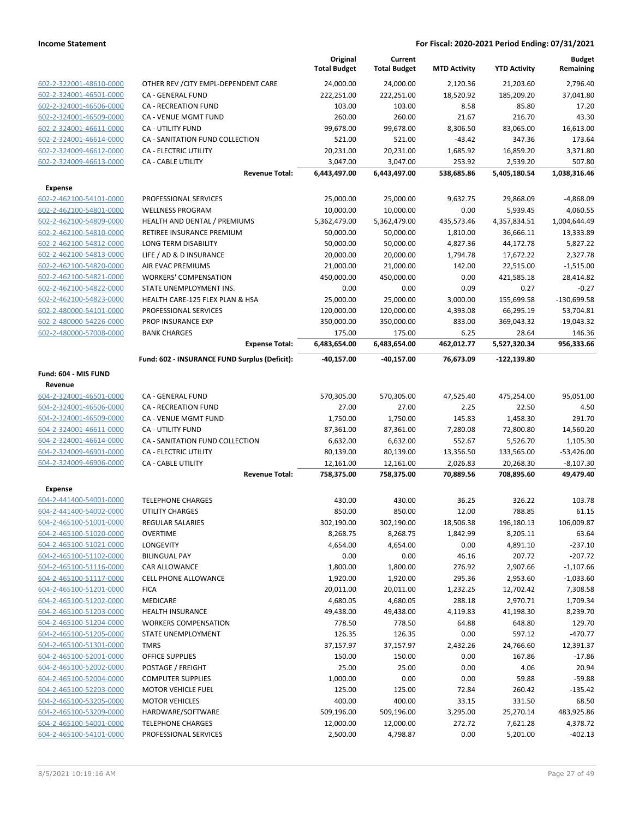|                         |                                               | Original<br><b>Total Budget</b> | Current<br><b>Total Budget</b> | <b>MTD Activity</b> | <b>YTD Activity</b> | <b>Budget</b><br>Remaining |
|-------------------------|-----------------------------------------------|---------------------------------|--------------------------------|---------------------|---------------------|----------------------------|
| 602-2-322001-48610-0000 | OTHER REV / CITY EMPL-DEPENDENT CARE          | 24,000.00                       | 24,000.00                      | 2,120.36            | 21,203.60           | 2,796.40                   |
| 602-2-324001-46501-0000 | <b>CA - GENERAL FUND</b>                      | 222,251.00                      | 222,251.00                     | 18,520.92           | 185,209.20          | 37,041.80                  |
| 602-2-324001-46506-0000 | CA - RECREATION FUND                          | 103.00                          | 103.00                         | 8.58                | 85.80               | 17.20                      |
| 602-2-324001-46509-0000 | <b>CA - VENUE MGMT FUND</b>                   | 260.00                          | 260.00                         | 21.67               | 216.70              | 43.30                      |
| 602-2-324001-46611-0000 | <b>CA - UTILITY FUND</b>                      | 99,678.00                       | 99,678.00                      | 8,306.50            | 83,065.00           | 16,613.00                  |
| 602-2-324001-46614-0000 | CA - SANITATION FUND COLLECTION               | 521.00                          | 521.00                         | $-43.42$            | 347.36              | 173.64                     |
| 602-2-324009-46612-0000 | CA - ELECTRIC UTILITY                         | 20,231.00                       | 20,231.00                      | 1,685.92            | 16,859.20           | 3,371.80                   |
| 602-2-324009-46613-0000 | CA - CABLE UTILITY                            | 3,047.00                        | 3,047.00                       | 253.92              | 2,539.20            | 507.80                     |
|                         | <b>Revenue Total:</b>                         | 6,443,497.00                    | 6,443,497.00                   | 538,685.86          | 5,405,180.54        | 1,038,316.46               |
| <b>Expense</b>          |                                               |                                 |                                |                     |                     |                            |
| 602-2-462100-54101-0000 | PROFESSIONAL SERVICES                         | 25,000.00                       | 25,000.00                      | 9,632.75            | 29,868.09           | -4,868.09                  |
| 602-2-462100-54801-0000 | <b>WELLNESS PROGRAM</b>                       | 10,000.00                       | 10,000.00                      | 0.00                | 5,939.45            | 4,060.55                   |
| 602-2-462100-54809-0000 | HEALTH AND DENTAL / PREMIUMS                  | 5,362,479.00                    | 5,362,479.00                   | 435,573.46          | 4,357,834.51        | 1,004,644.49               |
| 602-2-462100-54810-0000 | RETIREE INSURANCE PREMIUM                     | 50,000.00                       | 50,000.00                      | 1,810.00            | 36,666.11           | 13,333.89                  |
| 602-2-462100-54812-0000 | LONG TERM DISABILITY                          | 50,000.00                       | 50,000.00                      | 4,827.36            | 44,172.78           | 5,827.22                   |
| 602-2-462100-54813-0000 | LIFE / AD & D INSURANCE                       | 20,000.00                       | 20,000.00                      | 1,794.78            | 17,672.22           | 2,327.78                   |
| 602-2-462100-54820-0000 | AIR EVAC PREMIUMS                             | 21,000.00                       | 21,000.00                      | 142.00              | 22,515.00           | $-1,515.00$                |
| 602-2-462100-54821-0000 | <b>WORKERS' COMPENSATION</b>                  | 450,000.00                      | 450,000.00                     | 0.00                | 421,585.18          | 28,414.82                  |
| 602-2-462100-54822-0000 | STATE UNEMPLOYMENT INS.                       | 0.00                            | 0.00                           | 0.09                | 0.27                | $-0.27$                    |
| 602-2-462100-54823-0000 | HEALTH CARE-125 FLEX PLAN & HSA               | 25,000.00                       | 25,000.00                      | 3,000.00            | 155,699.58          | $-130,699.58$              |
| 602-2-480000-54101-0000 | PROFESSIONAL SERVICES                         | 120,000.00                      | 120,000.00                     | 4,393.08            | 66,295.19           | 53,704.81                  |
| 602-2-480000-54226-0000 | PROP INSURANCE EXP                            | 350,000.00                      | 350,000.00                     | 833.00              | 369,043.32          | $-19,043.32$               |
| 602-2-480000-57008-0000 | <b>BANK CHARGES</b>                           | 175.00                          | 175.00                         | 6.25                | 28.64               | 146.36                     |
|                         | <b>Expense Total:</b>                         | 6,483,654.00                    | 6,483,654.00                   | 462,012.77          | 5,527,320.34        | 956,333.66                 |
|                         | Fund: 602 - INSURANCE FUND Surplus (Deficit): | -40,157.00                      | -40,157.00                     | 76,673.09           | $-122,139.80$       |                            |
| Fund: 604 - MIS FUND    |                                               |                                 |                                |                     |                     |                            |
| Revenue                 |                                               |                                 |                                |                     |                     |                            |
| 604-2-324001-46501-0000 | CA - GENERAL FUND                             | 570,305.00                      | 570,305.00                     | 47,525.40           | 475,254.00          | 95,051.00                  |
| 604-2-324001-46506-0000 | <b>CA - RECREATION FUND</b>                   | 27.00                           | 27.00                          | 2.25                | 22.50               | 4.50                       |
| 604-2-324001-46509-0000 | CA - VENUE MGMT FUND                          | 1,750.00                        | 1,750.00                       | 145.83              | 1,458.30            | 291.70                     |
| 604-2-324001-46611-0000 | CA - UTILITY FUND                             | 87,361.00                       | 87,361.00                      | 7,280.08            | 72,800.80           | 14,560.20                  |
| 604-2-324001-46614-0000 | CA - SANITATION FUND COLLECTION               | 6,632.00                        | 6,632.00                       | 552.67              | 5,526.70            | 1,105.30                   |
| 604-2-324009-46901-0000 | CA - ELECTRIC UTILITY                         | 80,139.00                       | 80,139.00                      | 13,356.50           | 133,565.00          | $-53,426.00$               |
| 604-2-324009-46906-0000 | <b>CA - CABLE UTILITY</b>                     | 12,161.00                       | 12,161.00                      | 2,026.83            | 20,268.30           | $-8,107.30$                |
|                         | <b>Revenue Total:</b>                         | 758,375.00                      | 758,375.00                     | 70,889.56           | 708,895.60          | 49,479.40                  |
| <b>Expense</b>          |                                               |                                 |                                |                     |                     |                            |
| 604-2-441400-54001-0000 | <b>TELEPHONE CHARGES</b>                      | 430.00                          | 430.00                         | 36.25               | 326.22              | 103.78                     |
| 604-2-441400-54002-0000 | <b>UTILITY CHARGES</b>                        | 850.00                          | 850.00                         | 12.00               | 788.85              | 61.15                      |
| 604-2-465100-51001-0000 | <b>REGULAR SALARIES</b>                       | 302,190.00                      | 302,190.00                     | 18,506.38           | 196,180.13          | 106,009.87                 |
| 604-2-465100-51020-0000 | OVERTIME                                      | 8,268.75                        | 8,268.75                       | 1,842.99            | 8,205.11            | 63.64                      |
| 604-2-465100-51021-0000 | <b>LONGEVITY</b>                              | 4,654.00                        | 4,654.00                       | 0.00                | 4,891.10            | $-237.10$                  |
| 604-2-465100-51102-0000 | <b>BILINGUAL PAY</b>                          | 0.00                            | 0.00                           | 46.16               | 207.72              | $-207.72$                  |
| 604-2-465100-51116-0000 | CAR ALLOWANCE                                 | 1,800.00                        | 1,800.00                       | 276.92              | 2,907.66            | $-1,107.66$                |
| 604-2-465100-51117-0000 | <b>CELL PHONE ALLOWANCE</b>                   | 1,920.00                        | 1,920.00                       | 295.36              | 2,953.60            | $-1,033.60$                |
| 604-2-465100-51201-0000 | <b>FICA</b>                                   | 20,011.00                       | 20,011.00                      | 1,232.25            | 12,702.42           | 7,308.58                   |
| 604-2-465100-51202-0000 | <b>MEDICARE</b>                               | 4,680.05                        | 4,680.05                       | 288.18              | 2,970.71            | 1,709.34                   |
| 604-2-465100-51203-0000 | <b>HEALTH INSURANCE</b>                       | 49,438.00                       | 49,438.00                      | 4,119.83            | 41,198.30           | 8,239.70                   |
| 604-2-465100-51204-0000 | <b>WORKERS COMPENSATION</b>                   | 778.50                          | 778.50                         | 64.88               | 648.80              | 129.70                     |
| 604-2-465100-51205-0000 | STATE UNEMPLOYMENT                            | 126.35                          | 126.35                         | 0.00                | 597.12              | $-470.77$                  |
| 604-2-465100-51301-0000 | TMRS                                          | 37,157.97                       | 37,157.97                      | 2,432.26            | 24,766.60           | 12,391.37                  |
| 604-2-465100-52001-0000 | <b>OFFICE SUPPLIES</b>                        | 150.00                          | 150.00                         | 0.00                | 167.86              | $-17.86$                   |
| 604-2-465100-52002-0000 | POSTAGE / FREIGHT                             | 25.00                           | 25.00                          | 0.00                | 4.06                | 20.94                      |
| 604-2-465100-52004-0000 | <b>COMPUTER SUPPLIES</b>                      | 1,000.00                        | 0.00                           | 0.00                | 59.88               | $-59.88$                   |
| 604-2-465100-52203-0000 | <b>MOTOR VEHICLE FUEL</b>                     | 125.00                          | 125.00                         | 72.84               | 260.42              | $-135.42$                  |
| 604-2-465100-53205-0000 | <b>MOTOR VEHICLES</b>                         | 400.00                          | 400.00                         | 33.15               | 331.50              | 68.50                      |
| 604-2-465100-53209-0000 | HARDWARE/SOFTWARE                             | 509,196.00                      | 509,196.00                     | 3,295.00            | 25,270.14           | 483,925.86                 |
| 604-2-465100-54001-0000 | <b>TELEPHONE CHARGES</b>                      | 12,000.00                       | 12,000.00                      | 272.72              | 7,621.28            | 4,378.72                   |
| 604-2-465100-54101-0000 | PROFESSIONAL SERVICES                         | 2,500.00                        | 4,798.87                       | 0.00                | 5,201.00            | $-402.13$                  |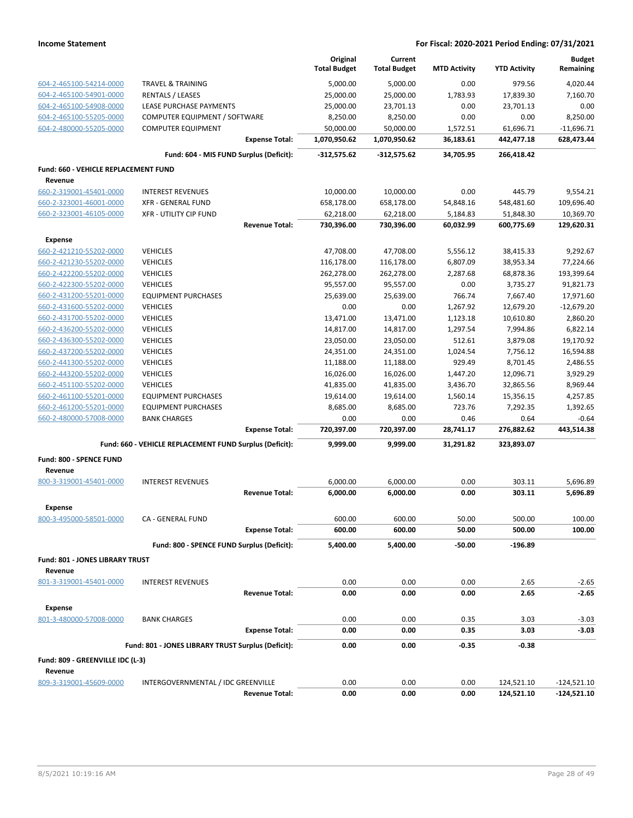|                                                   |                                                         | Original<br><b>Total Budget</b> | Current<br><b>Total Budget</b> | <b>MTD Activity</b> | <b>YTD Activity</b> | <b>Budget</b><br>Remaining |
|---------------------------------------------------|---------------------------------------------------------|---------------------------------|--------------------------------|---------------------|---------------------|----------------------------|
| 604-2-465100-54214-0000                           | <b>TRAVEL &amp; TRAINING</b>                            | 5,000.00                        | 5,000.00                       | 0.00                | 979.56              | 4,020.44                   |
| 604-2-465100-54901-0000                           | <b>RENTALS / LEASES</b>                                 | 25,000.00                       | 25,000.00                      | 1,783.93            | 17,839.30           | 7,160.70                   |
| 604-2-465100-54908-0000                           | LEASE PURCHASE PAYMENTS                                 | 25,000.00                       | 23,701.13                      | 0.00                | 23,701.13           | 0.00                       |
| 604-2-465100-55205-0000                           | COMPUTER EQUIPMENT / SOFTWARE                           | 8,250.00                        | 8,250.00                       | 0.00                | 0.00                | 8,250.00                   |
| 604-2-480000-55205-0000                           | <b>COMPUTER EQUIPMENT</b>                               | 50,000.00                       | 50,000.00                      | 1,572.51            | 61,696.71           | $-11,696.71$               |
|                                                   | <b>Expense Total:</b>                                   | 1,070,950.62                    | 1,070,950.62                   | 36,183.61           | 442,477.18          | 628,473.44                 |
|                                                   | Fund: 604 - MIS FUND Surplus (Deficit):                 | $-312,575.62$                   | $-312,575.62$                  | 34,705.95           | 266,418.42          |                            |
| Fund: 660 - VEHICLE REPLACEMENT FUND              |                                                         |                                 |                                |                     |                     |                            |
| Revenue                                           |                                                         |                                 |                                |                     |                     |                            |
| 660-2-319001-45401-0000                           | <b>INTEREST REVENUES</b>                                | 10,000.00                       | 10,000.00                      | 0.00                | 445.79              | 9,554.21                   |
| 660-2-323001-46001-0000                           | <b>XFR - GENERAL FUND</b>                               | 658,178.00                      | 658,178.00                     | 54,848.16           | 548,481.60          | 109,696.40                 |
| 660-2-323001-46105-0000                           | <b>XFR - UTILITY CIP FUND</b>                           | 62,218.00                       | 62,218.00                      | 5,184.83            | 51,848.30           | 10,369.70                  |
|                                                   | <b>Revenue Total:</b>                                   | 730,396.00                      | 730,396.00                     | 60,032.99           | 600,775.69          | 129,620.31                 |
| <b>Expense</b>                                    |                                                         |                                 |                                |                     |                     |                            |
| 660-2-421210-55202-0000                           | <b>VEHICLES</b>                                         | 47,708.00                       | 47,708.00                      | 5,556.12            | 38,415.33           | 9,292.67                   |
| 660-2-421230-55202-0000                           | <b>VEHICLES</b>                                         | 116,178.00                      | 116,178.00                     | 6,807.09            | 38,953.34           | 77,224.66                  |
| 660-2-422200-55202-0000                           | <b>VEHICLES</b>                                         | 262,278.00                      | 262,278.00                     | 2,287.68            | 68,878.36           | 193,399.64                 |
| 660-2-422300-55202-0000                           | <b>VEHICLES</b>                                         | 95,557.00                       | 95,557.00                      | 0.00                | 3,735.27            | 91,821.73                  |
| 660-2-431200-55201-0000                           | <b>EQUIPMENT PURCHASES</b>                              | 25,639.00                       | 25,639.00                      | 766.74              | 7,667.40            | 17,971.60                  |
| 660-2-431600-55202-0000                           | <b>VEHICLES</b>                                         | 0.00                            | 0.00                           | 1,267.92            | 12,679.20           | $-12,679.20$               |
| 660-2-431700-55202-0000                           | <b>VEHICLES</b>                                         | 13,471.00                       | 13,471.00                      | 1,123.18            | 10,610.80           | 2,860.20                   |
| 660-2-436200-55202-0000                           | <b>VEHICLES</b>                                         | 14,817.00                       | 14,817.00                      | 1,297.54            | 7,994.86            | 6,822.14                   |
| 660-2-436300-55202-0000                           | <b>VEHICLES</b>                                         | 23,050.00                       | 23,050.00                      | 512.61              | 3,879.08            | 19,170.92                  |
| 660-2-437200-55202-0000                           | <b>VEHICLES</b>                                         | 24,351.00                       | 24,351.00                      | 1,024.54            | 7,756.12            | 16,594.88                  |
| 660-2-441300-55202-0000                           | <b>VEHICLES</b>                                         | 11,188.00                       | 11,188.00                      | 929.49              | 8,701.45            | 2,486.55                   |
| 660-2-443200-55202-0000                           | <b>VEHICLES</b>                                         | 16,026.00                       | 16,026.00                      | 1,447.20            | 12,096.71           | 3,929.29                   |
| 660-2-451100-55202-0000                           | <b>VEHICLES</b>                                         | 41,835.00                       | 41,835.00                      | 3,436.70            | 32,865.56           | 8,969.44                   |
| 660-2-461100-55201-0000                           | <b>EQUIPMENT PURCHASES</b>                              | 19,614.00                       | 19,614.00                      | 1,560.14            | 15,356.15           | 4,257.85                   |
| 660-2-461200-55201-0000                           | <b>EQUIPMENT PURCHASES</b>                              | 8,685.00                        | 8,685.00                       | 723.76              | 7,292.35            | 1,392.65                   |
| 660-2-480000-57008-0000                           | <b>BANK CHARGES</b><br><b>Expense Total:</b>            | 0.00<br>720,397.00              | 0.00<br>720,397.00             | 0.46<br>28,741.17   | 0.64<br>276,882.62  | $-0.64$<br>443,514.38      |
|                                                   |                                                         |                                 |                                |                     |                     |                            |
|                                                   | Fund: 660 - VEHICLE REPLACEMENT FUND Surplus (Deficit): | 9,999.00                        | 9,999.00                       | 31,291.82           | 323,893.07          |                            |
| Fund: 800 - SPENCE FUND<br>Revenue                |                                                         |                                 |                                |                     |                     |                            |
| 800-3-319001-45401-0000                           | <b>INTEREST REVENUES</b>                                | 6,000.00                        | 6,000.00                       | 0.00                | 303.11              | 5,696.89                   |
|                                                   | <b>Revenue Total:</b>                                   | 6,000.00                        | 6,000.00                       | 0.00                | 303.11              | 5,696.89                   |
| <b>Expense</b>                                    |                                                         |                                 |                                |                     |                     |                            |
| 800-3-495000-58501-0000                           | CA - GENERAL FUND                                       | 600.00                          | 600.00                         | 50.00               | 500.00              | 100.00                     |
|                                                   | <b>Expense Total:</b>                                   | 600.00                          | 600.00                         | 50.00               | 500.00              | 100.00                     |
|                                                   | Fund: 800 - SPENCE FUND Surplus (Deficit):              | 5,400.00                        | 5,400.00                       | $-50.00$            | $-196.89$           |                            |
| <b>Fund: 801 - JONES LIBRARY TRUST</b><br>Revenue |                                                         |                                 |                                |                     |                     |                            |
| 801-3-319001-45401-0000                           | <b>INTEREST REVENUES</b>                                | 0.00                            | 0.00                           | 0.00                | 2.65                | $-2.65$                    |
|                                                   | <b>Revenue Total:</b>                                   | 0.00                            | 0.00                           | 0.00                | 2.65                | $-2.65$                    |
| <b>Expense</b>                                    |                                                         |                                 |                                |                     |                     |                            |
| 801-3-480000-57008-0000                           | <b>BANK CHARGES</b>                                     | 0.00                            | 0.00                           | 0.35                | 3.03                | $-3.03$                    |
|                                                   | <b>Expense Total:</b>                                   | 0.00                            | 0.00                           | 0.35                | 3.03                | -3.03                      |
|                                                   | Fund: 801 - JONES LIBRARY TRUST Surplus (Deficit):      | 0.00                            | 0.00                           | $-0.35$             | $-0.38$             |                            |
| Fund: 809 - GREENVILLE IDC (L-3)                  |                                                         |                                 |                                |                     |                     |                            |
| Revenue<br>809-3-319001-45609-0000                | INTERGOVERNMENTAL / IDC GREENVILLE                      | 0.00                            | 0.00                           | 0.00                | 124,521.10          | $-124,521.10$              |
|                                                   | <b>Revenue Total:</b>                                   | 0.00                            | 0.00                           | 0.00                | 124,521.10          | $-124,521.10$              |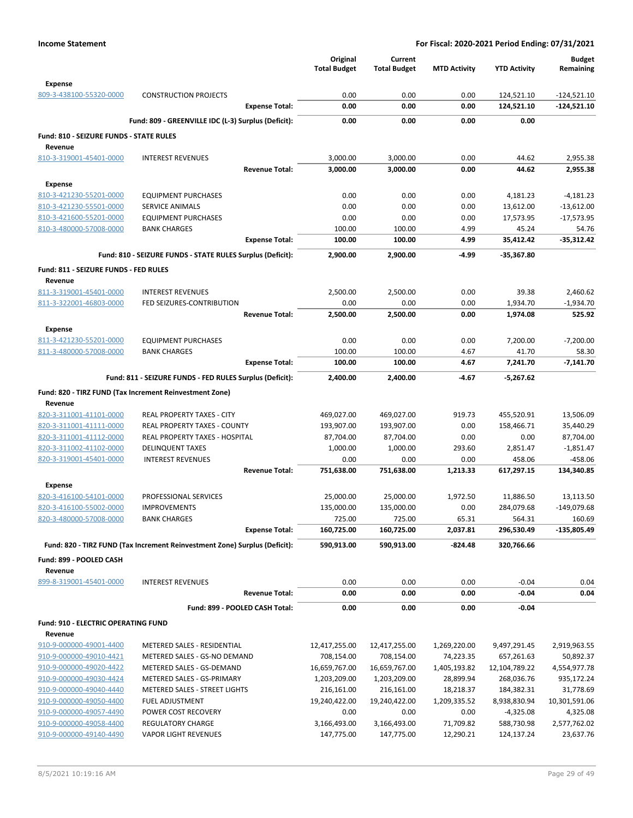|                                                    |                                                                            | Original<br><b>Total Budget</b> | Current<br><b>Total Budget</b> | <b>MTD Activity</b> | <b>YTD Activity</b> | <b>Budget</b><br>Remaining |
|----------------------------------------------------|----------------------------------------------------------------------------|---------------------------------|--------------------------------|---------------------|---------------------|----------------------------|
| <b>Expense</b>                                     |                                                                            |                                 |                                |                     |                     |                            |
| 809-3-438100-55320-0000                            | <b>CONSTRUCTION PROJECTS</b>                                               | 0.00                            | 0.00                           | 0.00                | 124,521.10          | $-124,521.10$              |
|                                                    | <b>Expense Total:</b>                                                      | 0.00                            | 0.00                           | 0.00                | 124,521.10          | $-124,521.10$              |
|                                                    | Fund: 809 - GREENVILLE IDC (L-3) Surplus (Deficit):                        | 0.00                            | 0.00                           | 0.00                | 0.00                |                            |
| Fund: 810 - SEIZURE FUNDS - STATE RULES<br>Revenue |                                                                            |                                 |                                |                     |                     |                            |
| 810-3-319001-45401-0000                            | <b>INTEREST REVENUES</b>                                                   | 3,000.00                        | 3,000.00                       | 0.00                | 44.62               | 2,955.38                   |
|                                                    | <b>Revenue Total:</b>                                                      | 3,000.00                        | 3,000.00                       | 0.00                | 44.62               | 2,955.38                   |
| Expense                                            |                                                                            |                                 |                                |                     |                     |                            |
| 810-3-421230-55201-0000                            | <b>EQUIPMENT PURCHASES</b>                                                 | 0.00                            | 0.00                           | 0.00                | 4,181.23            | $-4,181.23$                |
| 810-3-421230-55501-0000                            | SERVICE ANIMALS                                                            | 0.00                            | 0.00                           | 0.00                | 13,612.00           | $-13,612.00$               |
| 810-3-421600-55201-0000                            | <b>EQUIPMENT PURCHASES</b>                                                 | 0.00                            | 0.00                           | 0.00                | 17,573.95           | $-17,573.95$               |
| 810-3-480000-57008-0000                            | <b>BANK CHARGES</b>                                                        | 100.00                          | 100.00                         | 4.99                | 45.24               | 54.76                      |
|                                                    | <b>Expense Total:</b>                                                      | 100.00                          | 100.00                         | 4.99                | 35,412.42           | $-35,312.42$               |
|                                                    | Fund: 810 - SEIZURE FUNDS - STATE RULES Surplus (Deficit):                 | 2,900.00                        | 2,900.00                       | -4.99               | -35,367.80          |                            |
| Fund: 811 - SEIZURE FUNDS - FED RULES<br>Revenue   |                                                                            |                                 |                                |                     |                     |                            |
| 811-3-319001-45401-0000                            | <b>INTEREST REVENUES</b>                                                   | 2,500.00                        | 2,500.00                       | 0.00                | 39.38               | 2,460.62                   |
| 811-3-322001-46803-0000                            | FED SEIZURES-CONTRIBUTION                                                  | 0.00                            | 0.00                           | 0.00                | 1,934.70            | $-1,934.70$                |
|                                                    | <b>Revenue Total:</b>                                                      | 2,500.00                        | 2,500.00                       | 0.00                | 1,974.08            | 525.92                     |
| <b>Expense</b>                                     |                                                                            |                                 |                                |                     |                     |                            |
| 811-3-421230-55201-0000                            | <b>EQUIPMENT PURCHASES</b>                                                 | 0.00                            | 0.00                           | 0.00                | 7,200.00            | $-7,200.00$                |
| 811-3-480000-57008-0000                            | <b>BANK CHARGES</b>                                                        | 100.00                          | 100.00                         | 4.67                | 41.70               | 58.30                      |
|                                                    | <b>Expense Total:</b>                                                      | 100.00                          | 100.00                         | 4.67                | 7,241.70            | $-7,141.70$                |
|                                                    | Fund: 811 - SEIZURE FUNDS - FED RULES Surplus (Deficit):                   | 2,400.00                        | 2,400.00                       | -4.67               | -5,267.62           |                            |
|                                                    | Fund: 820 - TIRZ FUND (Tax Increment Reinvestment Zone)                    |                                 |                                |                     |                     |                            |
| Revenue                                            |                                                                            |                                 |                                |                     |                     |                            |
| 820-3-311001-41101-0000                            | REAL PROPERTY TAXES - CITY                                                 | 469,027.00                      | 469,027.00                     | 919.73              | 455,520.91          | 13,506.09                  |
| 820-3-311001-41111-0000                            | REAL PROPERTY TAXES - COUNTY                                               | 193,907.00                      | 193,907.00                     | 0.00                | 158,466.71          | 35,440.29                  |
| 820-3-311001-41112-0000                            | REAL PROPERTY TAXES - HOSPITAL                                             | 87,704.00                       | 87,704.00                      | 0.00                | 0.00                | 87,704.00                  |
| 820-3-311002-41102-0000                            | <b>DELINQUENT TAXES</b>                                                    | 1,000.00                        | 1,000.00                       | 293.60              | 2,851.47            | $-1,851.47$                |
| 820-3-319001-45401-0000                            | <b>INTEREST REVENUES</b>                                                   | 0.00                            | 0.00                           | 0.00                | 458.06              | $-458.06$                  |
|                                                    | <b>Revenue Total:</b>                                                      | 751,638.00                      | 751,638.00                     | 1,213.33            | 617,297.15          | 134,340.85                 |
| Expense<br>820-3-416100-54101-0000                 | PROFESSIONAL SERVICES                                                      | 25,000.00                       | 25,000.00                      | 1,972.50            | 11,886.50           | 13,113.50                  |
| 820-3-416100-55002-0000                            | <b>IMPROVEMENTS</b>                                                        | 135,000.00                      | 135,000.00                     | 0.00                | 284,079.68          | -149,079.68                |
| 820-3-480000-57008-0000                            | <b>BANK CHARGES</b>                                                        | 725.00                          | 725.00                         | 65.31               | 564.31              | 160.69                     |
|                                                    | <b>Expense Total:</b>                                                      | 160,725.00                      | 160,725.00                     | 2,037.81            | 296,530.49          | -135,805.49                |
|                                                    | Fund: 820 - TIRZ FUND (Tax Increment Reinvestment Zone) Surplus (Deficit): | 590,913.00                      | 590,913.00                     | $-824.48$           | 320,766.66          |                            |
| Fund: 899 - POOLED CASH                            |                                                                            |                                 |                                |                     |                     |                            |
| Revenue                                            |                                                                            |                                 |                                |                     |                     |                            |
| 899-8-319001-45401-0000                            | <b>INTEREST REVENUES</b>                                                   | 0.00                            | 0.00                           | 0.00                | $-0.04$             | 0.04                       |
|                                                    | <b>Revenue Total:</b>                                                      | 0.00                            | 0.00                           | 0.00                | $-0.04$             | 0.04                       |
|                                                    | Fund: 899 - POOLED CASH Total:                                             | 0.00                            | 0.00                           | 0.00                | $-0.04$             |                            |
| Fund: 910 - ELECTRIC OPERATING FUND                |                                                                            |                                 |                                |                     |                     |                            |
| Revenue                                            |                                                                            |                                 |                                |                     |                     |                            |
| 910-9-000000-49001-4400                            | METERED SALES - RESIDENTIAL                                                | 12,417,255.00                   | 12,417,255.00                  | 1,269,220.00        | 9,497,291.45        | 2,919,963.55               |
| 910-9-000000-49010-4421                            | METERED SALES - GS-NO DEMAND                                               | 708,154.00                      | 708,154.00                     | 74,223.35           | 657,261.63          | 50,892.37                  |
| 910-9-000000-49020-4422                            | METERED SALES - GS-DEMAND                                                  | 16,659,767.00                   | 16,659,767.00                  | 1,405,193.82        | 12,104,789.22       | 4,554,977.78               |
| 910-9-000000-49030-4424                            | METERED SALES - GS-PRIMARY                                                 | 1,203,209.00                    | 1,203,209.00                   | 28,899.94           | 268,036.76          | 935,172.24                 |
| 910-9-000000-49040-4440                            | METERED SALES - STREET LIGHTS                                              | 216,161.00                      | 216,161.00                     | 18,218.37           | 184,382.31          | 31,778.69                  |
| 910-9-000000-49050-4400                            | FUEL ADJUSTMENT                                                            | 19,240,422.00                   | 19,240,422.00                  | 1,209,335.52        | 8,938,830.94        | 10,301,591.06              |
| 910-9-000000-49057-4490                            | POWER COST RECOVERY                                                        | 0.00                            | 0.00                           | 0.00                | $-4,325.08$         | 4,325.08                   |
| 910-9-000000-49058-4400                            | REGULATORY CHARGE                                                          | 3,166,493.00                    | 3,166,493.00                   | 71,709.82           | 588,730.98          | 2,577,762.02               |
| 910-9-000000-49140-4490                            | <b>VAPOR LIGHT REVENUES</b>                                                | 147,775.00                      | 147,775.00                     | 12,290.21           | 124,137.24          | 23,637.76                  |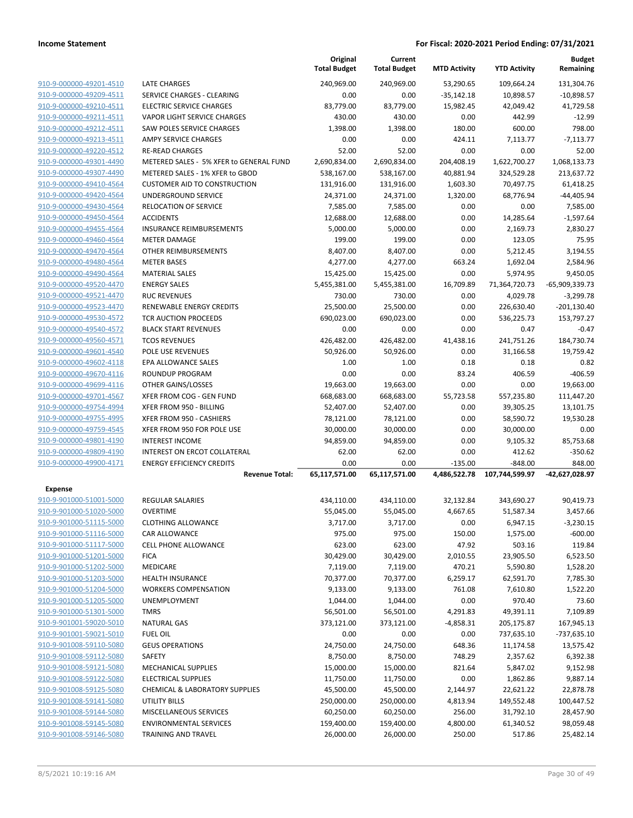|                                                    |                                                                  | Original<br><b>Total Budget</b> | Current<br><b>Total Budget</b> | <b>MTD Activity</b> | <b>YTD Activity</b>  | <b>Budget</b><br>Remaining |
|----------------------------------------------------|------------------------------------------------------------------|---------------------------------|--------------------------------|---------------------|----------------------|----------------------------|
| 910-9-000000-49201-4510                            | <b>LATE CHARGES</b>                                              | 240,969.00                      | 240,969.00                     | 53,290.65           | 109,664.24           | 131,304.76                 |
| 910-9-000000-49209-4511                            | SERVICE CHARGES - CLEARING                                       | 0.00                            | 0.00                           | $-35,142.18$        | 10,898.57            | $-10,898.57$               |
| 910-9-000000-49210-4511                            | <b>ELECTRIC SERVICE CHARGES</b>                                  | 83,779.00                       | 83,779.00                      | 15,982.45           | 42,049.42            | 41,729.58                  |
| 910-9-000000-49211-4511                            | VAPOR LIGHT SERVICE CHARGES                                      | 430.00                          | 430.00                         | 0.00                | 442.99               | $-12.99$                   |
| 910-9-000000-49212-4511                            | <b>SAW POLES SERVICE CHARGES</b>                                 | 1,398.00                        | 1,398.00                       | 180.00              | 600.00               | 798.00                     |
| 910-9-000000-49213-4511                            | <b>AMPY SERVICE CHARGES</b>                                      | 0.00                            | 0.00                           | 424.11              | 7,113.77             | $-7,113.77$                |
| 910-9-000000-49220-4512                            | <b>RE-READ CHARGES</b>                                           | 52.00                           | 52.00                          | 0.00                | 0.00                 | 52.00                      |
| 910-9-000000-49301-4490                            | METERED SALES - 5% XFER to GENERAL FUND                          | 2,690,834.00                    | 2,690,834.00                   | 204,408.19          | 1,622,700.27         | 1,068,133.73               |
| 910-9-000000-49307-4490                            | METERED SALES - 1% XFER to GBOD                                  | 538,167.00                      | 538,167.00                     | 40,881.94           | 324,529.28           | 213,637.72                 |
| 910-9-000000-49410-4564                            | <b>CUSTOMER AID TO CONSTRUCTION</b>                              | 131,916.00                      | 131,916.00                     | 1,603.30            | 70,497.75            | 61,418.25                  |
| 910-9-000000-49420-4564                            | UNDERGROUND SERVICE                                              | 24,371.00                       | 24,371.00                      | 1,320.00            | 68,776.94            | $-44,405.94$               |
| 910-9-000000-49430-4564                            | <b>RELOCATION OF SERVICE</b>                                     | 7,585.00                        | 7,585.00                       | 0.00                | 0.00                 | 7,585.00                   |
| 910-9-000000-49450-4564                            | <b>ACCIDENTS</b>                                                 | 12,688.00                       | 12,688.00                      | 0.00                | 14,285.64            | $-1,597.64$                |
| 910-9-000000-49455-4564                            | <b>INSURANCE REIMBURSEMENTS</b>                                  | 5,000.00                        | 5,000.00                       | 0.00                | 2,169.73             | 2,830.27                   |
| 910-9-000000-49460-4564                            | <b>METER DAMAGE</b>                                              | 199.00                          | 199.00                         | 0.00                | 123.05               | 75.95                      |
| 910-9-000000-49470-4564                            | OTHER REIMBURSEMENTS                                             | 8,407.00                        | 8,407.00                       | 0.00                | 5,212.45             | 3,194.55                   |
| 910-9-000000-49480-4564                            | <b>METER BASES</b>                                               | 4,277.00                        | 4,277.00                       | 663.24              | 1,692.04             | 2,584.96                   |
| 910-9-000000-49490-4564                            | <b>MATERIAL SALES</b>                                            | 15,425.00                       | 15,425.00                      | 0.00                | 5,974.95             | 9,450.05                   |
| 910-9-000000-49520-4470                            | <b>ENERGY SALES</b>                                              | 5,455,381.00                    | 5,455,381.00                   | 16,709.89           | 71,364,720.73        | -65,909,339.73             |
| 910-9-000000-49521-4470                            | <b>RUC REVENUES</b>                                              | 730.00                          | 730.00                         | 0.00                | 4,029.78             | $-3,299.78$                |
| 910-9-000000-49523-4470                            | RENEWABLE ENERGY CREDITS                                         | 25,500.00                       | 25,500.00                      | 0.00                | 226,630.40           | $-201,130.40$              |
| 910-9-000000-49530-4572                            | <b>TCR AUCTION PROCEEDS</b>                                      | 690,023.00                      | 690,023.00                     | 0.00                | 536,225.73           | 153,797.27                 |
| 910-9-000000-49540-4572                            | <b>BLACK START REVENUES</b>                                      | 0.00                            | 0.00                           | 0.00                | 0.47                 | $-0.47$                    |
| 910-9-000000-49560-4571                            | <b>TCOS REVENUES</b>                                             | 426,482.00                      | 426,482.00                     | 41,438.16           | 241,751.26           | 184,730.74                 |
| 910-9-000000-49601-4540                            | <b>POLE USE REVENUES</b>                                         | 50,926.00                       | 50,926.00                      | 0.00                | 31,166.58            | 19,759.42                  |
| 910-9-000000-49602-4118                            | EPA ALLOWANCE SALES                                              | 1.00                            | 1.00                           | 0.18                | 0.18                 | 0.82                       |
| 910-9-000000-49670-4116                            | ROUNDUP PROGRAM                                                  | 0.00                            | 0.00                           | 83.24               | 406.59               | $-406.59$                  |
| 910-9-000000-49699-4116                            | OTHER GAINS/LOSSES                                               | 19,663.00                       | 19,663.00                      | 0.00                | 0.00                 | 19,663.00                  |
| 910-9-000000-49701-4567                            | XFER FROM COG - GEN FUND                                         | 668,683.00                      | 668,683.00                     | 55,723.58           | 557,235.80           | 111,447.20                 |
| 910-9-000000-49754-4994                            | XFER FROM 950 - BILLING                                          | 52,407.00                       | 52,407.00                      | 0.00                | 39,305.25            | 13,101.75                  |
| 910-9-000000-49755-4995                            | XFER FROM 950 - CASHIERS                                         | 78,121.00                       | 78,121.00                      | 0.00                | 58,590.72            | 19,530.28                  |
| 910-9-000000-49759-4545                            | XFER FROM 950 FOR POLE USE                                       | 30,000.00                       | 30,000.00                      | 0.00                | 30,000.00            | 0.00                       |
| 910-9-000000-49801-4190<br>910-9-000000-49809-4190 | <b>INTEREST INCOME</b>                                           | 94,859.00                       | 94,859.00                      | 0.00                | 9,105.32             | 85,753.68                  |
| 910-9-000000-49900-4171                            | INTEREST ON ERCOT COLLATERAL<br><b>ENERGY EFFICIENCY CREDITS</b> | 62.00<br>0.00                   | 62.00<br>0.00                  | 0.00<br>$-135.00$   | 412.62<br>$-848.00$  | $-350.62$<br>848.00        |
|                                                    | <b>Revenue Total:</b>                                            | 65,117,571.00                   | 65,117,571.00                  | 4,486,522.78        | 107,744,599.97       | -42,627,028.97             |
|                                                    |                                                                  |                                 |                                |                     |                      |                            |
| <b>Expense</b><br>910-9-901000-51001-5000          | REGULAR SALARIES                                                 | 434,110.00                      | 434,110.00                     | 32,132.84           | 343,690.27           | 90,419.73                  |
| 910-9-901000-51020-5000                            | <b>OVERTIME</b>                                                  | 55,045.00                       |                                | 4,667.65            |                      | 3,457.66                   |
| 910-9-901000-51115-5000                            | <b>CLOTHING ALLOWANCE</b>                                        |                                 | 55,045.00                      | 0.00                | 51,587.34            |                            |
| 910-9-901000-51116-5000                            | CAR ALLOWANCE                                                    | 3,717.00<br>975.00              | 3,717.00<br>975.00             | 150.00              | 6,947.15<br>1,575.00 | $-3,230.15$<br>$-600.00$   |
| 910-9-901000-51117-5000                            | <b>CELL PHONE ALLOWANCE</b>                                      | 623.00                          | 623.00                         | 47.92               | 503.16               | 119.84                     |
| 910-9-901000-51201-5000                            | <b>FICA</b>                                                      | 30,429.00                       | 30,429.00                      | 2,010.55            | 23,905.50            | 6,523.50                   |
| 910-9-901000-51202-5000                            | MEDICARE                                                         | 7,119.00                        | 7,119.00                       | 470.21              | 5,590.80             | 1,528.20                   |
| 910-9-901000-51203-5000                            | <b>HEALTH INSURANCE</b>                                          | 70,377.00                       | 70,377.00                      | 6,259.17            | 62,591.70            | 7,785.30                   |
| 910-9-901000-51204-5000                            | <b>WORKERS COMPENSATION</b>                                      | 9,133.00                        | 9,133.00                       | 761.08              | 7,610.80             | 1,522.20                   |
| 910-9-901000-51205-5000                            | UNEMPLOYMENT                                                     | 1,044.00                        | 1,044.00                       | 0.00                | 970.40               | 73.60                      |
| 910-9-901000-51301-5000                            | <b>TMRS</b>                                                      | 56,501.00                       | 56,501.00                      | 4,291.83            | 49,391.11            | 7,109.89                   |
| 910-9-901001-59020-5010                            | <b>NATURAL GAS</b>                                               | 373,121.00                      | 373,121.00                     | $-4,858.31$         | 205,175.87           | 167,945.13                 |
| 910-9-901001-59021-5010                            | <b>FUEL OIL</b>                                                  | 0.00                            | 0.00                           | 0.00                | 737,635.10           | -737,635.10                |
| 910-9-901008-59110-5080                            | <b>GEUS OPERATIONS</b>                                           | 24,750.00                       | 24,750.00                      | 648.36              | 11,174.58            | 13,575.42                  |
| 910-9-901008-59112-5080                            | SAFETY                                                           | 8,750.00                        | 8,750.00                       | 748.29              | 2,357.62             | 6,392.38                   |
| 910-9-901008-59121-5080                            | MECHANICAL SUPPLIES                                              | 15,000.00                       | 15,000.00                      | 821.64              | 5,847.02             | 9,152.98                   |
| 910-9-901008-59122-5080                            | <b>ELECTRICAL SUPPLIES</b>                                       | 11,750.00                       | 11,750.00                      | 0.00                | 1,862.86             | 9,887.14                   |
| 910-9-901008-59125-5080                            | CHEMICAL & LABORATORY SUPPLIES                                   | 45,500.00                       | 45,500.00                      | 2,144.97            | 22,621.22            | 22,878.78                  |
| 910-9-901008-59141-5080                            | <b>UTILITY BILLS</b>                                             | 250,000.00                      | 250,000.00                     | 4,813.94            | 149,552.48           | 100,447.52                 |
| 910-9-901008-59144-5080                            | MISCELLANEOUS SERVICES                                           | 60,250.00                       | 60,250.00                      | 256.00              | 31,792.10            | 28,457.90                  |
| 910-9-901008-59145-5080                            | <b>ENVIRONMENTAL SERVICES</b>                                    | 159,400.00                      | 159,400.00                     | 4,800.00            | 61,340.52            | 98,059.48                  |
| 910-9-901008-59146-5080                            | TRAINING AND TRAVEL                                              | 26,000.00                       | 26,000.00                      | 250.00              | 517.86               | 25,482.14                  |
|                                                    |                                                                  |                                 |                                |                     |                      |                            |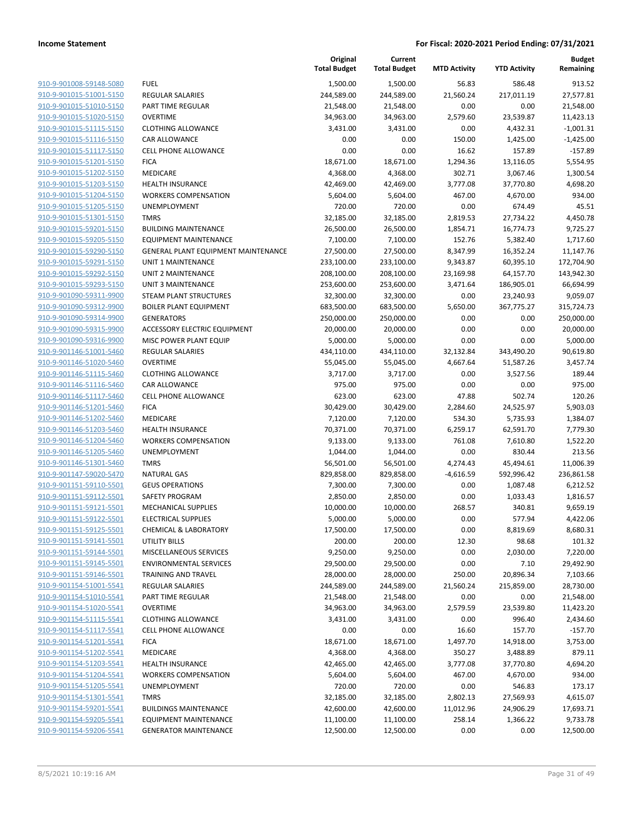|                                                    |                                     | Original<br><b>Total Budget</b> | Current<br><b>Total Budget</b> | <b>MTD Activity</b> | <b>YTD Activity</b> | <b>Budget</b><br>Remaining |
|----------------------------------------------------|-------------------------------------|---------------------------------|--------------------------------|---------------------|---------------------|----------------------------|
| 910-9-901008-59148-5080                            | <b>FUEL</b>                         | 1,500.00                        | 1,500.00                       | 56.83               | 586.48              | 913.52                     |
| 910-9-901015-51001-5150                            | <b>REGULAR SALARIES</b>             | 244,589.00                      | 244,589.00                     | 21,560.24           | 217,011.19          | 27,577.81                  |
| 910-9-901015-51010-5150                            | PART TIME REGULAR                   | 21,548.00                       | 21,548.00                      | 0.00                | 0.00                | 21,548.00                  |
| 910-9-901015-51020-5150                            | <b>OVERTIME</b>                     | 34,963.00                       | 34,963.00                      | 2,579.60            | 23,539.87           | 11,423.13                  |
| 910-9-901015-51115-5150                            | <b>CLOTHING ALLOWANCE</b>           | 3,431.00                        | 3,431.00                       | 0.00                | 4,432.31            | $-1,001.31$                |
| 910-9-901015-51116-5150                            | CAR ALLOWANCE                       | 0.00                            | 0.00                           | 150.00              | 1,425.00            | $-1,425.00$                |
| 910-9-901015-51117-5150                            | <b>CELL PHONE ALLOWANCE</b>         | 0.00                            | 0.00                           | 16.62               | 157.89              | $-157.89$                  |
| 910-9-901015-51201-5150                            | <b>FICA</b>                         | 18,671.00                       | 18,671.00                      | 1,294.36            | 13,116.05           | 5,554.95                   |
| 910-9-901015-51202-5150                            | MEDICARE                            | 4,368.00                        | 4,368.00                       | 302.71              | 3,067.46            | 1,300.54                   |
| 910-9-901015-51203-5150                            | <b>HEALTH INSURANCE</b>             | 42,469.00                       | 42,469.00                      | 3,777.08            | 37,770.80           | 4,698.20                   |
| 910-9-901015-51204-5150                            | <b>WORKERS COMPENSATION</b>         | 5,604.00                        | 5,604.00                       | 467.00              | 4,670.00            | 934.00                     |
| 910-9-901015-51205-5150                            | UNEMPLOYMENT                        | 720.00                          | 720.00                         | 0.00                | 674.49              | 45.51                      |
| 910-9-901015-51301-5150                            | <b>TMRS</b>                         | 32,185.00                       | 32,185.00                      | 2,819.53            | 27,734.22           | 4,450.78                   |
| 910-9-901015-59201-5150                            | <b>BUILDING MAINTENANCE</b>         | 26,500.00                       | 26,500.00                      | 1,854.71            | 16,774.73           | 9,725.27                   |
| 910-9-901015-59205-5150                            | <b>EQUIPMENT MAINTENANCE</b>        | 7,100.00                        | 7,100.00                       | 152.76              | 5,382.40            | 1,717.60                   |
| 910-9-901015-59290-5150                            | GENERAL PLANT EQUIPMENT MAINTENANCE | 27,500.00                       | 27,500.00                      | 8,347.99            | 16,352.24           | 11,147.76                  |
| 910-9-901015-59291-5150                            | UNIT 1 MAINTENANCE                  | 233,100.00                      | 233,100.00                     | 9,343.87            | 60,395.10           | 172,704.90                 |
| 910-9-901015-59292-5150                            | <b>UNIT 2 MAINTENANCE</b>           | 208,100.00                      | 208,100.00                     | 23,169.98           | 64,157.70           | 143,942.30                 |
| 910-9-901015-59293-5150                            | <b>UNIT 3 MAINTENANCE</b>           | 253,600.00                      | 253,600.00                     | 3,471.64            | 186,905.01          | 66,694.99                  |
| 910-9-901090-59311-9900                            | <b>STEAM PLANT STRUCTURES</b>       | 32,300.00                       | 32,300.00                      | 0.00                | 23,240.93           | 9,059.07                   |
| 910-9-901090-59312-9900                            | <b>BOILER PLANT EQUIPMENT</b>       | 683,500.00                      | 683,500.00                     | 5,650.00            | 367,775.27          | 315,724.73                 |
| 910-9-901090-59314-9900                            | <b>GENERATORS</b>                   | 250,000.00                      | 250,000.00                     | 0.00                | 0.00                | 250,000.00                 |
| 910-9-901090-59315-9900                            | ACCESSORY ELECTRIC EQUIPMENT        | 20,000.00                       | 20,000.00                      | 0.00                | 0.00                | 20,000.00                  |
| 910-9-901090-59316-9900                            | MISC POWER PLANT EQUIP              | 5,000.00                        | 5,000.00                       | 0.00                | 0.00                | 5,000.00                   |
| 910-9-901146-51001-5460                            | <b>REGULAR SALARIES</b>             | 434,110.00                      | 434,110.00                     | 32,132.84           | 343,490.20          | 90,619.80                  |
| 910-9-901146-51020-5460                            | <b>OVERTIME</b>                     | 55,045.00                       | 55,045.00                      | 4,667.64            | 51,587.26           | 3,457.74                   |
| 910-9-901146-51115-5460                            | <b>CLOTHING ALLOWANCE</b>           | 3,717.00                        | 3,717.00                       | 0.00                | 3,527.56            | 189.44                     |
| 910-9-901146-51116-5460                            | CAR ALLOWANCE                       | 975.00                          | 975.00                         | 0.00                | 0.00                | 975.00                     |
| 910-9-901146-51117-5460                            | <b>CELL PHONE ALLOWANCE</b>         | 623.00                          | 623.00                         | 47.88               | 502.74              | 120.26                     |
| 910-9-901146-51201-5460                            | <b>FICA</b>                         | 30,429.00                       | 30,429.00                      | 2,284.60            | 24,525.97           | 5,903.03                   |
| 910-9-901146-51202-5460                            | MEDICARE                            | 7,120.00                        | 7,120.00                       | 534.30              | 5,735.93            | 1,384.07                   |
| 910-9-901146-51203-5460                            | <b>HEALTH INSURANCE</b>             | 70,371.00                       | 70,371.00                      | 6,259.17            | 62,591.70           | 7,779.30                   |
| 910-9-901146-51204-5460                            | <b>WORKERS COMPENSATION</b>         | 9,133.00                        | 9,133.00                       | 761.08              | 7,610.80            | 1,522.20                   |
| 910-9-901146-51205-5460                            | UNEMPLOYMENT                        | 1,044.00                        | 1,044.00                       | 0.00                | 830.44              | 213.56                     |
| 910-9-901146-51301-5460                            | <b>TMRS</b>                         | 56,501.00                       | 56,501.00                      | 4,274.43            | 45,494.61           | 11,006.39                  |
| 910-9-901147-59020-5470                            | <b>NATURAL GAS</b>                  | 829,858.00                      | 829,858.00                     | $-4,616.59$         | 592,996.42          | 236,861.58                 |
| 910-9-901151-59110-5501                            | <b>GEUS OPERATIONS</b>              | 7,300.00                        | 7,300.00                       | 0.00                | 1,087.48            | 6,212.52                   |
| 910-9-901151-59112-5501                            | SAFETY PROGRAM                      | 2,850.00                        | 2,850.00                       | 0.00                | 1,033.43            | 1,816.57                   |
| 910-9-901151-59121-5501                            | <b>MECHANICAL SUPPLIES</b>          | 10,000.00                       | 10,000.00                      | 268.57              | 340.81              | 9,659.19                   |
| 910-9-901151-59122-5501                            | <b>ELECTRICAL SUPPLIES</b>          | 5,000.00                        | 5,000.00                       | 0.00                | 577.94              | 4,422.06                   |
| 910-9-901151-59125-5501                            | <b>CHEMICAL &amp; LABORATORY</b>    | 17,500.00                       | 17,500.00                      | 0.00                | 8,819.69            | 8,680.31                   |
| 910-9-901151-59141-5501                            | <b>UTILITY BILLS</b>                | 200.00                          | 200.00                         | 12.30               | 98.68               | 101.32                     |
| 910-9-901151-59144-5501                            | MISCELLANEOUS SERVICES              | 9,250.00                        | 9,250.00                       | 0.00                | 2,030.00            | 7,220.00                   |
| 910-9-901151-59145-5501                            | <b>ENVIRONMENTAL SERVICES</b>       | 29,500.00                       | 29,500.00                      | 0.00                | 7.10                | 29,492.90                  |
| 910-9-901151-59146-5501                            | <b>TRAINING AND TRAVEL</b>          | 28,000.00                       | 28,000.00                      | 250.00              | 20,896.34           | 7,103.66                   |
| 910-9-901154-51001-5541                            | <b>REGULAR SALARIES</b>             | 244,589.00                      | 244,589.00                     | 21,560.24           | 215,859.00          | 28,730.00                  |
| 910-9-901154-51010-5541                            | PART TIME REGULAR                   | 21,548.00                       | 21,548.00                      | 0.00                | 0.00                | 21,548.00                  |
| 910-9-901154-51020-5541                            | <b>OVERTIME</b>                     | 34,963.00                       | 34,963.00                      | 2,579.59            | 23,539.80           | 11,423.20                  |
| 910-9-901154-51115-5541                            | <b>CLOTHING ALLOWANCE</b>           | 3,431.00                        | 3,431.00                       | 0.00                | 996.40              | 2,434.60                   |
| 910-9-901154-51117-5541                            | CELL PHONE ALLOWANCE                | 0.00                            | 0.00                           | 16.60               | 157.70              | $-157.70$                  |
| 910-9-901154-51201-5541                            | <b>FICA</b>                         | 18,671.00                       | 18,671.00                      | 1,497.70            | 14,918.00           | 3,753.00                   |
| 910-9-901154-51202-5541                            | MEDICARE                            | 4,368.00                        | 4,368.00                       | 350.27              | 3,488.89            | 879.11                     |
| 910-9-901154-51203-5541                            | <b>HEALTH INSURANCE</b>             | 42,465.00                       | 42,465.00                      | 3,777.08            | 37,770.80           | 4,694.20                   |
| 910-9-901154-51204-5541                            | <b>WORKERS COMPENSATION</b>         | 5,604.00                        | 5,604.00                       | 467.00              | 4,670.00            | 934.00                     |
| 910-9-901154-51205-5541                            | UNEMPLOYMENT                        | 720.00                          | 720.00                         | 0.00                | 546.83              | 173.17                     |
| 910-9-901154-51301-5541                            | <b>TMRS</b>                         | 32,185.00                       | 32,185.00                      | 2,802.13            | 27,569.93           | 4,615.07                   |
| 910-9-901154-59201-5541<br>910-9-901154-59205-5541 | <b>BUILDINGS MAINTENANCE</b>        | 42,600.00                       | 42,600.00                      | 11,012.96           | 24,906.29           | 17,693.71                  |
| 910-9-901154-59206-5541                            | <b>EQUIPMENT MAINTENANCE</b>        | 11,100.00                       | 11,100.00                      | 258.14              | 1,366.22            | 9,733.78                   |
|                                                    | <b>GENERATOR MAINTENANCE</b>        | 12,500.00                       | 12,500.00                      | 0.00                | 0.00                | 12,500.00                  |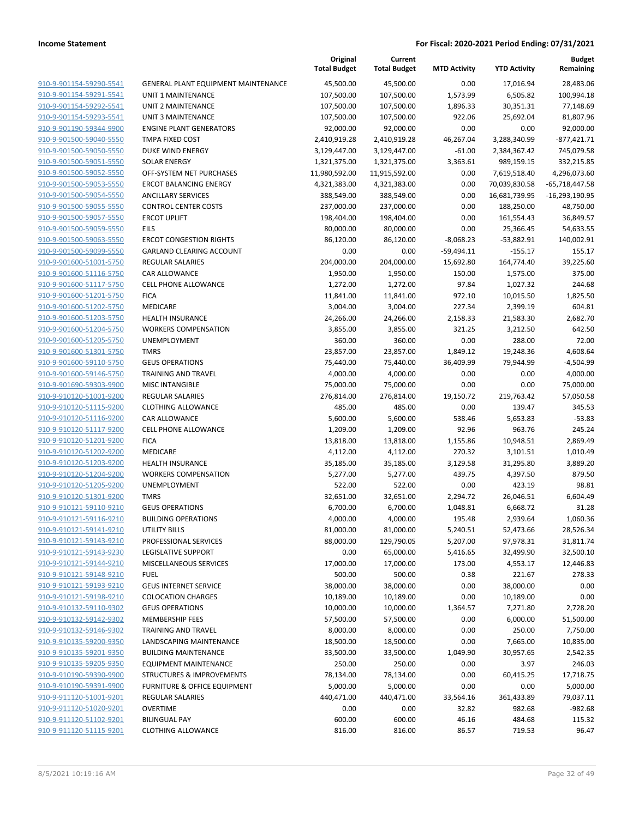**Current**

**Original**

**Budget Remaining**

|                                                    |                                                        | <b>Total Budget</b>   | <b>Total Budget</b> | <b>MTD Activity</b> | <b>YTD Activity</b> | Remaining            |
|----------------------------------------------------|--------------------------------------------------------|-----------------------|---------------------|---------------------|---------------------|----------------------|
| 910-9-901154-59290-5541                            | GENERAL PLANT EQUIPMENT MAINTENANCE                    | 45,500.00             | 45,500.00           | 0.00                | 17,016.94           | 28,483.06            |
| 910-9-901154-59291-5541                            | UNIT 1 MAINTENANCE                                     | 107,500.00            | 107,500.00          | 1,573.99            | 6,505.82            | 100,994.18           |
| 910-9-901154-59292-5541                            | UNIT 2 MAINTENANCE                                     | 107,500.00            | 107,500.00          | 1,896.33            | 30,351.31           | 77,148.69            |
| 910-9-901154-59293-5541                            | UNIT 3 MAINTENANCE                                     | 107,500.00            | 107,500.00          | 922.06              | 25,692.04           | 81,807.96            |
| 910-9-901190-59344-9900                            | <b>ENGINE PLANT GENERATORS</b>                         | 92,000.00             | 92,000.00           | 0.00                | 0.00                | 92,000.00            |
| 910-9-901500-59040-5550                            | TMPA FIXED COST                                        | 2,410,919.28          | 2,410,919.28        | 46,267.04           | 3,288,340.99        | $-877,421.71$        |
| 910-9-901500-59050-5550                            | DUKE WIND ENERGY                                       | 3,129,447.00          | 3,129,447.00        | $-61.00$            | 2,384,367.42        | 745,079.58           |
| 910-9-901500-59051-5550                            | <b>SOLAR ENERGY</b>                                    | 1,321,375.00          | 1,321,375.00        | 3,363.61            | 989,159.15          | 332,215.85           |
| 910-9-901500-59052-5550                            | OFF-SYSTEM NET PURCHASES                               | 11,980,592.00         | 11,915,592.00       | 0.00                | 7,619,518.40        | 4,296,073.60         |
| 910-9-901500-59053-5550                            | <b>ERCOT BALANCING ENERGY</b>                          | 4,321,383.00          | 4,321,383.00        | 0.00                | 70,039,830.58       | -65,718,447.58       |
| 910-9-901500-59054-5550                            | <b>ANCILLARY SERVICES</b>                              | 388,549.00            | 388,549.00          | 0.00                | 16,681,739.95       | -16,293,190.95       |
| 910-9-901500-59055-5550                            | <b>CONTROL CENTER COSTS</b>                            | 237,000.00            | 237,000.00          | 0.00                | 188,250.00          | 48,750.00            |
| 910-9-901500-59057-5550                            | <b>ERCOT UPLIFT</b>                                    | 198,404.00            | 198,404.00          | 0.00                | 161,554.43          | 36,849.57            |
| 910-9-901500-59059-5550                            | <b>EILS</b>                                            | 80,000.00             | 80,000.00           | 0.00                | 25,366.45           | 54,633.55            |
| 910-9-901500-59063-5550                            | <b>ERCOT CONGESTION RIGHTS</b>                         | 86,120.00             | 86,120.00           | $-8,068.23$         | $-53,882.91$        | 140,002.91           |
| 910-9-901500-59099-5550                            | <b>GARLAND CLEARING ACCOUNT</b>                        | 0.00                  | 0.00                | $-59,494.11$        | $-155.17$           | 155.17               |
| 910-9-901600-51001-5750                            | <b>REGULAR SALARIES</b>                                | 204,000.00            | 204,000.00          | 15,692.80           | 164,774.40          | 39,225.60            |
| 910-9-901600-51116-5750                            | <b>CAR ALLOWANCE</b>                                   | 1,950.00              | 1,950.00            | 150.00              | 1,575.00            | 375.00               |
| 910-9-901600-51117-5750                            | <b>CELL PHONE ALLOWANCE</b>                            | 1,272.00              | 1,272.00            | 97.84               | 1,027.32            | 244.68               |
| 910-9-901600-51201-5750                            | <b>FICA</b>                                            | 11,841.00             | 11,841.00           | 972.10              | 10,015.50           | 1,825.50             |
| 910-9-901600-51202-5750                            | MEDICARE                                               | 3,004.00              | 3,004.00            | 227.34              | 2,399.19            | 604.81               |
| 910-9-901600-51203-5750                            | <b>HEALTH INSURANCE</b>                                | 24,266.00             | 24,266.00           | 2,158.33            | 21,583.30           | 2,682.70             |
| 910-9-901600-51204-5750                            | <b>WORKERS COMPENSATION</b>                            | 3,855.00              | 3,855.00            | 321.25              | 3,212.50            | 642.50               |
| 910-9-901600-51205-5750                            | UNEMPLOYMENT                                           | 360.00                | 360.00              | 0.00                | 288.00              | 72.00                |
| 910-9-901600-51301-5750                            | <b>TMRS</b>                                            | 23,857.00             | 23,857.00           | 1,849.12            | 19,248.36           | 4,608.64             |
| 910-9-901600-59110-5750                            | <b>GEUS OPERATIONS</b>                                 | 75,440.00             | 75,440.00           | 36,409.99           | 79,944.99           | $-4,504.99$          |
| 910-9-901600-59146-5750                            | TRAINING AND TRAVEL                                    | 4,000.00              | 4,000.00            | 0.00                | 0.00                | 4,000.00             |
| 910-9-901690-59303-9900                            | <b>MISC INTANGIBLE</b>                                 | 75,000.00             | 75,000.00           | 0.00                | 0.00                | 75,000.00            |
| 910-9-910120-51001-9200                            | <b>REGULAR SALARIES</b>                                | 276,814.00            | 276,814.00          | 19,150.72           | 219,763.42          | 57,050.58            |
| 910-9-910120-51115-9200                            | <b>CLOTHING ALLOWANCE</b>                              | 485.00                | 485.00              | 0.00                | 139.47              | 345.53               |
| 910-9-910120-51116-9200                            | CAR ALLOWANCE                                          | 5,600.00              | 5,600.00            | 538.46              | 5,653.83            | $-53.83$             |
| 910-9-910120-51117-9200                            | CELL PHONE ALLOWANCE                                   | 1,209.00              | 1,209.00            | 92.96               | 963.76              | 245.24               |
| 910-9-910120-51201-9200                            | <b>FICA</b>                                            | 13,818.00             | 13,818.00           | 1,155.86            | 10,948.51           | 2,869.49             |
| 910-9-910120-51202-9200<br>910-9-910120-51203-9200 | MEDICARE                                               | 4,112.00              | 4,112.00            | 270.32              | 3,101.51            | 1,010.49<br>3,889.20 |
| 910-9-910120-51204-9200                            | <b>HEALTH INSURANCE</b><br><b>WORKERS COMPENSATION</b> | 35,185.00<br>5,277.00 | 35,185.00           | 3,129.58<br>439.75  | 31,295.80           | 879.50               |
| 910-9-910120-51205-9200                            | UNEMPLOYMENT                                           | 522.00                | 5,277.00<br>522.00  | 0.00                | 4,397.50<br>423.19  | 98.81                |
| 910-9-910120-51301-9200                            | <b>TMRS</b>                                            | 32,651.00             | 32,651.00           | 2,294.72            | 26,046.51           | 6,604.49             |
| 910-9-910121-59110-9210                            | <b>GEUS OPERATIONS</b>                                 | 6,700.00              | 6,700.00            | 1,048.81            | 6,668.72            | 31.28                |
| 910-9-910121-59116-9210                            | <b>BUILDING OPERATIONS</b>                             | 4,000.00              | 4,000.00            | 195.48              | 2,939.64            | 1,060.36             |
| 910-9-910121-59141-9210                            | UTILITY BILLS                                          | 81,000.00             | 81,000.00           | 5,240.51            | 52,473.66           | 28,526.34            |
| 910-9-910121-59143-9210                            | PROFESSIONAL SERVICES                                  | 88,000.00             | 129,790.05          | 5,207.00            | 97,978.31           | 31,811.74            |
| 910-9-910121-59143-9230                            | LEGISLATIVE SUPPORT                                    | 0.00                  | 65,000.00           | 5,416.65            | 32,499.90           | 32,500.10            |
| 910-9-910121-59144-9210                            | <b>MISCELLANEOUS SERVICES</b>                          | 17,000.00             | 17,000.00           | 173.00              | 4,553.17            | 12,446.83            |
| 910-9-910121-59148-9210                            | <b>FUEL</b>                                            | 500.00                | 500.00              | 0.38                | 221.67              | 278.33               |
| 910-9-910121-59193-9210                            | <b>GEUS INTERNET SERVICE</b>                           | 38,000.00             | 38,000.00           | 0.00                | 38,000.00           | 0.00                 |
| 910-9-910121-59198-9210                            | <b>COLOCATION CHARGES</b>                              | 10,189.00             | 10,189.00           | 0.00                | 10,189.00           | 0.00                 |
| 910-9-910132-59110-9302                            | <b>GEUS OPERATIONS</b>                                 | 10,000.00             | 10,000.00           | 1,364.57            | 7,271.80            | 2,728.20             |
| 910-9-910132-59142-9302                            | <b>MEMBERSHIP FEES</b>                                 | 57,500.00             | 57,500.00           | 0.00                | 6,000.00            | 51,500.00            |
| 910-9-910132-59146-9302                            | TRAINING AND TRAVEL                                    | 8,000.00              | 8,000.00            | 0.00                | 250.00              | 7,750.00             |
| 910-9-910135-59200-9350                            | LANDSCAPING MAINTENANCE                                | 18,500.00             | 18,500.00           | 0.00                | 7,665.00            | 10,835.00            |
| 910-9-910135-59201-9350                            | <b>BUILDING MAINTENANCE</b>                            | 33,500.00             | 33,500.00           | 1,049.90            | 30,957.65           | 2,542.35             |
| 910-9-910135-59205-9350                            | <b>EQUIPMENT MAINTENANCE</b>                           | 250.00                | 250.00              | 0.00                | 3.97                | 246.03               |
| 910-9-910190-59390-9900                            | <b>STRUCTURES &amp; IMPROVEMENTS</b>                   | 78,134.00             | 78,134.00           | 0.00                | 60,415.25           | 17,718.75            |
| 910-9-910190-59391-9900                            | FURNITURE & OFFICE EQUIPMENT                           | 5,000.00              | 5,000.00            | 0.00                | 0.00                | 5,000.00             |
| 910-9-911120-51001-9201                            | <b>REGULAR SALARIES</b>                                | 440,471.00            | 440,471.00          | 33,564.16           | 361,433.89          | 79,037.11            |
| 910-9-911120-51020-9201                            | <b>OVERTIME</b>                                        | 0.00                  | 0.00                | 32.82               | 982.68              | $-982.68$            |
| 910-9-911120-51102-9201                            | <b>BILINGUAL PAY</b>                                   | 600.00                | 600.00              | 46.16               | 484.68              | 115.32               |
| 910-9-911120-51115-9201                            | <b>CLOTHING ALLOWANCE</b>                              | 816.00                | 816.00              | 86.57               | 719.53              | 96.47                |
|                                                    |                                                        |                       |                     |                     |                     |                      |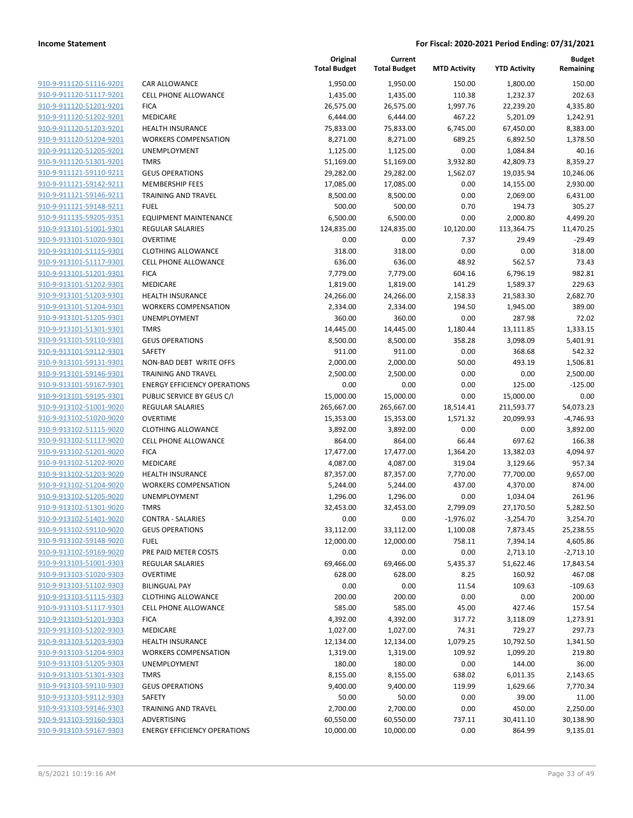| 910-9-911120-51116-9201        |
|--------------------------------|
| 910-9-911120-51117-9201        |
| 910-9-911120-51201-9201        |
| 910-9-911120-51202-9201        |
| <u>910-9-911120-51203-9201</u> |
| 910-9-911120-51204-9201        |
| 910-9-911120-51205-9201        |
| 910-9-911120-51301-9201        |
|                                |
| <u>910-9-911121-59110-9211</u> |
| 910-9-911121-59142-9211        |
| 910-9-911121-59146-9211        |
| 910-9-911121-59148-9211        |
| 910-9-911135-59205-9351        |
| 910-9-913101-51001-9301        |
| <u>910-9-913101-51020-9301</u> |
| 910-9-913101-51115-9301        |
| 910-9-913101-51117-9301        |
| 910-9-913101-51201-9301        |
|                                |
| <u>910-9-913101-51202-9301</u> |
| <u>910-9-913101-51203-9301</u> |
| 910-9-913101-51204-9301        |
| 910-9-913101-51205-9301        |
| 910-9-913101-51301-9301        |
| <u>910-9-913101-59110-9301</u> |
| <u>910-9-913101-59112-9301</u> |
| 910-9-913101-59131-9301        |
| 910-9-913101-59146-9301        |
| 910-9-913101-59167-9301        |
| <u>910-9-913101-59195-9301</u> |
| <u>910-9-913102-51001-9020</u> |
|                                |
| 910-9-913102-51020-9020        |
| 910-9-913102-51115-9020        |
| 910-9-913102-51117-9020        |
| <u>910-9-913102-51201-9020</u> |
| <u>910-9-913102-51202-9020</u> |
| 910-9-913102-51203-9020        |
| 910-9-913102-51204-9020        |
| 910-9-913102-51205-9020        |
| 910-9-913102-51301-9020        |
| 910-9-913102-51401-9020        |
| 910-9-913102-59110-9020        |
| 910-9-913102-59148-9020        |
| 910-9-913102-59169-9020        |
|                                |
| <u>910-9-913103-51001-9303</u> |
| <u>910-9-913103-51020-9303</u> |
| 910-9-913103-51102-9303        |
| 910-9-913103-51115-9303        |
| 910-9-913103-51117-9303        |
| 910-9-913103-51201-9303        |
| 910-9-913103-51202-9303        |
| 910-9-913103-51203-9303        |
| 910-9-913103-51204-9303        |
| 910-9-913103-51205-9303        |
| <u>910-9-913103-51301-9303</u> |
| <u>910-9-913103-59110-9303</u> |
|                                |
| 910-9-913103-59112-9303        |
| 910-9-913103-59146-9303        |
| 910-9-913103-59160-9303        |
| 910-9-913103-59167-9303        |
|                                |

|                                                    |                                            | Original<br><b>Total Budget</b> | Current<br><b>Total Budget</b> | <b>MTD Activity</b>   | <b>YTD Activity</b>     | <b>Budget</b><br>Remaining |
|----------------------------------------------------|--------------------------------------------|---------------------------------|--------------------------------|-----------------------|-------------------------|----------------------------|
| 910-9-911120-51116-9201                            | <b>CAR ALLOWANCE</b>                       | 1,950.00                        | 1,950.00                       | 150.00                | 1,800.00                | 150.00                     |
| 910-9-911120-51117-9201                            | <b>CELL PHONE ALLOWANCE</b>                | 1,435.00                        | 1,435.00                       | 110.38                | 1,232.37                | 202.63                     |
| 910-9-911120-51201-9201                            | <b>FICA</b>                                | 26,575.00                       | 26,575.00                      | 1,997.76              | 22,239.20               | 4,335.80                   |
| 910-9-911120-51202-9201                            | MEDICARE                                   | 6,444.00                        | 6,444.00                       | 467.22                | 5,201.09                | 1,242.91                   |
| 910-9-911120-51203-9201                            | <b>HEALTH INSURANCE</b>                    | 75,833.00                       | 75,833.00                      | 6,745.00              | 67,450.00               | 8,383.00                   |
| 910-9-911120-51204-9201                            | <b>WORKERS COMPENSATION</b>                | 8,271.00                        | 8,271.00                       | 689.25                | 6,892.50                | 1,378.50                   |
| 910-9-911120-51205-9201                            | UNEMPLOYMENT                               | 1,125.00                        | 1,125.00                       | 0.00                  | 1,084.84                | 40.16                      |
| 910-9-911120-51301-9201                            | <b>TMRS</b>                                | 51,169.00                       | 51,169.00                      | 3,932.80              | 42,809.73               | 8,359.27                   |
| 910-9-911121-59110-9211                            | <b>GEUS OPERATIONS</b>                     | 29,282.00                       | 29,282.00                      | 1,562.07              | 19,035.94               | 10,246.06                  |
| 910-9-911121-59142-9211                            | <b>MEMBERSHIP FEES</b>                     | 17,085.00                       | 17,085.00                      | 0.00                  | 14,155.00               | 2,930.00                   |
| 910-9-911121-59146-9211                            | <b>TRAINING AND TRAVEL</b>                 | 8,500.00                        | 8,500.00                       | 0.00                  | 2,069.00                | 6,431.00                   |
| 910-9-911121-59148-9211                            | <b>FUEL</b>                                | 500.00                          | 500.00                         | 0.70                  | 194.73                  | 305.27                     |
| 910-9-911135-59205-9351                            | <b>EQUIPMENT MAINTENANCE</b>               | 6,500.00                        | 6,500.00                       | 0.00                  | 2,000.80                | 4,499.20                   |
| 910-9-913101-51001-9301                            | <b>REGULAR SALARIES</b>                    | 124,835.00                      | 124,835.00                     | 10,120.00             | 113,364.75              | 11,470.25                  |
| 910-9-913101-51020-9301                            | <b>OVERTIME</b>                            | 0.00                            | 0.00                           | 7.37                  | 29.49                   | $-29.49$                   |
| 910-9-913101-51115-9301                            | <b>CLOTHING ALLOWANCE</b>                  | 318.00                          | 318.00                         | 0.00                  | 0.00                    | 318.00                     |
| 910-9-913101-51117-9301                            | CELL PHONE ALLOWANCE                       | 636.00                          | 636.00                         | 48.92                 | 562.57                  | 73.43                      |
| 910-9-913101-51201-9301                            | <b>FICA</b>                                | 7,779.00                        | 7,779.00                       | 604.16                | 6,796.19                | 982.81                     |
| 910-9-913101-51202-9301                            | MEDICARE                                   | 1,819.00                        | 1,819.00                       | 141.29                | 1,589.37                | 229.63                     |
| 910-9-913101-51203-9301                            | <b>HEALTH INSURANCE</b>                    | 24,266.00                       | 24,266.00                      | 2,158.33              | 21,583.30               | 2,682.70                   |
| 910-9-913101-51204-9301                            | <b>WORKERS COMPENSATION</b>                | 2,334.00                        | 2,334.00                       | 194.50                | 1,945.00                | 389.00                     |
| 910-9-913101-51205-9301                            | UNEMPLOYMENT                               | 360.00                          | 360.00                         | 0.00                  | 287.98                  | 72.02                      |
| 910-9-913101-51301-9301                            | <b>TMRS</b>                                | 14,445.00                       | 14,445.00                      | 1,180.44              | 13,111.85               | 1,333.15                   |
| 910-9-913101-59110-9301                            | <b>GEUS OPERATIONS</b>                     | 8,500.00                        | 8,500.00                       | 358.28                | 3,098.09                | 5,401.91                   |
| 910-9-913101-59112-9301                            | <b>SAFETY</b>                              | 911.00                          | 911.00                         | 0.00                  | 368.68                  | 542.32                     |
| 910-9-913101-59131-9301                            | NON-BAD DEBT WRITE OFFS                    | 2,000.00                        | 2,000.00                       | 50.00                 | 493.19                  | 1,506.81                   |
| 910-9-913101-59146-9301                            | <b>TRAINING AND TRAVEL</b>                 | 2,500.00                        | 2,500.00                       | 0.00                  | 0.00                    | 2,500.00                   |
| 910-9-913101-59167-9301                            | <b>ENERGY EFFICIENCY OPERATIONS</b>        | 0.00                            | 0.00                           | 0.00                  | 125.00                  | $-125.00$                  |
| 910-9-913101-59195-9301                            | PUBLIC SERVICE BY GEUS C/I                 | 15,000.00                       | 15,000.00                      | 0.00                  | 15,000.00               | 0.00                       |
| 910-9-913102-51001-9020<br>910-9-913102-51020-9020 | <b>REGULAR SALARIES</b><br><b>OVERTIME</b> | 265,667.00<br>15,353.00         | 265,667.00<br>15,353.00        | 18,514.41<br>1,571.32 | 211,593.77<br>20,099.93 | 54,073.23<br>$-4,746.93$   |
| 910-9-913102-51115-9020                            | <b>CLOTHING ALLOWANCE</b>                  | 3,892.00                        | 3,892.00                       | 0.00                  | 0.00                    | 3,892.00                   |
| 910-9-913102-51117-9020                            | CELL PHONE ALLOWANCE                       | 864.00                          | 864.00                         | 66.44                 | 697.62                  | 166.38                     |
| 910-9-913102-51201-9020                            | <b>FICA</b>                                | 17,477.00                       | 17,477.00                      | 1,364.20              | 13,382.03               | 4,094.97                   |
| 910-9-913102-51202-9020                            | MEDICARE                                   | 4,087.00                        | 4,087.00                       | 319.04                | 3,129.66                | 957.34                     |
| 910-9-913102-51203-9020                            | <b>HEALTH INSURANCE</b>                    | 87,357.00                       | 87,357.00                      | 7,770.00              | 77,700.00               | 9,657.00                   |
| 910-9-913102-51204-9020                            | <b>WORKERS COMPENSATION</b>                | 5,244.00                        | 5,244.00                       | 437.00                | 4,370.00                | 874.00                     |
| 910-9-913102-51205-9020                            | <b>UNEMPLOYMENT</b>                        | 1,296.00                        | 1,296.00                       | 0.00                  | 1,034.04                | 261.96                     |
| 910-9-913102-51301-9020                            | <b>TMRS</b>                                | 32,453.00                       | 32,453.00                      | 2,799.09              | 27,170.50               | 5,282.50                   |
| 910-9-913102-51401-9020                            | <b>CONTRA - SALARIES</b>                   | 0.00                            | 0.00                           | $-1,976.02$           | $-3,254.70$             | 3,254.70                   |
| 910-9-913102-59110-9020                            | <b>GEUS OPERATIONS</b>                     | 33,112.00                       | 33,112.00                      | 1,100.08              | 7,873.45                | 25,238.55                  |
| 910-9-913102-59148-9020                            | <b>FUEL</b>                                | 12,000.00                       | 12,000.00                      | 758.11                | 7,394.14                | 4,605.86                   |
| 910-9-913102-59169-9020                            | PRE PAID METER COSTS                       | 0.00                            | 0.00                           | 0.00                  | 2,713.10                | $-2,713.10$                |
| 910-9-913103-51001-9303                            | REGULAR SALARIES                           | 69,466.00                       | 69,466.00                      | 5,435.37              | 51,622.46               | 17,843.54                  |
| 910-9-913103-51020-9303                            | <b>OVERTIME</b>                            | 628.00                          | 628.00                         | 8.25                  | 160.92                  | 467.08                     |
| 910-9-913103-51102-9303                            | <b>BILINGUAL PAY</b>                       | 0.00                            | 0.00                           | 11.54                 | 109.63                  | $-109.63$                  |
| 910-9-913103-51115-9303                            | <b>CLOTHING ALLOWANCE</b>                  | 200.00                          | 200.00                         | 0.00                  | 0.00                    | 200.00                     |
| 910-9-913103-51117-9303                            | <b>CELL PHONE ALLOWANCE</b>                | 585.00                          | 585.00                         | 45.00                 | 427.46                  | 157.54                     |
| 910-9-913103-51201-9303                            | <b>FICA</b>                                | 4,392.00                        | 4,392.00                       | 317.72                | 3,118.09                | 1,273.91                   |
| 910-9-913103-51202-9303                            | MEDICARE                                   | 1,027.00                        | 1,027.00                       | 74.31                 | 729.27                  | 297.73                     |
| 910-9-913103-51203-9303                            | <b>HEALTH INSURANCE</b>                    | 12,134.00                       | 12,134.00                      | 1,079.25              | 10,792.50               | 1,341.50                   |
| 910-9-913103-51204-9303                            | <b>WORKERS COMPENSATION</b>                | 1,319.00                        | 1,319.00                       | 109.92                | 1,099.20                | 219.80                     |
| 910-9-913103-51205-9303                            | UNEMPLOYMENT                               | 180.00                          | 180.00                         | 0.00                  | 144.00                  | 36.00                      |
| 910-9-913103-51301-9303                            | <b>TMRS</b>                                | 8,155.00                        | 8,155.00                       | 638.02                | 6,011.35                | 2,143.65                   |
| 910-9-913103-59110-9303                            | <b>GEUS OPERATIONS</b>                     | 9,400.00                        | 9,400.00                       | 119.99                | 1,629.66                | 7,770.34                   |
| 910-9-913103-59112-9303                            | SAFETY                                     | 50.00                           | 50.00                          | 0.00                  | 39.00                   | 11.00                      |
| 910-9-913103-59146-9303                            | <b>TRAINING AND TRAVEL</b>                 | 2,700.00                        | 2,700.00                       | 0.00                  | 450.00                  | 2,250.00                   |
| 910-9-913103-59160-9303                            | ADVERTISING                                | 60,550.00                       | 60,550.00                      | 737.11                | 30,411.10               | 30,138.90                  |
| 910-9-913103-59167-9303                            | <b>ENERGY EFFICIENCY OPERATIONS</b>        | 10,000.00                       | 10,000.00                      | 0.00                  | 864.99                  | 9,135.01                   |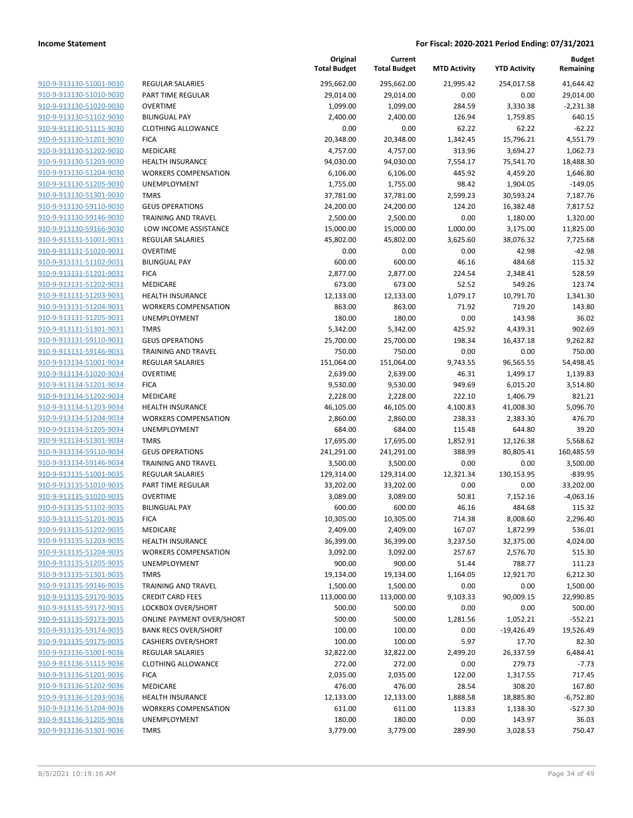|                         |                                  | Original<br><b>Total Budget</b> | Current<br><b>Total Budget</b> | <b>MTD Activity</b> | <b>YTD Activity</b> | <b>Budget</b><br>Remaining |
|-------------------------|----------------------------------|---------------------------------|--------------------------------|---------------------|---------------------|----------------------------|
| 910-9-913130-51001-9030 | <b>REGULAR SALARIES</b>          | 295,662.00                      | 295,662.00                     | 21,995.42           | 254,017.58          | 41,644.42                  |
| 910-9-913130-51010-9030 | PART TIME REGULAR                | 29,014.00                       | 29,014.00                      | 0.00                | 0.00                | 29,014.00                  |
| 910-9-913130-51020-9030 | <b>OVERTIME</b>                  | 1,099.00                        | 1,099.00                       | 284.59              | 3,330.38            | $-2,231.38$                |
| 910-9-913130-51102-9030 | <b>BILINGUAL PAY</b>             | 2,400.00                        | 2,400.00                       | 126.94              | 1,759.85            | 640.15                     |
| 910-9-913130-51115-9030 | <b>CLOTHING ALLOWANCE</b>        | 0.00                            | 0.00                           | 62.22               | 62.22               | $-62.22$                   |
| 910-9-913130-51201-9030 | <b>FICA</b>                      | 20,348.00                       | 20,348.00                      | 1,342.45            | 15,796.21           | 4,551.79                   |
| 910-9-913130-51202-9030 | MEDICARE                         | 4,757.00                        | 4,757.00                       | 313.96              | 3,694.27            | 1,062.73                   |
| 910-9-913130-51203-9030 | <b>HEALTH INSURANCE</b>          | 94,030.00                       | 94,030.00                      | 7,554.17            | 75,541.70           | 18,488.30                  |
| 910-9-913130-51204-9030 | <b>WORKERS COMPENSATION</b>      | 6,106.00                        | 6,106.00                       | 445.92              | 4,459.20            | 1,646.80                   |
| 910-9-913130-51205-9030 | UNEMPLOYMENT                     | 1,755.00                        | 1,755.00                       | 98.42               | 1,904.05            | $-149.05$                  |
| 910-9-913130-51301-9030 | <b>TMRS</b>                      | 37,781.00                       | 37,781.00                      | 2,599.23            | 30,593.24           | 7,187.76                   |
| 910-9-913130-59110-9030 | <b>GEUS OPERATIONS</b>           | 24,200.00                       | 24,200.00                      | 124.20              | 16,382.48           | 7,817.52                   |
| 910-9-913130-59146-9030 | TRAINING AND TRAVEL              | 2,500.00                        | 2,500.00                       | 0.00                | 1,180.00            | 1,320.00                   |
| 910-9-913130-59166-9030 | LOW INCOME ASSISTANCE            | 15,000.00                       | 15,000.00                      | 1,000.00            | 3,175.00            | 11,825.00                  |
| 910-9-913131-51001-9031 | <b>REGULAR SALARIES</b>          | 45,802.00                       | 45,802.00                      | 3,625.60            | 38,076.32           | 7,725.68                   |
| 910-9-913131-51020-9031 | <b>OVERTIME</b>                  | 0.00                            | 0.00                           | 0.00                | 42.98               | $-42.98$                   |
| 910-9-913131-51102-9031 | <b>BILINGUAL PAY</b>             | 600.00                          | 600.00                         | 46.16               | 484.68              | 115.32                     |
| 910-9-913131-51201-9031 | <b>FICA</b>                      | 2,877.00                        | 2,877.00                       | 224.54              | 2,348.41            | 528.59                     |
| 910-9-913131-51202-9031 | MEDICARE                         | 673.00                          | 673.00                         | 52.52               | 549.26              | 123.74                     |
| 910-9-913131-51203-9031 | <b>HEALTH INSURANCE</b>          | 12,133.00                       | 12,133.00                      | 1,079.17            | 10,791.70           | 1,341.30                   |
| 910-9-913131-51204-9031 | <b>WORKERS COMPENSATION</b>      | 863.00                          | 863.00                         | 71.92               | 719.20              | 143.80                     |
| 910-9-913131-51205-9031 | UNEMPLOYMENT                     | 180.00                          | 180.00                         | 0.00                | 143.98              | 36.02                      |
| 910-9-913131-51301-9031 | <b>TMRS</b>                      | 5,342.00                        | 5,342.00                       | 425.92              | 4,439.31            | 902.69                     |
| 910-9-913131-59110-9031 | <b>GEUS OPERATIONS</b>           | 25,700.00                       | 25,700.00                      | 198.34              | 16,437.18           | 9,262.82                   |
| 910-9-913131-59146-9031 | <b>TRAINING AND TRAVEL</b>       | 750.00                          | 750.00                         | 0.00                | 0.00                | 750.00                     |
| 910-9-913134-51001-9034 | <b>REGULAR SALARIES</b>          | 151,064.00                      | 151,064.00                     | 9,743.55            | 96,565.55           | 54,498.45                  |
| 910-9-913134-51020-9034 | <b>OVERTIME</b>                  | 2,639.00                        | 2,639.00                       | 46.31               | 1,499.17            | 1,139.83                   |
| 910-9-913134-51201-9034 | <b>FICA</b>                      | 9,530.00                        | 9,530.00                       | 949.69              | 6,015.20            | 3,514.80                   |
| 910-9-913134-51202-9034 | MEDICARE                         | 2,228.00                        | 2,228.00                       | 222.10              | 1,406.79            | 821.21                     |
| 910-9-913134-51203-9034 | <b>HEALTH INSURANCE</b>          | 46,105.00                       | 46,105.00                      | 4,100.83            | 41,008.30           | 5,096.70                   |
| 910-9-913134-51204-9034 | <b>WORKERS COMPENSATION</b>      | 2,860.00                        | 2,860.00                       | 238.33              | 2,383.30            | 476.70                     |
| 910-9-913134-51205-9034 | UNEMPLOYMENT                     | 684.00                          | 684.00                         | 115.48              | 644.80              | 39.20                      |
| 910-9-913134-51301-9034 | <b>TMRS</b>                      | 17,695.00                       | 17,695.00                      | 1,852.91            | 12,126.38           | 5,568.62                   |
| 910-9-913134-59110-9034 | <b>GEUS OPERATIONS</b>           | 241,291.00                      | 241,291.00                     | 388.99              | 80,805.41           | 160,485.59                 |
| 910-9-913134-59146-9034 | TRAINING AND TRAVEL              | 3,500.00                        | 3,500.00                       | 0.00                | 0.00                | 3,500.00                   |
| 910-9-913135-51001-9035 | <b>REGULAR SALARIES</b>          | 129,314.00                      | 129,314.00                     | 12,321.34           | 130,153.95          | $-839.95$                  |
| 910-9-913135-51010-9035 | <b>PART TIME REGULAR</b>         | 33,202.00                       | 33,202.00                      | 0.00                | 0.00                | 33,202.00                  |
| 910-9-913135-51020-9035 | OVERTIME                         | 3,089.00                        | 3,089.00                       | 50.81               | 7,152.16            | $-4,063.16$                |
| 910-9-913135-51102-9035 | <b>BILINGUAL PAY</b>             | 600.00                          | 600.00                         | 46.16               | 484.68              | 115.32                     |
| 910-9-913135-51201-9035 | <b>FICA</b>                      | 10,305.00                       | 10,305.00                      | 714.38              | 8,008.60            | 2,296.40                   |
| 910-9-913135-51202-9035 | MEDICARE                         | 2,409.00                        | 2,409.00                       | 167.07              | 1,872.99            | 536.01                     |
| 910-9-913135-51203-9035 | <b>HEALTH INSURANCE</b>          | 36,399.00                       | 36,399.00                      | 3,237.50            | 32,375.00           | 4,024.00                   |
| 910-9-913135-51204-9035 | <b>WORKERS COMPENSATION</b>      | 3,092.00                        | 3,092.00                       | 257.67              | 2,576.70            | 515.30                     |
| 910-9-913135-51205-9035 | <b>UNEMPLOYMENT</b>              | 900.00                          | 900.00                         | 51.44               | 788.77              | 111.23                     |
| 910-9-913135-51301-9035 | <b>TMRS</b>                      | 19,134.00                       | 19,134.00                      | 1,164.05            | 12,921.70           | 6,212.30                   |
| 910-9-913135-59146-9035 | TRAINING AND TRAVEL              | 1,500.00                        | 1,500.00                       | 0.00                | 0.00                | 1,500.00                   |
| 910-9-913135-59170-9035 | <b>CREDIT CARD FEES</b>          | 113,000.00                      | 113,000.00                     | 9,103.33            | 90,009.15           | 22,990.85                  |
| 910-9-913135-59172-9035 | LOCKBOX OVER/SHORT               | 500.00                          | 500.00                         | 0.00                | 0.00                | 500.00                     |
| 910-9-913135-59173-9035 | <b>ONLINE PAYMENT OVER/SHORT</b> | 500.00                          | 500.00                         | 1,281.56            | 1,052.21            | $-552.21$                  |
| 910-9-913135-59174-9035 | <b>BANK RECS OVER/SHORT</b>      | 100.00                          | 100.00                         | 0.00                | $-19,426.49$        | 19,526.49                  |
| 910-9-913135-59175-9035 | <b>CASHIERS OVER/SHORT</b>       | 100.00                          | 100.00                         | 5.97                | 17.70               | 82.30                      |
| 910-9-913136-51001-9036 | <b>REGULAR SALARIES</b>          | 32,822.00                       | 32,822.00                      | 2,499.20            | 26,337.59           | 6,484.41                   |
| 910-9-913136-51115-9036 | <b>CLOTHING ALLOWANCE</b>        | 272.00                          | 272.00                         | 0.00                | 279.73              | $-7.73$                    |
| 910-9-913136-51201-9036 | <b>FICA</b>                      | 2,035.00                        | 2,035.00                       | 122.00              | 1,317.55            | 717.45                     |
| 910-9-913136-51202-9036 | MEDICARE                         | 476.00                          | 476.00                         | 28.54               | 308.20              | 167.80                     |
| 910-9-913136-51203-9036 | <b>HEALTH INSURANCE</b>          | 12,133.00                       | 12,133.00                      | 1,888.58            | 18,885.80           | $-6,752.80$                |
| 910-9-913136-51204-9036 | <b>WORKERS COMPENSATION</b>      | 611.00                          | 611.00                         | 113.83              | 1,138.30            | $-527.30$                  |
| 910-9-913136-51205-9036 | UNEMPLOYMENT                     | 180.00                          | 180.00                         | 0.00                | 143.97              | 36.03                      |
| 910-9-913136-51301-9036 | <b>TMRS</b>                      | 3,779.00                        | 3,779.00                       | 289.90              | 3,028.53            | 750.47                     |

**Original**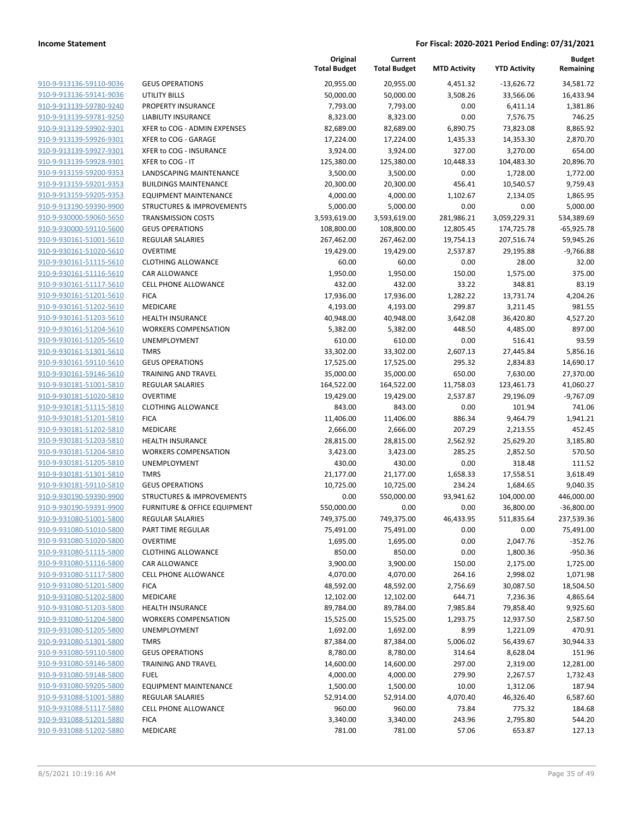|                                                    |                                            | Original<br><b>Total Budget</b> | Current<br><b>Total Budget</b> | <b>MTD Activity</b> | <b>YTD Activity</b> | <b>Budget</b><br>Remaining |
|----------------------------------------------------|--------------------------------------------|---------------------------------|--------------------------------|---------------------|---------------------|----------------------------|
| 910-9-913136-59110-9036                            | <b>GEUS OPERATIONS</b>                     | 20,955.00                       | 20,955.00                      | 4,451.32            | $-13,626.72$        | 34,581.72                  |
| 910-9-913136-59141-9036                            | <b>UTILITY BILLS</b>                       | 50,000.00                       | 50,000.00                      | 3,508.26            | 33,566.06           | 16,433.94                  |
| 910-9-913139-59780-9240                            | PROPERTY INSURANCE                         | 7,793.00                        | 7,793.00                       | 0.00                | 6,411.14            | 1,381.86                   |
| 910-9-913139-59781-9250                            | <b>LIABILITY INSURANCE</b>                 | 8,323.00                        | 8,323.00                       | 0.00                | 7,576.75            | 746.25                     |
| 910-9-913139-59902-9301                            | XFER to COG - ADMIN EXPENSES               | 82,689.00                       | 82,689.00                      | 6,890.75            | 73,823.08           | 8,865.92                   |
| 910-9-913139-59926-9301                            | XFER to COG - GARAGE                       | 17,224.00                       | 17,224.00                      | 1,435.33            | 14,353.30           | 2,870.70                   |
| 910-9-913139-59927-9301                            | XFER to COG - INSURANCE                    | 3,924.00                        | 3,924.00                       | 327.00              | 3,270.00            | 654.00                     |
| 910-9-913139-59928-9301                            | XFER to COG - IT                           | 125,380.00                      | 125,380.00                     | 10,448.33           | 104,483.30          | 20,896.70                  |
| 910-9-913159-59200-9353                            | <b>LANDSCAPING MAINTENANCE</b>             | 3,500.00                        | 3,500.00                       | 0.00                | 1,728.00            | 1,772.00                   |
| 910-9-913159-59201-9353                            | <b>BUILDINGS MAINTENANCE</b>               | 20,300.00                       | 20,300.00                      | 456.41              | 10,540.57           | 9,759.43                   |
| 910-9-913159-59205-9353                            | <b>EQUIPMENT MAINTENANCE</b>               | 4,000.00                        | 4,000.00                       | 1,102.67            | 2,134.05            | 1,865.95                   |
| 910-9-913190-59390-9900                            | <b>STRUCTURES &amp; IMPROVEMENTS</b>       | 5,000.00                        | 5,000.00                       | 0.00                | 0.00                | 5,000.00                   |
| 910-9-930000-59060-5650                            | <b>TRANSMISSION COSTS</b>                  | 3,593,619.00                    | 3,593,619.00                   | 281,986.21          | 3,059,229.31        | 534,389.69                 |
| 910-9-930000-59110-5600                            | <b>GEUS OPERATIONS</b>                     | 108,800.00                      | 108,800.00                     | 12,805.45           | 174,725.78          | $-65,925.78$               |
| 910-9-930161-51001-5610                            | <b>REGULAR SALARIES</b>                    | 267,462.00                      | 267,462.00                     | 19,754.13           | 207,516.74          | 59,945.26                  |
| 910-9-930161-51020-5610                            | <b>OVERTIME</b>                            | 19,429.00                       | 19,429.00                      | 2,537.87            | 29,195.88           | $-9,766.88$                |
| 910-9-930161-51115-5610                            | <b>CLOTHING ALLOWANCE</b>                  | 60.00                           | 60.00                          | 0.00                | 28.00               | 32.00                      |
| 910-9-930161-51116-5610                            | <b>CAR ALLOWANCE</b>                       | 1,950.00                        | 1,950.00                       | 150.00              | 1,575.00            | 375.00                     |
| 910-9-930161-51117-5610                            | <b>CELL PHONE ALLOWANCE</b>                | 432.00                          | 432.00                         | 33.22               | 348.81              | 83.19                      |
| 910-9-930161-51201-5610                            | <b>FICA</b>                                | 17,936.00                       | 17,936.00                      | 1,282.22            | 13,731.74           | 4,204.26                   |
| 910-9-930161-51202-5610                            | MEDICARE                                   | 4,193.00                        | 4,193.00                       | 299.87              | 3,211.45            | 981.55                     |
| 910-9-930161-51203-5610                            | <b>HEALTH INSURANCE</b>                    | 40,948.00                       | 40,948.00                      | 3,642.08            | 36,420.80           | 4,527.20                   |
| 910-9-930161-51204-5610                            | <b>WORKERS COMPENSATION</b>                | 5,382.00                        | 5,382.00                       | 448.50              | 4,485.00            | 897.00                     |
| 910-9-930161-51205-5610                            | UNEMPLOYMENT                               | 610.00                          | 610.00                         | 0.00                | 516.41              | 93.59                      |
| 910-9-930161-51301-5610                            | <b>TMRS</b>                                | 33,302.00                       | 33,302.00                      | 2,607.13            | 27,445.84           | 5,856.16                   |
| 910-9-930161-59110-5610                            | <b>GEUS OPERATIONS</b>                     | 17,525.00                       | 17,525.00                      | 295.32              | 2,834.83            | 14,690.17                  |
| 910-9-930161-59146-5610                            | TRAINING AND TRAVEL                        | 35,000.00                       | 35,000.00                      | 650.00              | 7,630.00            | 27,370.00                  |
| 910-9-930181-51001-5810<br>910-9-930181-51020-5810 | <b>REGULAR SALARIES</b><br><b>OVERTIME</b> | 164,522.00                      | 164,522.00                     | 11,758.03           | 123,461.73          | 41,060.27                  |
| 910-9-930181-51115-5810                            | <b>CLOTHING ALLOWANCE</b>                  | 19,429.00<br>843.00             | 19,429.00<br>843.00            | 2,537.87<br>0.00    | 29,196.09<br>101.94 | $-9,767.09$<br>741.06      |
| 910-9-930181-51201-5810                            | <b>FICA</b>                                | 11,406.00                       | 11,406.00                      | 886.34              | 9,464.79            | 1,941.21                   |
| 910-9-930181-51202-5810                            | MEDICARE                                   | 2,666.00                        | 2,666.00                       | 207.29              | 2,213.55            | 452.45                     |
| 910-9-930181-51203-5810                            | <b>HEALTH INSURANCE</b>                    | 28,815.00                       | 28,815.00                      | 2,562.92            | 25,629.20           | 3,185.80                   |
| 910-9-930181-51204-5810                            | <b>WORKERS COMPENSATION</b>                | 3,423.00                        | 3,423.00                       | 285.25              | 2,852.50            | 570.50                     |
| 910-9-930181-51205-5810                            | UNEMPLOYMENT                               | 430.00                          | 430.00                         | 0.00                | 318.48              | 111.52                     |
| 910-9-930181-51301-5810                            | <b>TMRS</b>                                | 21,177.00                       | 21,177.00                      | 1,658.33            | 17,558.51           | 3,618.49                   |
| 910-9-930181-59110-5810                            | <b>GEUS OPERATIONS</b>                     | 10,725.00                       | 10,725.00                      | 234.24              | 1,684.65            | 9,040.35                   |
| 910-9-930190-59390-9900                            | <b>STRUCTURES &amp; IMPROVEMENTS</b>       | 0.00                            | 550,000.00                     | 93,941.62           | 104,000.00          | 446,000.00                 |
| 910-9-930190-59391-9900                            | <b>FURNITURE &amp; OFFICE EQUIPMENT</b>    | 550,000.00                      | 0.00                           | 0.00                | 36,800.00           | $-36,800.00$               |
| 910-9-931080-51001-5800                            | <b>REGULAR SALARIES</b>                    | 749,375.00                      | 749,375.00                     | 46,433.95           | 511,835.64          | 237,539.36                 |
| 910-9-931080-51010-5800                            | PART TIME REGULAR                          | 75,491.00                       | 75,491.00                      | 0.00                | 0.00                | 75,491.00                  |
| 910-9-931080-51020-5800                            | <b>OVERTIME</b>                            | 1,695.00                        | 1,695.00                       | 0.00                | 2,047.76            | $-352.76$                  |
| 910-9-931080-51115-5800                            | CLOTHING ALLOWANCE                         | 850.00                          | 850.00                         | 0.00                | 1,800.36            | $-950.36$                  |
| 910-9-931080-51116-5800                            | CAR ALLOWANCE                              | 3,900.00                        | 3,900.00                       | 150.00              | 2,175.00            | 1,725.00                   |
| 910-9-931080-51117-5800                            | <b>CELL PHONE ALLOWANCE</b>                | 4,070.00                        | 4,070.00                       | 264.16              | 2,998.02            | 1,071.98                   |
| 910-9-931080-51201-5800                            | <b>FICA</b>                                | 48,592.00                       | 48,592.00                      | 2,756.69            | 30,087.50           | 18,504.50                  |
| 910-9-931080-51202-5800                            | MEDICARE                                   | 12,102.00                       | 12,102.00                      | 644.71              | 7,236.36            | 4,865.64                   |
| 910-9-931080-51203-5800                            | <b>HEALTH INSURANCE</b>                    | 89,784.00                       | 89,784.00                      | 7,985.84            | 79,858.40           | 9,925.60                   |
| 910-9-931080-51204-5800                            | <b>WORKERS COMPENSATION</b>                | 15,525.00                       | 15,525.00                      | 1,293.75            | 12,937.50           | 2,587.50                   |
| 910-9-931080-51205-5800                            | <b>UNEMPLOYMENT</b>                        | 1,692.00                        | 1,692.00                       | 8.99                | 1,221.09            | 470.91                     |
| 910-9-931080-51301-5800                            | <b>TMRS</b>                                | 87,384.00                       | 87,384.00                      | 5,006.02            | 56,439.67           | 30,944.33                  |
| 910-9-931080-59110-5800                            | <b>GEUS OPERATIONS</b>                     | 8,780.00                        | 8,780.00                       | 314.64              | 8,628.04            | 151.96                     |
| 910-9-931080-59146-5800                            | <b>TRAINING AND TRAVEL</b>                 | 14,600.00                       | 14,600.00                      | 297.00              | 2,319.00            | 12,281.00                  |
| 910-9-931080-59148-5800                            | <b>FUEL</b>                                | 4,000.00                        | 4,000.00                       | 279.90              | 2,267.57            | 1,732.43                   |
| 910-9-931080-59205-5800                            | <b>EQUIPMENT MAINTENANCE</b>               | 1,500.00                        | 1,500.00                       | 10.00               | 1,312.06            | 187.94                     |
| 910-9-931088-51001-5880                            | REGULAR SALARIES                           | 52,914.00                       | 52,914.00                      | 4,070.40            | 46,326.40           | 6,587.60                   |
| 910-9-931088-51117-5880                            | <b>CELL PHONE ALLOWANCE</b>                | 960.00                          | 960.00                         | 73.84               | 775.32              | 184.68                     |
| 910-9-931088-51201-5880                            | <b>FICA</b>                                | 3,340.00                        | 3,340.00                       | 243.96              | 2,795.80            | 544.20                     |
| 910-9-931088-51202-5880                            | MEDICARE                                   | 781.00                          | 781.00                         | 57.06               | 653.87              | 127.13                     |
|                                                    |                                            |                                 |                                |                     |                     |                            |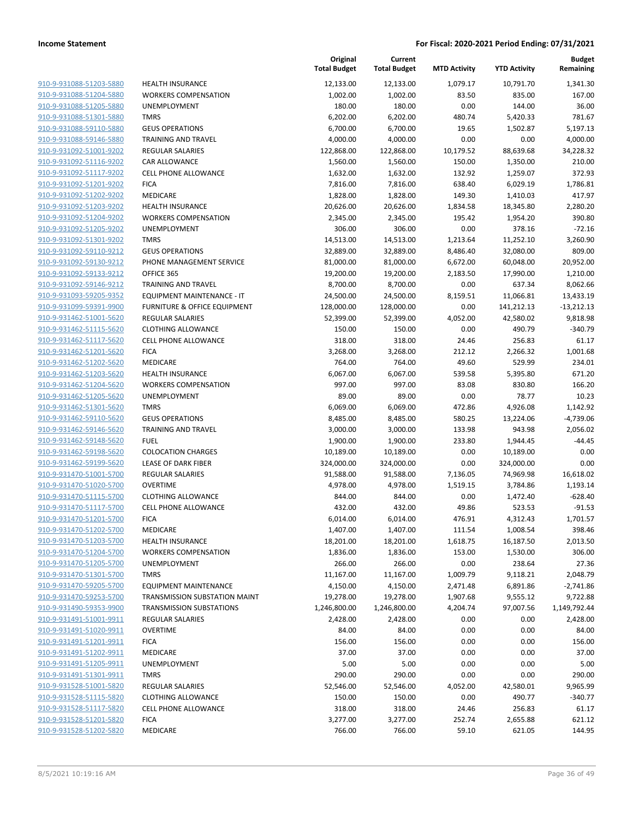| 910-9-931088-51203-5880        |
|--------------------------------|
| 910-9-931088-51204-5880        |
| 910-9-931088-51205-5880        |
| 910-9-931088-51301-5880        |
| <u>910-9-931088-59110-5880</u> |
| 910-9-931088-59146-5880        |
| 910-9-931092-51001-9202        |
| 910-9-931092-51116-9202        |
| 910-9-931092-51117-9202        |
| 910-9-931092-51201-9202        |
| 910-9-931092-51202-9202        |
| 910-9-931092-51203-9202        |
| 910-9-931092-51204-9202        |
| 910-9-931092-51205-9202        |
| <u>910-9-931092-51301-9202</u> |
| 910-9-931092-59110-9212        |
| 910-9-931092-59130-9212        |
| 910-9-931092-59133-9212        |
| 910-9-931092-59146-9212        |
| 910-9-931093-59205-9352        |
| 910-9-931099-59391-9900        |
| 910-9-931462-51001-5620        |
| 910-9-931462-51115-5620        |
| 910-9-931462-51117-5620        |
| 910-9-931462-51201-5620        |
| 910-9-931462-51202-5620        |
| 910-9-931462-51203-5620        |
| 910-9-931462-51204-5620        |
| 910-9-931462-51205-5620        |
| <u>910-9-931462-51301-5620</u> |
| 910-9-931462-59110-5620        |
| 910-9-931462-59146-5620        |
| 910-9-931462-59148-5620        |
| 910-9-931462-59198-5620        |
|                                |
| <u>910-9-931462-59199-5620</u> |
| 910-9-931470-51001-5700        |
| 910-9-931470-51020-5700        |
| 910-9-931470-51115-5700        |
| 910-9-931470-51117-5700        |
| 910-9-931470-51201-5700        |
| 910-9-931470-51202-5700        |
| 910-9-931470-51203-5700        |
| 910-9-931470-51204-5700        |
| 910-9-931470-51205-5700        |
| 910-9-931470-51301-5700        |
| 910-9-931470-59205-5700        |
| 910-9-931470-59253-5700        |
| 910-9-931490-59353-9900        |
| 910-9-931491-51001-9911        |
| 910-9-931491-51020-9911        |
| 910-9-931491-51201-9911        |
| 910-9-931491-51202-9911        |
| 910-9-931491-51205-9911        |
| 910-9-931491-51301-9911        |
| <u>910-9-931528-51001-5820</u> |
| 910-9-931528-51115-5820        |
| 910-9-931528-51117-5820        |
| <u>910-9-931528-51201-5820</u> |
| 910-9-931528-51202-5820        |
|                                |

|                         |                                 | Original<br><b>Total Budget</b> | Current<br><b>Total Budget</b> | <b>MTD Activity</b> | <b>YTD Activity</b> | <b>Budget</b><br>Remaining |
|-------------------------|---------------------------------|---------------------------------|--------------------------------|---------------------|---------------------|----------------------------|
| 910-9-931088-51203-5880 | <b>HEALTH INSURANCE</b>         | 12,133.00                       | 12,133.00                      | 1,079.17            | 10,791.70           | 1,341.30                   |
| 910-9-931088-51204-5880 | <b>WORKERS COMPENSATION</b>     | 1,002.00                        | 1,002.00                       | 83.50               | 835.00              | 167.00                     |
| 910-9-931088-51205-5880 | UNEMPLOYMENT                    | 180.00                          | 180.00                         | 0.00                | 144.00              | 36.00                      |
| 910-9-931088-51301-5880 | <b>TMRS</b>                     | 6,202.00                        | 6,202.00                       | 480.74              | 5,420.33            | 781.67                     |
| 910-9-931088-59110-5880 | <b>GEUS OPERATIONS</b>          | 6,700.00                        | 6,700.00                       | 19.65               | 1,502.87            | 5,197.13                   |
| 910-9-931088-59146-5880 | <b>TRAINING AND TRAVEL</b>      | 4,000.00                        | 4,000.00                       | 0.00                | 0.00                | 4,000.00                   |
| 910-9-931092-51001-9202 | <b>REGULAR SALARIES</b>         | 122,868.00                      | 122,868.00                     | 10,179.52           | 88,639.68           | 34,228.32                  |
| 910-9-931092-51116-9202 | CAR ALLOWANCE                   | 1,560.00                        | 1,560.00                       | 150.00              | 1,350.00            | 210.00                     |
| 910-9-931092-51117-9202 | <b>CELL PHONE ALLOWANCE</b>     | 1,632.00                        | 1,632.00                       | 132.92              | 1,259.07            | 372.93                     |
| 910-9-931092-51201-9202 | <b>FICA</b>                     | 7,816.00                        | 7,816.00                       | 638.40              | 6,029.19            | 1,786.81                   |
| 910-9-931092-51202-9202 | <b>MEDICARE</b>                 | 1,828.00                        | 1,828.00                       | 149.30              | 1,410.03            | 417.97                     |
| 910-9-931092-51203-9202 | <b>HEALTH INSURANCE</b>         | 20,626.00                       | 20,626.00                      | 1,834.58            | 18,345.80           | 2,280.20                   |
| 910-9-931092-51204-9202 | <b>WORKERS COMPENSATION</b>     | 2,345.00                        | 2,345.00                       | 195.42              | 1,954.20            | 390.80                     |
| 910-9-931092-51205-9202 | UNEMPLOYMENT                    | 306.00                          | 306.00                         | 0.00                | 378.16              | $-72.16$                   |
| 910-9-931092-51301-9202 | <b>TMRS</b>                     | 14,513.00                       | 14,513.00                      | 1,213.64            | 11,252.10           | 3,260.90                   |
| 910-9-931092-59110-9212 | <b>GEUS OPERATIONS</b>          | 32,889.00                       | 32,889.00                      | 8,486.40            | 32,080.00           | 809.00                     |
| 910-9-931092-59130-9212 | PHONE MANAGEMENT SERVICE        | 81,000.00                       | 81,000.00                      | 6,672.00            | 60,048.00           | 20,952.00                  |
| 910-9-931092-59133-9212 | OFFICE 365                      | 19,200.00                       | 19,200.00                      | 2,183.50            | 17,990.00           | 1,210.00                   |
| 910-9-931092-59146-9212 | <b>TRAINING AND TRAVEL</b>      | 8,700.00                        | 8,700.00                       | 0.00                | 637.34              | 8,062.66                   |
| 910-9-931093-59205-9352 | EQUIPMENT MAINTENANCE - IT      | 24,500.00                       | 24,500.00                      | 8,159.51            | 11,066.81           | 13,433.19                  |
| 910-9-931099-59391-9900 | FURNITURE & OFFICE EQUIPMENT    | 128,000.00                      | 128,000.00                     | 0.00                | 141,212.13          | $-13,212.13$               |
| 910-9-931462-51001-5620 | <b>REGULAR SALARIES</b>         | 52,399.00                       | 52,399.00                      | 4,052.00            | 42,580.02           | 9,818.98                   |
| 910-9-931462-51115-5620 | <b>CLOTHING ALLOWANCE</b>       | 150.00                          | 150.00                         | 0.00                | 490.79              | $-340.79$                  |
| 910-9-931462-51117-5620 | <b>CELL PHONE ALLOWANCE</b>     | 318.00                          | 318.00                         | 24.46               | 256.83              | 61.17                      |
| 910-9-931462-51201-5620 | <b>FICA</b>                     | 3,268.00                        | 3,268.00                       | 212.12              | 2,266.32            | 1,001.68                   |
| 910-9-931462-51202-5620 | <b>MEDICARE</b>                 | 764.00                          | 764.00                         | 49.60               | 529.99              | 234.01                     |
| 910-9-931462-51203-5620 | <b>HEALTH INSURANCE</b>         | 6,067.00                        | 6,067.00                       | 539.58              | 5,395.80            | 671.20                     |
| 910-9-931462-51204-5620 | <b>WORKERS COMPENSATION</b>     | 997.00                          | 997.00                         | 83.08               | 830.80              | 166.20                     |
| 910-9-931462-51205-5620 | UNEMPLOYMENT                    | 89.00                           | 89.00                          | 0.00                | 78.77               | 10.23                      |
| 910-9-931462-51301-5620 | <b>TMRS</b>                     | 6,069.00                        | 6,069.00                       | 472.86              | 4,926.08            | 1,142.92                   |
| 910-9-931462-59110-5620 | <b>GEUS OPERATIONS</b>          | 8,485.00                        | 8,485.00                       | 580.25              | 13,224.06           | $-4,739.06$                |
| 910-9-931462-59146-5620 | <b>TRAINING AND TRAVEL</b>      | 3,000.00                        | 3,000.00                       | 133.98              | 943.98              | 2,056.02                   |
| 910-9-931462-59148-5620 | <b>FUEL</b>                     | 1,900.00                        | 1,900.00                       | 233.80              | 1,944.45            | $-44.45$                   |
| 910-9-931462-59198-5620 | <b>COLOCATION CHARGES</b>       | 10,189.00                       | 10,189.00                      | 0.00                | 10,189.00           | 0.00                       |
| 910-9-931462-59199-5620 | LEASE OF DARK FIBER             | 324,000.00                      | 324,000.00                     | 0.00                | 324,000.00          | 0.00                       |
| 910-9-931470-51001-5700 | REGULAR SALARIES                | 91,588.00                       | 91,588.00                      | 7,136.05            | 74,969.98           | 16,618.02                  |
| 910-9-931470-51020-5700 | <b>OVERTIME</b>                 | 4,978.00                        | 4,978.00                       | 1,519.15            | 3,784.86            | 1,193.14                   |
| 910-9-931470-51115-5700 | <b>CLOTHING ALLOWANCE</b>       | 844.00                          | 844.00                         | 0.00                | 1,472.40            | $-628.40$                  |
| 910-9-931470-51117-5700 | <b>CELL PHONE ALLOWANCE</b>     | 432.00                          | 432.00                         | 49.86               | 523.53              | $-91.53$                   |
| 910-9-931470-51201-5700 | <b>FICA</b>                     | 6,014.00                        | 6,014.00                       | 476.91              | 4,312.43            | 1,701.57                   |
| 910-9-931470-51202-5700 | MEDICARE                        | 1,407.00                        | 1,407.00                       | 111.54              | 1,008.54            | 398.46                     |
| 910-9-931470-51203-5700 | <b>HEALTH INSURANCE</b>         | 18,201.00                       | 18,201.00                      | 1,618.75            | 16,187.50           | 2,013.50                   |
| 910-9-931470-51204-5700 | <b>WORKERS COMPENSATION</b>     | 1,836.00                        | 1,836.00                       | 153.00              | 1,530.00            | 306.00                     |
| 910-9-931470-51205-5700 | UNEMPLOYMENT                    | 266.00                          | 266.00                         | 0.00                | 238.64              | 27.36                      |
| 910-9-931470-51301-5700 | <b>TMRS</b>                     | 11,167.00                       | 11,167.00                      | 1,009.79            | 9,118.21            | 2,048.79                   |
| 910-9-931470-59205-5700 | <b>EQUIPMENT MAINTENANCE</b>    | 4,150.00                        | 4,150.00                       | 2,471.48            | 6,891.86            | $-2,741.86$                |
| 910-9-931470-59253-5700 | TRANSMISSION SUBSTATION MAINT   | 19,278.00                       | 19,278.00                      | 1,907.68            | 9,555.12            | 9,722.88                   |
| 910-9-931490-59353-9900 | <b>TRANSMISSION SUBSTATIONS</b> | 1,246,800.00                    | 1,246,800.00                   | 4,204.74            | 97,007.56           | 1,149,792.44               |
| 910-9-931491-51001-9911 | <b>REGULAR SALARIES</b>         | 2,428.00                        | 2,428.00                       | 0.00                | 0.00                | 2,428.00                   |
| 910-9-931491-51020-9911 | <b>OVERTIME</b>                 | 84.00                           | 84.00                          | 0.00                | 0.00                | 84.00                      |
| 910-9-931491-51201-9911 | <b>FICA</b>                     | 156.00                          | 156.00                         | 0.00                | 0.00                | 156.00                     |
| 910-9-931491-51202-9911 | MEDICARE                        | 37.00                           | 37.00                          | 0.00                | 0.00                | 37.00                      |
| 910-9-931491-51205-9911 | UNEMPLOYMENT                    | 5.00                            | 5.00                           | 0.00                | 0.00                | 5.00                       |
| 910-9-931491-51301-9911 | <b>TMRS</b>                     | 290.00                          | 290.00                         | 0.00                | 0.00                | 290.00                     |
| 910-9-931528-51001-5820 | <b>REGULAR SALARIES</b>         | 52,546.00                       | 52,546.00                      | 4,052.00            | 42,580.01           | 9,965.99                   |
| 910-9-931528-51115-5820 | <b>CLOTHING ALLOWANCE</b>       | 150.00                          | 150.00                         | 0.00                | 490.77              | $-340.77$                  |
| 910-9-931528-51117-5820 | <b>CELL PHONE ALLOWANCE</b>     | 318.00                          | 318.00                         | 24.46               | 256.83              | 61.17                      |
| 910-9-931528-51201-5820 | <b>FICA</b>                     | 3,277.00                        | 3,277.00                       | 252.74              | 2,655.88            | 621.12                     |
| 910-9-931528-51202-5820 | MEDICARE                        | 766.00                          | 766.00                         | 59.10               | 621.05              | 144.95                     |
|                         |                                 |                                 |                                |                     |                     |                            |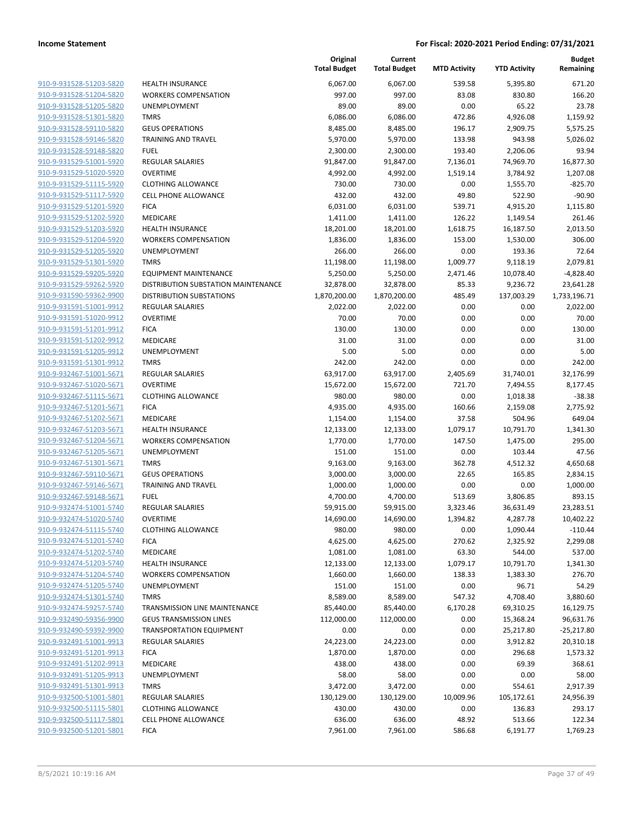| 910-9-931528-51203-5820<br>910-9-931528-51205-5820<br><u>910-9-931528-51301-5820</u><br><u>910-9-931528-59110-5820</u><br>910-9-931528-59146-5820<br>910-9-931528-59148-5820<br>910-9-931529-51001-5920<br><u>910-9-931529-51020-5920</u><br><u>910-9-931529-51115-5920</u><br>910-9-931529-51117-5920<br>910-9-931529-51201-5920<br>910-9-931529-51202-5920<br><u>910-9-931529-51203-5920</u><br><u>910-9-931529-51204-5920</u><br>910-9-931529-51205-5920<br>910-9-931529-51301-5920<br>910-9-931529-59205-5920<br><u>910-9-931529-59262-5920</u><br>910-9-931590-59362-9900<br>910-9-931591-51001-9912<br>910-9-931591-51020-9912<br>910-9-931591-51201-9912<br><u>910-9-931591-51202-9912</u><br><u>910-9-931591-51205-9912</u><br><u>910-9-931591-51301-9912</u><br>910-9-932467-51001-5671<br>910-9-932467-51020-5671<br><u>910-9-932467-51115-5671</u><br>910-9-932467-51201-5671<br>910-9-932467-51202-5671<br>910-9-932467-51203-5671<br>910-9-932467-51204-5671<br><u>910-9-932467-51205-5671</u><br>910-9-932467-51301-5671<br>910-9-932467-59110-5671<br>910-9-932467-59146-5671<br>910-9-932467-59148-5671<br><u>910-9-932474-51001-5740</u><br>910-9-932474-51020-5740<br>910-9-932474-51115-5740<br>910-9-932474-51201-5740<br>910-9-932474-51202-5740<br>910-9-932474-51203-5740<br>910-9-932474-51204-5740<br>910-9-932474-51205-5740<br>910-9-932474-51301-5740<br>910-9-932474-59257-5740<br><u>910-9-932490-59356-9900</u><br>910-9-932490-59392-9900<br>910-9-932491-51001-9913<br>910-9-932491-51201-9913<br><u>910-9-932491-51202-9913</u><br><u>910-9-932491-51205-9913</u><br>910-9-932491-51301-9913<br>910-9-932500-51001-5801<br>910-9-932500-51115-5801<br>910-9-932500-51117-5801 |                         |
|-----------------------------------------------------------------------------------------------------------------------------------------------------------------------------------------------------------------------------------------------------------------------------------------------------------------------------------------------------------------------------------------------------------------------------------------------------------------------------------------------------------------------------------------------------------------------------------------------------------------------------------------------------------------------------------------------------------------------------------------------------------------------------------------------------------------------------------------------------------------------------------------------------------------------------------------------------------------------------------------------------------------------------------------------------------------------------------------------------------------------------------------------------------------------------------------------------------------------------------------------------------------------------------------------------------------------------------------------------------------------------------------------------------------------------------------------------------------------------------------------------------------------------------------------------------------------------------------------------------------------------------------------------------------------------------------------------------------|-------------------------|
|                                                                                                                                                                                                                                                                                                                                                                                                                                                                                                                                                                                                                                                                                                                                                                                                                                                                                                                                                                                                                                                                                                                                                                                                                                                                                                                                                                                                                                                                                                                                                                                                                                                                                                                 |                         |
|                                                                                                                                                                                                                                                                                                                                                                                                                                                                                                                                                                                                                                                                                                                                                                                                                                                                                                                                                                                                                                                                                                                                                                                                                                                                                                                                                                                                                                                                                                                                                                                                                                                                                                                 | 910-9-931528-51204-5820 |
|                                                                                                                                                                                                                                                                                                                                                                                                                                                                                                                                                                                                                                                                                                                                                                                                                                                                                                                                                                                                                                                                                                                                                                                                                                                                                                                                                                                                                                                                                                                                                                                                                                                                                                                 |                         |
|                                                                                                                                                                                                                                                                                                                                                                                                                                                                                                                                                                                                                                                                                                                                                                                                                                                                                                                                                                                                                                                                                                                                                                                                                                                                                                                                                                                                                                                                                                                                                                                                                                                                                                                 |                         |
|                                                                                                                                                                                                                                                                                                                                                                                                                                                                                                                                                                                                                                                                                                                                                                                                                                                                                                                                                                                                                                                                                                                                                                                                                                                                                                                                                                                                                                                                                                                                                                                                                                                                                                                 |                         |
|                                                                                                                                                                                                                                                                                                                                                                                                                                                                                                                                                                                                                                                                                                                                                                                                                                                                                                                                                                                                                                                                                                                                                                                                                                                                                                                                                                                                                                                                                                                                                                                                                                                                                                                 |                         |
|                                                                                                                                                                                                                                                                                                                                                                                                                                                                                                                                                                                                                                                                                                                                                                                                                                                                                                                                                                                                                                                                                                                                                                                                                                                                                                                                                                                                                                                                                                                                                                                                                                                                                                                 |                         |
|                                                                                                                                                                                                                                                                                                                                                                                                                                                                                                                                                                                                                                                                                                                                                                                                                                                                                                                                                                                                                                                                                                                                                                                                                                                                                                                                                                                                                                                                                                                                                                                                                                                                                                                 |                         |
|                                                                                                                                                                                                                                                                                                                                                                                                                                                                                                                                                                                                                                                                                                                                                                                                                                                                                                                                                                                                                                                                                                                                                                                                                                                                                                                                                                                                                                                                                                                                                                                                                                                                                                                 |                         |
|                                                                                                                                                                                                                                                                                                                                                                                                                                                                                                                                                                                                                                                                                                                                                                                                                                                                                                                                                                                                                                                                                                                                                                                                                                                                                                                                                                                                                                                                                                                                                                                                                                                                                                                 |                         |
|                                                                                                                                                                                                                                                                                                                                                                                                                                                                                                                                                                                                                                                                                                                                                                                                                                                                                                                                                                                                                                                                                                                                                                                                                                                                                                                                                                                                                                                                                                                                                                                                                                                                                                                 |                         |
|                                                                                                                                                                                                                                                                                                                                                                                                                                                                                                                                                                                                                                                                                                                                                                                                                                                                                                                                                                                                                                                                                                                                                                                                                                                                                                                                                                                                                                                                                                                                                                                                                                                                                                                 |                         |
|                                                                                                                                                                                                                                                                                                                                                                                                                                                                                                                                                                                                                                                                                                                                                                                                                                                                                                                                                                                                                                                                                                                                                                                                                                                                                                                                                                                                                                                                                                                                                                                                                                                                                                                 |                         |
|                                                                                                                                                                                                                                                                                                                                                                                                                                                                                                                                                                                                                                                                                                                                                                                                                                                                                                                                                                                                                                                                                                                                                                                                                                                                                                                                                                                                                                                                                                                                                                                                                                                                                                                 |                         |
|                                                                                                                                                                                                                                                                                                                                                                                                                                                                                                                                                                                                                                                                                                                                                                                                                                                                                                                                                                                                                                                                                                                                                                                                                                                                                                                                                                                                                                                                                                                                                                                                                                                                                                                 |                         |
|                                                                                                                                                                                                                                                                                                                                                                                                                                                                                                                                                                                                                                                                                                                                                                                                                                                                                                                                                                                                                                                                                                                                                                                                                                                                                                                                                                                                                                                                                                                                                                                                                                                                                                                 |                         |
|                                                                                                                                                                                                                                                                                                                                                                                                                                                                                                                                                                                                                                                                                                                                                                                                                                                                                                                                                                                                                                                                                                                                                                                                                                                                                                                                                                                                                                                                                                                                                                                                                                                                                                                 |                         |
|                                                                                                                                                                                                                                                                                                                                                                                                                                                                                                                                                                                                                                                                                                                                                                                                                                                                                                                                                                                                                                                                                                                                                                                                                                                                                                                                                                                                                                                                                                                                                                                                                                                                                                                 |                         |
|                                                                                                                                                                                                                                                                                                                                                                                                                                                                                                                                                                                                                                                                                                                                                                                                                                                                                                                                                                                                                                                                                                                                                                                                                                                                                                                                                                                                                                                                                                                                                                                                                                                                                                                 |                         |
|                                                                                                                                                                                                                                                                                                                                                                                                                                                                                                                                                                                                                                                                                                                                                                                                                                                                                                                                                                                                                                                                                                                                                                                                                                                                                                                                                                                                                                                                                                                                                                                                                                                                                                                 |                         |
|                                                                                                                                                                                                                                                                                                                                                                                                                                                                                                                                                                                                                                                                                                                                                                                                                                                                                                                                                                                                                                                                                                                                                                                                                                                                                                                                                                                                                                                                                                                                                                                                                                                                                                                 |                         |
|                                                                                                                                                                                                                                                                                                                                                                                                                                                                                                                                                                                                                                                                                                                                                                                                                                                                                                                                                                                                                                                                                                                                                                                                                                                                                                                                                                                                                                                                                                                                                                                                                                                                                                                 |                         |
|                                                                                                                                                                                                                                                                                                                                                                                                                                                                                                                                                                                                                                                                                                                                                                                                                                                                                                                                                                                                                                                                                                                                                                                                                                                                                                                                                                                                                                                                                                                                                                                                                                                                                                                 |                         |
|                                                                                                                                                                                                                                                                                                                                                                                                                                                                                                                                                                                                                                                                                                                                                                                                                                                                                                                                                                                                                                                                                                                                                                                                                                                                                                                                                                                                                                                                                                                                                                                                                                                                                                                 |                         |
|                                                                                                                                                                                                                                                                                                                                                                                                                                                                                                                                                                                                                                                                                                                                                                                                                                                                                                                                                                                                                                                                                                                                                                                                                                                                                                                                                                                                                                                                                                                                                                                                                                                                                                                 |                         |
|                                                                                                                                                                                                                                                                                                                                                                                                                                                                                                                                                                                                                                                                                                                                                                                                                                                                                                                                                                                                                                                                                                                                                                                                                                                                                                                                                                                                                                                                                                                                                                                                                                                                                                                 |                         |
|                                                                                                                                                                                                                                                                                                                                                                                                                                                                                                                                                                                                                                                                                                                                                                                                                                                                                                                                                                                                                                                                                                                                                                                                                                                                                                                                                                                                                                                                                                                                                                                                                                                                                                                 |                         |
|                                                                                                                                                                                                                                                                                                                                                                                                                                                                                                                                                                                                                                                                                                                                                                                                                                                                                                                                                                                                                                                                                                                                                                                                                                                                                                                                                                                                                                                                                                                                                                                                                                                                                                                 |                         |
|                                                                                                                                                                                                                                                                                                                                                                                                                                                                                                                                                                                                                                                                                                                                                                                                                                                                                                                                                                                                                                                                                                                                                                                                                                                                                                                                                                                                                                                                                                                                                                                                                                                                                                                 |                         |
|                                                                                                                                                                                                                                                                                                                                                                                                                                                                                                                                                                                                                                                                                                                                                                                                                                                                                                                                                                                                                                                                                                                                                                                                                                                                                                                                                                                                                                                                                                                                                                                                                                                                                                                 |                         |
|                                                                                                                                                                                                                                                                                                                                                                                                                                                                                                                                                                                                                                                                                                                                                                                                                                                                                                                                                                                                                                                                                                                                                                                                                                                                                                                                                                                                                                                                                                                                                                                                                                                                                                                 |                         |
|                                                                                                                                                                                                                                                                                                                                                                                                                                                                                                                                                                                                                                                                                                                                                                                                                                                                                                                                                                                                                                                                                                                                                                                                                                                                                                                                                                                                                                                                                                                                                                                                                                                                                                                 |                         |
|                                                                                                                                                                                                                                                                                                                                                                                                                                                                                                                                                                                                                                                                                                                                                                                                                                                                                                                                                                                                                                                                                                                                                                                                                                                                                                                                                                                                                                                                                                                                                                                                                                                                                                                 |                         |
|                                                                                                                                                                                                                                                                                                                                                                                                                                                                                                                                                                                                                                                                                                                                                                                                                                                                                                                                                                                                                                                                                                                                                                                                                                                                                                                                                                                                                                                                                                                                                                                                                                                                                                                 |                         |
|                                                                                                                                                                                                                                                                                                                                                                                                                                                                                                                                                                                                                                                                                                                                                                                                                                                                                                                                                                                                                                                                                                                                                                                                                                                                                                                                                                                                                                                                                                                                                                                                                                                                                                                 |                         |
|                                                                                                                                                                                                                                                                                                                                                                                                                                                                                                                                                                                                                                                                                                                                                                                                                                                                                                                                                                                                                                                                                                                                                                                                                                                                                                                                                                                                                                                                                                                                                                                                                                                                                                                 |                         |
|                                                                                                                                                                                                                                                                                                                                                                                                                                                                                                                                                                                                                                                                                                                                                                                                                                                                                                                                                                                                                                                                                                                                                                                                                                                                                                                                                                                                                                                                                                                                                                                                                                                                                                                 |                         |
|                                                                                                                                                                                                                                                                                                                                                                                                                                                                                                                                                                                                                                                                                                                                                                                                                                                                                                                                                                                                                                                                                                                                                                                                                                                                                                                                                                                                                                                                                                                                                                                                                                                                                                                 |                         |
|                                                                                                                                                                                                                                                                                                                                                                                                                                                                                                                                                                                                                                                                                                                                                                                                                                                                                                                                                                                                                                                                                                                                                                                                                                                                                                                                                                                                                                                                                                                                                                                                                                                                                                                 |                         |
|                                                                                                                                                                                                                                                                                                                                                                                                                                                                                                                                                                                                                                                                                                                                                                                                                                                                                                                                                                                                                                                                                                                                                                                                                                                                                                                                                                                                                                                                                                                                                                                                                                                                                                                 |                         |
|                                                                                                                                                                                                                                                                                                                                                                                                                                                                                                                                                                                                                                                                                                                                                                                                                                                                                                                                                                                                                                                                                                                                                                                                                                                                                                                                                                                                                                                                                                                                                                                                                                                                                                                 |                         |
|                                                                                                                                                                                                                                                                                                                                                                                                                                                                                                                                                                                                                                                                                                                                                                                                                                                                                                                                                                                                                                                                                                                                                                                                                                                                                                                                                                                                                                                                                                                                                                                                                                                                                                                 |                         |
|                                                                                                                                                                                                                                                                                                                                                                                                                                                                                                                                                                                                                                                                                                                                                                                                                                                                                                                                                                                                                                                                                                                                                                                                                                                                                                                                                                                                                                                                                                                                                                                                                                                                                                                 |                         |
|                                                                                                                                                                                                                                                                                                                                                                                                                                                                                                                                                                                                                                                                                                                                                                                                                                                                                                                                                                                                                                                                                                                                                                                                                                                                                                                                                                                                                                                                                                                                                                                                                                                                                                                 |                         |
|                                                                                                                                                                                                                                                                                                                                                                                                                                                                                                                                                                                                                                                                                                                                                                                                                                                                                                                                                                                                                                                                                                                                                                                                                                                                                                                                                                                                                                                                                                                                                                                                                                                                                                                 |                         |
|                                                                                                                                                                                                                                                                                                                                                                                                                                                                                                                                                                                                                                                                                                                                                                                                                                                                                                                                                                                                                                                                                                                                                                                                                                                                                                                                                                                                                                                                                                                                                                                                                                                                                                                 |                         |
|                                                                                                                                                                                                                                                                                                                                                                                                                                                                                                                                                                                                                                                                                                                                                                                                                                                                                                                                                                                                                                                                                                                                                                                                                                                                                                                                                                                                                                                                                                                                                                                                                                                                                                                 |                         |
|                                                                                                                                                                                                                                                                                                                                                                                                                                                                                                                                                                                                                                                                                                                                                                                                                                                                                                                                                                                                                                                                                                                                                                                                                                                                                                                                                                                                                                                                                                                                                                                                                                                                                                                 |                         |
|                                                                                                                                                                                                                                                                                                                                                                                                                                                                                                                                                                                                                                                                                                                                                                                                                                                                                                                                                                                                                                                                                                                                                                                                                                                                                                                                                                                                                                                                                                                                                                                                                                                                                                                 |                         |
|                                                                                                                                                                                                                                                                                                                                                                                                                                                                                                                                                                                                                                                                                                                                                                                                                                                                                                                                                                                                                                                                                                                                                                                                                                                                                                                                                                                                                                                                                                                                                                                                                                                                                                                 |                         |
|                                                                                                                                                                                                                                                                                                                                                                                                                                                                                                                                                                                                                                                                                                                                                                                                                                                                                                                                                                                                                                                                                                                                                                                                                                                                                                                                                                                                                                                                                                                                                                                                                                                                                                                 |                         |
|                                                                                                                                                                                                                                                                                                                                                                                                                                                                                                                                                                                                                                                                                                                                                                                                                                                                                                                                                                                                                                                                                                                                                                                                                                                                                                                                                                                                                                                                                                                                                                                                                                                                                                                 |                         |
|                                                                                                                                                                                                                                                                                                                                                                                                                                                                                                                                                                                                                                                                                                                                                                                                                                                                                                                                                                                                                                                                                                                                                                                                                                                                                                                                                                                                                                                                                                                                                                                                                                                                                                                 |                         |
|                                                                                                                                                                                                                                                                                                                                                                                                                                                                                                                                                                                                                                                                                                                                                                                                                                                                                                                                                                                                                                                                                                                                                                                                                                                                                                                                                                                                                                                                                                                                                                                                                                                                                                                 |                         |
|                                                                                                                                                                                                                                                                                                                                                                                                                                                                                                                                                                                                                                                                                                                                                                                                                                                                                                                                                                                                                                                                                                                                                                                                                                                                                                                                                                                                                                                                                                                                                                                                                                                                                                                 |                         |
|                                                                                                                                                                                                                                                                                                                                                                                                                                                                                                                                                                                                                                                                                                                                                                                                                                                                                                                                                                                                                                                                                                                                                                                                                                                                                                                                                                                                                                                                                                                                                                                                                                                                                                                 |                         |
|                                                                                                                                                                                                                                                                                                                                                                                                                                                                                                                                                                                                                                                                                                                                                                                                                                                                                                                                                                                                                                                                                                                                                                                                                                                                                                                                                                                                                                                                                                                                                                                                                                                                                                                 |                         |
|                                                                                                                                                                                                                                                                                                                                                                                                                                                                                                                                                                                                                                                                                                                                                                                                                                                                                                                                                                                                                                                                                                                                                                                                                                                                                                                                                                                                                                                                                                                                                                                                                                                                                                                 | 910-9-932500-51201-5801 |
|                                                                                                                                                                                                                                                                                                                                                                                                                                                                                                                                                                                                                                                                                                                                                                                                                                                                                                                                                                                                                                                                                                                                                                                                                                                                                                                                                                                                                                                                                                                                                                                                                                                                                                                 |                         |
|                                                                                                                                                                                                                                                                                                                                                                                                                                                                                                                                                                                                                                                                                                                                                                                                                                                                                                                                                                                                                                                                                                                                                                                                                                                                                                                                                                                                                                                                                                                                                                                                                                                                                                                 |                         |

|                         |                                     | Original<br><b>Total Budget</b> | Current<br><b>Total Budget</b> | <b>MTD Activity</b> | <b>YTD Activity</b> | <b>Budget</b><br>Remaining |
|-------------------------|-------------------------------------|---------------------------------|--------------------------------|---------------------|---------------------|----------------------------|
| 910-9-931528-51203-5820 | <b>HEALTH INSURANCE</b>             | 6,067.00                        | 6,067.00                       | 539.58              | 5,395.80            | 671.20                     |
| 910-9-931528-51204-5820 | <b>WORKERS COMPENSATION</b>         | 997.00                          | 997.00                         | 83.08               | 830.80              | 166.20                     |
| 910-9-931528-51205-5820 | UNEMPLOYMENT                        | 89.00                           | 89.00                          | 0.00                | 65.22               | 23.78                      |
| 910-9-931528-51301-5820 | <b>TMRS</b>                         | 6,086.00                        | 6,086.00                       | 472.86              | 4,926.08            | 1,159.92                   |
| 910-9-931528-59110-5820 | <b>GEUS OPERATIONS</b>              | 8,485.00                        | 8,485.00                       | 196.17              | 2,909.75            | 5,575.25                   |
| 910-9-931528-59146-5820 | <b>TRAINING AND TRAVEL</b>          | 5,970.00                        | 5,970.00                       | 133.98              | 943.98              | 5,026.02                   |
| 910-9-931528-59148-5820 | <b>FUEL</b>                         | 2,300.00                        | 2,300.00                       | 193.40              | 2,206.06            | 93.94                      |
| 910-9-931529-51001-5920 | REGULAR SALARIES                    | 91,847.00                       | 91,847.00                      | 7,136.01            | 74,969.70           | 16,877.30                  |
| 910-9-931529-51020-5920 | <b>OVERTIME</b>                     | 4,992.00                        | 4,992.00                       | 1,519.14            | 3,784.92            | 1,207.08                   |
| 910-9-931529-51115-5920 | <b>CLOTHING ALLOWANCE</b>           | 730.00                          | 730.00                         | 0.00                | 1,555.70            | $-825.70$                  |
| 910-9-931529-51117-5920 | <b>CELL PHONE ALLOWANCE</b>         | 432.00                          | 432.00                         | 49.80               | 522.90              | $-90.90$                   |
| 910-9-931529-51201-5920 | <b>FICA</b>                         | 6,031.00                        | 6,031.00                       | 539.71              | 4,915.20            | 1,115.80                   |
| 910-9-931529-51202-5920 | MEDICARE                            | 1,411.00                        | 1,411.00                       | 126.22              | 1,149.54            | 261.46                     |
| 910-9-931529-51203-5920 | <b>HEALTH INSURANCE</b>             | 18,201.00                       | 18,201.00                      | 1,618.75            | 16,187.50           | 2,013.50                   |
| 910-9-931529-51204-5920 | <b>WORKERS COMPENSATION</b>         | 1,836.00                        | 1,836.00                       | 153.00              | 1,530.00            | 306.00                     |
| 910-9-931529-51205-5920 | UNEMPLOYMENT                        | 266.00                          | 266.00                         | 0.00                | 193.36              | 72.64                      |
| 910-9-931529-51301-5920 | <b>TMRS</b>                         | 11,198.00                       | 11,198.00                      | 1,009.77            | 9,118.19            | 2,079.81                   |
| 910-9-931529-59205-5920 | <b>EQUIPMENT MAINTENANCE</b>        | 5,250.00                        | 5,250.00                       | 2,471.46            | 10,078.40           | $-4,828.40$                |
| 910-9-931529-59262-5920 | DISTRIBUTION SUBSTATION MAINTENANCE | 32,878.00                       | 32,878.00                      | 85.33               | 9,236.72            | 23,641.28                  |
| 910-9-931590-59362-9900 | DISTRIBUTION SUBSTATIONS            | 1,870,200.00                    | 1,870,200.00                   | 485.49              | 137,003.29          | 1,733,196.71               |
| 910-9-931591-51001-9912 | <b>REGULAR SALARIES</b>             | 2,022.00                        | 2,022.00                       | 0.00                | 0.00                | 2,022.00                   |
| 910-9-931591-51020-9912 | <b>OVERTIME</b>                     | 70.00                           | 70.00                          | 0.00                | 0.00                | 70.00                      |
| 910-9-931591-51201-9912 | <b>FICA</b>                         | 130.00                          | 130.00                         | 0.00                | 0.00                | 130.00                     |
| 910-9-931591-51202-9912 | <b>MEDICARE</b>                     | 31.00                           | 31.00                          | 0.00                | 0.00                | 31.00                      |
| 910-9-931591-51205-9912 | UNEMPLOYMENT                        | 5.00                            | 5.00                           | 0.00                | 0.00                | 5.00                       |
| 910-9-931591-51301-9912 | <b>TMRS</b>                         | 242.00                          | 242.00                         | 0.00                | 0.00                | 242.00                     |
| 910-9-932467-51001-5671 | <b>REGULAR SALARIES</b>             | 63,917.00                       | 63,917.00                      | 2,405.69            | 31,740.01           | 32,176.99                  |
| 910-9-932467-51020-5671 | <b>OVERTIME</b>                     | 15,672.00                       | 15,672.00                      | 721.70              | 7,494.55            | 8,177.45                   |
| 910-9-932467-51115-5671 | <b>CLOTHING ALLOWANCE</b>           | 980.00                          | 980.00                         | 0.00                | 1,018.38            | $-38.38$                   |
| 910-9-932467-51201-5671 | <b>FICA</b>                         | 4,935.00                        | 4,935.00                       | 160.66              | 2,159.08            | 2,775.92                   |
| 910-9-932467-51202-5671 | MEDICARE                            | 1,154.00                        | 1,154.00                       | 37.58               | 504.96              | 649.04                     |
| 910-9-932467-51203-5671 | <b>HEALTH INSURANCE</b>             | 12,133.00                       | 12,133.00                      | 1,079.17            | 10,791.70           | 1,341.30                   |
| 910-9-932467-51204-5671 | <b>WORKERS COMPENSATION</b>         | 1,770.00                        | 1,770.00                       | 147.50              | 1,475.00            | 295.00                     |
| 910-9-932467-51205-5671 | UNEMPLOYMENT                        | 151.00                          | 151.00                         | 0.00                | 103.44              | 47.56                      |
| 910-9-932467-51301-5671 | <b>TMRS</b>                         | 9,163.00                        | 9,163.00                       | 362.78              | 4,512.32            | 4,650.68                   |
| 910-9-932467-59110-5671 | <b>GEUS OPERATIONS</b>              | 3,000.00                        | 3,000.00                       | 22.65               | 165.85              | 2,834.15                   |
| 910-9-932467-59146-5671 | <b>TRAINING AND TRAVEL</b>          | 1,000.00                        | 1,000.00                       | 0.00                | 0.00                | 1,000.00                   |
| 910-9-932467-59148-5671 | <b>FUEL</b>                         | 4,700.00                        | 4,700.00                       | 513.69              | 3,806.85            | 893.15                     |
| 910-9-932474-51001-5740 | <b>REGULAR SALARIES</b>             | 59,915.00                       | 59,915.00                      | 3,323.46            | 36,631.49           | 23,283.51                  |
| 910-9-932474-51020-5740 | <b>OVERTIME</b>                     | 14,690.00                       | 14,690.00                      | 1,394.82            | 4,287.78            | 10,402.22                  |
| 910-9-932474-51115-5740 | <b>CLOTHING ALLOWANCE</b>           | 980.00                          | 980.00                         | 0.00                | 1,090.44            | $-110.44$                  |
| 910-9-932474-51201-5740 | <b>FICA</b>                         | 4,625.00                        | 4,625.00                       | 270.62              | 2,325.92            | 2,299.08                   |
| 910-9-932474-51202-5740 | MEDICARE                            | 1,081.00                        | 1,081.00                       | 63.30               | 544.00              | 537.00                     |
| 910-9-932474-51203-5740 | <b>HEALTH INSURANCE</b>             | 12,133.00                       | 12,133.00                      | 1,079.17            | 10,791.70           | 1,341.30                   |
| 910-9-932474-51204-5740 | <b>WORKERS COMPENSATION</b>         | 1,660.00                        | 1,660.00                       | 138.33              | 1,383.30            | 276.70                     |
| 910-9-932474-51205-5740 | UNEMPLOYMENT                        | 151.00                          | 151.00                         | 0.00                | 96.71               | 54.29                      |
| 910-9-932474-51301-5740 | <b>TMRS</b>                         | 8,589.00                        | 8,589.00                       | 547.32              | 4,708.40            | 3,880.60                   |
| 910-9-932474-59257-5740 | TRANSMISSION LINE MAINTENANCE       | 85,440.00                       | 85,440.00                      | 6,170.28            | 69,310.25           | 16,129.75                  |
| 910-9-932490-59356-9900 | <b>GEUS TRANSMISSION LINES</b>      | 112,000.00                      | 112,000.00                     | 0.00                | 15,368.24           | 96,631.76                  |
| 910-9-932490-59392-9900 | <b>TRANSPORTATION EQUIPMENT</b>     | 0.00                            | 0.00                           | 0.00                | 25,217.80           | $-25,217.80$               |
| 910-9-932491-51001-9913 | <b>REGULAR SALARIES</b>             | 24,223.00                       | 24,223.00                      | 0.00                | 3,912.82            | 20,310.18                  |
| 910-9-932491-51201-9913 | <b>FICA</b>                         | 1,870.00                        | 1,870.00                       | 0.00                | 296.68              | 1,573.32                   |
| 910-9-932491-51202-9913 | MEDICARE                            | 438.00                          | 438.00                         | 0.00                | 69.39               | 368.61                     |
| 910-9-932491-51205-9913 | UNEMPLOYMENT                        | 58.00                           | 58.00                          | 0.00                | 0.00                | 58.00                      |
| 910-9-932491-51301-9913 | <b>TMRS</b>                         | 3,472.00                        | 3,472.00                       | 0.00                | 554.61              | 2,917.39                   |
| 910-9-932500-51001-5801 | REGULAR SALARIES                    | 130,129.00                      | 130,129.00                     | 10,009.96           | 105,172.61          | 24,956.39                  |
| 910-9-932500-51115-5801 | <b>CLOTHING ALLOWANCE</b>           | 430.00                          | 430.00                         | 0.00                | 136.83              | 293.17                     |
| 910-9-932500-51117-5801 | <b>CELL PHONE ALLOWANCE</b>         | 636.00                          | 636.00                         | 48.92               | 513.66              | 122.34                     |
| 910-9-932500-51201-5801 | <b>FICA</b>                         | 7,961.00                        | 7,961.00                       | 586.68              | 6,191.77            | 1,769.23                   |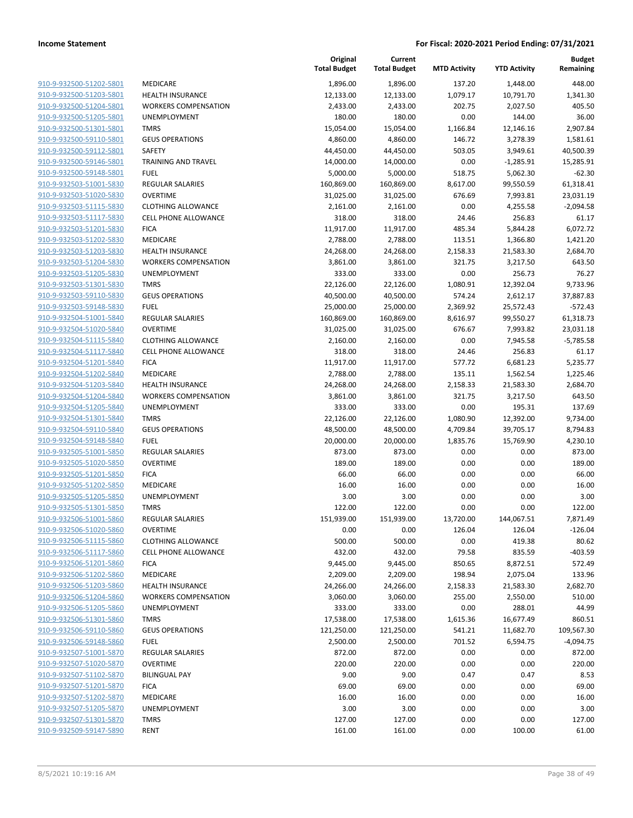| 910-9-932500-51202-5801 | <b>MEDICARE</b>     |
|-------------------------|---------------------|
| 910-9-932500-51203-5801 | <b>HEALTH INSUF</b> |
| 910-9-932500-51204-5801 | <b>WORKERS CON</b>  |
| 910-9-932500-51205-5801 | <b>UNEMPLOYME</b>   |
| 910-9-932500-51301-5801 | TMRS                |
| 910-9-932500-59110-5801 | <b>GEUS OPERAT</b>  |
| 910-9-932500-59112-5801 | SAFETY              |
| 910-9-932500-59146-5801 | <b>TRAINING AND</b> |
| 910-9-932500-59148-5801 | <b>FUEL</b>         |
| 910-9-932503-51001-5830 | <b>REGULAR SALA</b> |
| 910-9-932503-51020-5830 | OVERTIME            |
| 910-9-932503-51115-5830 | <b>CLOTHING ALL</b> |
| 910-9-932503-51117-5830 | <b>CELL PHONE A</b> |
| 910-9-932503-51201-5830 | <b>FICA</b>         |
| 910-9-932503-51202-5830 | MEDICARE            |
| 910-9-932503-51203-5830 | <b>HEALTH INSUF</b> |
| 910-9-932503-51204-5830 | <b>WORKERS CON</b>  |
| 910-9-932503-51205-5830 | <b>UNEMPLOYME</b>   |
| 910-9-932503-51301-5830 | TMRS                |
| 910-9-932503-59110-5830 | <b>GEUS OPERAT</b>  |
| 910-9-932503-59148-5830 | FUEL                |
| 910-9-932504-51001-5840 | REGULAR SALA        |
| 910-9-932504-51020-5840 | OVERTIME            |
| 910-9-932504-51115-5840 | <b>CLOTHING ALL</b> |
| 910-9-932504-51117-5840 | <b>CELL PHONE A</b> |
| 910-9-932504-51201-5840 | <b>FICA</b>         |
| 910-9-932504-51202-5840 | MEDICARE            |
| 910-9-932504-51203-5840 | <b>HEALTH INSUF</b> |
| 910-9-932504-51204-5840 | <b>WORKERS CON</b>  |
| 910-9-932504-51205-5840 | UNEMPLOYME          |
| 910-9-932504-51301-5840 | TMRS                |
| 910-9-932504-59110-5840 | <b>GEUS OPERAT</b>  |
| 910-9-932504-59148-5840 | FUEL                |
| 910-9-932505-51001-5850 | REGULAR SALA        |
| 910-9-932505-51020-5850 | OVERTIME            |
| 910-9-932505-51201-5850 | <b>FICA</b>         |
| 910-9-932505-51202-5850 | MEDICARE            |
| 910-9-932505-51205-5850 | <b>UNEMPLOYME</b>   |
| 910-9-932505-51301-5850 | <b>TMRS</b>         |
| 910-9-932506-51001-5860 | REGULAR SALA        |
| 910-9-932506-51020-5860 | OVERTIME            |
| 910-9-932506-51115-5860 | <b>CLOTHING ALL</b> |
| 910-9-932506-51117-5860 | <b>CELL PHONE A</b> |
| 910-9-932506-51201-5860 | <b>FICA</b>         |
| 910-9-932506-51202-5860 | MEDICARE            |
| 910-9-932506-51203-5860 | <b>HEALTH INSUF</b> |
| 910-9-932506-51204-5860 | <b>WORKERS CON</b>  |
| 910-9-932506-51205-5860 | <b>UNEMPLOYME</b>   |
| 910-9-932506-51301-5860 | <b>TMRS</b>         |
| 910-9-932506-59110-5860 | <b>GEUS OPERAT</b>  |
| 910-9-932506-59148-5860 | FUEL                |
| 910-9-932507-51001-5870 | <b>REGULAR SALA</b> |
| 910-9-932507-51020-5870 | <b>OVERTIME</b>     |
| 910-9-932507-51102-5870 | <b>BILINGUAL PA</b> |
| 910-9-932507-51201-5870 | <b>FICA</b>         |
| 910-9-932507-51202-5870 | MEDICARE            |
| 910-9-932507-51205-5870 | <b>UNEMPLOYME</b>   |
| 910-9-932507-51301-5870 | TMRS                |
| 910-9-932509-59147-5890 | RENT                |
|                         |                     |

| MEDICARE                    |
|-----------------------------|
| HEALTH INSURANCE            |
| WORKERS COMPENSATION        |
| UNEMPLOYMENT                |
| <b>TMRS</b>                 |
| GEUS OPERATIONS             |
| SAFETY                      |
| <b>TRAINING AND TRAVEL</b>  |
| FUEL                        |
| REGULAR SALARIES            |
| OVERTIME                    |
| CLOTHING ALLOWANCE          |
| <b>CELL PHONE ALLOWANCE</b> |
| FICA                        |
| MEDICARE                    |
| HEALTH INSURANCE            |
| WORKERS COMPENSATION        |
| UNEMPLOYMENT                |
| TMRS                        |
| <b>GEUS OPERATIONS</b>      |
| FUEL                        |
| REGULAR SALARIES            |
| OVERTIME                    |
| CLOTHING ALLOWANCE          |
| CELL PHONE ALLOWANCE        |
| FICA                        |
| MEDICARE                    |
| HEALTH INSURANCE            |
| WORKERS COMPENSATION        |
| UNEMPLOYMENT                |
| TMRS                        |
| <b>GEUS OPERATIONS</b>      |
| FUEL                        |
| REGULAR SALARIES            |
| OVERTIME                    |
| FICA                        |
| MEDICARE                    |
| UNEMPLOYMENT                |
| TMRS                        |
| REGULAR SALARIES            |
| OVERTIME                    |
| CLOTHING ALLOWANCE          |
| CELL PHONE ALLOWANCE        |
| FICA                        |
| MEDICARE                    |
| HEALTH INSURANCE            |
| WORKERS COMPENSATION        |
| UNEMPLOYMENT                |
| TMRS                        |
| <b>GEUS OPERATIONS</b>      |
| FUEL                        |
| REGULAR SALARIES            |
| OVERTIME                    |
| <b>BILINGUAL PAY</b>        |
| FICA                        |
| MEDICARE                    |
| UNEMPLOYMENT                |
| TMRS                        |

|                         |                             | Original<br><b>Total Budget</b> | Current<br><b>Total Budget</b> | <b>MTD Activity</b> | <b>YTD Activity</b> | <b>Budget</b><br>Remaining |
|-------------------------|-----------------------------|---------------------------------|--------------------------------|---------------------|---------------------|----------------------------|
| 910-9-932500-51202-5801 | MEDICARE                    | 1,896.00                        | 1,896.00                       | 137.20              | 1,448.00            | 448.00                     |
| 910-9-932500-51203-5801 | <b>HEALTH INSURANCE</b>     | 12,133.00                       | 12,133.00                      | 1,079.17            | 10,791.70           | 1,341.30                   |
| 910-9-932500-51204-5801 | <b>WORKERS COMPENSATION</b> | 2,433.00                        | 2,433.00                       | 202.75              | 2,027.50            | 405.50                     |
| 910-9-932500-51205-5801 | UNEMPLOYMENT                | 180.00                          | 180.00                         | 0.00                | 144.00              | 36.00                      |
| 910-9-932500-51301-5801 | <b>TMRS</b>                 | 15,054.00                       | 15,054.00                      | 1,166.84            | 12,146.16           | 2,907.84                   |
| 910-9-932500-59110-5801 | <b>GEUS OPERATIONS</b>      | 4,860.00                        | 4,860.00                       | 146.72              | 3,278.39            | 1,581.61                   |
| 910-9-932500-59112-5801 | SAFETY                      | 44,450.00                       | 44,450.00                      | 503.05              | 3,949.61            | 40,500.39                  |
| 910-9-932500-59146-5801 | <b>TRAINING AND TRAVEL</b>  | 14,000.00                       | 14,000.00                      | 0.00                | $-1,285.91$         | 15,285.91                  |
| 910-9-932500-59148-5801 | <b>FUEL</b>                 | 5,000.00                        | 5,000.00                       | 518.75              | 5,062.30            | $-62.30$                   |
| 910-9-932503-51001-5830 | <b>REGULAR SALARIES</b>     | 160,869.00                      | 160,869.00                     | 8,617.00            | 99,550.59           | 61,318.41                  |
| 910-9-932503-51020-5830 | <b>OVERTIME</b>             | 31,025.00                       | 31,025.00                      | 676.69              | 7,993.81            | 23,031.19                  |
| 910-9-932503-51115-5830 | <b>CLOTHING ALLOWANCE</b>   | 2,161.00                        | 2,161.00                       | 0.00                | 4,255.58            | $-2,094.58$                |
| 910-9-932503-51117-5830 | <b>CELL PHONE ALLOWANCE</b> | 318.00                          | 318.00                         | 24.46               | 256.83              | 61.17                      |
| 910-9-932503-51201-5830 | <b>FICA</b>                 | 11,917.00                       | 11,917.00                      | 485.34              | 5,844.28            | 6,072.72                   |
| 910-9-932503-51202-5830 | MEDICARE                    | 2,788.00                        | 2,788.00                       | 113.51              | 1,366.80            | 1,421.20                   |
| 910-9-932503-51203-5830 | <b>HEALTH INSURANCE</b>     | 24,268.00                       | 24,268.00                      | 2,158.33            | 21,583.30           | 2,684.70                   |
| 910-9-932503-51204-5830 | <b>WORKERS COMPENSATION</b> | 3,861.00                        | 3,861.00                       | 321.75              | 3,217.50            | 643.50                     |
| 910-9-932503-51205-5830 | UNEMPLOYMENT                | 333.00                          | 333.00                         | 0.00                | 256.73              | 76.27                      |
| 910-9-932503-51301-5830 | <b>TMRS</b>                 | 22,126.00                       | 22,126.00                      | 1,080.91            | 12,392.04           | 9,733.96                   |
| 910-9-932503-59110-5830 | <b>GEUS OPERATIONS</b>      | 40,500.00                       | 40,500.00                      | 574.24              | 2,612.17            | 37,887.83                  |
| 910-9-932503-59148-5830 | <b>FUEL</b>                 | 25,000.00                       | 25,000.00                      | 2,369.92            | 25,572.43           | $-572.43$                  |
| 910-9-932504-51001-5840 | <b>REGULAR SALARIES</b>     | 160,869.00                      | 160,869.00                     | 8,616.97            | 99,550.27           | 61,318.73                  |
| 910-9-932504-51020-5840 | <b>OVERTIME</b>             | 31,025.00                       | 31,025.00                      | 676.67              | 7,993.82            | 23,031.18                  |
| 910-9-932504-51115-5840 | <b>CLOTHING ALLOWANCE</b>   | 2,160.00                        | 2,160.00                       | 0.00                | 7,945.58            | $-5,785.58$                |
| 910-9-932504-51117-5840 | <b>CELL PHONE ALLOWANCE</b> | 318.00                          | 318.00                         | 24.46               | 256.83              | 61.17                      |
| 910-9-932504-51201-5840 | <b>FICA</b>                 | 11,917.00                       | 11,917.00                      | 577.72              | 6,681.23            | 5,235.77                   |
| 910-9-932504-51202-5840 | MEDICARE                    | 2,788.00                        | 2,788.00                       | 135.11              | 1,562.54            | 1,225.46                   |
| 910-9-932504-51203-5840 | <b>HEALTH INSURANCE</b>     | 24,268.00                       | 24,268.00                      | 2,158.33            | 21,583.30           | 2,684.70                   |
| 910-9-932504-51204-5840 | <b>WORKERS COMPENSATION</b> | 3,861.00                        | 3,861.00                       | 321.75              | 3,217.50            | 643.50                     |
| 910-9-932504-51205-5840 | UNEMPLOYMENT                | 333.00                          | 333.00                         | 0.00                | 195.31              | 137.69                     |
| 910-9-932504-51301-5840 | <b>TMRS</b>                 | 22,126.00                       | 22,126.00                      | 1,080.90            | 12,392.00           | 9,734.00                   |
| 910-9-932504-59110-5840 | <b>GEUS OPERATIONS</b>      | 48,500.00                       | 48,500.00                      | 4,709.84            | 39,705.17           | 8,794.83                   |
| 910-9-932504-59148-5840 | <b>FUEL</b>                 | 20,000.00                       | 20,000.00                      | 1,835.76            | 15,769.90           | 4,230.10                   |
| 910-9-932505-51001-5850 | <b>REGULAR SALARIES</b>     | 873.00                          | 873.00                         | 0.00                | 0.00                | 873.00                     |
| 910-9-932505-51020-5850 | <b>OVERTIME</b>             | 189.00                          | 189.00                         | 0.00                | 0.00                | 189.00                     |
| 910-9-932505-51201-5850 | <b>FICA</b>                 | 66.00                           | 66.00                          | 0.00                | 0.00                | 66.00                      |
| 910-9-932505-51202-5850 | MEDICARE                    | 16.00                           | 16.00                          | 0.00                | 0.00                | 16.00                      |
| 910-9-932505-51205-5850 | UNEMPLOYMENT                | 3.00                            | 3.00                           | 0.00                | 0.00                | 3.00                       |
| 910-9-932505-51301-5850 | <b>TMRS</b>                 | 122.00                          | 122.00                         | 0.00                | 0.00                | 122.00                     |
| 910-9-932506-51001-5860 | REGULAR SALARIES            | 151,939.00                      | 151,939.00                     | 13,720.00           | 144,067.51          | 7,871.49                   |
| 910-9-932506-51020-5860 | <b>OVERTIME</b>             | 0.00                            | 0.00                           | 126.04              | 126.04              | $-126.04$                  |
| 910-9-932506-51115-5860 | <b>CLOTHING ALLOWANCE</b>   | 500.00                          | 500.00                         | 0.00                | 419.38              | 80.62                      |
| 910-9-932506-51117-5860 | <b>CELL PHONE ALLOWANCE</b> | 432.00                          | 432.00                         | 79.58               | 835.59              | $-403.59$                  |
| 910-9-932506-51201-5860 | <b>FICA</b>                 | 9,445.00                        | 9,445.00                       | 850.65              | 8,872.51            | 572.49                     |
| 910-9-932506-51202-5860 | MEDICARE                    | 2,209.00                        | 2,209.00                       | 198.94              | 2,075.04            | 133.96                     |
| 910-9-932506-51203-5860 | <b>HEALTH INSURANCE</b>     | 24,266.00                       | 24,266.00                      | 2,158.33            | 21,583.30           | 2,682.70                   |
| 910-9-932506-51204-5860 | <b>WORKERS COMPENSATION</b> | 3,060.00                        | 3,060.00                       | 255.00              | 2,550.00            | 510.00                     |
| 910-9-932506-51205-5860 | UNEMPLOYMENT                | 333.00                          | 333.00                         | 0.00                | 288.01              | 44.99                      |
| 910-9-932506-51301-5860 | <b>TMRS</b>                 | 17,538.00                       | 17,538.00                      | 1,615.36            | 16,677.49           | 860.51                     |
| 910-9-932506-59110-5860 | <b>GEUS OPERATIONS</b>      | 121,250.00                      | 121,250.00                     | 541.21              | 11,682.70           | 109,567.30                 |
| 910-9-932506-59148-5860 | <b>FUEL</b>                 | 2,500.00                        | 2,500.00                       | 701.52              | 6,594.75            | $-4,094.75$                |
| 910-9-932507-51001-5870 | <b>REGULAR SALARIES</b>     | 872.00                          | 872.00                         | 0.00                | 0.00                | 872.00                     |
| 910-9-932507-51020-5870 | <b>OVERTIME</b>             | 220.00                          | 220.00                         | 0.00                | 0.00                | 220.00                     |
| 910-9-932507-51102-5870 | <b>BILINGUAL PAY</b>        | 9.00                            | 9.00                           | 0.47                | 0.47                | 8.53                       |
| 910-9-932507-51201-5870 | <b>FICA</b>                 | 69.00                           | 69.00                          | 0.00                | 0.00                | 69.00                      |
| 910-9-932507-51202-5870 | MEDICARE                    | 16.00                           | 16.00                          | 0.00                | 0.00                | 16.00                      |
| 910-9-932507-51205-5870 | UNEMPLOYMENT                | 3.00                            | 3.00                           | 0.00                | 0.00                | 3.00                       |
| 910-9-932507-51301-5870 | <b>TMRS</b>                 | 127.00                          | 127.00                         | 0.00                | 0.00                | 127.00                     |
| 910-9-932509-59147-5890 | <b>RENT</b>                 | 161.00                          | 161.00                         | 0.00                | 100.00              | 61.00                      |
|                         |                             |                                 |                                |                     |                     |                            |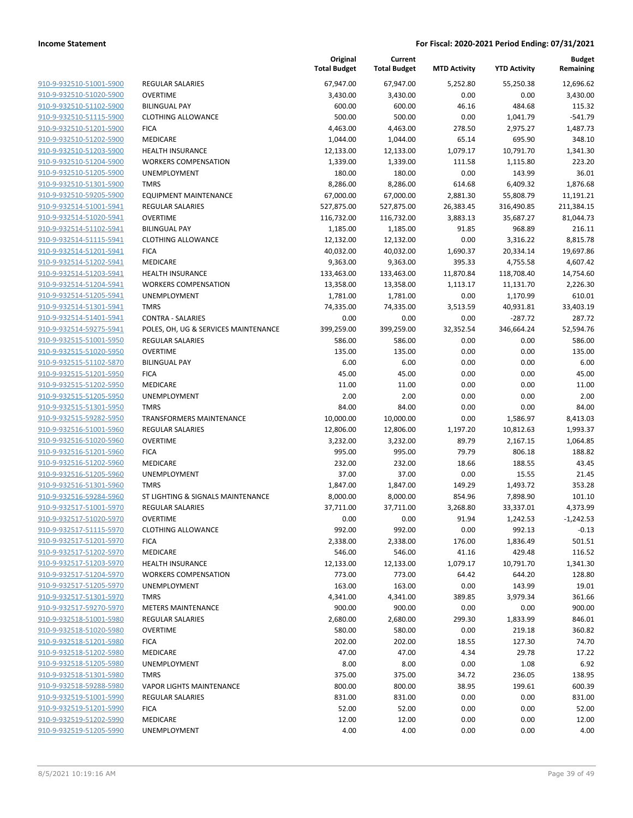|                                                    |                                          | Original<br><b>Total Budget</b> | Current<br><b>Total Budget</b> | <b>MTD Activity</b> | <b>YTD Activity</b> | <b>Budget</b><br>Remaining |
|----------------------------------------------------|------------------------------------------|---------------------------------|--------------------------------|---------------------|---------------------|----------------------------|
| 910-9-932510-51001-5900                            | <b>REGULAR SALARIES</b>                  | 67,947.00                       | 67,947.00                      | 5,252.80            | 55,250.38           | 12,696.62                  |
| 910-9-932510-51020-5900                            | <b>OVERTIME</b>                          | 3,430.00                        | 3,430.00                       | 0.00                | 0.00                | 3,430.00                   |
| 910-9-932510-51102-5900                            | <b>BILINGUAL PAY</b>                     | 600.00                          | 600.00                         | 46.16               | 484.68              | 115.32                     |
| 910-9-932510-51115-5900                            | <b>CLOTHING ALLOWANCE</b>                | 500.00                          | 500.00                         | 0.00                | 1,041.79            | $-541.79$                  |
| 910-9-932510-51201-5900                            | <b>FICA</b>                              | 4,463.00                        | 4,463.00                       | 278.50              | 2,975.27            | 1,487.73                   |
| 910-9-932510-51202-5900                            | MEDICARE                                 | 1,044.00                        | 1,044.00                       | 65.14               | 695.90              | 348.10                     |
| 910-9-932510-51203-5900                            | <b>HEALTH INSURANCE</b>                  | 12,133.00                       | 12,133.00                      | 1,079.17            | 10,791.70           | 1,341.30                   |
| 910-9-932510-51204-5900                            | <b>WORKERS COMPENSATION</b>              | 1,339.00                        | 1,339.00                       | 111.58              | 1,115.80            | 223.20                     |
| 910-9-932510-51205-5900                            | UNEMPLOYMENT                             | 180.00                          | 180.00                         | 0.00                | 143.99              | 36.01                      |
| 910-9-932510-51301-5900                            | <b>TMRS</b>                              | 8,286.00                        | 8,286.00                       | 614.68              | 6,409.32            | 1,876.68                   |
| 910-9-932510-59205-5900                            | <b>EQUIPMENT MAINTENANCE</b>             | 67,000.00                       | 67,000.00                      | 2,881.30            | 55,808.79           | 11,191.21                  |
| 910-9-932514-51001-5941                            | <b>REGULAR SALARIES</b>                  | 527,875.00                      | 527,875.00                     | 26,383.45           | 316,490.85          | 211,384.15                 |
| 910-9-932514-51020-5941                            | <b>OVERTIME</b>                          | 116,732.00                      | 116,732.00                     | 3,883.13            | 35,687.27           | 81,044.73                  |
| 910-9-932514-51102-5941                            | <b>BILINGUAL PAY</b>                     | 1,185.00                        | 1,185.00                       | 91.85               | 968.89              | 216.11                     |
| 910-9-932514-51115-5941                            | <b>CLOTHING ALLOWANCE</b>                | 12,132.00                       | 12,132.00                      | 0.00                | 3,316.22            | 8,815.78                   |
| 910-9-932514-51201-5941                            | <b>FICA</b>                              | 40,032.00                       | 40,032.00                      | 1,690.37            | 20,334.14           | 19,697.86                  |
| 910-9-932514-51202-5941                            | <b>MEDICARE</b>                          | 9,363.00                        | 9,363.00                       | 395.33              | 4,755.58            | 4,607.42                   |
| 910-9-932514-51203-5941                            | <b>HEALTH INSURANCE</b>                  | 133,463.00                      | 133,463.00                     | 11,870.84           | 118,708.40          | 14,754.60                  |
| 910-9-932514-51204-5941                            | <b>WORKERS COMPENSATION</b>              | 13,358.00                       | 13,358.00                      | 1,113.17            | 11,131.70           | 2,226.30                   |
| 910-9-932514-51205-5941                            | UNEMPLOYMENT                             | 1,781.00                        | 1,781.00                       | 0.00                | 1,170.99            | 610.01                     |
| 910-9-932514-51301-5941                            | <b>TMRS</b>                              | 74,335.00                       | 74,335.00                      | 3,513.59            | 40,931.81           | 33,403.19                  |
| 910-9-932514-51401-5941                            | <b>CONTRA - SALARIES</b>                 | 0.00                            | 0.00                           | 0.00                | -287.72             | 287.72                     |
| 910-9-932514-59275-5941                            | POLES, OH, UG & SERVICES MAINTENANCE     | 399,259.00                      | 399,259.00                     | 32,352.54           | 346,664.24          | 52,594.76                  |
| 910-9-932515-51001-5950                            | <b>REGULAR SALARIES</b>                  | 586.00                          | 586.00                         | 0.00                | 0.00                | 586.00                     |
| 910-9-932515-51020-5950                            | <b>OVERTIME</b>                          | 135.00                          | 135.00                         | 0.00                | 0.00                | 135.00                     |
| 910-9-932515-51102-5870                            | <b>BILINGUAL PAY</b>                     | 6.00                            | 6.00                           | 0.00                | 0.00                | 6.00                       |
| 910-9-932515-51201-5950                            | <b>FICA</b>                              | 45.00                           | 45.00                          | 0.00                | 0.00                | 45.00                      |
| 910-9-932515-51202-5950                            | MEDICARE                                 | 11.00                           | 11.00                          | 0.00                | 0.00                | 11.00                      |
| 910-9-932515-51205-5950                            | UNEMPLOYMENT                             | 2.00                            | 2.00                           | 0.00                | 0.00                | 2.00                       |
| 910-9-932515-51301-5950                            | <b>TMRS</b>                              | 84.00                           | 84.00                          | 0.00                | 0.00                | 84.00                      |
| 910-9-932515-59282-5950                            | <b>TRANSFORMERS MAINTENANCE</b>          | 10,000.00                       | 10,000.00                      | 0.00                | 1,586.97            | 8,413.03                   |
| 910-9-932516-51001-5960                            | <b>REGULAR SALARIES</b>                  | 12,806.00                       | 12,806.00                      | 1,197.20            | 10,812.63           | 1,993.37                   |
| 910-9-932516-51020-5960                            | <b>OVERTIME</b>                          | 3,232.00                        | 3,232.00                       | 89.79               | 2,167.15            | 1,064.85                   |
| 910-9-932516-51201-5960                            | <b>FICA</b>                              | 995.00                          | 995.00                         | 79.79               | 806.18              | 188.82                     |
| 910-9-932516-51202-5960                            | <b>MEDICARE</b>                          | 232.00                          | 232.00                         | 18.66               | 188.55              | 43.45                      |
| 910-9-932516-51205-5960                            | <b>UNEMPLOYMENT</b>                      | 37.00                           | 37.00                          | 0.00                | 15.55               | 21.45                      |
| 910-9-932516-51301-5960                            | <b>TMRS</b>                              | 1,847.00                        | 1,847.00                       | 149.29              | 1,493.72            | 353.28                     |
| 910-9-932516-59284-5960                            | ST LIGHTING & SIGNALS MAINTENANCE        | 8,000.00                        | 8,000.00                       | 854.96              | 7,898.90            | 101.10                     |
| 910-9-932517-51001-5970                            | <b>REGULAR SALARIES</b>                  | 37,711.00                       | 37,711.00                      | 3,268.80            | 33,337.01           | 4,373.99                   |
| 910-9-932517-51020-5970                            | OVERTIME                                 | 0.00<br>992.00                  | 0.00<br>992.00                 | 91.94<br>0.00       | 1,242.53<br>992.13  | $-1,242.53$<br>$-0.13$     |
| 910-9-932517-51115-5970<br>910-9-932517-51201-5970 | <b>CLOTHING ALLOWANCE</b><br><b>FICA</b> | 2,338.00                        | 2,338.00                       | 176.00              | 1,836.49            | 501.51                     |
| 910-9-932517-51202-5970                            | <b>MEDICARE</b>                          | 546.00                          | 546.00                         | 41.16               | 429.48              | 116.52                     |
| 910-9-932517-51203-5970                            | <b>HEALTH INSURANCE</b>                  | 12,133.00                       | 12,133.00                      | 1,079.17            | 10,791.70           | 1,341.30                   |
| 910-9-932517-51204-5970                            | <b>WORKERS COMPENSATION</b>              | 773.00                          | 773.00                         | 64.42               | 644.20              | 128.80                     |
| 910-9-932517-51205-5970                            | UNEMPLOYMENT                             | 163.00                          | 163.00                         | 0.00                | 143.99              | 19.01                      |
| 910-9-932517-51301-5970                            | <b>TMRS</b>                              | 4,341.00                        | 4,341.00                       | 389.85              | 3,979.34            | 361.66                     |
| 910-9-932517-59270-5970                            | <b>METERS MAINTENANCE</b>                | 900.00                          | 900.00                         | 0.00                | 0.00                | 900.00                     |
| 910-9-932518-51001-5980                            | <b>REGULAR SALARIES</b>                  | 2,680.00                        | 2,680.00                       | 299.30              | 1,833.99            | 846.01                     |
| 910-9-932518-51020-5980                            | <b>OVERTIME</b>                          | 580.00                          | 580.00                         | 0.00                | 219.18              | 360.82                     |
| 910-9-932518-51201-5980                            | <b>FICA</b>                              | 202.00                          | 202.00                         | 18.55               | 127.30              | 74.70                      |
| 910-9-932518-51202-5980                            | MEDICARE                                 | 47.00                           | 47.00                          | 4.34                | 29.78               | 17.22                      |
| 910-9-932518-51205-5980                            | UNEMPLOYMENT                             | 8.00                            | 8.00                           | 0.00                | 1.08                | 6.92                       |
| 910-9-932518-51301-5980                            | <b>TMRS</b>                              | 375.00                          | 375.00                         | 34.72               | 236.05              | 138.95                     |
| 910-9-932518-59288-5980                            | <b>VAPOR LIGHTS MAINTENANCE</b>          | 800.00                          | 800.00                         | 38.95               | 199.61              | 600.39                     |
| 910-9-932519-51001-5990                            | <b>REGULAR SALARIES</b>                  | 831.00                          | 831.00                         | 0.00                | 0.00                | 831.00                     |
| 910-9-932519-51201-5990                            | <b>FICA</b>                              | 52.00                           | 52.00                          | 0.00                | 0.00                | 52.00                      |
| 910-9-932519-51202-5990                            | MEDICARE                                 | 12.00                           | 12.00                          | 0.00                | 0.00                | 12.00                      |
| 910-9-932519-51205-5990                            | UNEMPLOYMENT                             | 4.00                            | 4.00                           | 0.00                | 0.00                | 4.00                       |
|                                                    |                                          |                                 |                                |                     |                     |                            |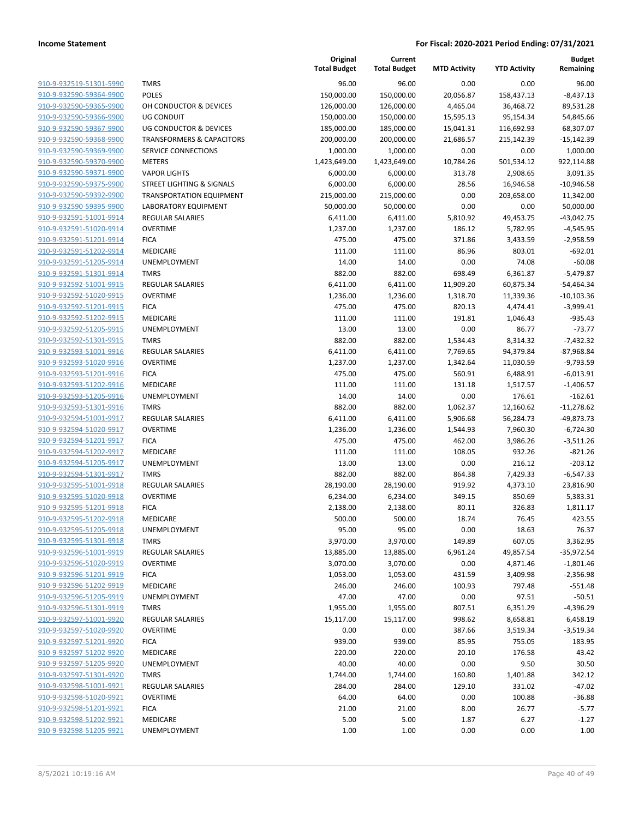|                                                    |                                      | Original<br><b>Total Budget</b> | Current<br><b>Total Budget</b> | <b>MTD Activity</b> | <b>YTD Activity</b> | <b>Budget</b><br>Remaining |
|----------------------------------------------------|--------------------------------------|---------------------------------|--------------------------------|---------------------|---------------------|----------------------------|
| 910-9-932519-51301-5990                            | <b>TMRS</b>                          | 96.00                           | 96.00                          | 0.00                | 0.00                | 96.00                      |
| 910-9-932590-59364-9900                            | <b>POLES</b>                         | 150,000.00                      | 150,000.00                     | 20,056.87           | 158,437.13          | $-8,437.13$                |
| 910-9-932590-59365-9900                            | OH CONDUCTOR & DEVICES               | 126,000.00                      | 126,000.00                     | 4,465.04            | 36,468.72           | 89,531.28                  |
| 910-9-932590-59366-9900                            | <b>UG CONDUIT</b>                    | 150,000.00                      | 150,000.00                     | 15,595.13           | 95,154.34           | 54,845.66                  |
| 910-9-932590-59367-9900                            | UG CONDUCTOR & DEVICES               | 185,000.00                      | 185,000.00                     | 15,041.31           | 116,692.93          | 68,307.07                  |
| 910-9-932590-59368-9900                            | <b>TRANSFORMERS &amp; CAPACITORS</b> | 200,000.00                      | 200,000.00                     | 21,686.57           | 215,142.39          | $-15,142.39$               |
| 910-9-932590-59369-9900                            | SERVICE CONNECTIONS                  | 1,000.00                        | 1,000.00                       | 0.00                | 0.00                | 1,000.00                   |
| 910-9-932590-59370-9900                            | <b>METERS</b>                        | 1,423,649.00                    | 1,423,649.00                   | 10,784.26           | 501,534.12          | 922,114.88                 |
| 910-9-932590-59371-9900                            | <b>VAPOR LIGHTS</b>                  | 6,000.00                        | 6,000.00                       | 313.78              | 2,908.65            | 3,091.35                   |
| 910-9-932590-59375-9900                            | STREET LIGHTING & SIGNALS            | 6,000.00                        | 6,000.00                       | 28.56               | 16,946.58           | $-10,946.58$               |
| 910-9-932590-59392-9900                            | <b>TRANSPORTATION EQUIPMENT</b>      | 215,000.00                      | 215,000.00                     | 0.00                | 203,658.00          | 11,342.00                  |
| 910-9-932590-59395-9900                            | LABORATORY EQUIPMENT                 | 50,000.00                       | 50,000.00                      | 0.00                | 0.00                | 50,000.00                  |
| 910-9-932591-51001-9914                            | REGULAR SALARIES                     | 6,411.00                        | 6,411.00                       | 5,810.92            | 49,453.75           | $-43,042.75$               |
| 910-9-932591-51020-9914                            | <b>OVERTIME</b>                      | 1,237.00                        | 1,237.00                       | 186.12              | 5,782.95            | $-4,545.95$                |
| 910-9-932591-51201-9914                            | <b>FICA</b>                          | 475.00                          | 475.00                         | 371.86              | 3,433.59            | $-2,958.59$                |
| 910-9-932591-51202-9914                            | MEDICARE                             | 111.00                          | 111.00                         | 86.96               | 803.01              | $-692.01$                  |
| 910-9-932591-51205-9914                            | UNEMPLOYMENT                         | 14.00                           | 14.00                          | 0.00                | 74.08               | $-60.08$                   |
| 910-9-932591-51301-9914                            | <b>TMRS</b>                          | 882.00                          | 882.00                         | 698.49              | 6,361.87            | $-5,479.87$                |
| 910-9-932592-51001-9915                            | <b>REGULAR SALARIES</b>              | 6,411.00                        | 6,411.00                       | 11,909.20           | 60,875.34           | $-54,464.34$               |
| 910-9-932592-51020-9915                            | <b>OVERTIME</b>                      | 1,236.00                        | 1,236.00                       | 1,318.70            | 11,339.36           | $-10,103.36$               |
| 910-9-932592-51201-9915                            | <b>FICA</b>                          | 475.00                          | 475.00                         | 820.13              | 4,474.41            | $-3,999.41$                |
| 910-9-932592-51202-9915                            | MEDICARE                             | 111.00                          | 111.00                         | 191.81              | 1,046.43            | $-935.43$                  |
| 910-9-932592-51205-9915                            | <b>UNEMPLOYMENT</b>                  | 13.00                           | 13.00                          | 0.00                | 86.77               | $-73.77$                   |
| 910-9-932592-51301-9915                            | <b>TMRS</b>                          | 882.00                          | 882.00                         | 1,534.43            | 8,314.32            | $-7,432.32$                |
| 910-9-932593-51001-9916                            | <b>REGULAR SALARIES</b>              | 6,411.00                        | 6,411.00                       | 7,769.65            | 94,379.84           | -87,968.84                 |
| 910-9-932593-51020-9916                            | <b>OVERTIME</b>                      | 1,237.00                        | 1,237.00                       | 1,342.64            | 11,030.59           | $-9,793.59$                |
| 910-9-932593-51201-9916                            | <b>FICA</b>                          | 475.00                          | 475.00                         | 560.91              | 6,488.91            | $-6,013.91$                |
| 910-9-932593-51202-9916                            | MEDICARE                             | 111.00                          | 111.00                         | 131.18              | 1,517.57            | $-1,406.57$                |
| 910-9-932593-51205-9916                            | UNEMPLOYMENT                         | 14.00                           | 14.00                          | 0.00                | 176.61              | $-162.61$                  |
| 910-9-932593-51301-9916                            | <b>TMRS</b>                          | 882.00                          | 882.00                         | 1,062.37            | 12,160.62           | $-11,278.62$               |
| 910-9-932594-51001-9917                            | REGULAR SALARIES                     | 6,411.00                        | 6,411.00                       | 5,906.68            | 56,284.73           | $-49,873.73$               |
| 910-9-932594-51020-9917                            | <b>OVERTIME</b>                      | 1,236.00                        | 1,236.00                       | 1,544.93            | 7,960.30            | $-6,724.30$                |
| 910-9-932594-51201-9917                            | <b>FICA</b>                          | 475.00                          | 475.00                         | 462.00              | 3,986.26            | $-3,511.26$                |
| 910-9-932594-51202-9917                            | MEDICARE                             | 111.00                          | 111.00                         | 108.05              | 932.26              | $-821.26$                  |
| 910-9-932594-51205-9917                            | UNEMPLOYMENT                         | 13.00                           | 13.00                          | 0.00                | 216.12              | $-203.12$                  |
| 910-9-932594-51301-9917                            | <b>TMRS</b>                          | 882.00                          | 882.00                         | 864.38              | 7,429.33            | $-6,547.33$                |
| 910-9-932595-51001-9918                            | REGULAR SALARIES                     | 28,190.00                       | 28,190.00                      | 919.92              | 4,373.10            | 23,816.90                  |
| 910-9-932595-51020-9918<br>910-9-932595-51201-9918 | OVERTIME                             | 6,234.00                        | 6,234.00                       | 349.15              | 850.69              | 5,383.31                   |
| 910-9-932595-51202-9918                            | <b>FICA</b><br><b>MEDICARE</b>       | 2,138.00<br>500.00              | 2,138.00<br>500.00             | 80.11<br>18.74      | 326.83              | 1,811.17<br>423.55         |
| 910-9-932595-51205-9918                            | UNEMPLOYMENT                         | 95.00                           | 95.00                          | 0.00                | 76.45<br>18.63      | 76.37                      |
| 910-9-932595-51301-9918                            | <b>TMRS</b>                          | 3,970.00                        | 3,970.00                       | 149.89              | 607.05              | 3,362.95                   |
| 910-9-932596-51001-9919                            | REGULAR SALARIES                     | 13,885.00                       | 13,885.00                      | 6,961.24            | 49,857.54           | $-35,972.54$               |
| 910-9-932596-51020-9919                            | <b>OVERTIME</b>                      | 3,070.00                        | 3,070.00                       | 0.00                | 4,871.46            | $-1,801.46$                |
| 910-9-932596-51201-9919                            | <b>FICA</b>                          | 1,053.00                        | 1,053.00                       | 431.59              | 3,409.98            | $-2,356.98$                |
| 910-9-932596-51202-9919                            | MEDICARE                             | 246.00                          | 246.00                         | 100.93              | 797.48              | $-551.48$                  |
| 910-9-932596-51205-9919                            | <b>UNEMPLOYMENT</b>                  | 47.00                           | 47.00                          | 0.00                | 97.51               | $-50.51$                   |
| 910-9-932596-51301-9919                            | <b>TMRS</b>                          | 1,955.00                        | 1,955.00                       | 807.51              | 6,351.29            | $-4,396.29$                |
| 910-9-932597-51001-9920                            | <b>REGULAR SALARIES</b>              | 15,117.00                       | 15,117.00                      | 998.62              | 8,658.81            | 6,458.19                   |
| 910-9-932597-51020-9920                            | <b>OVERTIME</b>                      | 0.00                            | 0.00                           | 387.66              | 3,519.34            | $-3,519.34$                |
| 910-9-932597-51201-9920                            | <b>FICA</b>                          | 939.00                          | 939.00                         | 85.95               | 755.05              | 183.95                     |
| 910-9-932597-51202-9920                            | MEDICARE                             | 220.00                          | 220.00                         | 20.10               | 176.58              | 43.42                      |
| 910-9-932597-51205-9920                            | UNEMPLOYMENT                         | 40.00                           | 40.00                          | 0.00                | 9.50                | 30.50                      |
| 910-9-932597-51301-9920                            | <b>TMRS</b>                          | 1,744.00                        | 1,744.00                       | 160.80              | 1,401.88            | 342.12                     |
| 910-9-932598-51001-9921                            | <b>REGULAR SALARIES</b>              | 284.00                          | 284.00                         | 129.10              | 331.02              | $-47.02$                   |
| 910-9-932598-51020-9921                            | <b>OVERTIME</b>                      | 64.00                           | 64.00                          | 0.00                | 100.88              | $-36.88$                   |
| 910-9-932598-51201-9921                            | <b>FICA</b>                          | 21.00                           | 21.00                          | 8.00                | 26.77               | $-5.77$                    |
| 910-9-932598-51202-9921                            | MEDICARE                             | 5.00                            | 5.00                           | 1.87                | 6.27                | $-1.27$                    |
| 910-9-932598-51205-9921                            | UNEMPLOYMENT                         | 1.00                            | 1.00                           | 0.00                | 0.00                | 1.00                       |
|                                                    |                                      |                                 |                                |                     |                     |                            |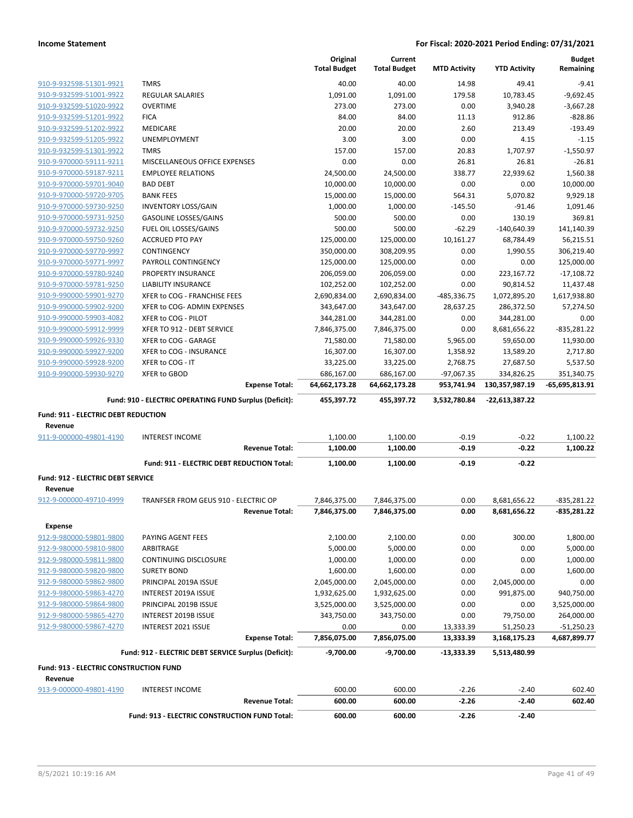|                                          |                                                                        | Original<br><b>Total Budget</b> | Current<br><b>Total Budget</b> | <b>MTD Activity</b>    | <b>YTD Activity</b>       | <b>Budget</b><br>Remaining   |
|------------------------------------------|------------------------------------------------------------------------|---------------------------------|--------------------------------|------------------------|---------------------------|------------------------------|
| 910-9-932598-51301-9921                  | <b>TMRS</b>                                                            | 40.00                           | 40.00                          | 14.98                  | 49.41                     | $-9.41$                      |
| 910-9-932599-51001-9922                  | <b>REGULAR SALARIES</b>                                                | 1,091.00                        | 1,091.00                       | 179.58                 | 10,783.45                 | $-9,692.45$                  |
| 910-9-932599-51020-9922                  | <b>OVERTIME</b>                                                        | 273.00                          | 273.00                         | 0.00                   | 3,940.28                  | $-3,667.28$                  |
| 910-9-932599-51201-9922                  | <b>FICA</b>                                                            | 84.00                           | 84.00                          | 11.13                  | 912.86                    | $-828.86$                    |
| 910-9-932599-51202-9922                  | MEDICARE                                                               | 20.00                           | 20.00                          | 2.60                   | 213.49                    | $-193.49$                    |
| 910-9-932599-51205-9922                  | UNEMPLOYMENT                                                           | 3.00                            | 3.00                           | 0.00                   | 4.15                      | $-1.15$                      |
| 910-9-932599-51301-9922                  | <b>TMRS</b>                                                            | 157.00                          | 157.00                         | 20.83                  | 1,707.97                  | $-1,550.97$                  |
| 910-9-970000-59111-9211                  | MISCELLANEOUS OFFICE EXPENSES                                          | 0.00                            | 0.00                           | 26.81                  | 26.81                     | $-26.81$                     |
| 910-9-970000-59187-9211                  | <b>EMPLOYEE RELATIONS</b>                                              | 24,500.00                       | 24,500.00                      | 338.77                 | 22,939.62                 | 1,560.38                     |
| 910-9-970000-59701-9040                  | <b>BAD DEBT</b>                                                        | 10,000.00                       | 10,000.00                      | 0.00                   | 0.00                      | 10,000.00                    |
| 910-9-970000-59720-9705                  | <b>BANK FEES</b>                                                       | 15,000.00                       | 15,000.00                      | 564.31                 | 5,070.82                  | 9,929.18                     |
| 910-9-970000-59730-9250                  | <b>INVENTORY LOSS/GAIN</b>                                             | 1,000.00                        | 1,000.00                       | $-145.50$              | $-91.46$                  | 1,091.46                     |
| 910-9-970000-59731-9250                  | <b>GASOLINE LOSSES/GAINS</b>                                           | 500.00                          | 500.00                         | 0.00                   | 130.19                    | 369.81                       |
| 910-9-970000-59732-9250                  | FUEL OIL LOSSES/GAINS                                                  | 500.00                          | 500.00                         | $-62.29$               | $-140,640.39$             | 141,140.39                   |
| 910-9-970000-59750-9260                  | <b>ACCRUED PTO PAY</b>                                                 | 125,000.00                      | 125,000.00                     | 10,161.27              | 68,784.49                 | 56,215.51                    |
| 910-9-970000-59770-9997                  | CONTINGENCY                                                            | 350,000.00                      | 308,209.95                     | 0.00                   | 1,990.55                  | 306,219.40                   |
| 910-9-970000-59771-9997                  | PAYROLL CONTINGENCY                                                    | 125,000.00                      | 125,000.00                     | 0.00                   | 0.00                      | 125,000.00                   |
| 910-9-970000-59780-9240                  | PROPERTY INSURANCE                                                     | 206,059.00                      | 206,059.00                     | 0.00                   | 223,167.72                | $-17,108.72$                 |
| 910-9-970000-59781-9250                  | LIABILITY INSURANCE                                                    | 102,252.00                      | 102,252.00                     | 0.00                   | 90,814.52                 | 11,437.48                    |
| 910-9-990000-59901-9270                  | XFER to COG - FRANCHISE FEES                                           | 2,690,834.00                    | 2,690,834.00                   | -485,336.75            | 1,072,895.20              | 1,617,938.80                 |
| 910-9-990000-59902-9200                  | XFER to COG- ADMIN EXPENSES                                            | 343,647.00                      | 343,647.00                     | 28,637.25              | 286,372.50                | 57,274.50                    |
| 910-9-990000-59903-4082                  | XFER to COG - PILOT                                                    | 344,281.00                      | 344,281.00                     | 0.00                   | 344,281.00                | 0.00                         |
| 910-9-990000-59912-9999                  | XFER TO 912 - DEBT SERVICE                                             | 7,846,375.00                    | 7,846,375.00                   | 0.00                   | 8,681,656.22              | -835,281.22                  |
| 910-9-990000-59926-9330                  | XFER to COG - GARAGE                                                   | 71,580.00                       | 71,580.00                      | 5,965.00               | 59,650.00                 | 11,930.00                    |
| 910-9-990000-59927-9200                  | XFER to COG - INSURANCE                                                | 16,307.00                       | 16,307.00                      | 1,358.92               | 13,589.20                 | 2,717.80                     |
| 910-9-990000-59928-9200                  | XFER to COG - IT                                                       | 33,225.00                       | 33,225.00                      | 2,768.75               | 27,687.50                 | 5,537.50                     |
| 910-9-990000-59930-9270                  | <b>XFER to GBOD</b>                                                    | 686,167.00                      | 686,167.00                     | $-97,067.35$           | 334,826.25                | 351,340.75                   |
|                                          | <b>Expense Total:</b>                                                  | 64,662,173.28                   | 64,662,173.28                  | 953,741.94             | 130,357,987.19            | -65,695,813.91               |
|                                          | Fund: 910 - ELECTRIC OPERATING FUND Surplus (Deficit):                 | 455,397.72                      | 455,397.72                     | 3,532,780.84           | -22,613,387.22            |                              |
| Fund: 911 - ELECTRIC DEBT REDUCTION      |                                                                        |                                 |                                |                        |                           |                              |
| Revenue<br>911-9-000000-49801-4190       | <b>INTEREST INCOME</b>                                                 | 1,100.00                        | 1,100.00                       | $-0.19$                | $-0.22$                   | 1,100.22                     |
|                                          | <b>Revenue Total:</b>                                                  | 1,100.00                        | 1,100.00                       | $-0.19$                | $-0.22$                   | 1,100.22                     |
|                                          | Fund: 911 - ELECTRIC DEBT REDUCTION Total:                             | 1,100.00                        | 1,100.00                       | $-0.19$                |                           |                              |
| <b>Fund: 912 - ELECTRIC DEBT SERVICE</b> |                                                                        |                                 |                                |                        | $-0.22$                   |                              |
| Revenue                                  |                                                                        |                                 |                                |                        |                           |                              |
|                                          |                                                                        |                                 |                                |                        |                           |                              |
| 912-9-000000-49710-4999                  | TRANFSER FROM GEUS 910 - ELECTRIC OP                                   | 7,846,375.00                    | 7,846,375.00                   | 0.00                   | 8,681,656.22              | -835,281.22                  |
|                                          | <b>Revenue Total:</b>                                                  | 7,846,375.00                    | 7,846,375.00                   | 0.00                   | 8,681,656.22              | -835,281.22                  |
| <b>Expense</b>                           |                                                                        |                                 |                                |                        |                           |                              |
| 912-9-980000-59801-9800                  | PAYING AGENT FEES                                                      | 2,100.00                        | 2,100.00                       | 0.00                   | 300.00                    | 1,800.00                     |
| 912-9-980000-59810-9800                  | ARBITRAGE                                                              | 5,000.00                        | 5,000.00                       | 0.00                   | 0.00                      | 5,000.00                     |
| 912-9-980000-59811-9800                  | CONTINUING DISCLOSURE                                                  | 1,000.00                        | 1,000.00                       | 0.00                   | 0.00                      | 1,000.00                     |
| 912-9-980000-59820-9800                  | <b>SURETY BOND</b>                                                     | 1,600.00                        | 1,600.00                       | 0.00                   | 0.00                      | 1,600.00                     |
| 912-9-980000-59862-9800                  | PRINCIPAL 2019A ISSUE                                                  | 2,045,000.00                    | 2,045,000.00                   | 0.00                   | 2,045,000.00              | 0.00                         |
| 912-9-980000-59863-4270                  | INTEREST 2019A ISSUE                                                   |                                 |                                | 0.00                   | 991,875.00                | 940,750.00                   |
| 912-9-980000-59864-9800                  | PRINCIPAL 2019B ISSUE                                                  | 1,932,625.00                    | 1,932,625.00                   | 0.00                   | 0.00                      | 3,525,000.00                 |
| 912-9-980000-59865-4270                  | INTEREST 2019B ISSUE                                                   | 3,525,000.00<br>343,750.00      | 3,525,000.00<br>343,750.00     | 0.00                   | 79,750.00                 |                              |
| 912-9-980000-59867-4270                  |                                                                        |                                 |                                |                        |                           | 264,000.00                   |
|                                          | INTEREST 2021 ISSUE<br><b>Expense Total:</b>                           | 0.00<br>7,856,075.00            | 0.00<br>7,856,075.00           | 13,333.39<br>13,333.39 | 51,250.23<br>3,168,175.23 | $-51,250.23$<br>4,687,899.77 |
|                                          | Fund: 912 - ELECTRIC DEBT SERVICE Surplus (Deficit):                   | -9,700.00                       | $-9,700.00$                    | -13,333.39             | 5,513,480.99              |                              |
| Fund: 913 - ELECTRIC CONSTRUCTION FUND   |                                                                        |                                 |                                |                        |                           |                              |
| Revenue                                  |                                                                        |                                 |                                |                        |                           |                              |
| 913-9-000000-49801-4190                  | <b>INTEREST INCOME</b>                                                 | 600.00                          | 600.00                         | $-2.26$                | $-2.40$                   | 602.40                       |
|                                          | <b>Revenue Total:</b><br>Fund: 913 - ELECTRIC CONSTRUCTION FUND Total: | 600.00<br>600.00                | 600.00<br>600.00               | $-2.26$<br>$-2.26$     | $-2.40$<br>$-2.40$        | 602.40                       |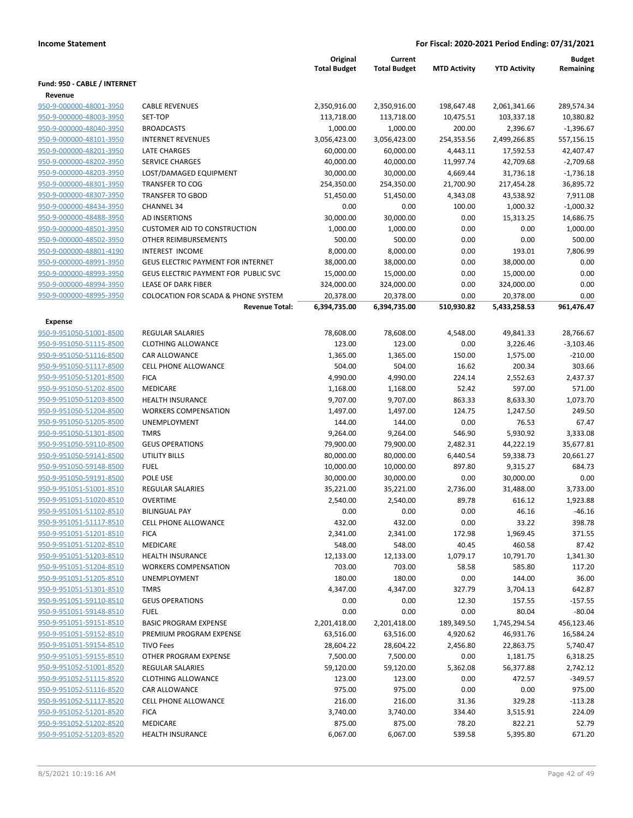|                              |                                                | Original<br><b>Total Budget</b> | Current<br><b>Total Budget</b> | <b>MTD Activity</b> | <b>YTD Activity</b> | <b>Budget</b><br>Remaining |
|------------------------------|------------------------------------------------|---------------------------------|--------------------------------|---------------------|---------------------|----------------------------|
| Fund: 950 - CABLE / INTERNET |                                                |                                 |                                |                     |                     |                            |
| Revenue                      |                                                |                                 |                                |                     |                     |                            |
| 950-9-000000-48001-3950      | <b>CABLE REVENUES</b>                          | 2,350,916.00                    | 2,350,916.00                   | 198,647.48          | 2,061,341.66        | 289,574.34                 |
| 950-9-000000-48003-3950      | SET-TOP                                        | 113,718.00                      | 113,718.00                     | 10,475.51           | 103,337.18          | 10,380.82                  |
| 950-9-000000-48040-3950      | <b>BROADCASTS</b>                              | 1,000.00                        | 1,000.00                       | 200.00              | 2,396.67            | $-1,396.67$                |
| 950-9-000000-48101-3950      | <b>INTERNET REVENUES</b>                       | 3,056,423.00                    | 3,056,423.00                   | 254,353.56          | 2,499,266.85        | 557,156.15                 |
| 950-9-000000-48201-3950      | LATE CHARGES                                   | 60,000.00                       | 60,000.00                      | 4,443.11            | 17,592.53           | 42,407.47                  |
| 950-9-000000-48202-3950      | <b>SERVICE CHARGES</b>                         | 40,000.00                       | 40,000.00                      | 11,997.74           | 42,709.68           | $-2,709.68$                |
| 950-9-000000-48203-3950      | LOST/DAMAGED EQUIPMENT                         | 30,000.00                       | 30,000.00                      | 4,669.44            | 31,736.18           | $-1,736.18$                |
| 950-9-000000-48301-3950      | <b>TRANSFER TO COG</b>                         | 254,350.00                      | 254,350.00                     | 21,700.90           | 217,454.28          | 36,895.72                  |
| 950-9-000000-48307-3950      | <b>TRANSFER TO GBOD</b>                        | 51,450.00                       | 51,450.00                      | 4,343.08            | 43,538.92           | 7,911.08                   |
| 950-9-000000-48434-3950      | <b>CHANNEL 34</b>                              | 0.00                            | 0.00                           | 100.00              | 1,000.32            | $-1,000.32$                |
| 950-9-000000-48488-3950      | <b>AD INSERTIONS</b>                           | 30,000.00                       | 30,000.00                      | 0.00                | 15,313.25           | 14,686.75                  |
| 950-9-000000-48501-3950      | <b>CUSTOMER AID TO CONSTRUCTION</b>            | 1,000.00                        | 1,000.00                       | 0.00                | 0.00                | 1,000.00                   |
| 950-9-000000-48502-3950      | OTHER REIMBURSEMENTS                           | 500.00                          | 500.00                         | 0.00                | 0.00                | 500.00                     |
| 950-9-000000-48801-4190      | INTEREST INCOME                                | 8,000.00                        | 8,000.00                       | 0.00                | 193.01              | 7,806.99                   |
| 950-9-000000-48991-3950      | <b>GEUS ELECTRIC PAYMENT FOR INTERNET</b>      | 38,000.00                       | 38,000.00                      | 0.00                | 38,000.00           | 0.00                       |
| 950-9-000000-48993-3950      | GEUS ELECTRIC PAYMENT FOR PUBLIC SVC           | 15,000.00                       | 15,000.00                      | 0.00                | 15,000.00           | 0.00                       |
| 950-9-000000-48994-3950      | LEASE OF DARK FIBER                            | 324,000.00                      | 324,000.00                     | 0.00                | 324,000.00          | 0.00                       |
| 950-9-000000-48995-3950      | <b>COLOCATION FOR SCADA &amp; PHONE SYSTEM</b> | 20,378.00                       | 20,378.00                      | 0.00                | 20,378.00           | 0.00                       |
|                              | <b>Revenue Total:</b>                          | 6,394,735.00                    | 6,394,735.00                   | 510,930.82          | 5,433,258.53        | 961,476.47                 |
| Expense                      |                                                |                                 |                                |                     |                     |                            |
| 950-9-951050-51001-8500      | <b>REGULAR SALARIES</b>                        | 78,608.00                       | 78,608.00                      | 4,548.00            | 49,841.33           | 28,766.67                  |
| 950-9-951050-51115-8500      | <b>CLOTHING ALLOWANCE</b>                      | 123.00                          | 123.00                         | 0.00                | 3,226.46            | $-3,103.46$                |
| 950-9-951050-51116-8500      | <b>CAR ALLOWANCE</b>                           | 1,365.00                        | 1,365.00                       | 150.00              | 1,575.00            | $-210.00$                  |
| 950-9-951050-51117-8500      | <b>CELL PHONE ALLOWANCE</b>                    | 504.00                          | 504.00                         | 16.62               | 200.34              | 303.66                     |
| 950-9-951050-51201-8500      | <b>FICA</b>                                    | 4,990.00                        | 4,990.00                       | 224.14              | 2,552.63            | 2,437.37                   |
| 950-9-951050-51202-8500      | <b>MEDICARE</b>                                | 1,168.00                        | 1,168.00                       | 52.42               | 597.00              | 571.00                     |
| 950-9-951050-51203-8500      | <b>HEALTH INSURANCE</b>                        | 9,707.00                        | 9,707.00                       | 863.33              | 8,633.30            | 1,073.70                   |
| 950-9-951050-51204-8500      | <b>WORKERS COMPENSATION</b>                    | 1,497.00                        | 1,497.00                       | 124.75              | 1,247.50            | 249.50                     |
| 950-9-951050-51205-8500      | UNEMPLOYMENT                                   | 144.00                          | 144.00                         | 0.00                | 76.53               | 67.47                      |
| 950-9-951050-51301-8500      | <b>TMRS</b>                                    | 9,264.00                        | 9,264.00                       | 546.90              | 5,930.92            | 3,333.08                   |
| 950-9-951050-59110-8500      | <b>GEUS OPERATIONS</b>                         | 79,900.00                       | 79,900.00                      | 2,482.31            | 44,222.19           | 35,677.81                  |
| 950-9-951050-59141-8500      | <b>UTILITY BILLS</b>                           | 80,000.00                       | 80,000.00                      | 6,440.54            | 59,338.73           | 20,661.27                  |
| 950-9-951050-59148-8500      | <b>FUEL</b>                                    | 10,000.00                       | 10,000.00                      | 897.80              | 9,315.27            | 684.73                     |
| 950-9-951050-59191-8500      | POLE USE                                       | 30,000.00                       | 30,000.00                      | 0.00                | 30,000.00           | 0.00                       |
| 950-9-951051-51001-8510      | <b>REGULAR SALARIES</b>                        | 35,221.00                       | 35,221.00                      | 2,736.00            | 31,488.00           | 3,733.00                   |
| 950-9-951051-51020-8510      | <b>OVERTIME</b>                                | 2,540.00                        | 2,540.00                       | 89.78               | 616.12              | 1,923.88                   |
| 950-9-951051-51102-8510      | <b>BILINGUAL PAY</b>                           | 0.00                            | 0.00                           | 0.00                | 46.16               | -46.16                     |
| 950-9-951051-51117-8510      | <b>CELL PHONE ALLOWANCE</b>                    | 432.00                          | 432.00                         | 0.00                | 33.22               | 398.78                     |
| 950-9-951051-51201-8510      | <b>FICA</b>                                    | 2,341.00                        | 2,341.00                       | 172.98              | 1,969.45            | 371.55                     |
| 950-9-951051-51202-8510      | MEDICARE                                       | 548.00                          | 548.00                         | 40.45               | 460.58              | 87.42                      |
| 950-9-951051-51203-8510      | <b>HEALTH INSURANCE</b>                        | 12,133.00                       | 12,133.00                      | 1,079.17            | 10,791.70           | 1,341.30                   |
| 950-9-951051-51204-8510      | <b>WORKERS COMPENSATION</b>                    | 703.00                          | 703.00                         | 58.58               | 585.80              | 117.20                     |
| 950-9-951051-51205-8510      | <b>UNEMPLOYMENT</b>                            | 180.00                          | 180.00                         | 0.00                | 144.00              | 36.00                      |
| 950-9-951051-51301-8510      | <b>TMRS</b>                                    | 4,347.00                        | 4,347.00                       | 327.79              | 3,704.13            | 642.87                     |
| 950-9-951051-59110-8510      | <b>GEUS OPERATIONS</b>                         | 0.00                            | 0.00                           | 12.30               | 157.55              | $-157.55$                  |
| 950-9-951051-59148-8510      | <b>FUEL</b>                                    | 0.00                            | 0.00                           | 0.00                | 80.04               | $-80.04$                   |
| 950-9-951051-59151-8510      | <b>BASIC PROGRAM EXPENSE</b>                   | 2,201,418.00                    | 2,201,418.00                   | 189,349.50          | 1,745,294.54        | 456,123.46                 |
| 950-9-951051-59152-8510      | PREMIUM PROGRAM EXPENSE                        | 63,516.00                       | 63,516.00                      | 4,920.62            | 46,931.76           | 16,584.24                  |
| 950-9-951051-59154-8510      | <b>TIVO Fees</b>                               | 28,604.22                       | 28,604.22                      | 2,456.80            | 22,863.75           | 5,740.47                   |
| 950-9-951051-59155-8510      | OTHER PROGRAM EXPENSE                          | 7,500.00                        | 7,500.00                       | 0.00                | 1,181.75            | 6,318.25                   |
| 950-9-951052-51001-8520      | <b>REGULAR SALARIES</b>                        | 59,120.00                       | 59,120.00                      | 5,362.08            | 56,377.88           | 2,742.12                   |
| 950-9-951052-51115-8520      | <b>CLOTHING ALLOWANCE</b>                      | 123.00                          | 123.00                         | 0.00                | 472.57              | $-349.57$                  |
| 950-9-951052-51116-8520      | <b>CAR ALLOWANCE</b>                           | 975.00                          | 975.00                         | 0.00                | 0.00                | 975.00                     |
| 950-9-951052-51117-8520      | <b>CELL PHONE ALLOWANCE</b>                    | 216.00                          | 216.00                         | 31.36               | 329.28              | $-113.28$                  |
| 950-9-951052-51201-8520      | <b>FICA</b>                                    | 3,740.00                        | 3,740.00                       | 334.40              | 3,515.91            | 224.09                     |
| 950-9-951052-51202-8520      | MEDICARE                                       | 875.00                          | 875.00                         | 78.20               | 822.21              | 52.79                      |
| 950-9-951052-51203-8520      | HEALTH INSURANCE                               | 6,067.00                        | 6,067.00                       | 539.58              | 5,395.80            | 671.20                     |
|                              |                                                |                                 |                                |                     |                     |                            |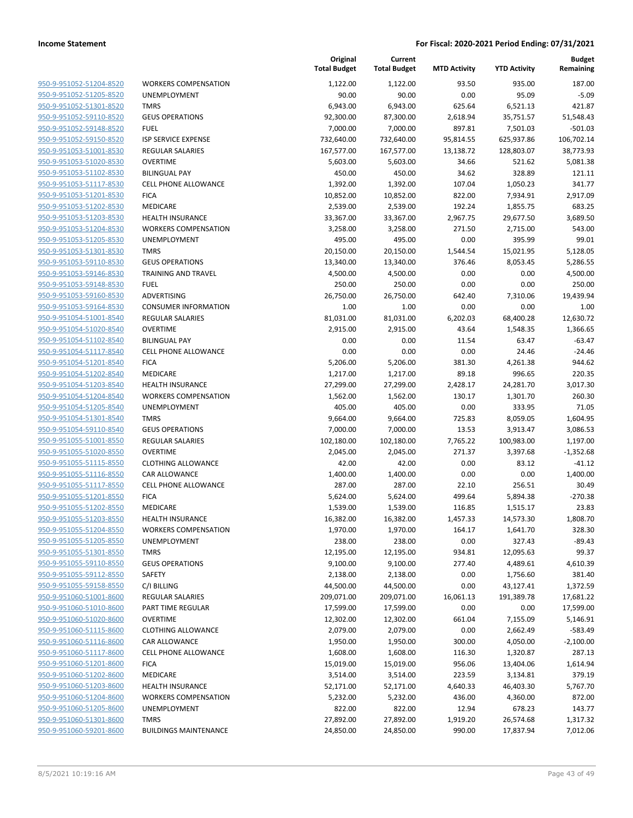| 950-9-951052-51204-8520        |
|--------------------------------|
| 950-9-951052-51205-8520        |
| 950-9-951052-51301-8520        |
| 950-9-951052-59110-8520        |
| 950-9-951052-59148-8520        |
| 950-9-951052-59150-8520        |
| <u>950-9-951053-51001-8530</u> |
| 950-9-951053-51020-8530        |
| 950-9-951053-51102-8530        |
| 950-9-951053-51117-8530        |
| 950-9-951053-51201-8530        |
| <u>950-9-951053-51202-8530</u> |
| 950-9-951053-51203-8530        |
| 950-9-951053-51204-8530        |
| 950-9-951053-51205-8530        |
| 950-9-951053-51301-8530        |
| <u>950-9-951053-59110-8530</u> |
| 950-9-951053-59146-8530        |
| 950-9-951053-59148-8530        |
|                                |
| 950-9-951053-59160-8530        |
| 950-9-951053-59164-8530        |
| 950-9-951054-51001-8540        |
| 950-9-951054-51020-8540        |
| 950-9-951054-51102-8540        |
| 950-9-951054-51117-8540        |
| 950-9-951054-51201-8540        |
| <u>950-9-951054-51202-8540</u> |
| 950-9-951054-51203-8540        |
| 950-9-951054-51204-8540        |
| 950-9-951054-51205-8540        |
| 950-9-951054-51301-8540        |
| 950-9-951054-59110-8540        |
| 950-9-951055-51001-8550        |
| 950-9-951055-51020-8550        |
| 950-9-951055-51115-8550        |
| <u>950-9-951055-51116-8550</u> |
| 950-9-951055-51117-8550        |
| 950-9-951055-51201-8550        |
| 950-9-951055-51202-8550        |
| 950-9-951055-51203-8550        |
| 950-9-951055-51204-8550        |
| 950-9-951055-51205-8550        |
| 950-9-951055-51301-8550        |
| 950-9-951055-59110-8550        |
| 950-9-951055-59112-8550        |
| 950-9-951055-59158-8550        |
| 950-9-951060-51001-8600        |
| 950-9-951060-51010-8600        |
| 950-9-951060-51020-8600        |
| 950-9-951060-51115-8600        |
|                                |
| 950-9-951060-51116-8600        |
| 950-9-951060-51117-8600        |
| 950-9-951060-51201-8600        |
| 950-9-951060-51202-8600        |
| 950-9-951060-51203-8600        |
| 950-9-951060-51204-8600        |
| 950-9-951060-51205-8600        |
| 950-9-951060-51301-8600        |
| 950-9-951060-59201-8600        |
|                                |

|                                                    |                                     | Original<br><b>Total Budget</b> | Current<br><b>Total Budget</b> | <b>MTD Activity</b> | <b>YTD Activity</b>   | <b>Budget</b><br>Remaining |
|----------------------------------------------------|-------------------------------------|---------------------------------|--------------------------------|---------------------|-----------------------|----------------------------|
| 950-9-951052-51204-8520                            | <b>WORKERS COMPENSATION</b>         | 1,122.00                        | 1,122.00                       | 93.50               | 935.00                | 187.00                     |
| 950-9-951052-51205-8520                            | UNEMPLOYMENT                        | 90.00                           | 90.00                          | 0.00                | 95.09                 | $-5.09$                    |
| 950-9-951052-51301-8520                            | <b>TMRS</b>                         | 6,943.00                        | 6,943.00                       | 625.64              | 6,521.13              | 421.87                     |
| 950-9-951052-59110-8520                            | <b>GEUS OPERATIONS</b>              | 92,300.00                       | 87,300.00                      | 2,618.94            | 35,751.57             | 51,548.43                  |
| 950-9-951052-59148-8520                            | <b>FUEL</b>                         | 7,000.00                        | 7,000.00                       | 897.81              | 7,501.03              | $-501.03$                  |
| 950-9-951052-59150-8520                            | <b>ISP SERVICE EXPENSE</b>          | 732,640.00                      | 732,640.00                     | 95,814.55           | 625,937.86            | 106,702.14                 |
| 950-9-951053-51001-8530                            | <b>REGULAR SALARIES</b>             | 167,577.00                      | 167,577.00                     | 13,138.72           | 128,803.07            | 38,773.93                  |
| 950-9-951053-51020-8530                            | <b>OVERTIME</b>                     | 5,603.00                        | 5,603.00                       | 34.66               | 521.62                | 5,081.38                   |
| 950-9-951053-51102-8530                            | <b>BILINGUAL PAY</b>                | 450.00                          | 450.00                         | 34.62               | 328.89                | 121.11                     |
| 950-9-951053-51117-8530                            | <b>CELL PHONE ALLOWANCE</b>         | 1,392.00                        | 1,392.00                       | 107.04              | 1,050.23              | 341.77                     |
| 950-9-951053-51201-8530                            | <b>FICA</b>                         | 10,852.00                       | 10,852.00                      | 822.00              | 7,934.91              | 2,917.09                   |
| 950-9-951053-51202-8530                            | MEDICARE                            | 2,539.00                        | 2,539.00                       | 192.24              | 1,855.75              | 683.25                     |
| 950-9-951053-51203-8530                            | <b>HEALTH INSURANCE</b>             | 33,367.00                       | 33,367.00                      | 2,967.75            | 29,677.50             | 3,689.50                   |
| 950-9-951053-51204-8530                            | <b>WORKERS COMPENSATION</b>         | 3,258.00                        | 3,258.00                       | 271.50              | 2,715.00              | 543.00                     |
| 950-9-951053-51205-8530                            | UNEMPLOYMENT                        | 495.00                          | 495.00                         | 0.00                | 395.99                | 99.01                      |
| 950-9-951053-51301-8530                            | <b>TMRS</b>                         | 20,150.00                       | 20,150.00                      | 1,544.54            | 15,021.95             | 5,128.05                   |
| 950-9-951053-59110-8530                            | <b>GEUS OPERATIONS</b>              | 13,340.00                       | 13,340.00                      | 376.46              | 8,053.45              | 5,286.55                   |
| 950-9-951053-59146-8530                            | <b>TRAINING AND TRAVEL</b>          | 4,500.00                        | 4,500.00                       | 0.00                | 0.00                  | 4,500.00                   |
| 950-9-951053-59148-8530                            | <b>FUEL</b>                         | 250.00                          | 250.00                         | 0.00                | 0.00                  | 250.00                     |
| 950-9-951053-59160-8530                            | ADVERTISING                         | 26,750.00                       | 26,750.00                      | 642.40              | 7,310.06              | 19,439.94                  |
| 950-9-951053-59164-8530                            | <b>CONSUMER INFORMATION</b>         | 1.00                            | 1.00                           | 0.00                | 0.00                  | 1.00                       |
| 950-9-951054-51001-8540                            | <b>REGULAR SALARIES</b>             | 81,031.00                       | 81,031.00                      | 6,202.03            | 68,400.28             | 12,630.72                  |
| 950-9-951054-51020-8540                            | <b>OVERTIME</b>                     | 2,915.00                        | 2,915.00                       | 43.64               | 1,548.35              | 1,366.65                   |
| 950-9-951054-51102-8540                            | <b>BILINGUAL PAY</b>                | 0.00                            | 0.00                           | 11.54               | 63.47                 | -63.47                     |
| 950-9-951054-51117-8540                            | CELL PHONE ALLOWANCE                | 0.00                            | 0.00                           | 0.00                | 24.46                 | $-24.46$                   |
| 950-9-951054-51201-8540                            | <b>FICA</b>                         | 5,206.00                        | 5,206.00                       | 381.30              | 4,261.38              | 944.62                     |
| 950-9-951054-51202-8540                            | MEDICARE<br><b>HEALTH INSURANCE</b> | 1,217.00                        | 1,217.00                       | 89.18               | 996.65                | 220.35                     |
| 950-9-951054-51203-8540<br>950-9-951054-51204-8540 | <b>WORKERS COMPENSATION</b>         | 27,299.00<br>1,562.00           | 27,299.00<br>1,562.00          | 2,428.17<br>130.17  | 24,281.70<br>1,301.70 | 3,017.30<br>260.30         |
| 950-9-951054-51205-8540                            | UNEMPLOYMENT                        | 405.00                          | 405.00                         | 0.00                | 333.95                | 71.05                      |
| 950-9-951054-51301-8540                            | <b>TMRS</b>                         | 9,664.00                        | 9,664.00                       | 725.83              | 8,059.05              | 1,604.95                   |
| 950-9-951054-59110-8540                            | <b>GEUS OPERATIONS</b>              | 7,000.00                        | 7,000.00                       | 13.53               | 3,913.47              | 3,086.53                   |
| 950-9-951055-51001-8550                            | <b>REGULAR SALARIES</b>             | 102,180.00                      | 102,180.00                     | 7,765.22            | 100,983.00            | 1,197.00                   |
| 950-9-951055-51020-8550                            | <b>OVERTIME</b>                     | 2,045.00                        | 2,045.00                       | 271.37              | 3,397.68              | $-1,352.68$                |
| 950-9-951055-51115-8550                            | <b>CLOTHING ALLOWANCE</b>           | 42.00                           | 42.00                          | 0.00                | 83.12                 | $-41.12$                   |
| 950-9-951055-51116-8550                            | <b>CAR ALLOWANCE</b>                | 1,400.00                        | 1,400.00                       | 0.00                | 0.00                  | 1,400.00                   |
| 950-9-951055-51117-8550                            | CELL PHONE ALLOWANCE                | 287.00                          | 287.00                         | 22.10               | 256.51                | 30.49                      |
| 950-9-951055-51201-8550                            | <b>FICA</b>                         | 5,624.00                        | 5,624.00                       | 499.64              | 5,894.38              | $-270.38$                  |
| 950-9-951055-51202-8550                            | MEDICARE                            | 1,539.00                        | 1,539.00                       | 116.85              | 1,515.17              | 23.83                      |
| 950-9-951055-51203-8550                            | <b>HEALTH INSURANCE</b>             | 16,382.00                       | 16,382.00                      | 1,457.33            | 14,573.30             | 1,808.70                   |
| 950-9-951055-51204-8550                            | <b>WORKERS COMPENSATION</b>         | 1,970.00                        | 1,970.00                       | 164.17              | 1,641.70              | 328.30                     |
| 950-9-951055-51205-8550                            | UNEMPLOYMENT                        | 238.00                          | 238.00                         | 0.00                | 327.43                | $-89.43$                   |
| 950-9-951055-51301-8550                            | <b>TMRS</b>                         | 12,195.00                       | 12,195.00                      | 934.81              | 12,095.63             | 99.37                      |
| 950-9-951055-59110-8550                            | <b>GEUS OPERATIONS</b>              | 9,100.00                        | 9,100.00                       | 277.40              | 4,489.61              | 4,610.39                   |
| 950-9-951055-59112-8550                            | SAFETY                              | 2,138.00                        | 2,138.00                       | 0.00                | 1,756.60              | 381.40                     |
| 950-9-951055-59158-8550                            | C/I BILLING                         | 44,500.00                       | 44,500.00                      | 0.00                | 43,127.41             | 1,372.59                   |
| 950-9-951060-51001-8600                            | REGULAR SALARIES                    | 209,071.00                      | 209,071.00                     | 16,061.13           | 191,389.78            | 17,681.22                  |
| 950-9-951060-51010-8600                            | <b>PART TIME REGULAR</b>            | 17,599.00                       | 17,599.00                      | 0.00                | 0.00                  | 17,599.00                  |
| 950-9-951060-51020-8600                            | <b>OVERTIME</b>                     | 12,302.00                       | 12,302.00                      | 661.04              | 7,155.09              | 5,146.91                   |
| 950-9-951060-51115-8600                            | <b>CLOTHING ALLOWANCE</b>           | 2,079.00                        | 2,079.00                       | 0.00                | 2,662.49              | $-583.49$                  |
| 950-9-951060-51116-8600                            | CAR ALLOWANCE                       | 1,950.00                        | 1,950.00                       | 300.00              | 4,050.00              | $-2,100.00$                |
| 950-9-951060-51117-8600                            | <b>CELL PHONE ALLOWANCE</b>         | 1,608.00                        | 1,608.00                       | 116.30              | 1,320.87              | 287.13                     |
| 950-9-951060-51201-8600                            | <b>FICA</b>                         | 15,019.00                       | 15,019.00                      | 956.06              | 13,404.06             | 1,614.94                   |
| 950-9-951060-51202-8600                            | MEDICARE                            | 3,514.00                        | 3,514.00                       | 223.59              | 3,134.81              | 379.19                     |
| 950-9-951060-51203-8600                            | <b>HEALTH INSURANCE</b>             | 52,171.00                       | 52,171.00                      | 4,640.33            | 46,403.30             | 5,767.70                   |
| 950-9-951060-51204-8600                            | <b>WORKERS COMPENSATION</b>         | 5,232.00                        | 5,232.00                       | 436.00              | 4,360.00              | 872.00                     |
| 950-9-951060-51205-8600                            | UNEMPLOYMENT                        | 822.00                          | 822.00                         | 12.94               | 678.23                | 143.77                     |
| 950-9-951060-51301-8600                            | <b>TMRS</b>                         | 27,892.00                       | 27,892.00                      | 1,919.20            | 26,574.68             | 1,317.32                   |
| 950-9-951060-59201-8600                            | <b>BUILDINGS MAINTENANCE</b>        | 24,850.00                       | 24,850.00                      | 990.00              | 17,837.94             | 7,012.06                   |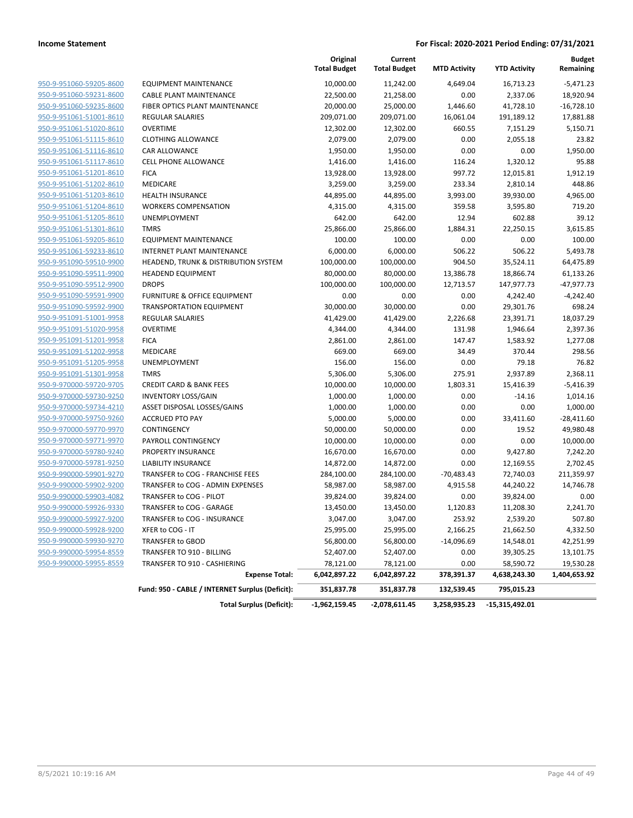|                                                    |                                                       | Original<br><b>Total Budget</b> | Current<br><b>Total Budget</b> | <b>MTD Activity</b> | <b>YTD Activity</b>       | <b>Budget</b><br>Remaining |
|----------------------------------------------------|-------------------------------------------------------|---------------------------------|--------------------------------|---------------------|---------------------------|----------------------------|
| 950-9-951060-59205-8600                            | EQUIPMENT MAINTENANCE                                 | 10,000.00                       | 11,242.00                      | 4.649.04            | 16,713.23                 | $-5,471.23$                |
| 950-9-951060-59231-8600                            | <b>CABLE PLANT MAINTENANCE</b>                        | 22,500.00                       | 21,258.00                      | 0.00                | 2,337.06                  | 18,920.94                  |
| 950-9-951060-59235-8600                            | FIBER OPTICS PLANT MAINTENANCE                        | 20,000.00                       | 25,000.00                      | 1,446.60            | 41,728.10                 | $-16,728.10$               |
| 950-9-951061-51001-8610                            | <b>REGULAR SALARIES</b>                               | 209,071.00                      | 209,071.00                     | 16,061.04           | 191,189.12                | 17,881.88                  |
| 950-9-951061-51020-8610                            | <b>OVERTIME</b>                                       | 12,302.00                       | 12,302.00                      | 660.55              | 7,151.29                  | 5,150.71                   |
| 950-9-951061-51115-8610                            | <b>CLOTHING ALLOWANCE</b>                             | 2,079.00                        | 2,079.00                       | 0.00                | 2,055.18                  | 23.82                      |
| 950-9-951061-51116-8610                            | <b>CAR ALLOWANCE</b>                                  | 1,950.00                        | 1,950.00                       | 0.00                | 0.00                      | 1,950.00                   |
| 950-9-951061-51117-8610                            | <b>CELL PHONE ALLOWANCE</b>                           | 1,416.00                        | 1,416.00                       | 116.24              | 1,320.12                  | 95.88                      |
| 950-9-951061-51201-8610                            | <b>FICA</b>                                           | 13,928.00                       | 13,928.00                      | 997.72              | 12,015.81                 | 1,912.19                   |
| 950-9-951061-51202-8610                            | <b>MEDICARE</b>                                       | 3,259.00                        | 3,259.00                       | 233.34              | 2,810.14                  | 448.86                     |
| 950-9-951061-51203-8610                            | <b>HEALTH INSURANCE</b>                               | 44,895.00                       | 44,895.00                      | 3,993.00            | 39,930.00                 | 4,965.00                   |
| 950-9-951061-51204-8610                            | <b>WORKERS COMPENSATION</b>                           | 4,315.00                        | 4,315.00                       | 359.58              | 3,595.80                  | 719.20                     |
| 950-9-951061-51205-8610                            | UNEMPLOYMENT                                          | 642.00                          | 642.00                         | 12.94               | 602.88                    | 39.12                      |
| 950-9-951061-51301-8610                            | <b>TMRS</b>                                           | 25,866.00                       | 25,866.00                      | 1,884.31            | 22,250.15                 | 3,615.85                   |
| 950-9-951061-59205-8610                            | <b>EQUIPMENT MAINTENANCE</b>                          | 100.00                          | 100.00                         | 0.00                | 0.00                      | 100.00                     |
| 950-9-951061-59233-8610                            | INTERNET PLANT MAINTENANCE                            | 6,000.00                        | 6,000.00                       | 506.22              | 506.22                    | 5,493.78                   |
| 950-9-951090-59510-9900                            | HEADEND, TRUNK & DISTRIBUTION SYSTEM                  | 100,000.00                      | 100,000.00                     | 904.50              | 35,524.11                 | 64,475.89                  |
| 950-9-951090-59511-9900                            | <b>HEADEND EQUIPMENT</b>                              | 80,000.00                       | 80,000.00                      | 13,386.78           | 18,866.74                 | 61,133.26                  |
| 950-9-951090-59512-9900                            | <b>DROPS</b>                                          | 100,000.00                      | 100,000.00                     | 12,713.57           | 147,977.73                | $-47,977.73$               |
| 950-9-951090-59591-9900                            | <b>FURNITURE &amp; OFFICE EQUIPMENT</b>               | 0.00                            | 0.00                           | 0.00                | 4,242.40                  | $-4,242.40$                |
| 950-9-951090-59592-9900                            | <b>TRANSPORTATION EQUIPMENT</b>                       | 30,000.00                       | 30,000.00                      | 0.00                | 29,301.76                 | 698.24                     |
| 950-9-951091-51001-9958                            | <b>REGULAR SALARIES</b>                               | 41,429.00                       | 41,429.00                      | 2,226.68            | 23,391.71                 | 18,037.29                  |
| 950-9-951091-51020-9958                            | <b>OVERTIME</b>                                       | 4,344.00                        | 4,344.00                       | 131.98              | 1,946.64                  | 2,397.36                   |
| 950-9-951091-51201-9958                            | <b>FICA</b>                                           | 2,861.00                        | 2,861.00                       | 147.47              | 1,583.92                  | 1,277.08                   |
| 950-9-951091-51202-9958                            | MEDICARE                                              | 669.00                          | 669.00                         | 34.49               | 370.44                    | 298.56                     |
| 950-9-951091-51205-9958                            | UNEMPLOYMENT                                          | 156.00                          | 156.00                         | 0.00                | 79.18                     | 76.82                      |
| 950-9-951091-51301-9958                            | <b>TMRS</b>                                           | 5,306.00                        | 5,306.00                       | 275.91              | 2,937.89                  | 2,368.11                   |
| 950-9-970000-59720-9705                            | <b>CREDIT CARD &amp; BANK FEES</b>                    | 10,000.00                       | 10,000.00                      | 1,803.31            | 15,416.39                 | $-5,416.39$                |
| 950-9-970000-59730-9250                            | <b>INVENTORY LOSS/GAIN</b>                            | 1,000.00                        | 1,000.00                       | 0.00                | $-14.16$                  | 1,014.16                   |
| 950-9-970000-59734-4210                            | ASSET DISPOSAL LOSSES/GAINS                           | 1,000.00                        | 1,000.00                       | 0.00                | 0.00                      | 1,000.00                   |
| 950-9-970000-59750-9260                            | <b>ACCRUED PTO PAY</b>                                | 5,000.00                        | 5,000.00                       | 0.00                | 33,411.60                 | $-28,411.60$               |
| 950-9-970000-59770-9970                            | CONTINGENCY                                           | 50,000.00                       | 50,000.00                      | 0.00                | 19.52                     | 49,980.48                  |
| 950-9-970000-59771-9970                            | PAYROLL CONTINGENCY                                   | 10,000.00                       | 10,000.00                      | 0.00                | 0.00                      | 10,000.00                  |
| 950-9-970000-59780-9240                            | PROPERTY INSURANCE                                    | 16,670.00                       | 16,670.00                      | 0.00                | 9,427.80                  | 7,242.20                   |
| 950-9-970000-59781-9250                            | <b>LIABILITY INSURANCE</b>                            | 14,872.00                       | 14,872.00                      | 0.00                | 12,169.55                 | 2,702.45                   |
| 950-9-990000-59901-9270                            | TRANSFER to COG - FRANCHISE FEES                      | 284,100.00                      | 284,100.00                     | $-70,483.43$        | 72,740.03                 | 211,359.97                 |
| 950-9-990000-59902-9200                            | TRANSFER to COG - ADMIN EXPENSES                      | 58,987.00                       | 58,987.00                      | 4,915.58            | 44,240.22                 | 14,746.78                  |
| 950-9-990000-59903-4082                            | TRANSFER to COG - PILOT                               | 39,824.00                       | 39,824.00                      | 0.00                | 39,824.00                 | 0.00                       |
| 950-9-990000-59926-9330                            | TRANSFER to COG - GARAGE                              | 13,450.00                       | 13,450.00                      | 1,120.83            | 11,208.30                 | 2,241.70                   |
| 950-9-990000-59927-9200                            | TRANSFER to COG - INSURANCE                           | 3,047.00                        | 3,047.00                       | 253.92              | 2,539.20                  | 507.80                     |
| 950-9-990000-59928-9200                            | XFER to COG - IT                                      | 25,995.00                       | 25,995.00                      | 2,166.25            | 21,662.50                 | 4,332.50                   |
| 950-9-990000-59930-9270                            | TRANSFER to GBOD                                      | 56,800.00                       |                                | $-14,096.69$        |                           |                            |
|                                                    |                                                       |                                 | 56,800.00                      |                     | 14,548.01                 | 42,251.99                  |
| 950-9-990000-59954-8559<br>950-9-990000-59955-8559 | TRANSFER TO 910 - BILLING                             | 52,407.00                       | 52,407.00                      | 0.00                | 39,305.25                 | 13,101.75                  |
|                                                    | TRANSFER TO 910 - CASHIERING<br><b>Expense Total:</b> | 78,121.00<br>6,042,897.22       | 78,121.00<br>6,042,897.22      | 0.00<br>378,391.37  | 58,590.72<br>4,638,243.30 | 19,530.28<br>1,404,653.92  |
|                                                    | Fund: 950 - CABLE / INTERNET Surplus (Deficit):       | 351,837.78                      | 351,837.78                     | 132,539.45          | 795,015.23                |                            |
|                                                    |                                                       |                                 |                                |                     |                           |                            |
|                                                    | <b>Total Surplus (Deficit):</b>                       | -1,962,159.45                   | -2,078,611.45                  | 3,258,935.23        | -15,315,492.01            |                            |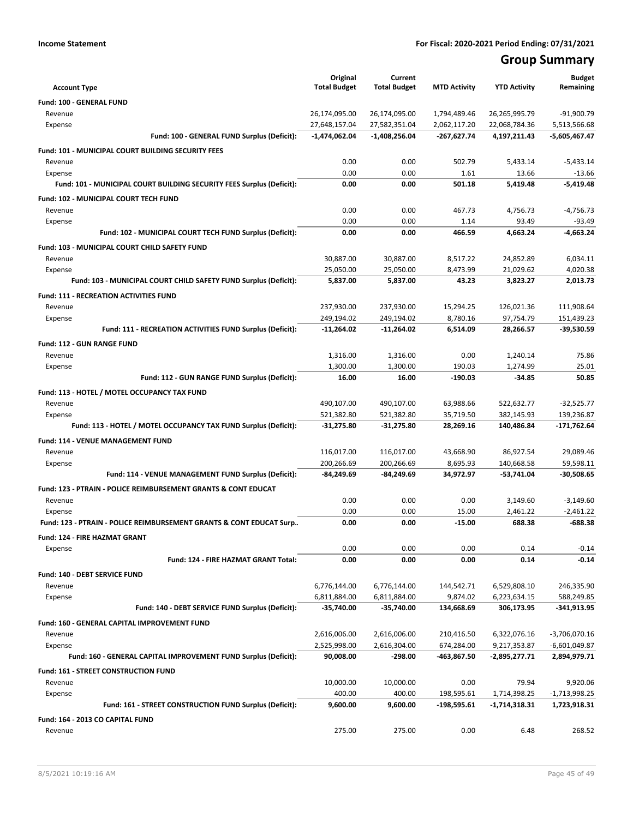# **Group Summary**

|                                                                            | Original<br><b>Total Budget</b> | Current<br><b>Total Budget</b> | <b>MTD Activity</b>      | <b>YTD Activity</b>           | <b>Budget</b><br>Remaining    |
|----------------------------------------------------------------------------|---------------------------------|--------------------------------|--------------------------|-------------------------------|-------------------------------|
| <b>Account Type</b>                                                        |                                 |                                |                          |                               |                               |
| Fund: 100 - GENERAL FUND<br>Revenue                                        | 26,174,095.00                   | 26,174,095.00                  | 1,794,489.46             | 26,265,995.79                 | $-91,900.79$                  |
| Expense                                                                    | 27,648,157.04                   | 27,582,351.04                  | 2,062,117.20             | 22,068,784.36                 | 5,513,566.68                  |
| Fund: 100 - GENERAL FUND Surplus (Deficit):                                | $-1,474,062.04$                 | $-1,408,256.04$                | -267,627.74              | 4,197,211.43                  | -5,605,467.47                 |
| Fund: 101 - MUNICIPAL COURT BUILDING SECURITY FEES                         |                                 |                                |                          |                               |                               |
| Revenue                                                                    | 0.00                            | 0.00                           | 502.79                   | 5,433.14                      | $-5,433.14$                   |
| Expense                                                                    | 0.00                            | 0.00                           | 1.61                     | 13.66                         | $-13.66$                      |
| Fund: 101 - MUNICIPAL COURT BUILDING SECURITY FEES Surplus (Deficit):      | 0.00                            | 0.00                           | 501.18                   | 5,419.48                      | $-5,419.48$                   |
| Fund: 102 - MUNICIPAL COURT TECH FUND                                      |                                 |                                |                          |                               |                               |
| Revenue                                                                    | 0.00                            | 0.00                           | 467.73                   | 4,756.73                      | $-4,756.73$                   |
| Expense                                                                    | 0.00                            | 0.00                           | 1.14                     | 93.49                         | $-93.49$                      |
| Fund: 102 - MUNICIPAL COURT TECH FUND Surplus (Deficit):                   | 0.00                            | 0.00                           | 466.59                   | 4,663.24                      | $-4,663.24$                   |
| Fund: 103 - MUNICIPAL COURT CHILD SAFETY FUND                              |                                 |                                |                          |                               |                               |
| Revenue                                                                    | 30,887.00                       | 30,887.00                      | 8,517.22                 | 24,852.89                     | 6,034.11                      |
| Expense                                                                    | 25,050.00                       | 25,050.00                      | 8,473.99                 | 21,029.62                     | 4,020.38                      |
| Fund: 103 - MUNICIPAL COURT CHILD SAFETY FUND Surplus (Deficit):           | 5,837.00                        | 5,837.00                       | 43.23                    | 3,823.27                      | 2,013.73                      |
| <b>Fund: 111 - RECREATION ACTIVITIES FUND</b>                              |                                 |                                |                          |                               |                               |
| Revenue                                                                    | 237,930.00                      | 237,930.00                     | 15,294.25                | 126,021.36                    | 111,908.64                    |
| Expense                                                                    | 249,194.02                      | 249,194.02                     | 8,780.16                 | 97,754.79                     | 151,439.23                    |
| Fund: 111 - RECREATION ACTIVITIES FUND Surplus (Deficit):                  | -11,264.02                      | $-11,264.02$                   | 6,514.09                 | 28,266.57                     | $-39,530.59$                  |
| Fund: 112 - GUN RANGE FUND                                                 |                                 |                                |                          |                               |                               |
| Revenue                                                                    | 1,316.00                        | 1,316.00                       | 0.00                     | 1,240.14                      | 75.86                         |
| Expense                                                                    | 1,300.00                        | 1,300.00                       | 190.03                   | 1,274.99                      | 25.01                         |
| Fund: 112 - GUN RANGE FUND Surplus (Deficit):                              | 16.00                           | 16.00                          | $-190.03$                | -34.85                        | 50.85                         |
| Fund: 113 - HOTEL / MOTEL OCCUPANCY TAX FUND                               |                                 |                                |                          |                               |                               |
| Revenue                                                                    | 490,107.00                      | 490,107.00                     | 63,988.66                | 522,632.77                    | $-32,525.77$                  |
| Expense                                                                    | 521,382.80                      | 521,382.80                     | 35,719.50                | 382,145.93                    | 139,236.87                    |
| Fund: 113 - HOTEL / MOTEL OCCUPANCY TAX FUND Surplus (Deficit):            | -31,275.80                      | -31,275.80                     | 28,269.16                | 140,486.84                    | $-171,762.64$                 |
| Fund: 114 - VENUE MANAGEMENT FUND                                          |                                 |                                |                          |                               |                               |
| Revenue                                                                    | 116,017.00                      | 116,017.00                     | 43,668.90                | 86,927.54                     | 29,089.46                     |
| Expense                                                                    | 200,266.69                      | 200,266.69                     | 8,695.93                 | 140,668.58                    | 59,598.11                     |
| Fund: 114 - VENUE MANAGEMENT FUND Surplus (Deficit):                       | -84,249.69                      | -84,249.69                     | 34,972.97                | -53,741.04                    | $-30,508.65$                  |
| Fund: 123 - PTRAIN - POLICE REIMBURSEMENT GRANTS & CONT EDUCAT             |                                 |                                |                          |                               |                               |
| Revenue                                                                    | 0.00                            | 0.00                           | 0.00                     | 3,149.60                      | $-3,149.60$                   |
| Expense                                                                    | 0.00                            | 0.00                           | 15.00                    | 2,461.22                      | $-2,461.22$                   |
| Fund: 123 - PTRAIN - POLICE REIMBURSEMENT GRANTS & CONT EDUCAT Surp        | 0.00                            | 0.00                           | $-15.00$                 | 688.38                        | $-688.38$                     |
| Fund: 124 - FIRE HAZMAT GRANT                                              |                                 |                                |                          |                               |                               |
| Expense                                                                    | 0.00                            | 0.00                           | 0.00                     | 0.14                          | $-0.14$                       |
| Fund: 124 - FIRE HAZMAT GRANT Total:                                       | 0.00                            | 0.00                           | 0.00                     | 0.14                          | $-0.14$                       |
| Fund: 140 - DEBT SERVICE FUND                                              |                                 |                                |                          |                               |                               |
| Revenue                                                                    | 6,776,144.00                    | 6,776,144.00                   | 144,542.71               | 6,529,808.10                  | 246,335.90                    |
| Expense<br>Fund: 140 - DEBT SERVICE FUND Surplus (Deficit):                | 6,811,884.00<br>-35,740.00      | 6,811,884.00<br>-35,740.00     | 9,874.02<br>134,668.69   | 6,223,634.15<br>306,173.95    | 588,249.85<br>$-341,913.95$   |
|                                                                            |                                 |                                |                          |                               |                               |
| Fund: 160 - GENERAL CAPITAL IMPROVEMENT FUND                               |                                 |                                |                          |                               |                               |
| Revenue                                                                    | 2,616,006.00<br>2,525,998.00    | 2,616,006.00<br>2,616,304.00   | 210,416.50<br>674,284.00 | 6,322,076.16                  | -3,706,070.16                 |
| Expense<br>Fund: 160 - GENERAL CAPITAL IMPROVEMENT FUND Surplus (Deficit): | 90,008.00                       | -298.00                        | -463,867.50              | 9,217,353.87<br>-2,895,277.71 | -6,601,049.87<br>2,894,979.71 |
|                                                                            |                                 |                                |                          |                               |                               |
| Fund: 161 - STREET CONSTRUCTION FUND<br>Revenue                            | 10,000.00                       | 10,000.00                      | 0.00                     | 79.94                         | 9,920.06                      |
| Expense                                                                    | 400.00                          | 400.00                         | 198,595.61               | 1,714,398.25                  | -1,713,998.25                 |
| Fund: 161 - STREET CONSTRUCTION FUND Surplus (Deficit):                    | 9,600.00                        | 9,600.00                       | -198,595.61              | -1,714,318.31                 | 1,723,918.31                  |
| Fund: 164 - 2013 CO CAPITAL FUND                                           |                                 |                                |                          |                               |                               |
| Revenue                                                                    | 275.00                          | 275.00                         | 0.00                     | 6.48                          | 268.52                        |
|                                                                            |                                 |                                |                          |                               |                               |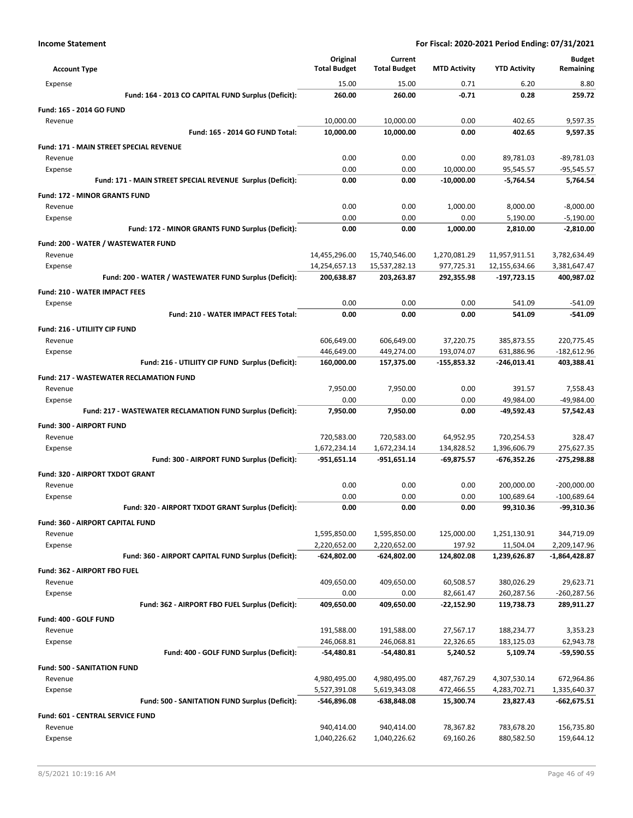|                                                            | Original            | Current             |                     |                     | <b>Budget</b> |
|------------------------------------------------------------|---------------------|---------------------|---------------------|---------------------|---------------|
| <b>Account Type</b>                                        | <b>Total Budget</b> | <b>Total Budget</b> | <b>MTD Activity</b> | <b>YTD Activity</b> | Remaining     |
| Expense                                                    | 15.00               | 15.00               | 0.71                | 6.20                | 8.80          |
| Fund: 164 - 2013 CO CAPITAL FUND Surplus (Deficit):        | 260.00              | 260.00              | -0.71               | 0.28                | 259.72        |
| Fund: 165 - 2014 GO FUND                                   |                     |                     |                     |                     |               |
| Revenue                                                    | 10,000.00           | 10,000.00           | 0.00                | 402.65              | 9,597.35      |
| Fund: 165 - 2014 GO FUND Total:                            | 10,000.00           | 10,000.00           | 0.00                | 402.65              | 9,597.35      |
| <b>Fund: 171 - MAIN STREET SPECIAL REVENUE</b>             |                     |                     |                     |                     |               |
| Revenue                                                    | 0.00                | 0.00                | 0.00                | 89,781.03           | -89,781.03    |
| Expense                                                    | 0.00                | 0.00                | 10,000.00           | 95,545.57           | $-95,545.57$  |
| Fund: 171 - MAIN STREET SPECIAL REVENUE Surplus (Deficit): | 0.00                | 0.00                | $-10,000.00$        | $-5,764.54$         | 5,764.54      |
| <b>Fund: 172 - MINOR GRANTS FUND</b>                       |                     |                     |                     |                     |               |
| Revenue                                                    | 0.00                | 0.00                | 1,000.00            | 8,000.00            | $-8,000.00$   |
| Expense                                                    | 0.00                | 0.00                | 0.00                | 5,190.00            | $-5,190.00$   |
| Fund: 172 - MINOR GRANTS FUND Surplus (Deficit):           | 0.00                | 0.00                | 1,000.00            | 2,810.00            | $-2,810.00$   |
| Fund: 200 - WATER / WASTEWATER FUND                        |                     |                     |                     |                     |               |
| Revenue                                                    | 14,455,296.00       | 15,740,546.00       | 1,270,081.29        | 11,957,911.51       | 3,782,634.49  |
| Expense                                                    | 14,254,657.13       | 15,537,282.13       | 977,725.31          | 12,155,634.66       | 3,381,647.47  |
| Fund: 200 - WATER / WASTEWATER FUND Surplus (Deficit):     | 200,638.87          | 203,263.87          | 292,355.98          | -197,723.15         | 400,987.02    |
| <b>Fund: 210 - WATER IMPACT FEES</b>                       |                     |                     |                     |                     |               |
| Expense                                                    | 0.00                | 0.00                | 0.00                | 541.09              | $-541.09$     |
| Fund: 210 - WATER IMPACT FEES Total:                       | 0.00                | 0.00                | 0.00                | 541.09              | $-541.09$     |
| Fund: 216 - UTILIITY CIP FUND                              |                     |                     |                     |                     |               |
| Revenue                                                    | 606,649.00          | 606,649.00          | 37,220.75           | 385,873.55          | 220,775.45    |
| Expense                                                    | 446,649.00          | 449,274.00          | 193,074.07          | 631,886.96          | -182,612.96   |
| Fund: 216 - UTILIITY CIP FUND Surplus (Deficit):           | 160,000.00          | 157,375.00          | $-155,853.32$       | -246,013.41         | 403,388.41    |
| <b>Fund: 217 - WASTEWATER RECLAMATION FUND</b>             |                     |                     |                     |                     |               |
| Revenue                                                    | 7,950.00            | 7,950.00            | 0.00                | 391.57              | 7,558.43      |
| Expense                                                    | 0.00                | 0.00                | 0.00                | 49,984.00           | -49,984.00    |
| Fund: 217 - WASTEWATER RECLAMATION FUND Surplus (Deficit): | 7,950.00            | 7,950.00            | 0.00                | -49,592.43          | 57,542.43     |
| Fund: 300 - AIRPORT FUND                                   |                     |                     |                     |                     |               |
| Revenue                                                    | 720,583.00          | 720,583.00          | 64,952.95           | 720,254.53          | 328.47        |
| Expense                                                    | 1,672,234.14        | 1,672,234.14        | 134,828.52          | 1,396,606.79        | 275,627.35    |
| Fund: 300 - AIRPORT FUND Surplus (Deficit):                | $-951,651.14$       | -951,651.14         | $-69,875.57$        | -676,352.26         | -275,298.88   |
| Fund: 320 - AIRPORT TXDOT GRANT                            |                     |                     |                     |                     |               |
| Revenue                                                    | 0.00                | 0.00                | 0.00                | 200,000.00          | $-200,000.00$ |
| Expense                                                    | 0.00                | 0.00                | 0.00                | 100,689.64          | $-100,689.64$ |
| Fund: 320 - AIRPORT TXDOT GRANT Surplus (Deficit):         | 0.00                | 0.00                | 0.00                | 99,310.36           | -99,310.36    |
| Fund: 360 - AIRPORT CAPITAL FUND                           |                     |                     |                     |                     |               |
| Revenue                                                    | 1,595,850.00        | 1,595,850.00        | 125,000.00          | 1,251,130.91        | 344,719.09    |
| Expense                                                    | 2,220,652.00        | 2,220,652.00        | 197.92              | 11,504.04           | 2,209,147.96  |
| Fund: 360 - AIRPORT CAPITAL FUND Surplus (Deficit):        | -624,802.00         | -624,802.00         | 124,802.08          | 1,239,626.87        | -1,864,428.87 |
| Fund: 362 - AIRPORT FBO FUEL                               |                     |                     |                     |                     |               |
| Revenue                                                    | 409,650.00          | 409,650.00          | 60,508.57           | 380,026.29          | 29,623.71     |
| Expense                                                    | 0.00                | 0.00                | 82,661.47           | 260,287.56          | -260,287.56   |
| Fund: 362 - AIRPORT FBO FUEL Surplus (Deficit):            | 409,650.00          | 409,650.00          | $-22,152.90$        | 119,738.73          | 289,911.27    |
| Fund: 400 - GOLF FUND                                      |                     |                     |                     |                     |               |
| Revenue                                                    | 191,588.00          | 191,588.00          | 27,567.17           | 188,234.77          | 3,353.23      |
| Expense                                                    | 246,068.81          | 246,068.81          | 22,326.65           | 183,125.03          | 62,943.78     |
| Fund: 400 - GOLF FUND Surplus (Deficit):                   | $-54,480.81$        | -54,480.81          | 5,240.52            | 5,109.74            | $-59,590.55$  |
| <b>Fund: 500 - SANITATION FUND</b>                         |                     |                     |                     |                     |               |
| Revenue                                                    | 4,980,495.00        | 4,980,495.00        | 487,767.29          | 4,307,530.14        | 672,964.86    |
| Expense                                                    | 5,527,391.08        | 5,619,343.08        | 472,466.55          | 4,283,702.71        | 1,335,640.37  |
| Fund: 500 - SANITATION FUND Surplus (Deficit):             | -546,896.08         | -638,848.08         | 15,300.74           | 23,827.43           | -662,675.51   |
| Fund: 601 - CENTRAL SERVICE FUND                           |                     |                     |                     |                     |               |
| Revenue                                                    | 940,414.00          | 940,414.00          | 78,367.82           | 783,678.20          | 156,735.80    |
| Expense                                                    | 1,040,226.62        | 1,040,226.62        | 69,160.26           | 880,582.50          | 159,644.12    |
|                                                            |                     |                     |                     |                     |               |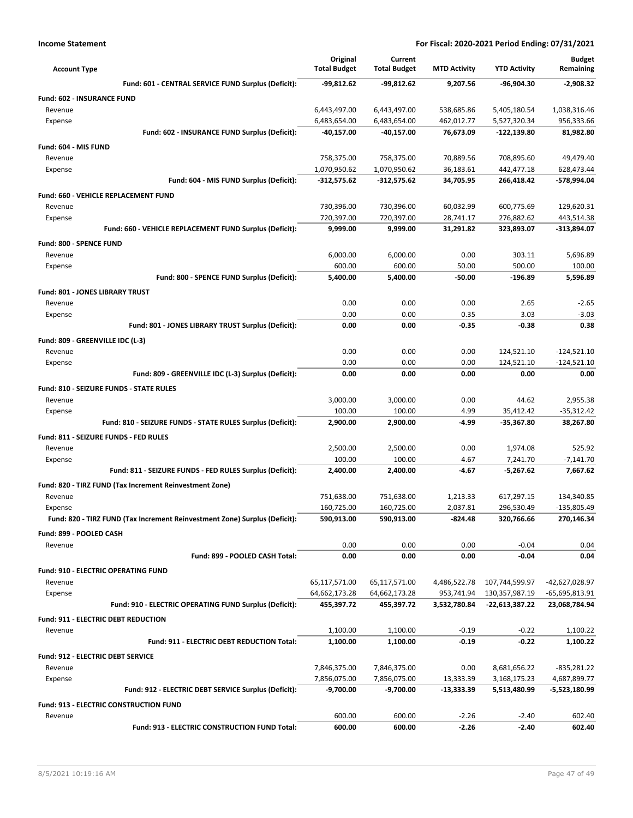| <b>Account Type</b>                                                        | Original<br><b>Total Budget</b> | Current<br><b>Total Budget</b> | <b>MTD Activity</b>        | <b>YTD Activity</b>              | <b>Budget</b><br>Remaining       |
|----------------------------------------------------------------------------|---------------------------------|--------------------------------|----------------------------|----------------------------------|----------------------------------|
| Fund: 601 - CENTRAL SERVICE FUND Surplus (Deficit):                        | -99,812.62                      | -99,812.62                     | 9,207.56                   | -96.904.30                       | $-2.908.32$                      |
| <b>Fund: 602 - INSURANCE FUND</b>                                          |                                 |                                |                            |                                  |                                  |
| Revenue                                                                    | 6,443,497.00                    | 6,443,497.00                   | 538,685.86                 | 5,405,180.54                     | 1,038,316.46                     |
| Expense                                                                    | 6,483,654.00                    | 6,483,654.00                   | 462,012.77                 | 5,527,320.34                     | 956,333.66                       |
| Fund: 602 - INSURANCE FUND Surplus (Deficit):                              | -40,157.00                      | -40,157.00                     | 76,673.09                  | -122,139.80                      | 81,982.80                        |
| Fund: 604 - MIS FUND                                                       |                                 |                                |                            |                                  |                                  |
| Revenue                                                                    | 758,375.00                      | 758,375.00                     | 70,889.56                  | 708,895.60                       | 49,479.40                        |
| Expense                                                                    | 1,070,950.62                    | 1,070,950.62                   | 36,183.61                  | 442,477.18                       | 628,473.44                       |
| Fund: 604 - MIS FUND Surplus (Deficit):                                    | $-312,575.62$                   | $-312,575.62$                  | 34,705.95                  | 266,418.42                       | -578,994.04                      |
| Fund: 660 - VEHICLE REPLACEMENT FUND                                       |                                 |                                |                            |                                  |                                  |
| Revenue                                                                    | 730,396.00                      | 730,396.00                     | 60,032.99                  | 600,775.69                       | 129,620.31                       |
| Expense                                                                    | 720,397.00                      | 720,397.00                     | 28,741.17                  | 276,882.62                       | 443,514.38                       |
| Fund: 660 - VEHICLE REPLACEMENT FUND Surplus (Deficit):                    | 9,999.00                        | 9,999.00                       | 31,291.82                  | 323,893.07                       | -313,894.07                      |
| <b>Fund: 800 - SPENCE FUND</b>                                             |                                 |                                |                            |                                  |                                  |
| Revenue                                                                    | 6,000.00                        | 6,000.00                       | 0.00                       | 303.11<br>500.00                 | 5.696.89                         |
| Expense<br>Fund: 800 - SPENCE FUND Surplus (Deficit):                      | 600.00<br>5,400.00              | 600.00<br>5,400.00             | 50.00<br>$-50.00$          | $-196.89$                        | 100.00<br>5,596.89               |
|                                                                            |                                 |                                |                            |                                  |                                  |
| Fund: 801 - JONES LIBRARY TRUST<br>Revenue                                 | 0.00                            | 0.00                           | 0.00                       | 2.65                             | $-2.65$                          |
| Expense                                                                    | 0.00                            | 0.00                           | 0.35                       | 3.03                             | $-3.03$                          |
| Fund: 801 - JONES LIBRARY TRUST Surplus (Deficit):                         | 0.00                            | 0.00                           | -0.35                      | -0.38                            | 0.38                             |
| Fund: 809 - GREENVILLE IDC (L-3)                                           |                                 |                                |                            |                                  |                                  |
| Revenue                                                                    | 0.00                            | 0.00                           | 0.00                       | 124,521.10                       | $-124,521.10$                    |
| Expense                                                                    | 0.00                            | 0.00                           | 0.00                       | 124,521.10                       | $-124,521.10$                    |
| Fund: 809 - GREENVILLE IDC (L-3) Surplus (Deficit):                        | 0.00                            | 0.00                           | 0.00                       | 0.00                             | 0.00                             |
| Fund: 810 - SEIZURE FUNDS - STATE RULES                                    |                                 |                                |                            |                                  |                                  |
| Revenue                                                                    | 3,000.00                        | 3,000.00                       | 0.00                       | 44.62                            | 2,955.38                         |
| Expense                                                                    | 100.00                          | 100.00                         | 4.99                       | 35,412.42                        | $-35,312.42$                     |
| Fund: 810 - SEIZURE FUNDS - STATE RULES Surplus (Deficit):                 | 2,900.00                        | 2,900.00                       | -4.99                      | -35,367.80                       | 38,267.80                        |
| Fund: 811 - SEIZURE FUNDS - FED RULES                                      |                                 |                                |                            |                                  |                                  |
| Revenue                                                                    | 2,500.00                        | 2,500.00                       | 0.00                       | 1,974.08                         | 525.92                           |
| Expense                                                                    | 100.00                          | 100.00                         | 4.67                       | 7,241.70                         | $-7,141.70$                      |
| Fund: 811 - SEIZURE FUNDS - FED RULES Surplus (Deficit):                   | 2,400.00                        | 2,400.00                       | -4.67                      | $-5,267.62$                      | 7,667.62                         |
| Fund: 820 - TIRZ FUND (Tax Increment Reinvestment Zone)                    |                                 |                                |                            |                                  |                                  |
| Revenue                                                                    | 751,638.00                      | 751,638.00                     | 1,213.33                   | 617,297.15                       | 134,340.85                       |
| Expense                                                                    | 160,725.00                      | 160,725.00                     | 2,037.81                   | 296,530.49                       | $-135,805.49$                    |
| Fund: 820 - TIRZ FUND (Tax Increment Reinvestment Zone) Surplus (Deficit): | 590,913.00                      | 590,913.00                     | $-824.48$                  | 320,766.66                       | 270,146.34                       |
| Fund: 899 - POOLED CASH                                                    |                                 |                                |                            |                                  |                                  |
| Revenue<br>Fund: 899 - POOLED CASH Total:                                  | 0.00<br>0.00                    | 0.00<br>0.00                   | 0.00<br>0.00               | $-0.04$<br>-0.04                 | 0.04<br>0.04                     |
|                                                                            |                                 |                                |                            |                                  |                                  |
| <b>Fund: 910 - ELECTRIC OPERATING FUND</b>                                 |                                 |                                |                            |                                  |                                  |
| Revenue<br>Expense                                                         | 65,117,571.00<br>64,662,173.28  | 65,117,571.00<br>64,662,173.28 | 4,486,522.78<br>953,741.94 | 107,744,599.97<br>130,357,987.19 | -42,627,028.97<br>-65,695,813.91 |
| Fund: 910 - ELECTRIC OPERATING FUND Surplus (Deficit):                     | 455,397.72                      | 455,397.72                     | 3,532,780.84               | -22,613,387.22                   | 23,068,784.94                    |
|                                                                            |                                 |                                |                            |                                  |                                  |
| Fund: 911 - ELECTRIC DEBT REDUCTION<br>Revenue                             | 1,100.00                        | 1,100.00                       | $-0.19$                    | $-0.22$                          | 1,100.22                         |
| Fund: 911 - ELECTRIC DEBT REDUCTION Total:                                 | 1,100.00                        | 1,100.00                       | -0.19                      | $-0.22$                          | 1,100.22                         |
| Fund: 912 - ELECTRIC DEBT SERVICE                                          |                                 |                                |                            |                                  |                                  |
| Revenue                                                                    | 7,846,375.00                    | 7,846,375.00                   | 0.00                       | 8,681,656.22                     | $-835,281.22$                    |
| Expense                                                                    | 7,856,075.00                    | 7,856,075.00                   | 13,333.39                  | 3,168,175.23                     | 4,687,899.77                     |
| Fund: 912 - ELECTRIC DEBT SERVICE Surplus (Deficit):                       | -9,700.00                       | -9,700.00                      | $-13,333.39$               | 5,513,480.99                     | -5,523,180.99                    |
| Fund: 913 - ELECTRIC CONSTRUCTION FUND                                     |                                 |                                |                            |                                  |                                  |
| Revenue                                                                    | 600.00                          | 600.00                         | $-2.26$                    | $-2.40$                          | 602.40                           |
| Fund: 913 - ELECTRIC CONSTRUCTION FUND Total:                              | 600.00                          | 600.00                         | $-2.26$                    | $-2.40$                          | 602.40                           |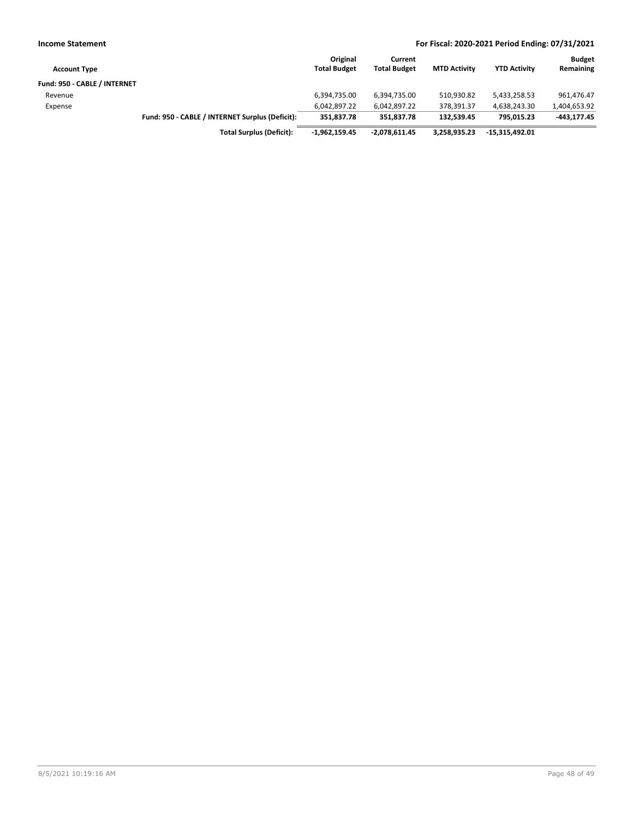| <b>Income Statement</b>      | For Fiscal: 2020-2021 Period Ending: 07/31/2021 |                                 |                                |                     |                     |                            |
|------------------------------|-------------------------------------------------|---------------------------------|--------------------------------|---------------------|---------------------|----------------------------|
| <b>Account Type</b>          |                                                 | Original<br><b>Total Budget</b> | Current<br><b>Total Budget</b> | <b>MTD Activity</b> | <b>YTD Activity</b> | <b>Budget</b><br>Remaining |
| Fund: 950 - CABLE / INTERNET |                                                 |                                 |                                |                     |                     |                            |
| Revenue                      |                                                 | 6.394.735.00                    | 6.394.735.00                   | 510.930.82          | 5,433,258.53        | 961,476.47                 |
| Expense                      |                                                 | 6.042.897.22                    | 6,042,897.22                   | 378.391.37          | 4.638.243.30        | 1,404,653.92               |
|                              | Fund: 950 - CABLE / INTERNET Surplus (Deficit): | 351.837.78                      | 351.837.78                     | 132.539.45          | 795.015.23          | $-443.177.45$              |
|                              | <b>Total Surplus (Deficit):</b>                 | -1,962,159.45                   | -2,078,611.45                  | 3,258,935.23        | -15,315,492.01      |                            |